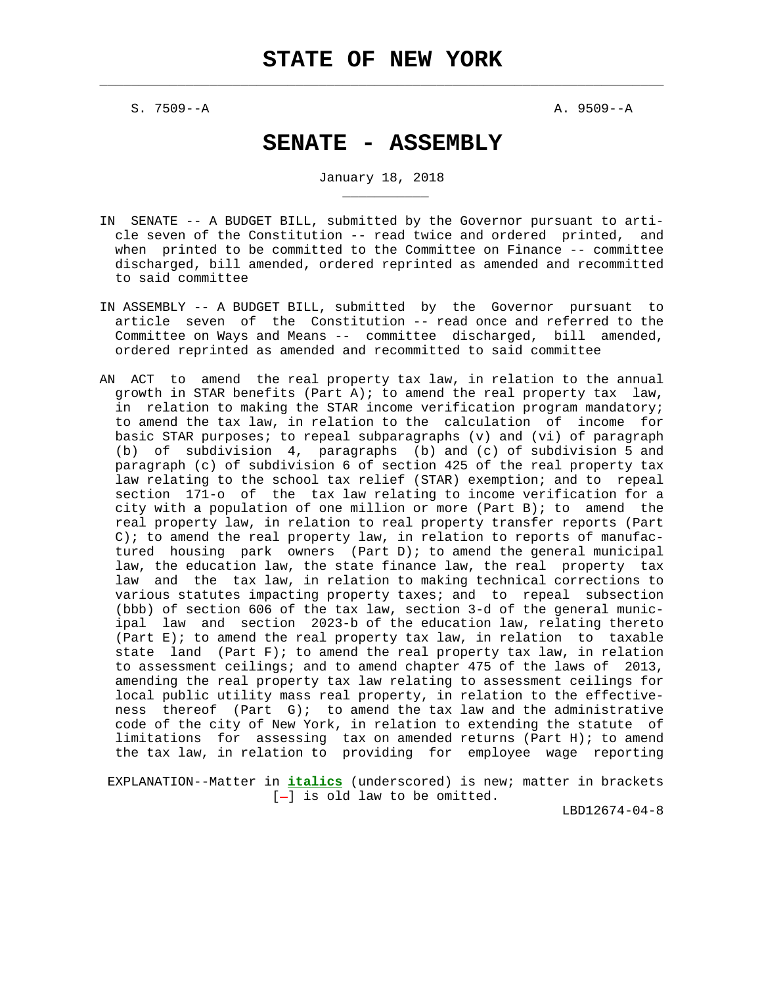$\mathcal{L}_\text{max} = \frac{1}{2} \sum_{i=1}^{n} \frac{1}{2} \sum_{i=1}^{n} \frac{1}{2} \sum_{i=1}^{n} \frac{1}{2} \sum_{i=1}^{n} \frac{1}{2} \sum_{i=1}^{n} \frac{1}{2} \sum_{i=1}^{n} \frac{1}{2} \sum_{i=1}^{n} \frac{1}{2} \sum_{i=1}^{n} \frac{1}{2} \sum_{i=1}^{n} \frac{1}{2} \sum_{i=1}^{n} \frac{1}{2} \sum_{i=1}^{n} \frac{1}{2} \sum_{i=1}^{n} \frac{1$ 

S. 7509--A A. 9509--A

\_\_\_\_\_\_\_\_\_\_\_

# **SENATE - ASSEMBLY**

January 18, 2018

- IN SENATE -- A BUDGET BILL, submitted by the Governor pursuant to arti cle seven of the Constitution -- read twice and ordered printed, and when printed to be committed to the Committee on Finance -- committee discharged, bill amended, ordered reprinted as amended and recommitted to said committee
- IN ASSEMBLY -- A BUDGET BILL, submitted by the Governor pursuant to article seven of the Constitution -- read once and referred to the Committee on Ways and Means -- committee discharged, bill amended, ordered reprinted as amended and recommitted to said committee
- AN ACT to amend the real property tax law, in relation to the annual growth in STAR benefits (Part A); to amend the real property  $\text{tax } \text{law}$ , in relation to making the STAR income verification program mandatory; to amend the tax law, in relation to the calculation of income for basic STAR purposes; to repeal subparagraphs (v) and (vi) of paragraph (b) of subdivision 4, paragraphs (b) and (c) of subdivision 5 and paragraph (c) of subdivision 6 of section 425 of the real property tax law relating to the school tax relief (STAR) exemption; and to repeal section 171-o of the tax law relating to income verification for a city with a population of one million or more (Part B); to amend the real property law, in relation to real property transfer reports (Part C); to amend the real property law, in relation to reports of manufac tured housing park owners (Part D); to amend the general municipal law, the education law, the state finance law, the real property tax law and the tax law, in relation to making technical corrections to various statutes impacting property taxes; and to repeal subsection (bbb) of section 606 of the tax law, section 3-d of the general munic ipal law and section 2023-b of the education law, relating thereto (Part E); to amend the real property tax law, in relation to taxable state land (Part  $F$ ); to amend the real property tax law, in relation to assessment ceilings; and to amend chapter 475 of the laws of 2013, amending the real property tax law relating to assessment ceilings for local public utility mass real property, in relation to the effective ness thereof (Part  $G$ ); to amend the tax law and the administrative code of the city of New York, in relation to extending the statute of limitations for assessing tax on amended returns (Part H); to amend the tax law, in relation to providing for employee wage reporting

 EXPLANATION--Matter in **italics** (underscored) is new; matter in brackets  $[-]$  is old law to be omitted.

LBD12674-04-8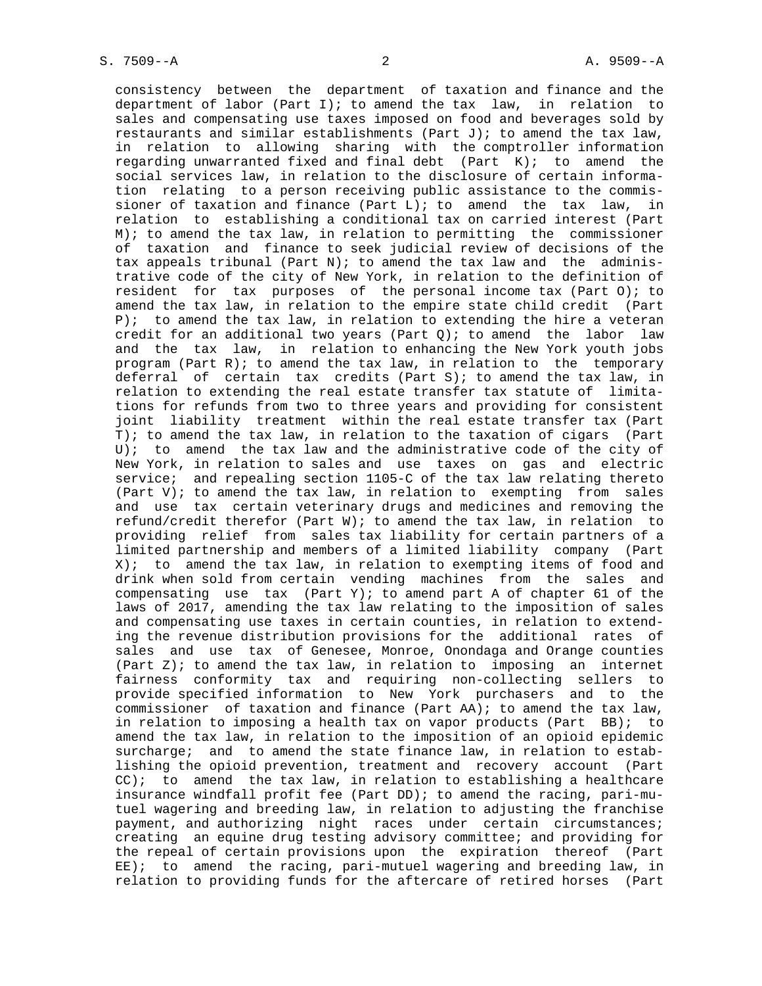consistency between the department of taxation and finance and the department of labor (Part I); to amend the tax law, in relation to sales and compensating use taxes imposed on food and beverages sold by restaurants and similar establishments (Part J); to amend the tax law, in relation to allowing sharing with the comptroller information regarding unwarranted fixed and final debt (Part K); to amend the social services law, in relation to the disclosure of certain informa tion relating to a person receiving public assistance to the commis sioner of taxation and finance (Part L); to amend the tax law, in relation to establishing a conditional tax on carried interest (Part M); to amend the tax law, in relation to permitting the commissioner of taxation and finance to seek judicial review of decisions of the tax appeals tribunal (Part N); to amend the tax law and the adminis trative code of the city of New York, in relation to the definition of resident for tax purposes of the personal income tax (Part O); to amend the tax law, in relation to the empire state child credit (Part P); to amend the tax law, in relation to extending the hire a veteran credit for an additional two years (Part  $Q$ ); to amend the labor law and the tax law, in relation to enhancing the New York youth jobs program (Part R); to amend the tax law, in relation to the temporary deferral of certain tax credits (Part S); to amend the tax law, in relation to extending the real estate transfer tax statute of limita tions for refunds from two to three years and providing for consistent joint liability treatment within the real estate transfer tax (Part T); to amend the tax law, in relation to the taxation of cigars (Part U); to amend the tax law and the administrative code of the city of New York, in relation to sales and use taxes on gas and electric service; and repealing section 1105-C of the tax law relating thereto (Part V); to amend the tax law, in relation to exempting from sales and use tax certain veterinary drugs and medicines and removing the refund/credit therefor (Part W); to amend the tax law, in relation to providing relief from sales tax liability for certain partners of a limited partnership and members of a limited liability company (Part X); to amend the tax law, in relation to exempting items of food and drink when sold from certain vending machines from the sales and compensating use tax (Part Y); to amend part A of chapter 61 of the laws of 2017, amending the tax law relating to the imposition of sales and compensating use taxes in certain counties, in relation to extend ing the revenue distribution provisions for the additional rates of sales and use tax of Genesee, Monroe, Onondaga and Orange counties (Part  $Z$ ); to amend the tax law, in relation to imposing an internet fairness conformity tax and requiring non-collecting sellers to provide specified information to New York purchasers and to the commissioner of taxation and finance (Part AA); to amend the tax law, in relation to imposing a health tax on vapor products (Part BB); to amend the tax law, in relation to the imposition of an opioid epidemic surcharge; and to amend the state finance law, in relation to estab lishing the opioid prevention, treatment and recovery account (Part CC); to amend the tax law, in relation to establishing a healthcare insurance windfall profit fee (Part DD); to amend the racing, pari-mu tuel wagering and breeding law, in relation to adjusting the franchise payment, and authorizing night races under certain circumstances; creating an equine drug testing advisory committee; and providing for the repeal of certain provisions upon the expiration thereof (Part EE); to amend the racing, pari-mutuel wagering and breeding law, in relation to providing funds for the aftercare of retired horses (Part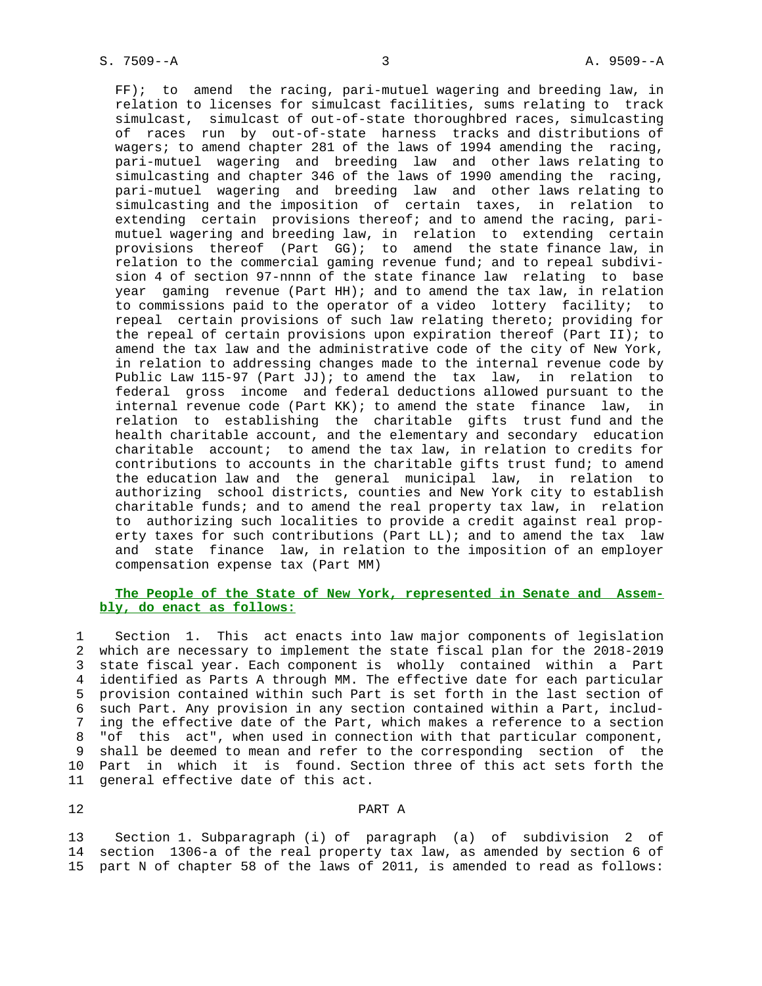FF); to amend the racing, pari-mutuel wagering and breeding law, in relation to licenses for simulcast facilities, sums relating to track simulcast, simulcast of out-of-state thoroughbred races, simulcasting of races run by out-of-state harness tracks and distributions of wagers; to amend chapter 281 of the laws of 1994 amending the racing, pari-mutuel wagering and breeding law and other laws relating to simulcasting and chapter 346 of the laws of 1990 amending the racing, pari-mutuel wagering and breeding law and other laws relating to simulcasting and the imposition of certain taxes, in relation to extending certain provisions thereof; and to amend the racing, pari mutuel wagering and breeding law, in relation to extending certain provisions thereof (Part GG); to amend the state finance law, in relation to the commercial gaming revenue fund; and to repeal subdivi sion 4 of section 97-nnnn of the state finance law relating to base year gaming revenue (Part HH); and to amend the tax law, in relation to commissions paid to the operator of a video lottery facility; to repeal certain provisions of such law relating thereto; providing for the repeal of certain provisions upon expiration thereof (Part II); to amend the tax law and the administrative code of the city of New York, in relation to addressing changes made to the internal revenue code by Public Law 115-97 (Part JJ); to amend the tax law, in relation to federal gross income and federal deductions allowed pursuant to the internal revenue code (Part KK); to amend the state finance law, in relation to establishing the charitable gifts trust fund and the health charitable account, and the elementary and secondary education charitable account; to amend the tax law, in relation to credits for contributions to accounts in the charitable gifts trust fund; to amend the education law and the general municipal law, in relation to authorizing school districts, counties and New York city to establish charitable funds; and to amend the real property tax law, in relation to authorizing such localities to provide a credit against real prop erty taxes for such contributions (Part LL); and to amend the tax law and state finance law, in relation to the imposition of an employer compensation expense tax (Part MM)

## **The People of the State of New York, represented in Senate and Assem bly, do enact as follows:**

 1 Section 1. This act enacts into law major components of legislation 2 which are necessary to implement the state fiscal plan for the 2018-2019 3 state fiscal year. Each component is wholly contained within a Part 4 identified as Parts A through MM. The effective date for each particular 5 provision contained within such Part is set forth in the last section of 6 such Part. Any provision in any section contained within a Part, includ- 7 ing the effective date of the Part, which makes a reference to a section 8 "of this act", when used in connection with that particular component, 9 shall be deemed to mean and refer to the corresponding section of the 10 Part in which it is found. Section three of this act sets forth the 11 general effective date of this act.

#### 12 PART A

 13 Section 1. Subparagraph (i) of paragraph (a) of subdivision 2 of 14 section 1306-a of the real property tax law, as amended by section 6 of 15 part N of chapter 58 of the laws of 2011, is amended to read as follows: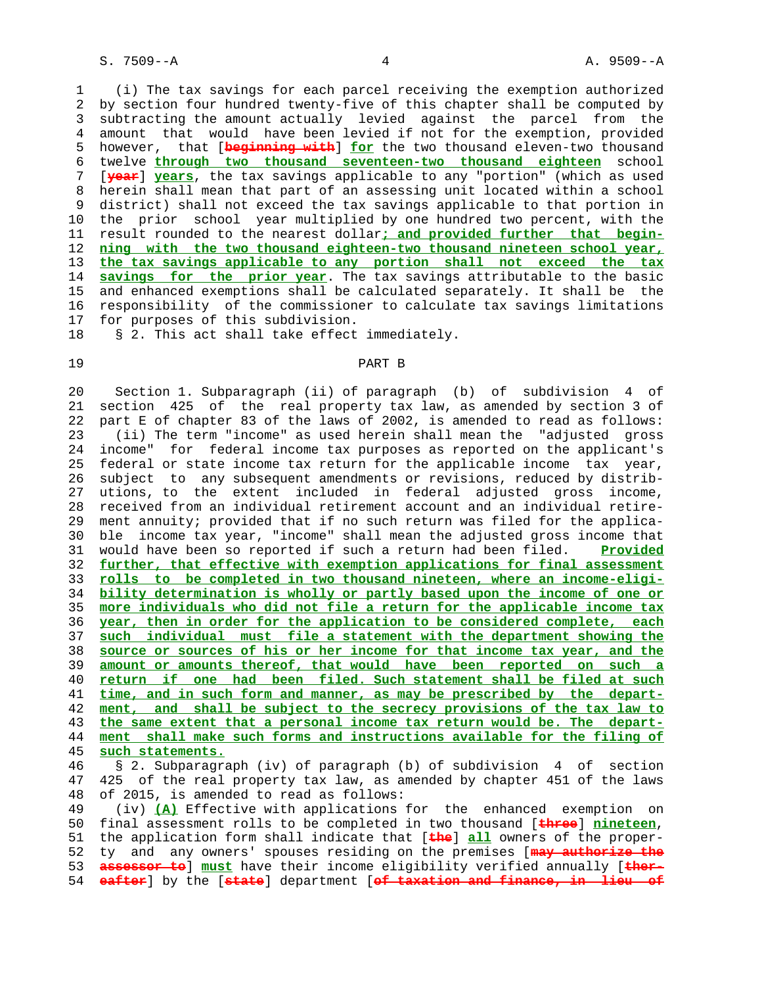1 (i) The tax savings for each parcel receiving the exemption authorized 2 by section four hundred twenty-five of this chapter shall be computed by 3 subtracting the amount actually levied against the parcel from the 4 amount that would have been levied if not for the exemption, provided 5 however, that [**beginning with**] **for** the two thousand eleven-two thousand 6 twelve **through two thousand seventeen-two thousand eighteen** school 7 [**year**] **years**, the tax savings applicable to any "portion" (which as used 8 herein shall mean that part of an assessing unit located within a school 9 district) shall not exceed the tax savings applicable to that portion in 10 the prior school year multiplied by one hundred two percent, with the 11 result rounded to the nearest dollar**; and provided further that begin-** 12 **ning with the two thousand eighteen-two thousand nineteen school year,** 13 **the tax savings applicable to any portion shall not exceed the tax** 14 **savings for the prior year**. The tax savings attributable to the basic 15 and enhanced exemptions shall be calculated separately. It shall be the 16 responsibility of the commissioner to calculate tax savings limitations 17 for purposes of this subdivision.

18 § 2. This act shall take effect immediately.

#### 19 PART B

 20 Section 1. Subparagraph (ii) of paragraph (b) of subdivision 4 of 21 section 425 of the real property tax law, as amended by section 3 of 22 part E of chapter 83 of the laws of 2002, is amended to read as follows: 23 (ii) The term "income" as used herein shall mean the "adjusted gross 24 income" for federal income tax purposes as reported on the applicant's 25 federal or state income tax return for the applicable income tax year, 26 subject to any subsequent amendments or revisions, reduced by distrib- 27 utions, to the extent included in federal adjusted gross income, 28 received from an individual retirement account and an individual retire- 29 ment annuity; provided that if no such return was filed for the applica- 30 ble income tax year, "income" shall mean the adjusted gross income that 31 would have been so reported if such a return had been filed. **Provided** 32 **further, that effective with exemption applications for final assessment** 33 **rolls to be completed in two thousand nineteen, where an income-eligi-** 34 **bility determination is wholly or partly based upon the income of one or** 35 **more individuals who did not file a return for the applicable income tax** 36 **year, then in order for the application to be considered complete, each** 37 **such individual must file a statement with the department showing the** 38 **source or sources of his or her income for that income tax year, and the** 39 **amount or amounts thereof, that would have been reported on such a** 40 **return if one had been filed. Such statement shall be filed at such** 41 **time, and in such form and manner, as may be prescribed by the depart-** 42 **ment, and shall be subject to the secrecy provisions of the tax law to** 43 **the same extent that a personal income tax return would be. The depart-** 44 **ment shall make such forms and instructions available for the filing of** 45 **such statements.**

 46 § 2. Subparagraph (iv) of paragraph (b) of subdivision 4 of section 425 of the real property tax law, as amended by chapter 451 of the laws 48 of 2015, is amended to read as follows:

 49 (iv) **(A)** Effective with applications for the enhanced exemption on 50 final assessment rolls to be completed in two thousand [**three**] **nineteen**, 51 the application form shall indicate that [**the**] **all** owners of the proper- 52 ty and any owners' spouses residing on the premises [**may authorize the** 53 **assessor to**] **must** have their income eligibility verified annually [**ther-** 54 **eafter**] by the [**state**] department [**of taxation and finance, in lieu of**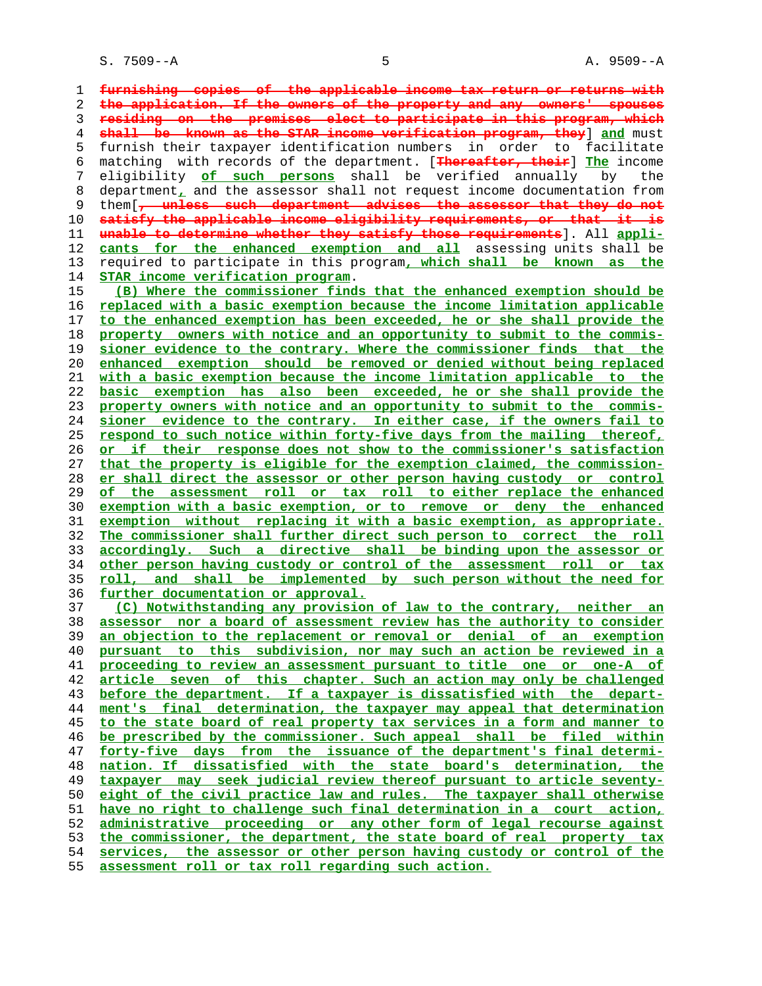S. 7509--A 5 A. 9509--A

**furnishing copies of the applicable income tax return or returns with the application. If the owners of the property and any owners' spouses residing on the premises elect to participate in this program, which shall be known as the STAR income verification program, they**] **and** must 5 furnish their taxpayer identification numbers in order to facilitate 6 matching with records of the department. [**Thereafter, their**] **The** income 7 eligibility **of such persons** shall be verified annually by the 8 department, and the assessor shall not request income documentation from<br>9 them[<del>, unless such department advises the assessor that they do not</del> 9 them[**, unless such department advises the assessor that they do not satisfy the applicable income eligibility requirements, or that it is unable to determine whether they satisfy those requirements**]. All **appli- cants for the enhanced exemption and all** assessing units shall be 13 required to participate in this program**, which shall be known as the STAR income verification program**. **(B) Where the commissioner finds that the enhanced exemption should be replaced with a basic exemption because the income limitation applicable to the enhanced exemption has been exceeded, he or she shall provide the property owners with notice and an opportunity to submit to the commis- sioner evidence to the contrary. Where the commissioner finds that the enhanced exemption should be removed or denied without being replaced with a basic exemption because the income limitation applicable to the basic exemption has also been exceeded, he or she shall provide the property owners with notice and an opportunity to submit to the commis- sioner evidence to the contrary. In either case, if the owners fail to respond to such notice within forty-five days from the mailing thereof, or if their response does not show to the commissioner's satisfaction that the property is eligible for the exemption claimed, the commission- er shall direct the assessor or other person having custody or control of the assessment roll or tax roll to either replace the enhanced exemption with a basic exemption, or to remove or deny the enhanced exemption without replacing it with a basic exemption, as appropriate. The commissioner shall further direct such person to correct the roll accordingly. Such a directive shall be binding upon the assessor or other person having custody or control of the assessment roll or tax roll, and shall be implemented by such person without the need for further documentation or approval. (C) Notwithstanding any provision of law to the contrary, neither an assessor nor a board of assessment review has the authority to consider an objection to the replacement or removal or denial of an exemption pursuant to this subdivision, nor may such an action be reviewed in a proceeding to review an assessment pursuant to title one or one-A of article seven of this chapter. Such an action may only be challenged before the department. If a taxpayer is dissatisfied with the depart- ment's final determination, the taxpayer may appeal that determination to the state board of real property tax services in a form and manner to be prescribed by the commissioner. Such appeal shall be filed within forty-five days from the issuance of the department's final determi- nation. If dissatisfied with the state board's determination, the taxpayer may seek judicial review thereof pursuant to article seventy- eight of the civil practice law and rules. The taxpayer shall otherwise have no right to challenge such final determination in a court action, administrative proceeding or any other form of legal recourse against the commissioner, the department, the state board of real property tax services, the assessor or other person having custody or control of the**

**assessment roll or tax roll regarding such action.**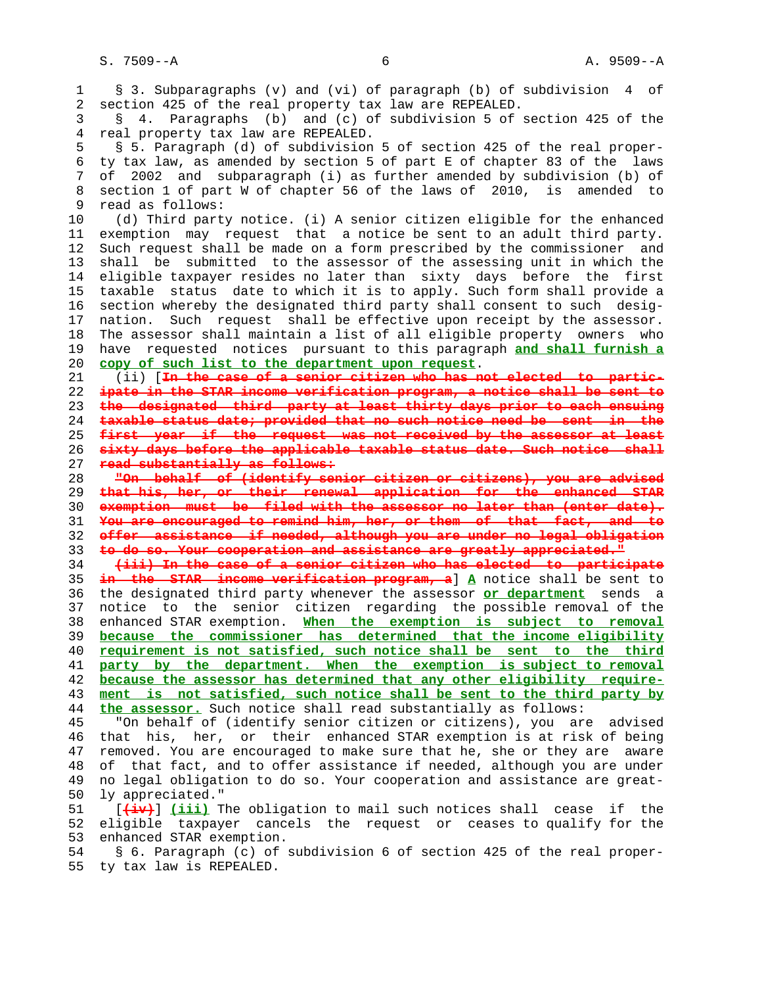1 § 3. Subparagraphs (v) and (vi) of paragraph (b) of subdivision 4 of 2 section 425 of the real property tax law are REPEALED.

 3 § 4. Paragraphs (b) and (c) of subdivision 5 of section 425 of the 4 real property tax law are REPEALED.

 5 § 5. Paragraph (d) of subdivision 5 of section 425 of the real proper- 6 ty tax law, as amended by section 5 of part E of chapter 83 of the laws 7 of 2002 and subparagraph (i) as further amended by subdivision (b) of 8 section 1 of part W of chapter 56 of the laws of 2010, is amended to read as follows: read as follows:

 10 (d) Third party notice. (i) A senior citizen eligible for the enhanced 11 exemption may request that a notice be sent to an adult third party. 12 Such request shall be made on a form prescribed by the commissioner and 13 shall be submitted to the assessor of the assessing unit in which the 14 eligible taxpayer resides no later than sixty days before the first 15 taxable status date to which it is to apply. Such form shall provide a 16 section whereby the designated third party shall consent to such desig- 17 nation. Such request shall be effective upon receipt by the assessor. 18 The assessor shall maintain a list of all eligible property owners who 19 have requested notices pursuant to this paragraph **and shall furnish a** 20 **copy of such list to the department upon request**.

 21 (ii) [**In the case of a senior citizen who has not elected to partic- ipate in the STAR income verification program, a notice shall be sent to the designated third party at least thirty days prior to each ensuing taxable status date; provided that no such notice need be sent in the first year if the request was not received by the assessor at least sixty days before the applicable taxable status date. Such notice shall read substantially as follows:**

**"On behalf of (identify senior citizen or citizens), you are advised that his, her, or their renewal application for the enhanced STAR exemption must be filed with the assessor no later than (enter date). You are encouraged to remind him, her, or them of that fact, and to offer assistance if needed, although you are under no legal obligation to do so. Your cooperation and assistance are greatly appreciated." (iii) In the case of a senior citizen who has elected to participate**

**in the STAR income verification program, a**] **A** notice shall be sent to 36 the designated third party whenever the assessor **or department** sends a 37 notice to the senior citizen regarding the possible removal of the 38 enhanced STAR exemption. **When the exemption is subject to removal because the commissioner has determined that the income eligibility requirement is not satisfied, such notice shall be sent to the third party by the department. When the exemption is subject to removal because the assessor has determined that any other eligibility require- ment is not satisfied, such notice shall be sent to the third party by the assessor.** Such notice shall read substantially as follows:

 45 "On behalf of (identify senior citizen or citizens), you are advised 46 that his, her, or their enhanced STAR exemption is at risk of being 47 removed. You are encouraged to make sure that he, she or they are aware 48 of that fact, and to offer assistance if needed, although you are under 49 no legal obligation to do so. Your cooperation and assistance are great- 50 ly appreciated."

 51 [**(iv)**] **(iii)** The obligation to mail such notices shall cease if the 52 eligible taxpayer cancels the request or ceases to qualify for the 53 enhanced STAR exemption.<br>54 § 6. Paragraph (c) of

§ 6. Paragraph (c) of subdivision 6 of section 425 of the real proper-55 ty tax law is REPEALED.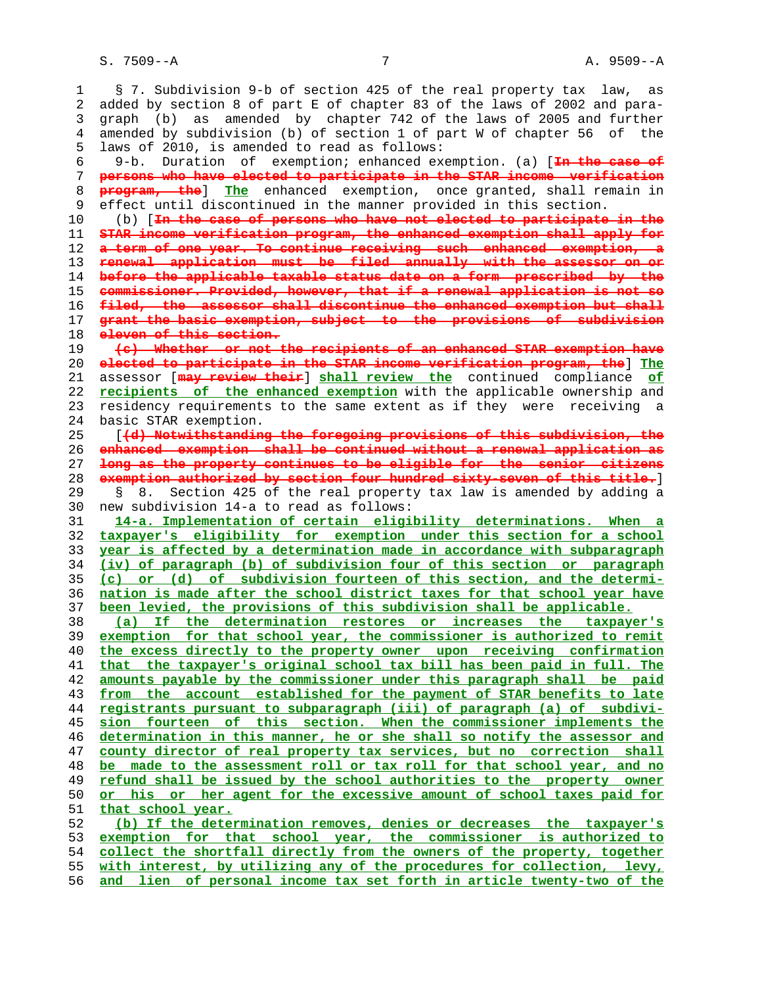1 § 7. Subdivision 9-b of section 425 of the real property tax law, as 2 added by section 8 of part E of chapter 83 of the laws of 2002 and para- 3 graph (b) as amended by chapter 742 of the laws of 2005 and further 4 amended by subdivision (b) of section 1 of part W of chapter 56 of the 5 laws of 2010, is amended to read as follows: 6 9-b. Duration of exemption; enhanced exemption. (a) [**In the case of persons who have elected to participate in the STAR income verification program, the**] The enhanced exemption, once granted, shall remain in<br>9 effect until discontinued in the manner provided in this section. effect until discontinued in the manner provided in this section. 10 (b) [**In the case of persons who have not elected to participate in the STAR income verification program, the enhanced exemption shall apply for a term of one year. To continue receiving such enhanced exemption, a renewal application must be filed annually with the assessor on or before the applicable taxable status date on a form prescribed by the commissioner. Provided, however, that if a renewal application is not so filed, the assessor shall discontinue the enhanced exemption but shall grant the basic exemption, subject to the provisions of subdivision eleven of this section. (c) Whether or not the recipients of an enhanced STAR exemption have elected to participate in the STAR income verification program, the**] **The** 21 assessor [**may review their**] **shall review the** continued compliance **of recipients of the enhanced exemption** with the applicable ownership and 23 residency requirements to the same extent as if they were receiving a 24 basic STAR exemption. 25 [**(d) Notwithstanding the foregoing provisions of this subdivision, the enhanced exemption shall be continued without a renewal application as long as the property continues to be eligible for the senior citizens exemption authorized by section four hundred sixty-seven of this title.**] 29 § 8. Section 425 of the real property tax law is amended by adding a 30 new subdivision 14-a to read as follows: **14-a. Implementation of certain eligibility determinations. When a taxpayer's eligibility for exemption under this section for a school year is affected by a determination made in accordance with subparagraph (iv) of paragraph (b) of subdivision four of this section or paragraph (c) or (d) of subdivision fourteen of this section, and the determi- nation is made after the school district taxes for that school year have been levied, the provisions of this subdivision shall be applicable. (a) If the determination restores or increases the taxpayer's exemption for that school year, the commissioner is authorized to remit the excess directly to the property owner upon receiving confirmation that the taxpayer's original school tax bill has been paid in full. The amounts payable by the commissioner under this paragraph shall be paid from the account established for the payment of STAR benefits to late registrants pursuant to subparagraph (iii) of paragraph (a) of subdivi- sion fourteen of this section. When the commissioner implements the determination in this manner, he or she shall so notify the assessor and county director of real property tax services, but no correction shall be made to the assessment roll or tax roll for that school year, and no refund shall be issued by the school authorities to the property owner or his or her agent for the excessive amount of school taxes paid for that school year. (b) If the determination removes, denies or decreases the taxpayer's exemption for that school year, the commissioner is authorized to collect the shortfall directly from the owners of the property, together with interest, by utilizing any of the procedures for collection, levy, and lien of personal income tax set forth in article twenty-two of the**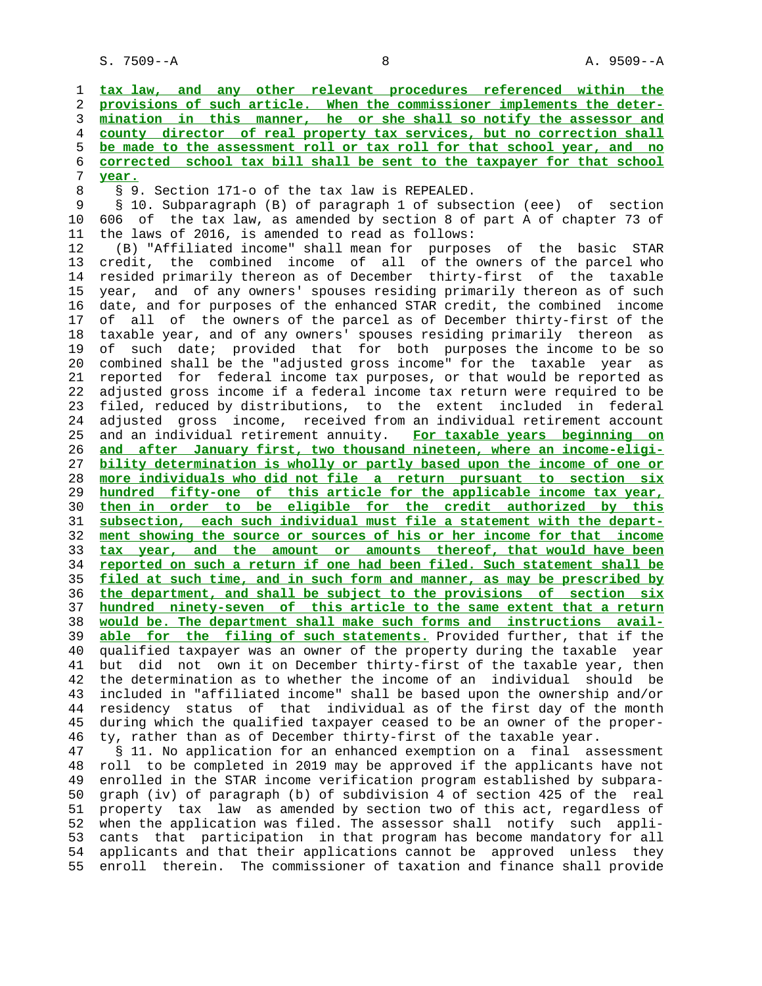1 **tax law, and any other relevant procedures referenced within the** 2 **provisions of such article. When the commissioner implements the deter-** 3 **mination in this manner, he or she shall so notify the assessor and** 4 **county director of real property tax services, but no correction shall** 5 **be made to the assessment roll or tax roll for that school year, and no** 6 **corrected school tax bill shall be sent to the taxpayer for that school** 7 **year.** 8 § 9. Section 171-o of the tax law is REPEALED.<br>9 § 10. Subparagraph (B) of paragraph 1 of subse 9 § 10. Subparagraph (B) of paragraph 1 of subsection (eee) of section 10 606 of the tax law, as amended by section 8 of part A of chapter 73 of 11 the laws of 2016, is amended to read as follows: 12 (B) "Affiliated income" shall mean for purposes of the basic STAR 13 credit, the combined income of all of the owners of the parcel who 14 resided primarily thereon as of December thirty-first of the taxable 15 year, and of any owners' spouses residing primarily thereon as of such 16 date, and for purposes of the enhanced STAR credit, the combined income 17 of all of the owners of the parcel as of December thirty-first of the 18 taxable year, and of any owners' spouses residing primarily thereon as 19 of such date; provided that for both purposes the income to be so 20 combined shall be the "adjusted gross income" for the taxable year as 21 reported for federal income tax purposes, or that would be reported as 22 adjusted gross income if a federal income tax return were required to be 23 filed, reduced by distributions, to the extent included in federal 24 adjusted gross income, received from an individual retirement account 25 and an individual retirement annuity. **For taxable years beginning on** 26 **and after January first, two thousand nineteen, where an income-eligi-** 27 **bility determination is wholly or partly based upon the income of one or** 28 **more individuals who did not file a return pursuant to section six** 29 **hundred fifty-one of this article for the applicable income tax year,** 30 **then in order to be eligible for the credit authorized by this** 31 **subsection, each such individual must file a statement with the depart-** 32 **ment showing the source or sources of his or her income for that income** 33 **tax year, and the amount or amounts thereof, that would have been** 34 **reported on such a return if one had been filed. Such statement shall be** 35 **filed at such time, and in such form and manner, as may be prescribed by** 36 **the department, and shall be subject to the provisions of section six** 37 **hundred ninety-seven of this article to the same extent that a return** 38 **would be. The department shall make such forms and instructions avail-** 39 **able for the filing of such statements.** Provided further, that if the 40 qualified taxpayer was an owner of the property during the taxable year 41 but did not own it on December thirty-first of the taxable year, then 42 the determination as to whether the income of an individual should be 43 included in "affiliated income" shall be based upon the ownership and/or 44 residency status of that individual as of the first day of the month 45 during which the qualified taxpayer ceased to be an owner of the proper- 46 ty, rather than as of December thirty-first of the taxable year. 47 § 11. No application for an enhanced exemption on a final assessment 48 roll to be completed in 2019 may be approved if the applicants have not 49 enrolled in the STAR income verification program established by subpara- 50 graph (iv) of paragraph (b) of subdivision 4 of section 425 of the real 51 property tax law as amended by section two of this act, regardless of 52 when the application was filed. The assessor shall notify such appli-

 53 cants that participation in that program has become mandatory for all 54 applicants and that their applications cannot be approved unless they 55 enroll therein. The commissioner of taxation and finance shall provide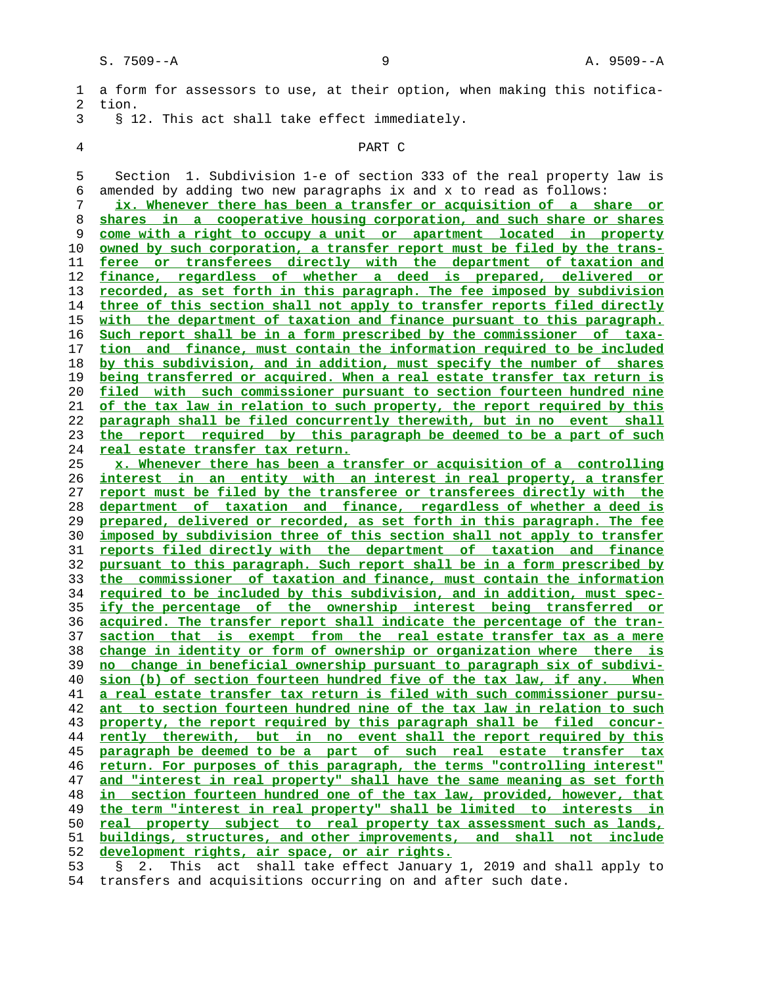| 1        | a form for assessors to use, at their option, when making this notifica-                                                                       |
|----------|------------------------------------------------------------------------------------------------------------------------------------------------|
| 2<br>3   | tion.<br>§ 12. This act shall take effect immediately.                                                                                         |
|          |                                                                                                                                                |
| 4        | PART C                                                                                                                                         |
| 5        | Section 1. Subdivision 1-e of section 333 of the real property law is                                                                          |
| 6        | amended by adding two new paragraphs ix and x to read as follows:                                                                              |
| 7        | ix. Whenever there has been a transfer or acquisition of a share or                                                                            |
| 8        | shares in a cooperative housing corporation, and such share or shares                                                                          |
| 9        | come with a right to occupy a unit or apartment located in property                                                                            |
| 10       | owned by such corporation, a transfer report must be filed by the trans-                                                                       |
| 11       | feree or transferees directly with the department of taxation and                                                                              |
| 12       | finance, regardless of whether a deed is prepared, delivered or                                                                                |
| 13       | recorded, as set forth in this paragraph. The fee imposed by subdivision                                                                       |
| 14       | three of this section shall not apply to transfer reports filed directly                                                                       |
| 15       | with the department of taxation and finance pursuant to this paragraph.                                                                        |
|          |                                                                                                                                                |
| 16       | Such report shall be in a form prescribed by the commissioner of taxa-                                                                         |
| 17       | tion and finance, must contain the information required to be included                                                                         |
| 18       | by this subdivision, and in addition, must specify the number of shares                                                                        |
| 19       | being transferred or acquired. When a real estate transfer tax return is                                                                       |
| 20       | filed with such commissioner pursuant to section fourteen hundred nine                                                                         |
| 21       | of the tax law in relation to such property, the report required by this                                                                       |
| 22       | paragraph shall be filed concurrently therewith, but in no event shall                                                                         |
| 23       | the report required by this paragraph be deemed to be a part of such                                                                           |
| 24       | real estate transfer tax return.                                                                                                               |
| 25       | x. Whenever there has been a transfer or acquisition of a controlling                                                                          |
| 26       | interest in an entity with an interest in real property, a transfer                                                                            |
| 27       | report must be filed by the transferee or transferees directly with the                                                                        |
| 28       | department of taxation and finance, regardless of whether a deed is                                                                            |
| 29<br>30 | prepared, delivered or recorded, as set forth in this paragraph. The fee                                                                       |
| 31       | imposed by subdivision three of this section shall not apply to transfer<br>reports filed directly with the department of taxation and finance |
| 32       | pursuant to this paragraph. Such report shall be in a form prescribed by                                                                       |
|          | the commissioner of taxation and finance, must contain the information                                                                         |
| 33       | required to be included by this subdivision, and in addition, must spec-                                                                       |
| 34<br>35 | ify the percentage of the ownership interest being transferred or                                                                              |
| 36       | acquired. The transfer report shall indicate the percentage of the tran-                                                                       |
| 37       | saction that is exempt from the real-estate-transfer-tax-as-a-mere                                                                             |
| 38       | change in identity or form of ownership or organization where there is                                                                         |
| 39       | no change in beneficial ownership pursuant to paragraph six of subdivi-                                                                        |
| 40       | sion (b) of section fourteen hundred five of the tax law, if any. When                                                                         |
| 41       | a real estate transfer tax return is filed with such commissioner pursu-                                                                       |
| 42       | ant to section fourteen hundred nine of the tax law in relation to such                                                                        |
| 43       | property, the report required by this paragraph shall be filed concur-                                                                         |
| 44       | rently therewith, but in no event shall the report required by this                                                                            |
| 45       | paragraph be deemed to be a part of such real estate transfer tax                                                                              |
| 46       | return. For purposes of this paragraph, the terms "controlling interest"                                                                       |
| 47       | and "interest in real property" shall have the same meaning as set forth                                                                       |
| 48       | in section fourteen hundred one of the tax law, provided, however, that                                                                        |
| 49       | the term "interest in real property" shall be limited to interests in                                                                          |
| 50       | real property subject to real property tax assessment such as lands,                                                                           |
| 51       | buildings, structures, and other improvements, and shall not include                                                                           |
| 52       | development rights, air space, or air rights.                                                                                                  |
| 53       | shall take effect January 1, 2019 and shall apply to<br>This<br>act<br>S.<br>2.                                                                |
|          |                                                                                                                                                |

54 transfers and acquisitions occurring on and after such date.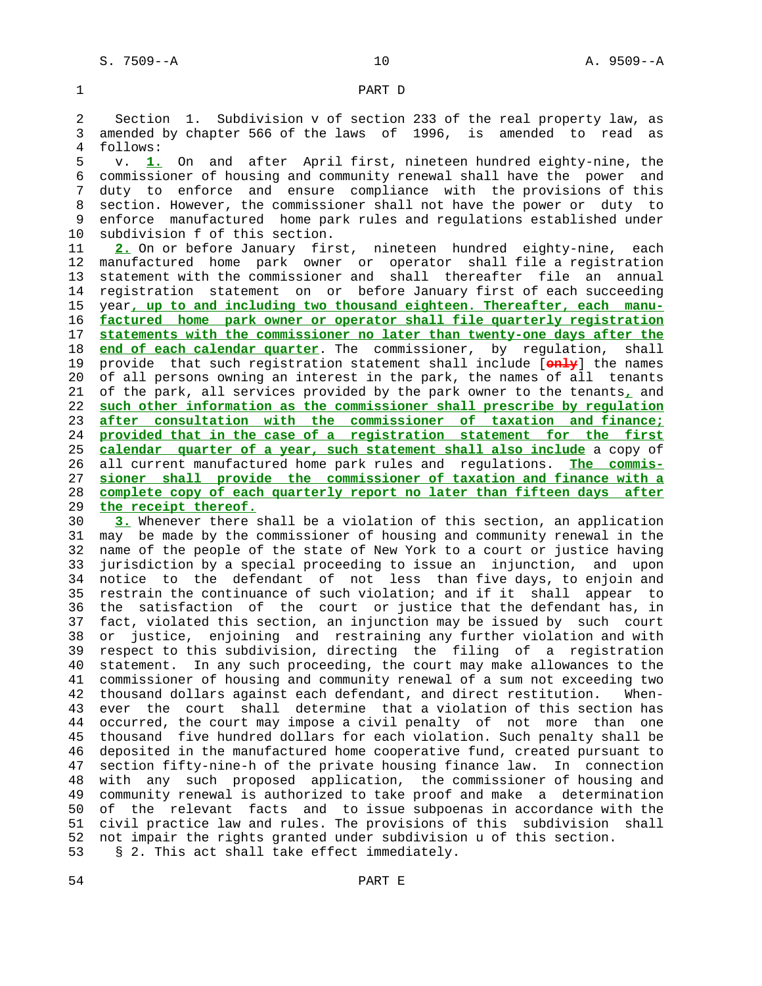### 1 PART D

 2 Section 1. Subdivision v of section 233 of the real property law, as 3 amended by chapter 566 of the laws of 1996, is amended to read as 4 follows:

 5 v. **1.** On and after April first, nineteen hundred eighty-nine, the 6 commissioner of housing and community renewal shall have the power and 7 duty to enforce and ensure compliance with the provisions of this 8 section. However, the commissioner shall not have the power or duty to 9 enforce manufactured home park rules and regulations established under 10 subdivision f of this section.

 11 **2.** On or before January first, nineteen hundred eighty-nine, each 12 manufactured home park owner or operator shall file a registration 13 statement with the commissioner and shall thereafter file an annual 14 registration statement on or before January first of each succeeding 15 year**, up to and including two thousand eighteen. Thereafter, each manu-** 16 **factured home park owner or operator shall file quarterly registration** 17 **statements with the commissioner no later than twenty-one days after the** 18 **end of each calendar quarter**. The commissioner, by regulation, shall 19 provide that such registration statement shall include [**only**] the names 20 of all persons owning an interest in the park, the names of all tenants 21 of the park, all services provided by the park owner to the tenants**,** and 22 **such other information as the commissioner shall prescribe by regulation** 23 **after consultation with the commissioner of taxation and finance;** 24 **provided that in the case of a registration statement for the first** 25 **calendar quarter of a year, such statement shall also include** a copy of 26 all current manufactured home park rules and regulations. **The commis-** 27 **sioner shall provide the commissioner of taxation and finance with a** 28 **complete copy of each quarterly report no later than fifteen days after** 29 **the receipt thereof.**

 30 **3.** Whenever there shall be a violation of this section, an application 31 may be made by the commissioner of housing and community renewal in the 32 name of the people of the state of New York to a court or justice having 33 jurisdiction by a special proceeding to issue an injunction, and upon 34 notice to the defendant of not less than five days, to enjoin and 35 restrain the continuance of such violation; and if it shall appear to 36 the satisfaction of the court or justice that the defendant has, in 37 fact, violated this section, an injunction may be issued by such court 38 or justice, enjoining and restraining any further violation and with 39 respect to this subdivision, directing the filing of a registration 40 statement. In any such proceeding, the court may make allowances to the 41 commissioner of housing and community renewal of a sum not exceeding two 42 thousand dollars against each defendant, and direct restitution. When- 43 ever the court shall determine that a violation of this section has 44 occurred, the court may impose a civil penalty of not more than one 45 thousand five hundred dollars for each violation. Such penalty shall be 46 deposited in the manufactured home cooperative fund, created pursuant to 47 section fifty-nine-h of the private housing finance law. In connection 48 with any such proposed application, the commissioner of housing and 49 community renewal is authorized to take proof and make a determination 50 of the relevant facts and to issue subpoenas in accordance with the 51 civil practice law and rules. The provisions of this subdivision shall 52 not impair the rights granted under subdivision u of this section. 53 § 2. This act shall take effect immediately.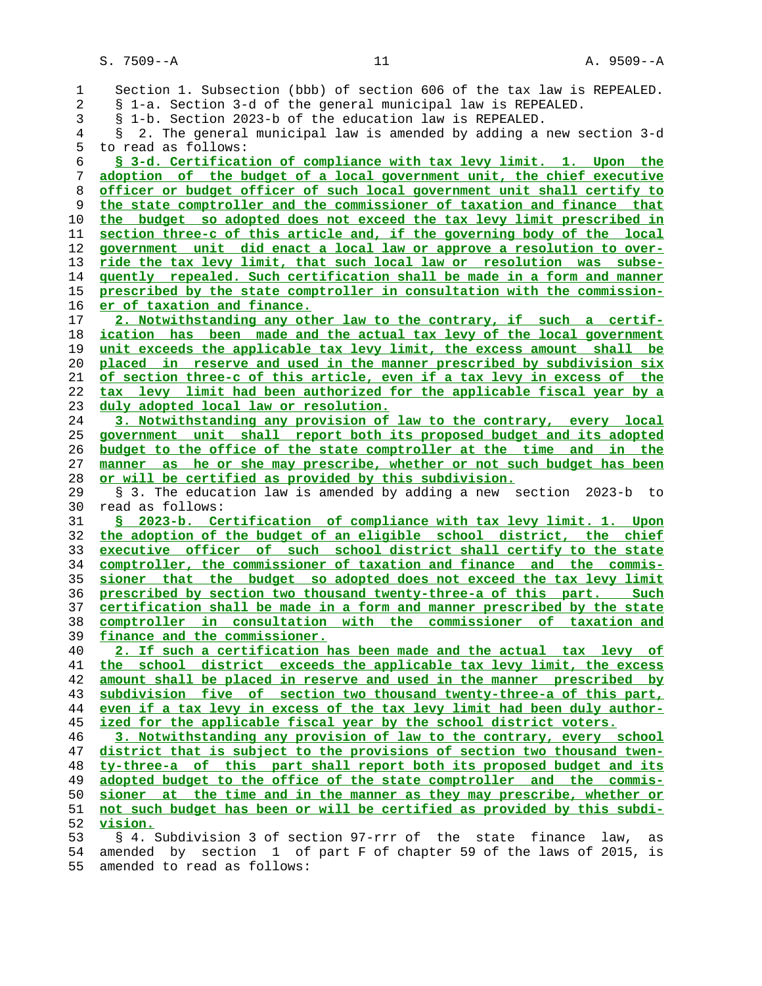1 Section 1. Subsection (bbb) of section 606 of the tax law is REPEALED. 2 § 1-a. Section 3-d of the general municipal law is REPEALED. 3 § 1-b. Section 2023-b of the education law is REPEALED. 4 § 2. The general municipal law is amended by adding a new section 3-d 5 to read as follows: **§ 3-d. Certification of compliance with tax levy limit. 1. Upon the adoption of the budget of a local government unit, the chief executive officer or budget officer of such local government unit shall certify to the state comptroller and the commissioner of taxation and finance that the budget so adopted does not exceed the tax levy limit prescribed in section three-c of this article and, if the governing body of the local government unit did enact a local law or approve a resolution to over- ride the tax levy limit, that such local law or resolution was subse- quently repealed. Such certification shall be made in a form and manner prescribed by the state comptroller in consultation with the commission- er of taxation and finance. 2. Notwithstanding any other law to the contrary, if such a certif- ication has been made and the actual tax levy of the local government unit exceeds the applicable tax levy limit, the excess amount shall be placed in reserve and used in the manner prescribed by subdivision six of section three-c of this article, even if a tax levy in excess of the tax levy limit had been authorized for the applicable fiscal year by a duly adopted local law or resolution. 3. Notwithstanding any provision of law to the contrary, every local government unit shall report both its proposed budget and its adopted budget to the office of the state comptroller at the time and in the manner as he or she may prescribe, whether or not such budget has been or will be certified as provided by this subdivision.** 29 § 3. The education law is amended by adding a new section 2023-b to 30 read as follows: **§ 2023-b. Certification of compliance with tax levy limit. 1. Upon the adoption of the budget of an eligible school district, the chief executive officer of such school district shall certify to the state comptroller, the commissioner of taxation and finance and the commis- sioner that the budget so adopted does not exceed the tax levy limit prescribed by section two thousand twenty-three-a of this part. Such certification shall be made in a form and manner prescribed by the state comptroller in consultation with the commissioner of taxation and finance and the commissioner. 2. If such a certification has been made and the actual tax levy of the school district exceeds the applicable tax levy limit, the excess amount shall be placed in reserve and used in the manner prescribed by subdivision five of section two thousand twenty-three-a of this part, even if a tax levy in excess of the tax levy limit had been duly author- ized for the applicable fiscal year by the school district voters. 3. Notwithstanding any provision of law to the contrary, every school district that is subject to the provisions of section two thousand twen- ty-three-a of this part shall report both its proposed budget and its adopted budget to the office of the state comptroller and the commis- sioner at the time and in the manner as they may prescribe, whether or not such budget has been or will be certified as provided by this subdi- vision.** 53 § 4. Subdivision 3 of section 97-rrr of the state finance law, as 54 amended by section 1 of part F of chapter 59 of the laws of 2015, is

55 amended to read as follows: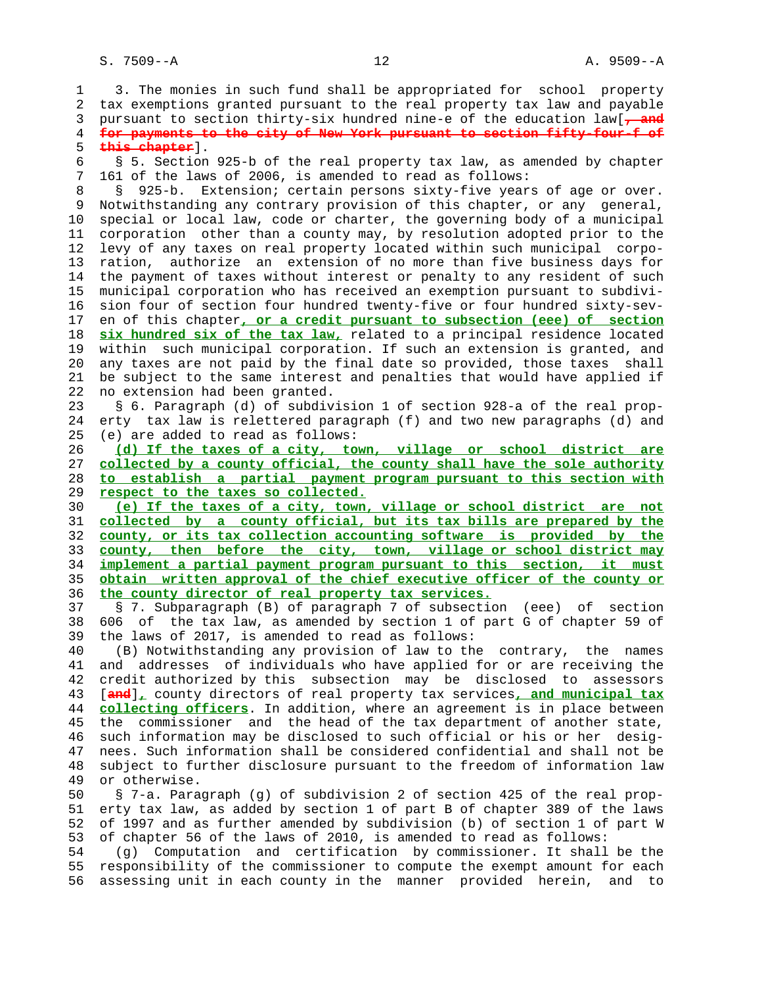1 3. The monies in such fund shall be appropriated for school property 2 tax exemptions granted pursuant to the real property tax law and payable 3 pursuant to section thirty-six hundred nine-e of the education law[**, and** 4 **for payments to the city of New York pursuant to section fifty-four-f of** 5 **this chapter**].

 6 § 5. Section 925-b of the real property tax law, as amended by chapter 7 161 of the laws of 2006, is amended to read as follows:

8 § 925-b. Extension; certain persons sixty-five years of age or over.<br>9 Notwithstanding any contrary provision of this chapter, or any general, Notwithstanding any contrary provision of this chapter, or any general, 10 special or local law, code or charter, the governing body of a municipal 11 corporation other than a county may, by resolution adopted prior to the 12 levy of any taxes on real property located within such municipal corpo- 13 ration, authorize an extension of no more than five business days for 14 the payment of taxes without interest or penalty to any resident of such 15 municipal corporation who has received an exemption pursuant to subdivi- 16 sion four of section four hundred twenty-five or four hundred sixty-sev- 17 en of this chapter**, or a credit pursuant to subsection (eee) of section** 18 **six hundred six of the tax law,** related to a principal residence located 19 within such municipal corporation. If such an extension is granted, and 20 any taxes are not paid by the final date so provided, those taxes shall 21 be subject to the same interest and penalties that would have applied if 22 no extension had been granted.

 23 § 6. Paragraph (d) of subdivision 1 of section 928-a of the real prop- 24 erty tax law is relettered paragraph (f) and two new paragraphs (d) and 25 (e) are added to read as follows:

**(d) If the taxes of a city, town, village or school district are collected by a county official, the county shall have the sole authority to establish a partial payment program pursuant to this section with respect to the taxes so collected.**

**(e) If the taxes of a city, town, village or school district are not collected by a county official, but its tax bills are prepared by the county, or its tax collection accounting software is provided by the county, then before the city, town, village or school district may implement a partial payment program pursuant to this section, it must obtain written approval of the chief executive officer of the county or the county director of real property tax services.**

 37 § 7. Subparagraph (B) of paragraph 7 of subsection (eee) of section 38 606 of the tax law, as amended by section 1 of part G of chapter 59 of 39 the laws of 2017, is amended to read as follows:

 40 (B) Notwithstanding any provision of law to the contrary, the names 41 and addresses of individuals who have applied for or are receiving the 42 credit authorized by this subsection may be disclosed to assessors 43 [**and**]**,** county directors of real property tax services**, and municipal tax** 44 **collecting officers**. In addition, where an agreement is in place between 45 the commissioner and the head of the tax department of another state, 46 such information may be disclosed to such official or his or her desig- 47 nees. Such information shall be considered confidential and shall not be 48 subject to further disclosure pursuant to the freedom of information law 49 or otherwise.

 50 § 7-a. Paragraph (g) of subdivision 2 of section 425 of the real prop- 51 erty tax law, as added by section 1 of part B of chapter 389 of the laws 52 of 1997 and as further amended by subdivision (b) of section 1 of part W 53 of chapter 56 of the laws of 2010, is amended to read as follows:

 54 (g) Computation and certification by commissioner. It shall be the 55 responsibility of the commissioner to compute the exempt amount for each 56 assessing unit in each county in the manner provided herein, and to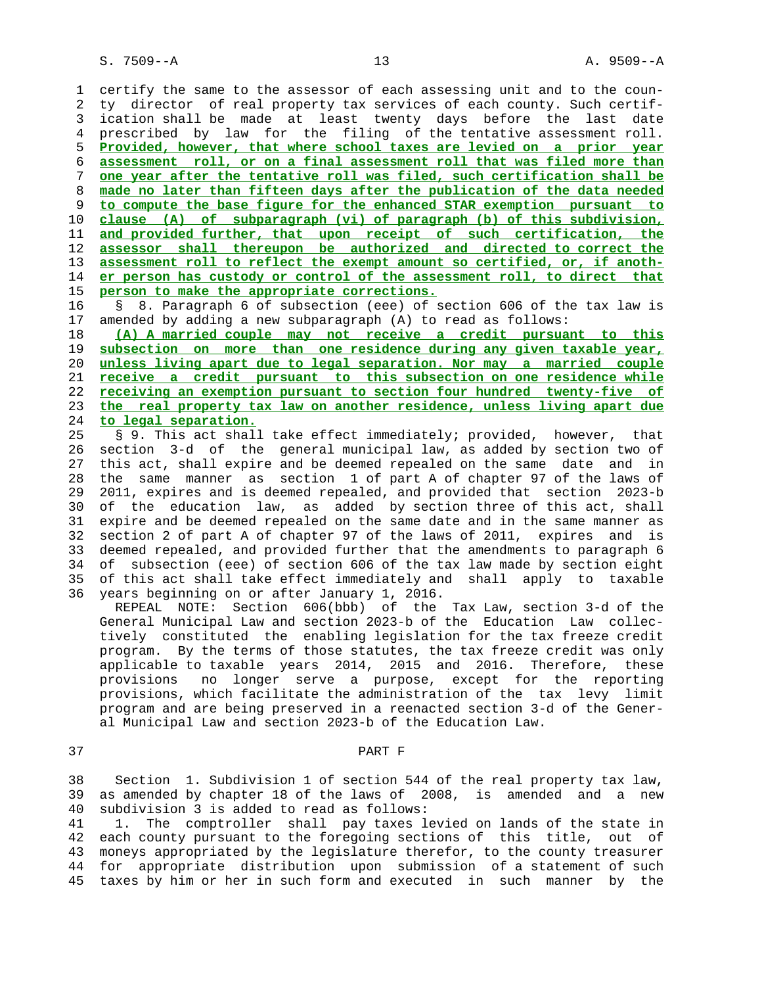1 certify the same to the assessor of each assessing unit and to the coun- 2 ty director of real property tax services of each county. Such certif- 3 ication shall be made at least twenty days before the last date 4 prescribed by law for the filing of the tentative assessment roll. **Provided, however, that where school taxes are levied on a prior year assessment roll, or on a final assessment roll that was filed more than one year after the tentative roll was filed, such certification shall be made no later than fifteen days after the publication of the data needed to compute the base figure for the enhanced STAR exemption pursuant to clause (A) of subparagraph (vi) of paragraph (b) of this subdivision, and provided further, that upon receipt of such certification, the assessor shall thereupon be authorized and directed to correct the assessment roll to reflect the exempt amount so certified, or, if anoth- er person has custody or control of the assessment roll, to direct that person to make the appropriate corrections.**

 16 § 8. Paragraph 6 of subsection (eee) of section 606 of the tax law is 17 amended by adding a new subparagraph (A) to read as follows:

**(A) A married couple may not receive a credit pursuant to this subsection on more than one residence during any given taxable year, unless living apart due to legal separation. Nor may a married couple receive a credit pursuant to this subsection on one residence while receiving an exemption pursuant to section four hundred twenty-five of the real property tax law on another residence, unless living apart due to legal separation.**

 25 § 9. This act shall take effect immediately; provided, however, that 26 section 3-d of the general municipal law, as added by section two of 27 this act, shall expire and be deemed repealed on the same date and in 28 the same manner as section 1 of part A of chapter 97 of the laws of 29 2011, expires and is deemed repealed, and provided that section 2023-b 30 of the education law, as added by section three of this act, shall 31 expire and be deemed repealed on the same date and in the same manner as 32 section 2 of part A of chapter 97 of the laws of 2011, expires and is 33 deemed repealed, and provided further that the amendments to paragraph 6 34 of subsection (eee) of section 606 of the tax law made by section eight 35 of this act shall take effect immediately and shall apply to taxable 36 years beginning on or after January 1, 2016.

 REPEAL NOTE: Section 606(bbb) of the Tax Law, section 3-d of the General Municipal Law and section 2023-b of the Education Law collec tively constituted the enabling legislation for the tax freeze credit program. By the terms of those statutes, the tax freeze credit was only applicable to taxable years 2014, 2015 and 2016. Therefore, these provisions no longer serve a purpose, except for the reporting provisions, which facilitate the administration of the tax levy limit program and are being preserved in a reenacted section 3-d of the Gener al Municipal Law and section 2023-b of the Education Law.

37 PART F

 38 Section 1. Subdivision 1 of section 544 of the real property tax law, 39 as amended by chapter 18 of the laws of 2008, is amended and a new 40 subdivision 3 is added to read as follows:

 41 1. The comptroller shall pay taxes levied on lands of the state in 42 each county pursuant to the foregoing sections of this title, out of 43 moneys appropriated by the legislature therefor, to the county treasurer 44 for appropriate distribution upon submission of a statement of such 45 taxes by him or her in such form and executed in such manner by the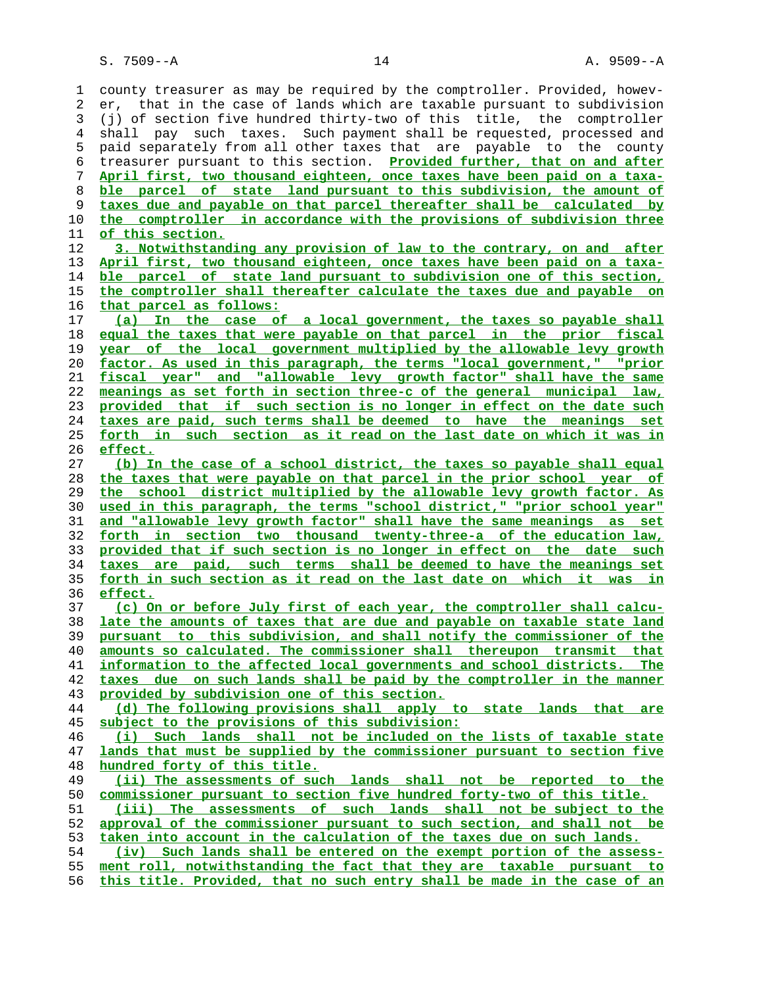1 county treasurer as may be required by the comptroller. Provided, howev- 2 er, that in the case of lands which are taxable pursuant to subdivision 3 (j) of section five hundred thirty-two of this title, the comptroller 4 shall pay such taxes. Such payment shall be requested, processed and 5 paid separately from all other taxes that are payable to the county 6 treasurer pursuant to this section. **Provided further, that on and after April first, two thousand eighteen, once taxes have been paid on a taxa- ble parcel of state land pursuant to this subdivision, the amount of taxes due and payable on that parcel thereafter shall be calculated by the comptroller in accordance with the provisions of subdivision three of this section. 3. Notwithstanding any provision of law to the contrary, on and after April first, two thousand eighteen, once taxes have been paid on a taxa- ble parcel of state land pursuant to subdivision one of this section, the comptroller shall thereafter calculate the taxes due and payable on that parcel as follows: (a) In the case of a local government, the taxes so payable shall equal the taxes that were payable on that parcel in the prior fiscal year of the local government multiplied by the allowable levy growth factor. As used in this paragraph, the terms "local government," "prior fiscal year" and "allowable levy growth factor" shall have the same meanings as set forth in section three-c of the general municipal law, provided that if such section is no longer in effect on the date such taxes are paid, such terms shall be deemed to have the meanings set forth in such section as it read on the last date on which it was in effect. (b) In the case of a school district, the taxes so payable shall equal the taxes that were payable on that parcel in the prior school year of the school district multiplied by the allowable levy growth factor. As used in this paragraph, the terms "school district," "prior school year" and "allowable levy growth factor" shall have the same meanings as set forth in section two thousand twenty-three-a of the education law, provided that if such section is no longer in effect on the date such taxes are paid, such terms shall be deemed to have the meanings set forth in such section as it read on the last date on which it was in effect. (c) On or before July first of each year, the comptroller shall calcu- late the amounts of taxes that are due and payable on taxable state land pursuant to this subdivision, and shall notify the commissioner of the amounts so calculated. The commissioner shall thereupon transmit that information to the affected local governments and school districts. The taxes due on such lands shall be paid by the comptroller in the manner provided by subdivision one of this section. (d) The following provisions shall apply to state lands that are subject to the provisions of this subdivision: (i) Such lands shall not be included on the lists of taxable state lands that must be supplied by the commissioner pursuant to section five hundred forty of this title. (ii) The assessments of such lands shall not be reported to the commissioner pursuant to section five hundred forty-two of this title. (iii) The assessments of such lands shall not be subject to the approval of the commissioner pursuant to such section, and shall not be taken into account in the calculation of the taxes due on such lands. (iv) Such lands shall be entered on the exempt portion of the assess- ment roll, notwithstanding the fact that they are taxable pursuant to this title. Provided, that no such entry shall be made in the case of an**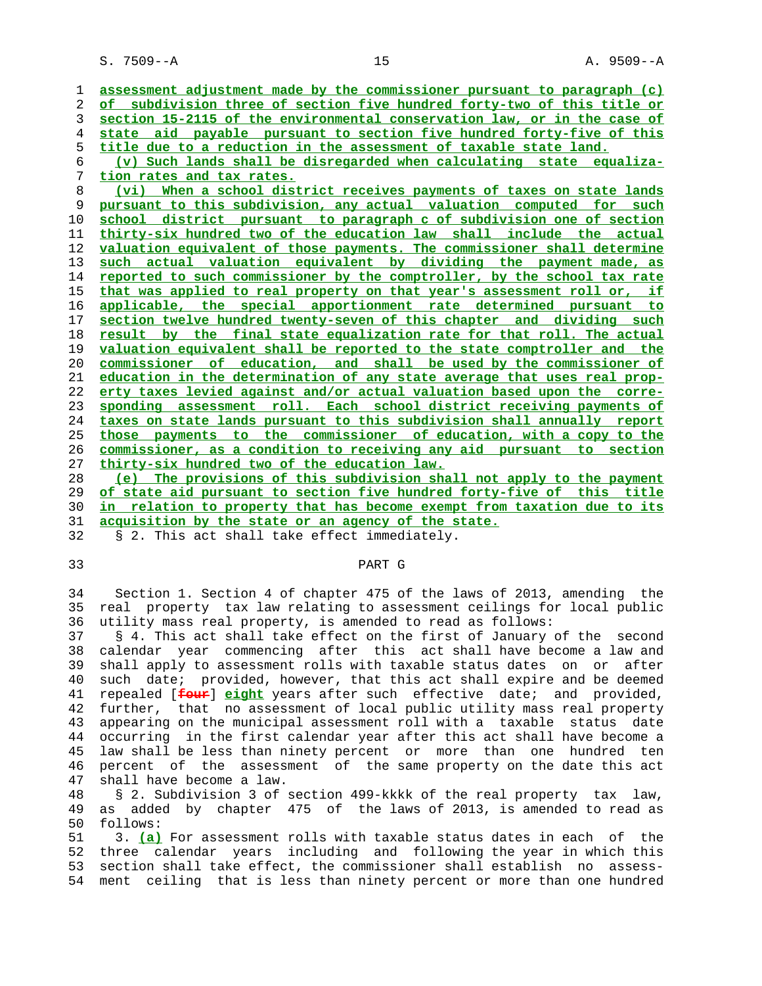S. 7509--A 15 A. 9509--A

**assessment adjustment made by the commissioner pursuant to paragraph (c) of subdivision three of section five hundred forty-two of this title or section 15-2115 of the environmental conservation law, or in the case of state aid payable pursuant to section five hundred forty-five of this title due to a reduction in the assessment of taxable state land. (v) Such lands shall be disregarded when calculating state equaliza- tion rates and tax rates. (vi) When a school district receives payments of taxes on state lands pursuant to this subdivision, any actual valuation computed for such school district pursuant to paragraph c of subdivision one of section thirty-six hundred two of the education law shall include the actual valuation equivalent of those payments. The commissioner shall determine such actual valuation equivalent by dividing the payment made, as reported to such commissioner by the comptroller, by the school tax rate that was applied to real property on that year's assessment roll or, if applicable, the special apportionment rate determined pursuant to section twelve hundred twenty-seven of this chapter and dividing such result by the final state equalization rate for that roll. The actual valuation equivalent shall be reported to the state comptroller and the commissioner of education, and shall be used by the commissioner of education in the determination of any state average that uses real prop- erty taxes levied against and/or actual valuation based upon the corre- sponding assessment roll. Each school district receiving payments of taxes on state lands pursuant to this subdivision shall annually report those payments to the commissioner of education, with a copy to the commissioner, as a condition to receiving any aid pursuant to section thirty-six hundred two of the education law.**

**(e) The provisions of this subdivision shall not apply to the payment of state aid pursuant to section five hundred forty-five of this title in relation to property that has become exempt from taxation due to its acquisition by the state or an agency of the state.**

32 § 2. This act shall take effect immediately.

## 33 PART G

 34 Section 1. Section 4 of chapter 475 of the laws of 2013, amending the 35 real property tax law relating to assessment ceilings for local public 36 utility mass real property, is amended to read as follows:

 37 § 4. This act shall take effect on the first of January of the second 38 calendar year commencing after this act shall have become a law and 39 shall apply to assessment rolls with taxable status dates on or after 40 such date; provided, however, that this act shall expire and be deemed 41 repealed [**four**] **eight** years after such effective date; and provided, 42 further, that no assessment of local public utility mass real property 43 appearing on the municipal assessment roll with a taxable status date 44 occurring in the first calendar year after this act shall have become a 45 law shall be less than ninety percent or more than one hundred ten 46 percent of the assessment of the same property on the date this act<br>47 shall have become a law. shall have become a law.

 48 § 2. Subdivision 3 of section 499-kkkk of the real property tax law, 49 as added by chapter 475 of the laws of 2013, is amended to read as 50 follows:

 51 3. **(a)** For assessment rolls with taxable status dates in each of the 52 three calendar years including and following the year in which this 53 section shall take effect, the commissioner shall establish no assess- 54 ment ceiling that is less than ninety percent or more than one hundred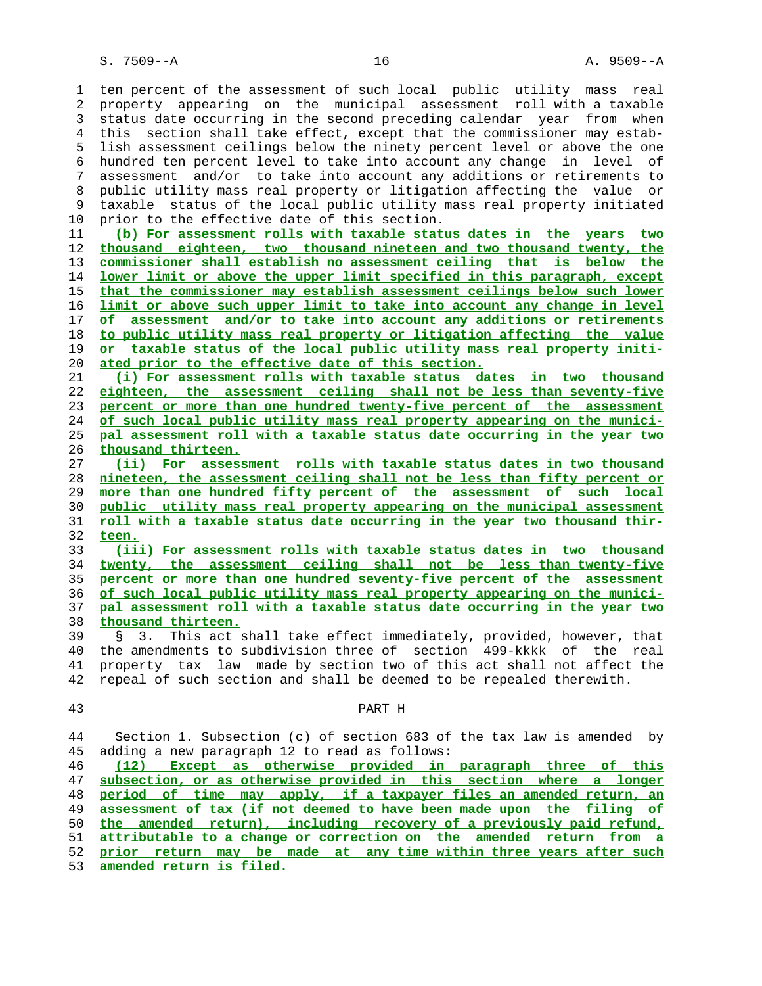1 ten percent of the assessment of such local public utility mass real 2 property appearing on the municipal assessment roll with a taxable 3 status date occurring in the second preceding calendar year from when 4 this section shall take effect, except that the commissioner may estab- 5 lish assessment ceilings below the ninety percent level or above the one 6 hundred ten percent level to take into account any change in level of 7 assessment and/or to take into account any additions or retirements to 8 public utility mass real property or litigation affecting the value or taxable status of the local public utility mass real property initiated 10 prior to the effective date of this section. **(b) For assessment rolls with taxable status dates in the years two**

**thousand eighteen, two thousand nineteen and two thousand twenty, the commissioner shall establish no assessment ceiling that is below the lower limit or above the upper limit specified in this paragraph, except that the commissioner may establish assessment ceilings below such lower limit or above such upper limit to take into account any change in level of assessment and/or to take into account any additions or retirements to public utility mass real property or litigation affecting the value or taxable status of the local public utility mass real property initi- ated prior to the effective date of this section.**

**(i) For assessment rolls with taxable status dates in two thousand eighteen, the assessment ceiling shall not be less than seventy-five percent or more than one hundred twenty-five percent of the assessment of such local public utility mass real property appearing on the munici- pal assessment roll with a taxable status date occurring in the year two thousand thirteen.**

**(ii) For assessment rolls with taxable status dates in two thousand nineteen, the assessment ceiling shall not be less than fifty percent or more than one hundred fifty percent of the assessment of such local public utility mass real property appearing on the municipal assessment roll with a taxable status date occurring in the year two thousand thir- teen.**

**(iii) For assessment rolls with taxable status dates in two thousand twenty, the assessment ceiling shall not be less than twenty-five percent or more than one hundred seventy-five percent of the assessment of such local public utility mass real property appearing on the munici- pal assessment roll with a taxable status date occurring in the year two thousand thirteen.**

 39 § 3. This act shall take effect immediately, provided, however, that 40 the amendments to subdivision three of section 499-kkkk of the real 41 property tax law made by section two of this act shall not affect the 42 repeal of such section and shall be deemed to be repealed therewith.

### 43 PART H

 44 Section 1. Subsection (c) of section 683 of the tax law is amended by 45 adding a new paragraph 12 to read as follows:

**(12) Except as otherwise provided in paragraph three of this subsection, or as otherwise provided in this section where a longer period of time may apply, if a taxpayer files an amended return, an assessment of tax (if not deemed to have been made upon the filing of the amended return), including recovery of a previously paid refund, attributable to a change or correction on the amended return from a prior return may be made at any time within three years after such amended return is filed.**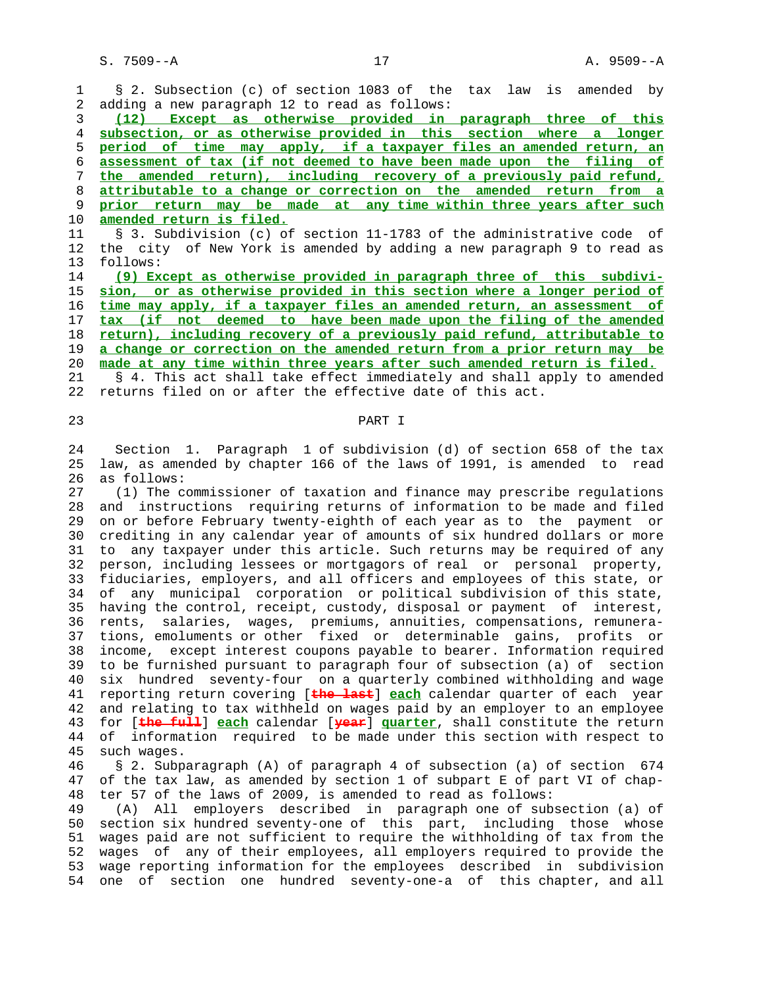1 § 2. Subsection (c) of section 1083 of the tax law is amended by 2 adding a new paragraph 12 to read as follows: **(12) Except as otherwise provided in paragraph three of this subsection, or as otherwise provided in this section where a longer period of time may apply, if a taxpayer files an amended return, an assessment of tax (if not deemed to have been made upon the filing of the amended return), including recovery of a previously paid refund, attributable to a change or correction on the amended return from a prior return may be made at any time within three years after such amended return is filed.** 11 § 3. Subdivision (c) of section 11-1783 of the administrative code of 12 the city of New York is amended by adding a new paragraph 9 to read as 13 follows: **(9) Except as otherwise provided in paragraph three of this subdivi- sion, or as otherwise provided in this section where a longer period of time may apply, if a taxpayer files an amended return, an assessment of tax (if not deemed to have been made upon the filing of the amended return), including recovery of a previously paid refund, attributable to a change or correction on the amended return from a prior return may be made at any time within three years after such amended return is filed.** 21 § 4. This act shall take effect immediately and shall apply to amended 22 returns filed on or after the effective date of this act.

## 23 PART I

 24 Section 1. Paragraph 1 of subdivision (d) of section 658 of the tax 25 law, as amended by chapter 166 of the laws of 1991, is amended to read 26 as follows:

 27 (1) The commissioner of taxation and finance may prescribe regulations 28 and instructions requiring returns of information to be made and filed 29 on or before February twenty-eighth of each year as to the payment or 30 crediting in any calendar year of amounts of six hundred dollars or more 31 to any taxpayer under this article. Such returns may be required of any 32 person, including lessees or mortgagors of real or personal property, 33 fiduciaries, employers, and all officers and employees of this state, or 34 of any municipal corporation or political subdivision of this state, 35 having the control, receipt, custody, disposal or payment of interest, 36 rents, salaries, wages, premiums, annuities, compensations, remunera- 37 tions, emoluments or other fixed or determinable gains, profits or 38 income, except interest coupons payable to bearer. Information required 39 to be furnished pursuant to paragraph four of subsection (a) of section 40 six hundred seventy-four on a quarterly combined withholding and wage 41 reporting return covering [**the last**] **each** calendar quarter of each year 42 and relating to tax withheld on wages paid by an employer to an employee 43 for [**the full**] **each** calendar [**year**] **quarter**, shall constitute the return 44 of information required to be made under this section with respect to 45 such wages.

 46 § 2. Subparagraph (A) of paragraph 4 of subsection (a) of section 674 47 of the tax law, as amended by section 1 of subpart E of part VI of chap- 48 ter 57 of the laws of 2009, is amended to read as follows:

 49 (A) All employers described in paragraph one of subsection (a) of 50 section six hundred seventy-one of this part, including those whose 51 wages paid are not sufficient to require the withholding of tax from the 52 wages of any of their employees, all employers required to provide the 53 wage reporting information for the employees described in subdivision 54 one of section one hundred seventy-one-a of this chapter, and all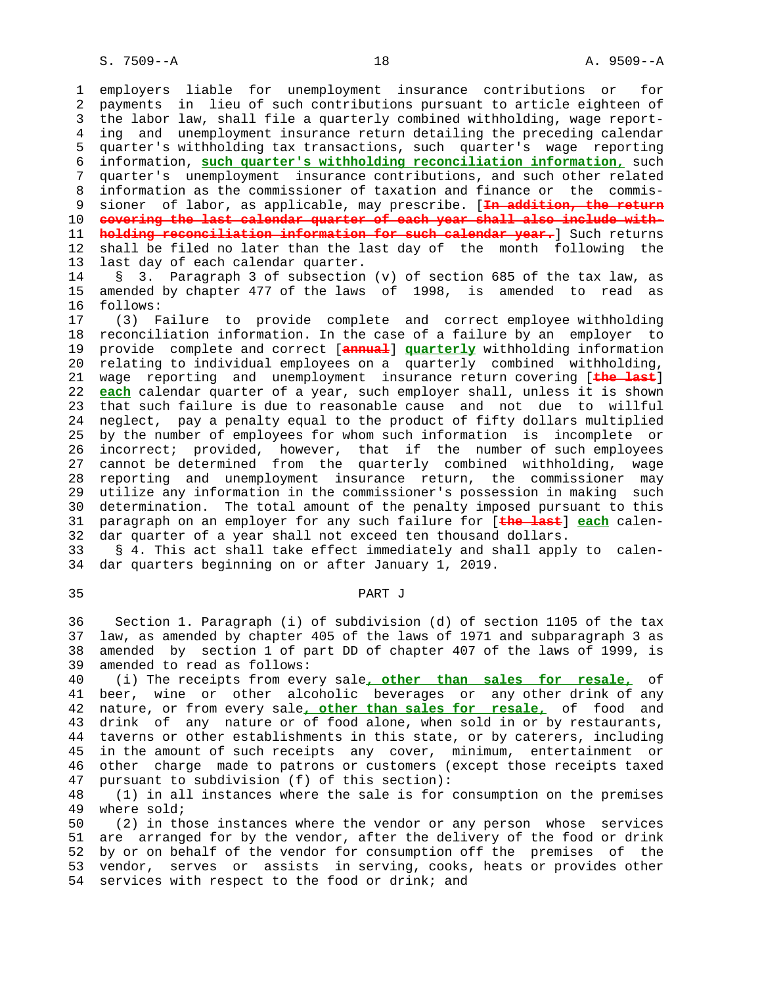1 employers liable for unemployment insurance contributions or for 2 payments in lieu of such contributions pursuant to article eighteen of 3 the labor law, shall file a quarterly combined withholding, wage report- 4 ing and unemployment insurance return detailing the preceding calendar 5 quarter's withholding tax transactions, such quarter's wage reporting 6 information, **such quarter's withholding reconciliation information,** such 7 quarter's unemployment insurance contributions, and such other related 8 information as the commissioner of taxation and finance or the commis-<br>9 sioner of labor, as applicable, may prescribe. [<del>In addition, the return</del> sioner of labor, as applicable, may prescribe. [In addition, the return 10 **covering the last calendar quarter of each year shall also include with-** 11 **holding reconciliation information for such calendar year.**] Such returns 12 shall be filed no later than the last day of the month following the 13 last day of each calendar quarter.

 14 § 3. Paragraph 3 of subsection (v) of section 685 of the tax law, as 15 amended by chapter 477 of the laws of 1998, is amended to read as 16 follows:

 17 (3) Failure to provide complete and correct employee withholding 18 reconciliation information. In the case of a failure by an employer to 19 provide complete and correct [**annual**] **quarterly** withholding information 20 relating to individual employees on a quarterly combined withholding, 21 wage reporting and unemployment insurance return covering [**the last**] 22 **each** calendar quarter of a year, such employer shall, unless it is shown 23 that such failure is due to reasonable cause and not due to willful 24 neglect, pay a penalty equal to the product of fifty dollars multiplied 25 by the number of employees for whom such information is incomplete or 26 incorrect; provided, however, that if the number of such employees 27 cannot be determined from the quarterly combined withholding, wage 28 reporting and unemployment insurance return, the commissioner may 29 utilize any information in the commissioner's possession in making such 30 determination. The total amount of the penalty imposed pursuant to this 31 paragraph on an employer for any such failure for [**the last**] **each** calen- 32 dar quarter of a year shall not exceed ten thousand dollars.

 33 § 4. This act shall take effect immediately and shall apply to calen- 34 dar quarters beginning on or after January 1, 2019.

### 35 PART J

 36 Section 1. Paragraph (i) of subdivision (d) of section 1105 of the tax 37 law, as amended by chapter 405 of the laws of 1971 and subparagraph 3 as 38 amended by section 1 of part DD of chapter 407 of the laws of 1999, is 39 amended to read as follows:

 40 (i) The receipts from every sale**, other than sales for resale,** of 41 beer, wine or other alcoholic beverages or any other drink of any 42 nature, or from every sale**, other than sales for resale,** of food and 43 drink of any nature or of food alone, when sold in or by restaurants, 44 taverns or other establishments in this state, or by caterers, including 45 in the amount of such receipts any cover, minimum, entertainment or 46 other charge made to patrons or customers (except those receipts taxed 47 pursuant to subdivision (f) of this section):

 48 (1) in all instances where the sale is for consumption on the premises 49 where sold;

 50 (2) in those instances where the vendor or any person whose services 51 are arranged for by the vendor, after the delivery of the food or drink 52 by or on behalf of the vendor for consumption off the premises of the 53 vendor, serves or assists in serving, cooks, heats or provides other 54 services with respect to the food or drink; and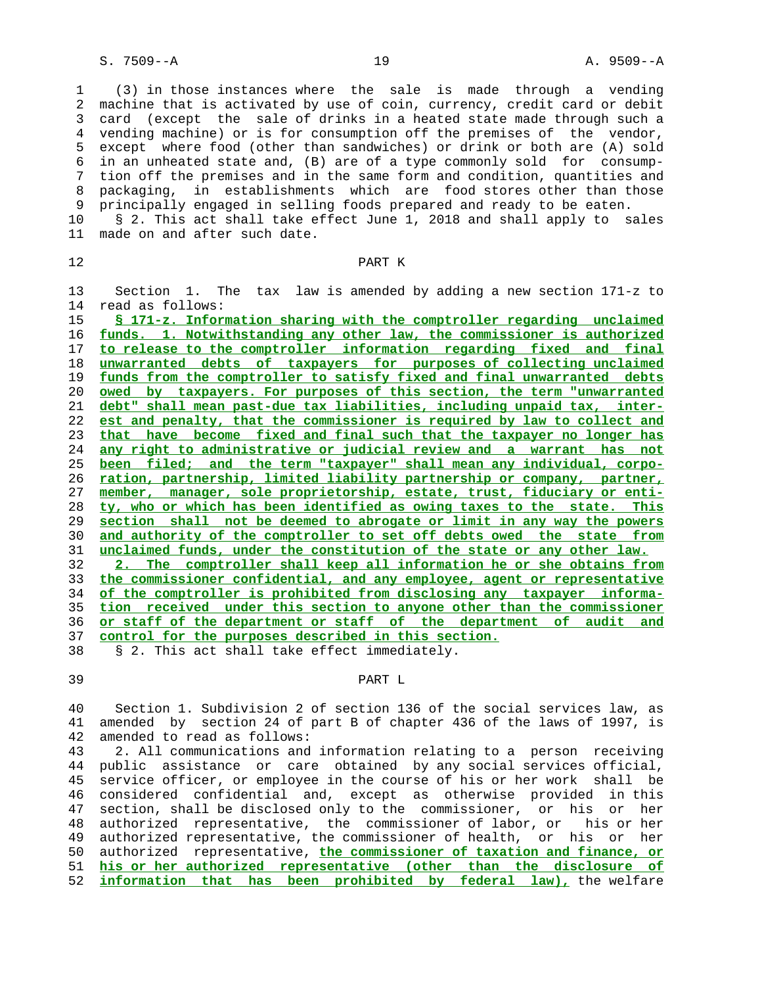1 (3) in those instances where the sale is made through a vending 2 machine that is activated by use of coin, currency, credit card or debit 3 card (except the sale of drinks in a heated state made through such a 4 vending machine) or is for consumption off the premises of the vendor, 5 except where food (other than sandwiches) or drink or both are (A) sold 6 in an unheated state and, (B) are of a type commonly sold for consump- 7 tion off the premises and in the same form and condition, quantities and 8 packaging, in establishments which are food stores other than those<br>9 principally engaged in selling foods prepared and ready to be eaten. principally engaged in selling foods prepared and ready to be eaten.

 10 § 2. This act shall take effect June 1, 2018 and shall apply to sales 11 made on and after such date.

#### 12 PART K

 13 Section 1. The tax law is amended by adding a new section 171-z to 14 read as follows:

**§ 171-z. Information sharing with the comptroller regarding unclaimed funds. 1. Notwithstanding any other law, the commissioner is authorized to release to the comptroller information regarding fixed and final unwarranted debts of taxpayers for purposes of collecting unclaimed funds from the comptroller to satisfy fixed and final unwarranted debts owed by taxpayers. For purposes of this section, the term "unwarranted debt" shall mean past-due tax liabilities, including unpaid tax, inter- est and penalty, that the commissioner is required by law to collect and that have become fixed and final such that the taxpayer no longer has any right to administrative or judicial review and a warrant has not been filed; and the term "taxpayer" shall mean any individual, corpo- ration, partnership, limited liability partnership or company, partner, member, manager, sole proprietorship, estate, trust, fiduciary or enti- ty, who or which has been identified as owing taxes to the state. This section shall not be deemed to abrogate or limit in any way the powers and authority of the comptroller to set off debts owed the state from unclaimed funds, under the constitution of the state or any other law. 2. The comptroller shall keep all information he or she obtains from**

**the commissioner confidential, and any employee, agent or representative of the comptroller is prohibited from disclosing any taxpayer informa- tion received under this section to anyone other than the commissioner or staff of the department or staff of the department of audit and control for the purposes described in this section.**

38 § 2. This act shall take effect immediately.

39 PART L

 40 Section 1. Subdivision 2 of section 136 of the social services law, as 41 amended by section 24 of part B of chapter 436 of the laws of 1997, is 42 amended to read as follows:

 43 2. All communications and information relating to a person receiving 44 public assistance or care obtained by any social services official, 45 service officer, or employee in the course of his or her work shall be 46 considered confidential and, except as otherwise provided in this 47 section, shall be disclosed only to the commissioner, or his or her 48 authorized representative, the commissioner of labor, or his or her 49 authorized representative, the commissioner of health, or his or her 50 authorized representative, **the commissioner of taxation and finance, or** 51 **his or her authorized representative (other than the disclosure of** 52 **information that has been prohibited by federal law),** the welfare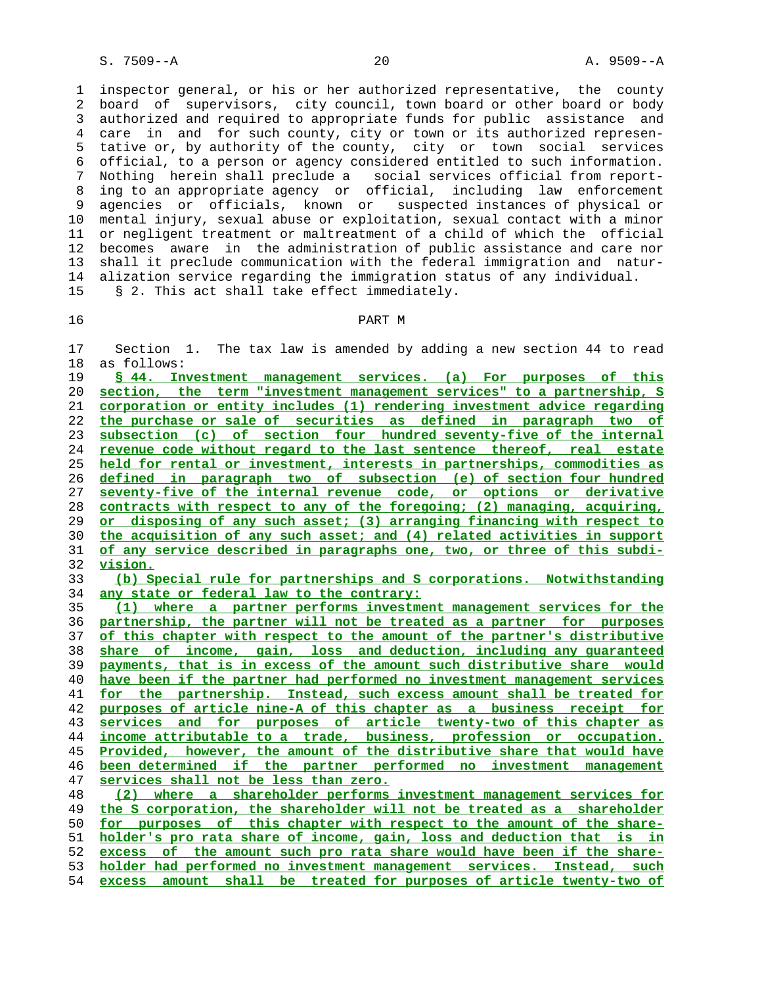1 inspector general, or his or her authorized representative, the county 2 board of supervisors, city council, town board or other board or body 3 authorized and required to appropriate funds for public assistance and 4 care in and for such county, city or town or its authorized represen- 5 tative or, by authority of the county, city or town social services 6 official, to a person or agency considered entitled to such information. 7 Nothing herein shall preclude a social services official from report- 8 ing to an appropriate agency or official, including law enforcement 9 agencies or officials, known or suspected instances of physical or 10 mental injury, sexual abuse or exploitation, sexual contact with a minor 11 or negligent treatment or maltreatment of a child of which the official 12 becomes aware in the administration of public assistance and care nor 13 shall it preclude communication with the federal immigration and natur- 14 alization service regarding the immigration status of any individual. 15 § 2. This act shall take effect immediately.

## 16 PART M

 17 Section 1. The tax law is amended by adding a new section 44 to read 18 as follows:

**§ 44. Investment management services. (a) For purposes of this section, the term "investment management services" to a partnership, S corporation or entity includes (1) rendering investment advice regarding the purchase or sale of securities as defined in paragraph two of subsection (c) of section four hundred seventy-five of the internal revenue code without regard to the last sentence thereof, real estate held for rental or investment, interests in partnerships, commodities as defined in paragraph two of subsection (e) of section four hundred seventy-five of the internal revenue code, or options or derivative contracts with respect to any of the foregoing; (2) managing, acquiring, or disposing of any such asset; (3) arranging financing with respect to the acquisition of any such asset; and (4) related activities in support of any service described in paragraphs one, two, or three of this subdi- vision.**

**(b) Special rule for partnerships and S corporations. Notwithstanding any state or federal law to the contrary:**

**(1) where a partner performs investment management services for the partnership, the partner will not be treated as a partner for purposes of this chapter with respect to the amount of the partner's distributive share of income, gain, loss and deduction, including any guaranteed payments, that is in excess of the amount such distributive share would have been if the partner had performed no investment management services for the partnership. Instead, such excess amount shall be treated for purposes of article nine-A of this chapter as a business receipt for services and for purposes of article twenty-two of this chapter as income attributable to a trade, business, profession or occupation. Provided, however, the amount of the distributive share that would have been determined if the partner performed no investment management services shall not be less than zero. (2) where a shareholder performs investment management services for the S corporation, the shareholder will not be treated as a shareholder**

**for purposes of this chapter with respect to the amount of the share- holder's pro rata share of income, gain, loss and deduction that is in excess of the amount such pro rata share would have been if the share- holder had performed no investment management services. Instead, such excess amount shall be treated for purposes of article twenty-two of**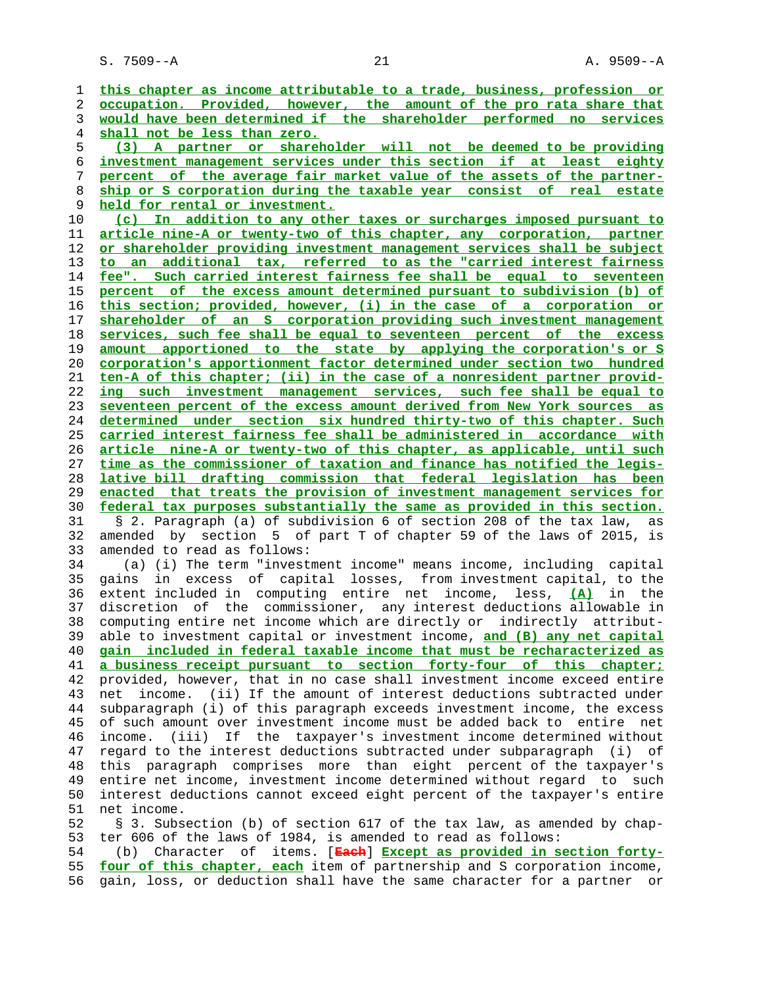S. 7509--A 21 A. 9509--A

 1 **this chapter as income attributable to a trade, business, profession or** 2 **occupation. Provided, however, the amount of the pro rata share that** 3 **would have been determined if the shareholder performed no services** 4 **shall not be less than zero.** 5 **(3) A partner or shareholder will not be deemed to be providing** 6 **investment management services under this section if at least eighty** 7 **percent of the average fair market value of the assets of the partner-** 8 **ship or S corporation during the taxable year consist of real estate** 9 **held for rental or investment.** 10 **(c) In addition to any other taxes or surcharges imposed pursuant to** 11 **article nine-A or twenty-two of this chapter, any corporation, partner** 12 **or shareholder providing investment management services shall be subject** 13 **to an additional tax, referred to as the "carried interest fairness** 14 **fee". Such carried interest fairness fee shall be equal to seventeen** 15 **percent of the excess amount determined pursuant to subdivision (b) of** 16 **this section; provided, however, (i) in the case of a corporation or** 17 **shareholder of an S corporation providing such investment management** 18 **services, such fee shall be equal to seventeen percent of the excess** 19 **amount apportioned to the state by applying the corporation's or S** 20 **corporation's apportionment factor determined under section two hundred** 21 **ten-A of this chapter; (ii) in the case of a nonresident partner provid-** 22 **ing such investment management services, such fee shall be equal to** 23 **seventeen percent of the excess amount derived from New York sources as** 24 **determined under section six hundred thirty-two of this chapter. Such** 25 **carried interest fairness fee shall be administered in accordance with** 26 **article nine-A or twenty-two of this chapter, as applicable, until such** 27 **time as the commissioner of taxation and finance has notified the legis-** 28 **lative bill drafting commission that federal legislation has been** 29 **enacted that treats the provision of investment management services for** 30 **federal tax purposes substantially the same as provided in this section.** 31 § 2. Paragraph (a) of subdivision 6 of section 208 of the tax law, as 32 amended by section 5 of part T of chapter 59 of the laws of 2015, is 33 amended to read as follows: 34 (a) (i) The term "investment income" means income, including capital 35 gains in excess of capital losses, from investment capital, to the 36 extent included in computing entire net income, less, **(A)** in the 37 discretion of the commissioner, any interest deductions allowable in 38 computing entire net income which are directly or indirectly attribut- 39 able to investment capital or investment income, **and (B) any net capital** 40 **gain included in federal taxable income that must be recharacterized as** 41 **a business receipt pursuant to section forty-four of this chapter;** 42 provided, however, that in no case shall investment income exceed entire 43 net income. (ii) If the amount of interest deductions subtracted under 44 subparagraph (i) of this paragraph exceeds investment income, the excess 45 of such amount over investment income must be added back to entire net 46 income. (iii) If the taxpayer's investment income determined without 47 regard to the interest deductions subtracted under subparagraph (i) of 48 this paragraph comprises more than eight percent of the taxpayer's 49 entire net income, investment income determined without regard to such 50 interest deductions cannot exceed eight percent of the taxpayer's entire 51 net income. 52 § 3. Subsection (b) of section 617 of the tax law, as amended by chap- 53 ter 606 of the laws of 1984, is amended to read as follows: 54 (b) Character of items. [**Each**] **Except as provided in section forty-** 55 **four of this chapter, each** item of partnership and S corporation income, 56 gain, loss, or deduction shall have the same character for a partner or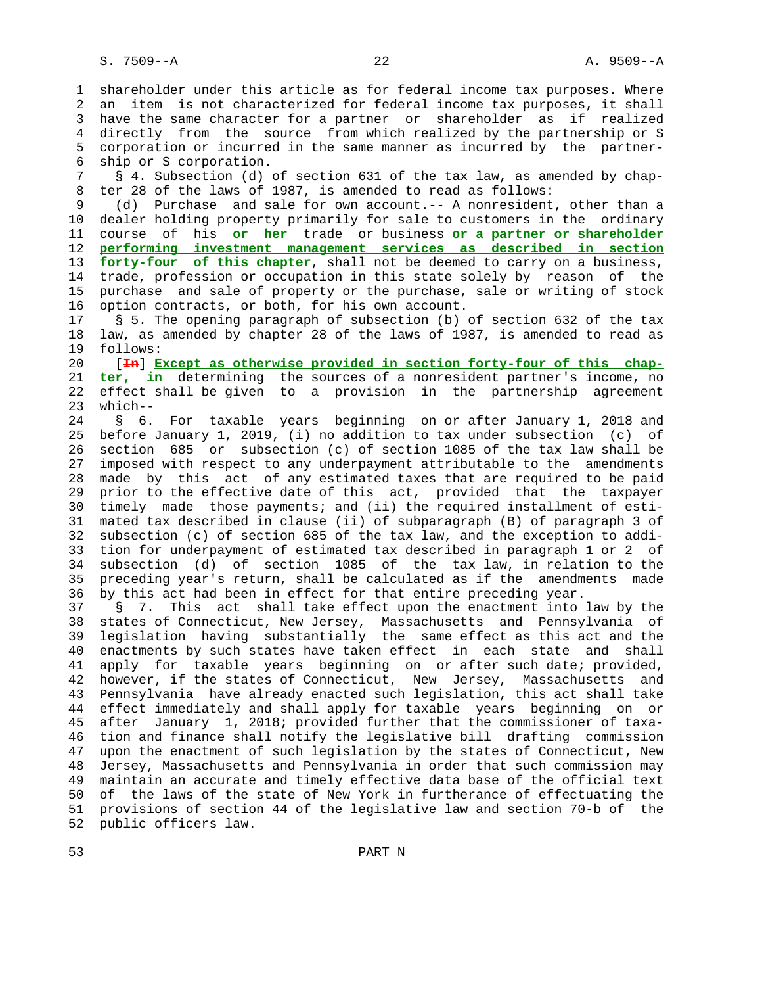1 shareholder under this article as for federal income tax purposes. Where 2 an item is not characterized for federal income tax purposes, it shall 3 have the same character for a partner or shareholder as if realized 4 directly from the source from which realized by the partnership or S 5 corporation or incurred in the same manner as incurred by the partner- 6 ship or S corporation. 7 § 4. Subsection (d) of section 631 of the tax law, as amended by chap-

8 ter 28 of the laws of 1987, is amended to read as follows:<br>9 (d) Purchase and sale for own account.-- A nonresident 9 (d) Purchase and sale for own account.-- A nonresident, other than a 10 dealer holding property primarily for sale to customers in the ordinary 11 course of his **or her** trade or business **or a partner or shareholder** 12 **performing investment management services as described in section** 13 **forty-four of this chapter**, shall not be deemed to carry on a business, 14 trade, profession or occupation in this state solely by reason of the 15 purchase and sale of property or the purchase, sale or writing of stock 16 option contracts, or both, for his own account.

 17 § 5. The opening paragraph of subsection (b) of section 632 of the tax 18 law, as amended by chapter 28 of the laws of 1987, is amended to read as 19 follows:

 20 [**In**] **Except as otherwise provided in section forty-four of this chap-** 21 **ter, in** determining the sources of a nonresident partner's income, no 22 effect shall be given to a provision in the partnership agreement 23 which--

 24 § 6. For taxable years beginning on or after January 1, 2018 and 25 before January 1, 2019, (i) no addition to tax under subsection (c) of 26 section 685 or subsection (c) of section 1085 of the tax law shall be 27 imposed with respect to any underpayment attributable to the amendments 28 made by this act of any estimated taxes that are required to be paid 29 prior to the effective date of this act, provided that the taxpayer 30 timely made those payments; and (ii) the required installment of esti- 31 mated tax described in clause (ii) of subparagraph (B) of paragraph 3 of 32 subsection (c) of section 685 of the tax law, and the exception to addi- 33 tion for underpayment of estimated tax described in paragraph 1 or 2 of 34 subsection (d) of section 1085 of the tax law, in relation to the 35 preceding year's return, shall be calculated as if the amendments made 36 by this act had been in effect for that entire preceding year.

 37 § 7. This act shall take effect upon the enactment into law by the 38 states of Connecticut, New Jersey, Massachusetts and Pennsylvania of 39 legislation having substantially the same effect as this act and the 40 enactments by such states have taken effect in each state and shall 41 apply for taxable years beginning on or after such date; provided, 42 however, if the states of Connecticut, New Jersey, Massachusetts and 43 Pennsylvania have already enacted such legislation, this act shall take 44 effect immediately and shall apply for taxable years beginning on or 45 after January 1, 2018; provided further that the commissioner of taxa- 46 tion and finance shall notify the legislative bill drafting commission 47 upon the enactment of such legislation by the states of Connecticut, New 48 Jersey, Massachusetts and Pennsylvania in order that such commission may 49 maintain an accurate and timely effective data base of the official text 50 of the laws of the state of New York in furtherance of effectuating the 51 provisions of section 44 of the legislative law and section 70-b of the 52 public officers law.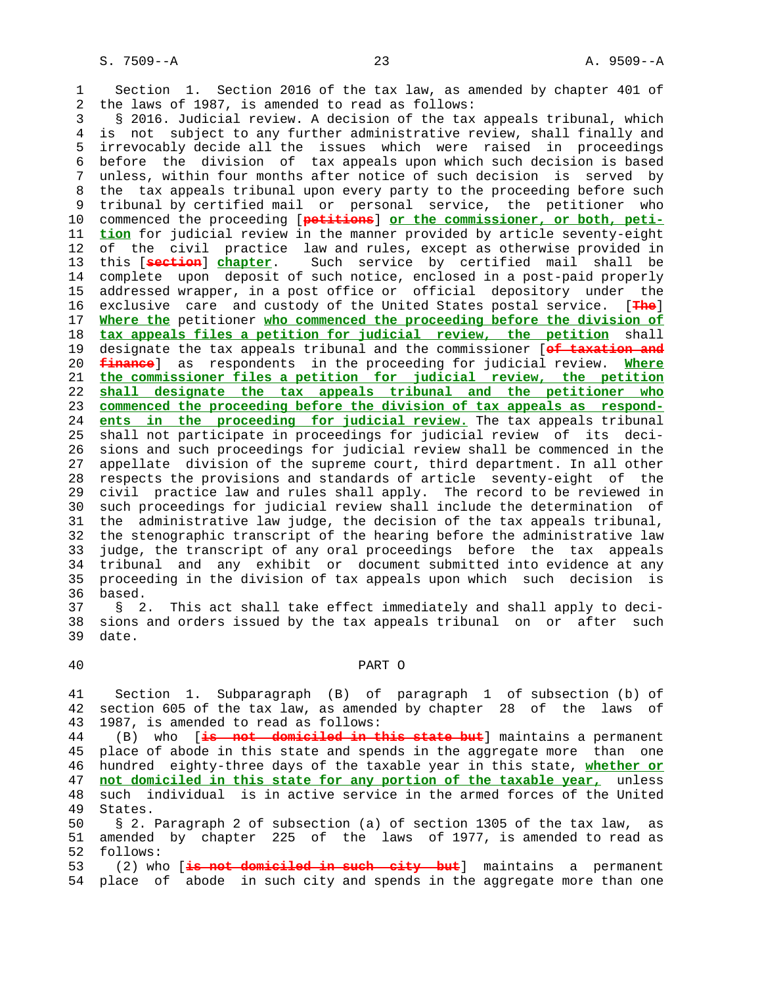1 Section 1. Section 2016 of the tax law, as amended by chapter 401 of 2 the laws of 1987, is amended to read as follows:

 3 § 2016. Judicial review. A decision of the tax appeals tribunal, which 4 is not subject to any further administrative review, shall finally and 5 irrevocably decide all the issues which were raised in proceedings 6 before the division of tax appeals upon which such decision is based 7 unless, within four months after notice of such decision is served by 8 the tax appeals tribunal upon every party to the proceeding before such 9 tribunal by certified mail or personal service, the petitioner who 10 commenced the proceeding [**petitions**] **or the commissioner, or both, peti-** 11 **tion** for judicial review in the manner provided by article seventy-eight 12 of the civil practice law and rules, except as otherwise provided in 13 this [**section**] **chapter**. Such service by certified mail shall be 14 complete upon deposit of such notice, enclosed in a post-paid properly 15 addressed wrapper, in a post office or official depository under the 16 exclusive care and custody of the United States postal service. [**The**] 17 **Where the** petitioner **who commenced the proceeding before the division of** 18 **tax appeals files a petition for judicial review, the petition** shall 19 designate the tax appeals tribunal and the commissioner [**of taxation and** 20 **finance**] as respondents in the proceeding for judicial review. **Where** 21 **the commissioner files a petition for judicial review, the petition** 22 **shall designate the tax appeals tribunal and the petitioner who** 23 **commenced the proceeding before the division of tax appeals as respond-** 24 **ents in the proceeding for judicial review.** The tax appeals tribunal 25 shall not participate in proceedings for judicial review of its deci- 26 sions and such proceedings for judicial review shall be commenced in the 27 appellate division of the supreme court, third department. In all other 28 respects the provisions and standards of article seventy-eight of the 29 civil practice law and rules shall apply. The record to be reviewed in 30 such proceedings for judicial review shall include the determination of 31 the administrative law judge, the decision of the tax appeals tribunal, 32 the stenographic transcript of the hearing before the administrative law 33 judge, the transcript of any oral proceedings before the tax appeals 34 tribunal and any exhibit or document submitted into evidence at any 35 proceeding in the division of tax appeals upon which such decision is 36 based.

 37 § 2. This act shall take effect immediately and shall apply to deci- 38 sions and orders issued by the tax appeals tribunal on or after such 39 date.

### 40 PART O

 41 Section 1. Subparagraph (B) of paragraph 1 of subsection (b) of 42 section 605 of the tax law, as amended by chapter 28 of the laws of 43 1987, is amended to read as follows:

 44 (B) who [**is not domiciled in this state but**] maintains a permanent 45 place of abode in this state and spends in the aggregate more than one 46 hundred eighty-three days of the taxable year in this state, **whether or** 47 **not domiciled in this state for any portion of the taxable year,** unless 48 such individual is in active service in the armed forces of the United 49 States.

 50 § 2. Paragraph 2 of subsection (a) of section 1305 of the tax law, as 51 amended by chapter 225 of the laws of 1977, is amended to read as 52 follows:

 53 (2) who [**is not domiciled in such city but**] maintains a permanent 54 place of abode in such city and spends in the aggregate more than one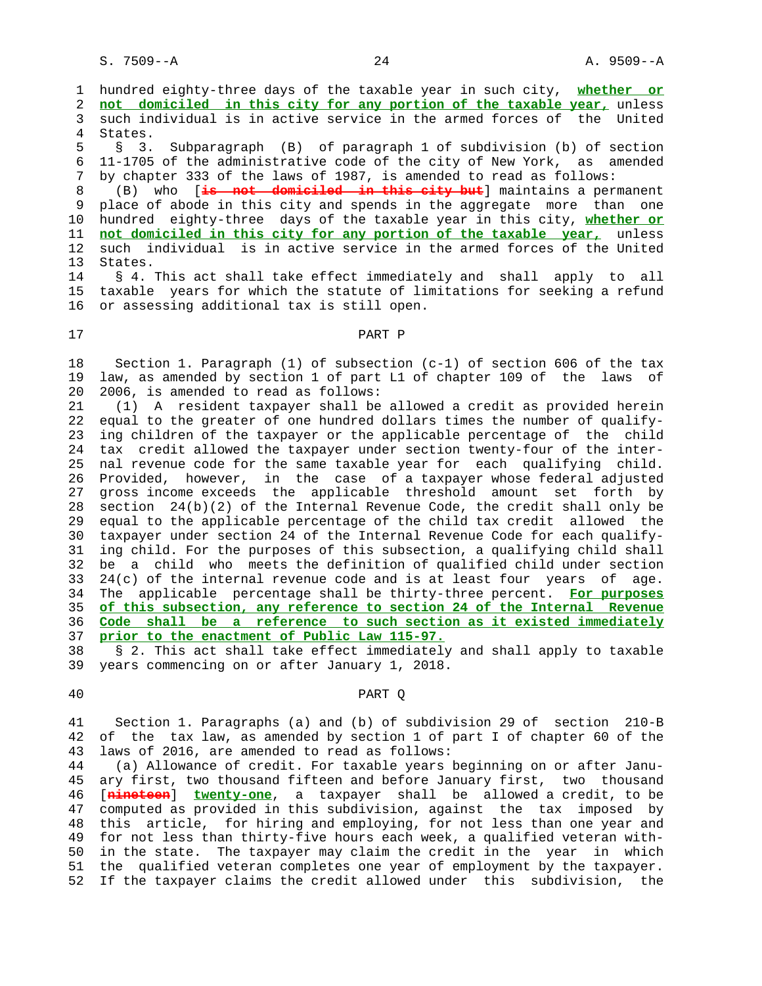1 hundred eighty-three days of the taxable year in such city, **whether or** 2 **not domiciled in this city for any portion of the taxable year,** unless 3 such individual is in active service in the armed forces of the United 4 States. 5 § 3. Subparagraph (B) of paragraph 1 of subdivision (b) of section 6 11-1705 of the administrative code of the city of New York, as amended 7 by chapter 333 of the laws of 1987, is amended to read as follows: 8 (B) who [**is not domiciled in this city but**] maintains a permanent place of abode in this city and spends in the aggregate more than one

 10 hundred eighty-three days of the taxable year in this city, **whether or** 11 **not domiciled in this city for any portion of the taxable year,** unless 12 such individual is in active service in the armed forces of the United 13 States.

 14 § 4. This act shall take effect immediately and shall apply to all 15 taxable years for which the statute of limitations for seeking a refund 16 or assessing additional tax is still open.

#### 17 PART P

 18 Section 1. Paragraph (1) of subsection (c-1) of section 606 of the tax 19 law, as amended by section 1 of part L1 of chapter 109 of the laws of 20 2006, is amended to read as follows:

 21 (1) A resident taxpayer shall be allowed a credit as provided herein 22 equal to the greater of one hundred dollars times the number of qualify- 23 ing children of the taxpayer or the applicable percentage of the child 24 tax credit allowed the taxpayer under section twenty-four of the inter- 25 nal revenue code for the same taxable year for each qualifying child. 26 Provided, however, in the case of a taxpayer whose federal adjusted 27 gross income exceeds the applicable threshold amount set forth by 28 section 24(b)(2) of the Internal Revenue Code, the credit shall only be 29 equal to the applicable percentage of the child tax credit allowed the 30 taxpayer under section 24 of the Internal Revenue Code for each qualify- 31 ing child. For the purposes of this subsection, a qualifying child shall 32 be a child who meets the definition of qualified child under section 33 24(c) of the internal revenue code and is at least four years of age. 34 The applicable percentage shall be thirty-three percent. **For purposes** 35 **of this subsection, any reference to section 24 of the Internal Revenue** 36 **Code shall be a reference to such section as it existed immediately** 37 **prior to the enactment of Public Law 115-97.**

 38 § 2. This act shall take effect immediately and shall apply to taxable 39 years commencing on or after January 1, 2018.

### 40 PART Q

 41 Section 1. Paragraphs (a) and (b) of subdivision 29 of section 210-B 42 of the tax law, as amended by section 1 of part I of chapter 60 of the 43 laws of 2016, are amended to read as follows:

 44 (a) Allowance of credit. For taxable years beginning on or after Janu- 45 ary first, two thousand fifteen and before January first, two thousand 46 [**nineteen**] **twenty-one**, a taxpayer shall be allowed a credit, to be 47 computed as provided in this subdivision, against the tax imposed by 48 this article, for hiring and employing, for not less than one year and 49 for not less than thirty-five hours each week, a qualified veteran with- 50 in the state. The taxpayer may claim the credit in the year in which 51 the qualified veteran completes one year of employment by the taxpayer. 52 If the taxpayer claims the credit allowed under this subdivision, the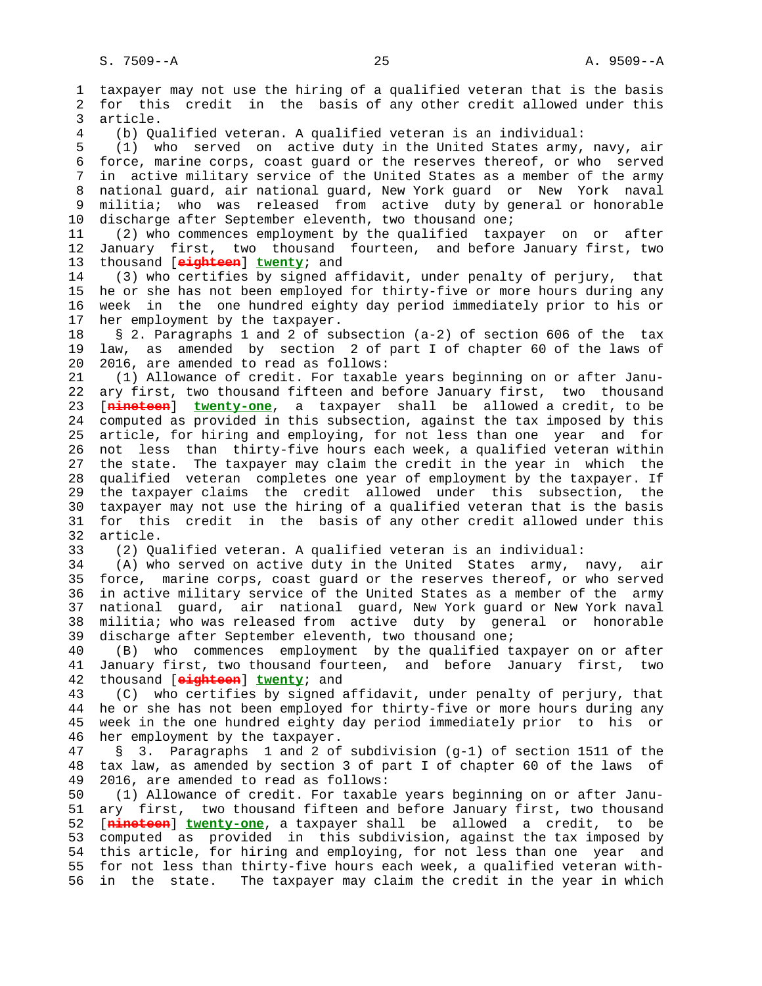1 taxpayer may not use the hiring of a qualified veteran that is the basis 2 for this credit in the basis of any other credit allowed under this 3 article. 4 (b) Qualified veteran. A qualified veteran is an individual: 5 (1) who served on active duty in the United States army, navy, air 6 force, marine corps, coast guard or the reserves thereof, or who served 7 in active military service of the United States as a member of the army 8 national guard, air national guard, New York guard or New York naval 9 militia; who was released from active duty by general or honorable 10 discharge after September eleventh, two thousand one; 11 (2) who commences employment by the qualified taxpayer on or after 12 January first, two thousand fourteen, and before January first, two 13 thousand [**eighteen**] **twenty**; and 14 (3) who certifies by signed affidavit, under penalty of perjury, that 15 he or she has not been employed for thirty-five or more hours during any 16 week in the one hundred eighty day period immediately prior to his or 17 her employment by the taxpayer. 18 § 2. Paragraphs 1 and 2 of subsection (a-2) of section 606 of the tax 19 law, as amended by section 2 of part I of chapter 60 of the laws of 20 2016, are amended to read as follows: 21 (1) Allowance of credit. For taxable years beginning on or after Janu- 22 ary first, two thousand fifteen and before January first, two thousand 23 [**nineteen**] **twenty-one**, a taxpayer shall be allowed a credit, to be 24 computed as provided in this subsection, against the tax imposed by this 25 article, for hiring and employing, for not less than one year and for 26 not less than thirty-five hours each week, a qualified veteran within 27 the state. The taxpayer may claim the credit in the year in which the 28 qualified veteran completes one year of employment by the taxpayer. If 29 the taxpayer claims the credit allowed under this subsection, the 30 taxpayer may not use the hiring of a qualified veteran that is the basis 31 for this credit in the basis of any other credit allowed under this 32 article. 33 (2) Qualified veteran. A qualified veteran is an individual: 34 (A) who served on active duty in the United States army, navy, air 35 force, marine corps, coast guard or the reserves thereof, or who served 36 in active military service of the United States as a member of the army 37 national guard, air national guard, New York guard or New York naval 38 militia; who was released from active duty by general or honorable 39 discharge after September eleventh, two thousand one; 40 (B) who commences employment by the qualified taxpayer on or after 41 January first, two thousand fourteen, and before January first, two 42 thousand [**eighteen**] **twenty**; and 43 (C) who certifies by signed affidavit, under penalty of perjury, that 44 he or she has not been employed for thirty-five or more hours during any 45 week in the one hundred eighty day period immediately prior to his or 46 her employment by the taxpayer. 47 § 3. Paragraphs 1 and 2 of subdivision (g-1) of section 1511 of the 48 tax law, as amended by section 3 of part I of chapter 60 of the laws of 49 2016, are amended to read as follows: 50 (1) Allowance of credit. For taxable years beginning on or after Janu- 51 ary first, two thousand fifteen and before January first, two thousand 52 [**nineteen**] **twenty-one**, a taxpayer shall be allowed a credit, to be 53 computed as provided in this subdivision, against the tax imposed by 54 this article, for hiring and employing, for not less than one year and 55 for not less than thirty-five hours each week, a qualified veteran with- 56 in the state. The taxpayer may claim the credit in the year in which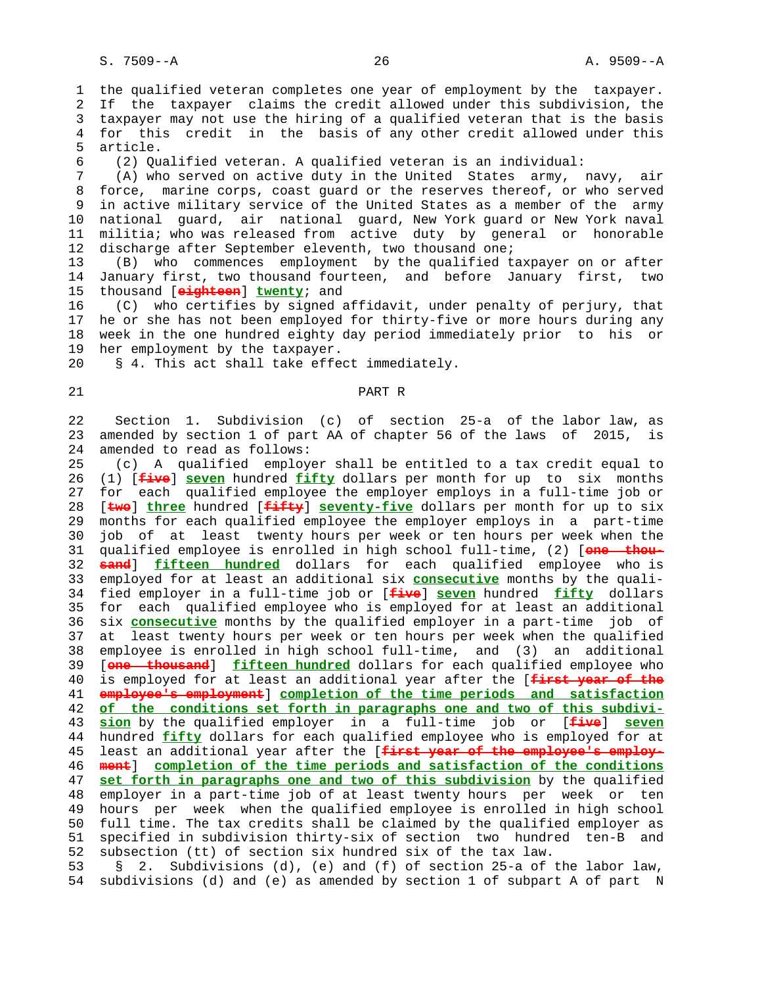1 the qualified veteran completes one year of employment by the taxpayer. 2 If the taxpayer claims the credit allowed under this subdivision, the 3 taxpayer may not use the hiring of a qualified veteran that is the basis 4 for this credit in the basis of any other credit allowed under this 5 article.

6 (2) Qualified veteran. A qualified veteran is an individual:

 7 (A) who served on active duty in the United States army, navy, air 8 force, marine corps, coast guard or the reserves thereof, or who served 9 in active military service of the United States as a member of the army 10 national guard, air national guard, New York guard or New York naval 11 militia; who was released from active duty by general or honorable 12 discharge after September eleventh, two thousand one;

 13 (B) who commences employment by the qualified taxpayer on or after 14 January first, two thousand fourteen, and before January first, two 15 thousand [**eighteen**] **twenty**; and

 16 (C) who certifies by signed affidavit, under penalty of perjury, that 17 he or she has not been employed for thirty-five or more hours during any 18 week in the one hundred eighty day period immediately prior to his or 19 her employment by the taxpayer.

20 § 4. This act shall take effect immediately.

## 21 PART R

 22 Section 1. Subdivision (c) of section 25-a of the labor law, as 23 amended by section 1 of part AA of chapter 56 of the laws of 2015, is 24 amended to read as follows:

 25 (c) A qualified employer shall be entitled to a tax credit equal to 26 (1) [**five**] **seven** hundred **fifty** dollars per month for up to six months 27 for each qualified employee the employer employs in a full-time job or 28 [**two**] **three** hundred [**fifty**] **seventy-five** dollars per month for up to six 29 months for each qualified employee the employer employs in a part-time 30 job of at least twenty hours per week or ten hours per week when the 31 qualified employee is enrolled in high school full-time, (2) [**one thou-** 32 **sand**] **fifteen hundred** dollars for each qualified employee who is 33 employed for at least an additional six **consecutive** months by the quali- 34 fied employer in a full-time job or [**five**] **seven** hundred **fifty** dollars 35 for each qualified employee who is employed for at least an additional 36 six **consecutive** months by the qualified employer in a part-time job of 37 at least twenty hours per week or ten hours per week when the qualified 38 employee is enrolled in high school full-time, and (3) an additional 39 [**one thousand**] **fifteen hundred** dollars for each qualified employee who 40 is employed for at least an additional year after the [**first year of the** 41 **employee's employment**] **completion of the time periods and satisfaction** 42 **of the conditions set forth in paragraphs one and two of this subdivi-** 43 **sion** by the qualified employer in a full-time job or [**five**] **seven** 44 hundred **fifty** dollars for each qualified employee who is employed for at 45 least an additional year after the [**first year of the employee's employ-** 46 **ment**] **completion of the time periods and satisfaction of the conditions** 47 **set forth in paragraphs one and two of this subdivision** by the qualified 48 employer in a part-time job of at least twenty hours per week or ten 49 hours per week when the qualified employee is enrolled in high school 50 full time. The tax credits shall be claimed by the qualified employer as 51 specified in subdivision thirty-six of section two hundred ten-B and 52 subsection (tt) of section six hundred six of the tax law.

 53 § 2. Subdivisions (d), (e) and (f) of section 25-a of the labor law, 54 subdivisions (d) and (e) as amended by section 1 of subpart A of part N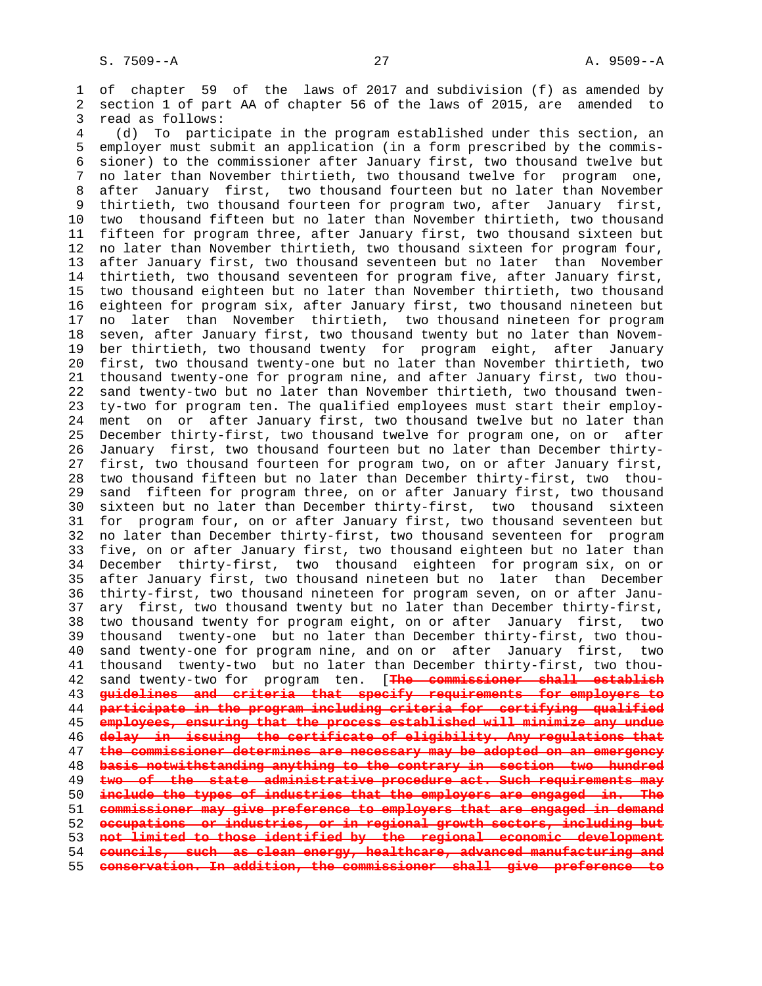1 of chapter 59 of the laws of 2017 and subdivision (f) as amended by 2 section 1 of part AA of chapter 56 of the laws of 2015, are amended to 3 read as follows:

 4 (d) To participate in the program established under this section, an 5 employer must submit an application (in a form prescribed by the commis- 6 sioner) to the commissioner after January first, two thousand twelve but 7 no later than November thirtieth, two thousand twelve for program one, 8 after January first, two thousand fourteen but no later than November 9 thirtieth, two thousand fourteen for program two, after January first, 10 two thousand fifteen but no later than November thirtieth, two thousand 11 fifteen for program three, after January first, two thousand sixteen but 12 no later than November thirtieth, two thousand sixteen for program four, 13 after January first, two thousand seventeen but no later than November 14 thirtieth, two thousand seventeen for program five, after January first, 15 two thousand eighteen but no later than November thirtieth, two thousand 16 eighteen for program six, after January first, two thousand nineteen but 17 no later than November thirtieth, two thousand nineteen for program 18 seven, after January first, two thousand twenty but no later than Novem- 19 ber thirtieth, two thousand twenty for program eight, after January 20 first, two thousand twenty-one but no later than November thirtieth, two 21 thousand twenty-one for program nine, and after January first, two thou- 22 sand twenty-two but no later than November thirtieth, two thousand twen- 23 ty-two for program ten. The qualified employees must start their employ- 24 ment on or after January first, two thousand twelve but no later than 25 December thirty-first, two thousand twelve for program one, on or after 26 January first, two thousand fourteen but no later than December thirty- 27 first, two thousand fourteen for program two, on or after January first, 28 two thousand fifteen but no later than December thirty-first, two thou- 29 sand fifteen for program three, on or after January first, two thousand 30 sixteen but no later than December thirty-first, two thousand sixteen 31 for program four, on or after January first, two thousand seventeen but 32 no later than December thirty-first, two thousand seventeen for program 33 five, on or after January first, two thousand eighteen but no later than 34 December thirty-first, two thousand eighteen for program six, on or 35 after January first, two thousand nineteen but no later than December 36 thirty-first, two thousand nineteen for program seven, on or after Janu- 37 ary first, two thousand twenty but no later than December thirty-first, 38 two thousand twenty for program eight, on or after January first, two 39 thousand twenty-one but no later than December thirty-first, two thou- 40 sand twenty-one for program nine, and on or after January first, two 41 thousand twenty-two but no later than December thirty-first, two thou- 42 sand twenty-two for program ten. [**The commissioner shall establish** 43 **guidelines and criteria that specify requirements for employers to** 44 **participate in the program including criteria for certifying qualified** 45 **employees, ensuring that the process established will minimize any undue** 46 **delay in issuing the certificate of eligibility. Any regulations that** 47 **the commissioner determines are necessary may be adopted on an emergency** 48 **basis notwithstanding anything to the contrary in section two hundred** 49 **two of the state administrative procedure act. Such requirements may** 50 **include the types of industries that the employers are engaged in. The** 51 **commissioner may give preference to employers that are engaged in demand** 52 **occupations or industries, or in regional growth sectors, including but** 53 **not limited to those identified by the regional economic development** 54 **councils, such as clean energy, healthcare, advanced manufacturing and** 55 **conservation. In addition, the commissioner shall give preference to**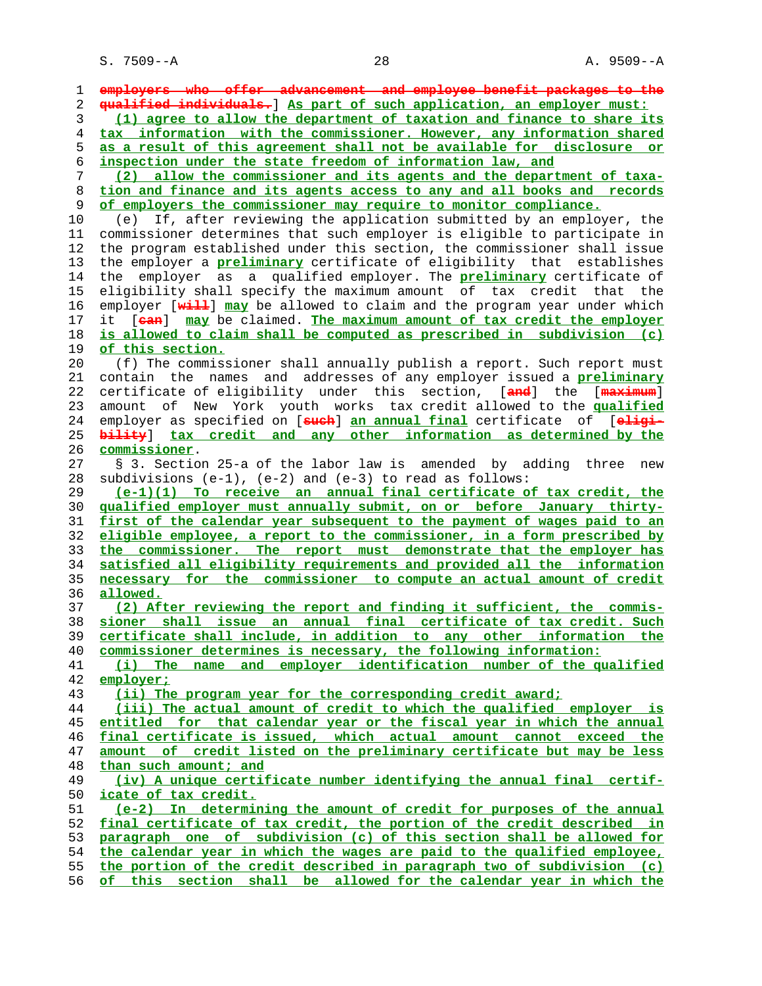| ı              | employers who offer advancement and employee benefit packages to the                                                                        |
|----------------|---------------------------------------------------------------------------------------------------------------------------------------------|
| $\overline{2}$ | qualified individuals. As part of such application, an employer must:                                                                       |
| 3              | (1) agree to allow the department of taxation and finance to share its                                                                      |
| $\overline{4}$ | tax information with the commissioner. However, any information shared                                                                      |
| 5              | as a result of this agreement shall not be available for disclosure or                                                                      |
| 6              | inspection under the state freedom of information law, and                                                                                  |
| 7              | (2) allow the commissioner and its agents and the department of taxa-                                                                       |
| 8              | tion and finance and its agents access to any and all books and records                                                                     |
| 9              | of employers the commissioner may require to monitor compliance.                                                                            |
| 10             | If, after reviewing the application submitted by an employer, the<br>(e)                                                                    |
| 11             | commissioner determines that such employer is eligible to participate in                                                                    |
| 12             | the program established under this section, the commissioner shall issue                                                                    |
| 13             | the employer a <b>preliminary</b> certificate of eligibility that establishes                                                               |
| 14             | employer as a qualified employer. The <b>preliminary</b> certificate of<br>the                                                              |
| 15             | eligibility shall specify the maximum amount of tax credit that the                                                                         |
| 16             | employer [will] may be allowed to claim and the program year under which                                                                    |
| 17             | it [ean] may be claimed. The maximum amount of tax credit the employer                                                                      |
| 18             | is allowed to claim shall be computed as prescribed in subdivision (c)                                                                      |
| 19             | of this section.                                                                                                                            |
| $20 \,$        | (f) The commissioner shall annually publish a report. Such report must                                                                      |
| 21             | contain the names and addresses of any employer issued a <b>preliminary</b>                                                                 |
| 22             | certificate of eligibility under this section, [and] the [maximum]                                                                          |
| 23             | New York youth works tax credit allowed to the qualified<br>of<br>amount                                                                    |
| 24             | employer as specified on [such] an annual final certificate of [eligi-                                                                      |
| 25             | bility] tax credit and any other information as determined by the                                                                           |
| 26<br>27       | commissioner.                                                                                                                               |
| 28             | § 3. Section 25-a of the labor law is amended by adding three new                                                                           |
| 29             | subdivisions $(e-1)$ , $(e-2)$ and $(e-3)$ to read as follows:                                                                              |
| 30             | (e-1)(1) To receive an annual final certificate of tax credit, the<br>qualified employer must annually submit, on or before January thirty- |
| 31             | first of the calendar year subsequent to the payment of wages paid to an                                                                    |
| 32             | eligible employee, a report to the commissioner, in a form prescribed by                                                                    |
| 33             | the commissioner. The report must demonstrate that the employer has                                                                         |
| 34             | satisfied all eligibility requirements and provided all the information                                                                     |
| 35             | necessary for the commissioner to compute an actual amount of credit                                                                        |
| 36             | allowed.                                                                                                                                    |
| 37             | (2) After reviewing the report and finding it sufficient, the commis-                                                                       |
| 38             | sioner shall issue an annual final certificate of tax credit. Such                                                                          |
| 39             | certificate shall include, in addition to any other information the                                                                         |
| 40             | commissioner determines is necessary, the following information:                                                                            |
| 41             | (i) The name and employer identification number of the qualified                                                                            |
| 42             | employer;                                                                                                                                   |
| 43             | (ii) The program year for the corresponding credit award;                                                                                   |
| 44             | (iii) The actual amount of credit to which the qualified employer is                                                                        |
| 45             | entitled for that calendar year or the fiscal year in which the annual                                                                      |
| 46             | final certificate is issued, which actual amount cannot exceed the                                                                          |
| 47             | amount of credit listed on the preliminary certificate but may be less                                                                      |
| 48             | than such amount; and                                                                                                                       |
| 49             | (iv) A unique certificate number identifying the annual final certif-                                                                       |
| 50             | icate of tax credit.                                                                                                                        |
| 51             | (e-2) In determining the amount of credit for purposes of the annual                                                                        |
| 52             | final certificate of tax credit, the portion of the credit described in                                                                     |
| 53             | paragraph one of subdivision (c) of this section shall be allowed for                                                                       |
| 54             | the calendar year in which the wages are paid to the qualified employee,                                                                    |
| 55             | the portion of the credit described in paragraph two of subdivision (c)                                                                     |
| 56             | of this section shall be allowed for the calendar year in which the                                                                         |
|                |                                                                                                                                             |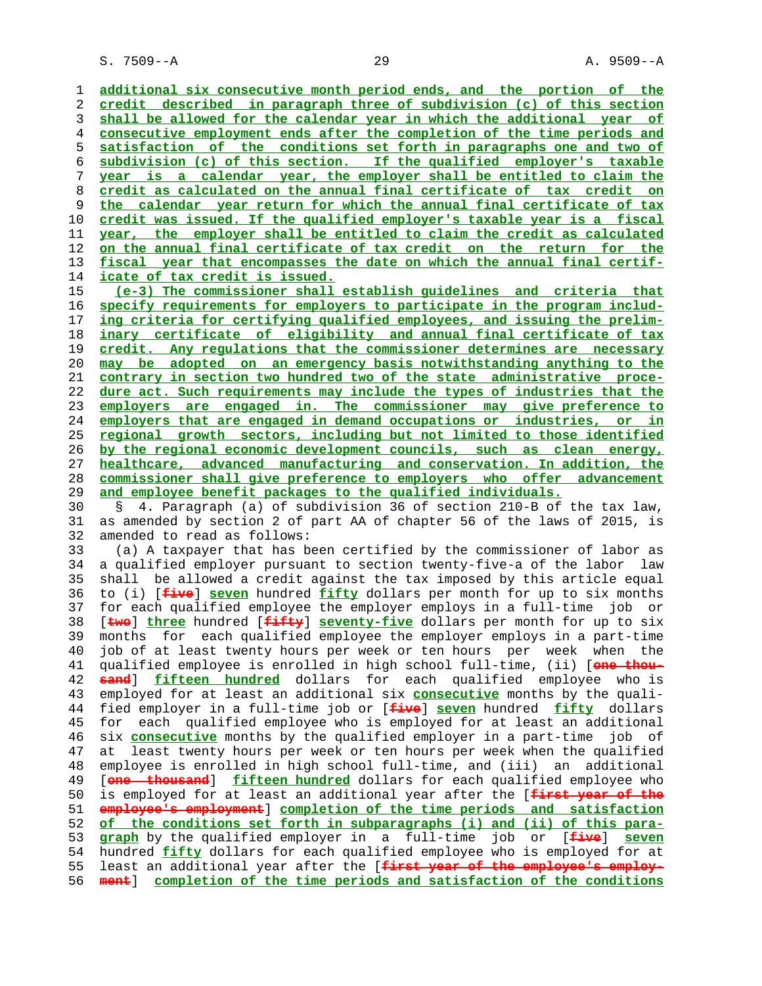S. 7509--A 29 A. 9509--A

**additional six consecutive month period ends, and the portion of the credit described in paragraph three of subdivision (c) of this section shall be allowed for the calendar year in which the additional year of consecutive employment ends after the completion of the time periods and satisfaction of the conditions set forth in paragraphs one and two of subdivision (c) of this section. If the qualified employer's taxable year is a calendar year, the employer shall be entitled to claim the credit as calculated on the annual final certificate of tax credit on the calendar year return for which the annual final certificate of tax credit was issued. If the qualified employer's taxable year is a fiscal year, the employer shall be entitled to claim the credit as calculated on the annual final certificate of tax credit on the return for the fiscal year that encompasses the date on which the annual final certif- icate of tax credit is issued. (e-3) The commissioner shall establish guidelines and criteria that specify requirements for employers to participate in the program includ- ing criteria for certifying qualified employees, and issuing the prelim- inary certificate of eligibility and annual final certificate of tax credit. Any regulations that the commissioner determines are necessary may be adopted on an emergency basis notwithstanding anything to the contrary in section two hundred two of the state administrative proce- dure act. Such requirements may include the types of industries that the employers are engaged in. The commissioner may give preference to employers that are engaged in demand occupations or industries, or in regional growth sectors, including but not limited to those identified by the regional economic development councils, such as clean energy, healthcare, advanced manufacturing and conservation. In addition, the commissioner shall give preference to employers who offer advancement and employee benefit packages to the qualified individuals.** 30 § 4. Paragraph (a) of subdivision 36 of section 210-B of the tax law, 31 as amended by section 2 of part AA of chapter 56 of the laws of 2015, is 32 amended to read as follows: 33 (a) A taxpayer that has been certified by the commissioner of labor as

 34 a qualified employer pursuant to section twenty-five-a of the labor law 35 shall be allowed a credit against the tax imposed by this article equal 36 to (i) [**five**] **seven** hundred **fifty** dollars per month for up to six months 37 for each qualified employee the employer employs in a full-time job or 38 [**two**] **three** hundred [**fifty**] **seventy-five** dollars per month for up to six 39 months for each qualified employee the employer employs in a part-time 40 job of at least twenty hours per week or ten hours per week when the 41 qualified employee is enrolled in high school full-time, (ii) [**one thou-** 42 **sand**] **fifteen hundred** dollars for each qualified employee who is 43 employed for at least an additional six **consecutive** months by the quali- 44 fied employer in a full-time job or [**five**] **seven** hundred **fifty** dollars 45 for each qualified employee who is employed for at least an additional 46 six **consecutive** months by the qualified employer in a part-time job of 47 at least twenty hours per week or ten hours per week when the qualified 48 employee is enrolled in high school full-time, and (iii) an additional 49 [**one thousand**] **fifteen hundred** dollars for each qualified employee who 50 is employed for at least an additional year after the [**first year of the** 51 **employee's employment**] **completion of the time periods and satisfaction** 52 **of the conditions set forth in subparagraphs (i) and (ii) of this para-** 53 **graph** by the qualified employer in a full-time job or [**five**] **seven** 54 hundred **fifty** dollars for each qualified employee who is employed for at 55 least an additional year after the [**first year of the employee's employ-** 56 **ment**] **completion of the time periods and satisfaction of the conditions**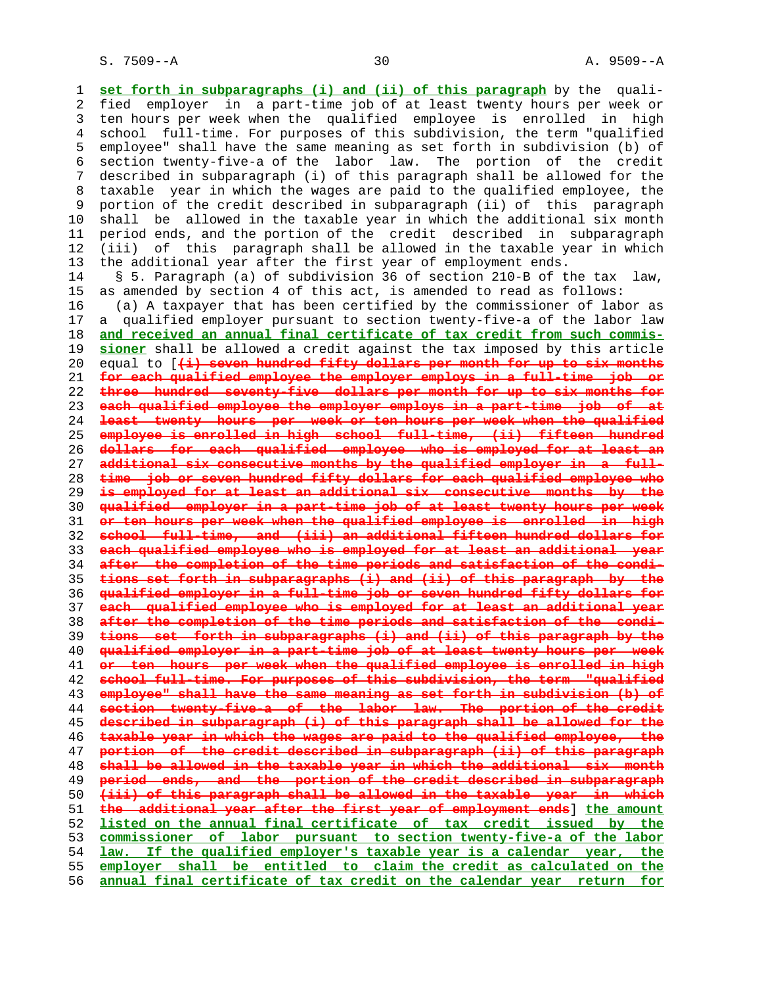**set forth in subparagraphs (i) and (ii) of this paragraph** by the quali- 2 fied employer in a part-time job of at least twenty hours per week or 3 ten hours per week when the qualified employee is enrolled in high 4 school full-time. For purposes of this subdivision, the term "qualified 5 employee" shall have the same meaning as set forth in subdivision (b) of 6 section twenty-five-a of the labor law. The portion of the credit 7 described in subparagraph (i) of this paragraph shall be allowed for the 8 taxable year in which the wages are paid to the qualified employee, the 9 portion of the credit described in subparagraph (ii) of this paragraph 10 shall be allowed in the taxable year in which the additional six month 11 period ends, and the portion of the credit described in subparagraph 12 (iii) of this paragraph shall be allowed in the taxable year in which 13 the additional year after the first year of employment ends. 14 § 5. Paragraph (a) of subdivision 36 of section 210-B of the tax law, 15 as amended by section 4 of this act, is amended to read as follows: 16 (a) A taxpayer that has been certified by the commissioner of labor as 17 a qualified employer pursuant to section twenty-five-a of the labor law **and received an annual final certificate of tax credit from such commis- sioner** shall be allowed a credit against the tax imposed by this article 20 equal to [**(i) seven hundred fifty dollars per month for up to six months for each qualified employee the employer employs in a full-time job or three hundred seventy-five dollars per month for up to six months for each qualified employee the employer employs in a part-time job of at least twenty hours per week or ten hours per week when the qualified employee is enrolled in high school full-time, (ii) fifteen hundred dollars for each qualified employee who is employed for at least an additional six consecutive months by the qualified employer in a full- time job or seven hundred fifty dollars for each qualified employee who is employed for at least an additional six consecutive months by the qualified employer in a part-time job of at least twenty hours per week or ten hours per week when the qualified employee is enrolled in high school full-time, and (iii) an additional fifteen hundred dollars for each qualified employee who is employed for at least an additional year after the completion of the time periods and satisfaction of the condi- tions set forth in subparagraphs (i) and (ii) of this paragraph by the qualified employer in a full-time job or seven hundred fifty dollars for each qualified employee who is employed for at least an additional year after the completion of the time periods and satisfaction of the condi- tions set forth in subparagraphs (i) and (ii) of this paragraph by the qualified employer in a part-time job of at least twenty hours per week or ten hours per week when the qualified employee is enrolled in high school full-time. For purposes of this subdivision, the term "qualified employee" shall have the same meaning as set forth in subdivision (b) of section twenty-five-a of the labor law. The portion of the credit described in subparagraph (i) of this paragraph shall be allowed for the taxable year in which the wages are paid to the qualified employee, the portion of the credit described in subparagraph (ii) of this paragraph shall be allowed in the taxable year in which the additional six month period ends, and the portion of the credit described in subparagraph (iii) of this paragraph shall be allowed in the taxable year in which the additional year after the first year of employment ends**] **the amount listed on the annual final certificate of tax credit issued by the** 53 <u>commissioner of labor pursuant to section twenty-five-a of the labor</u><br>54 <u>law. If the qualified employer's taxable year is a calendar year, the</u> **law.** If the qualified employer's taxable year is a calendar year, the **employer shall be entitled to claim the credit as calculated on the annual final certificate of tax credit on the calendar year return for**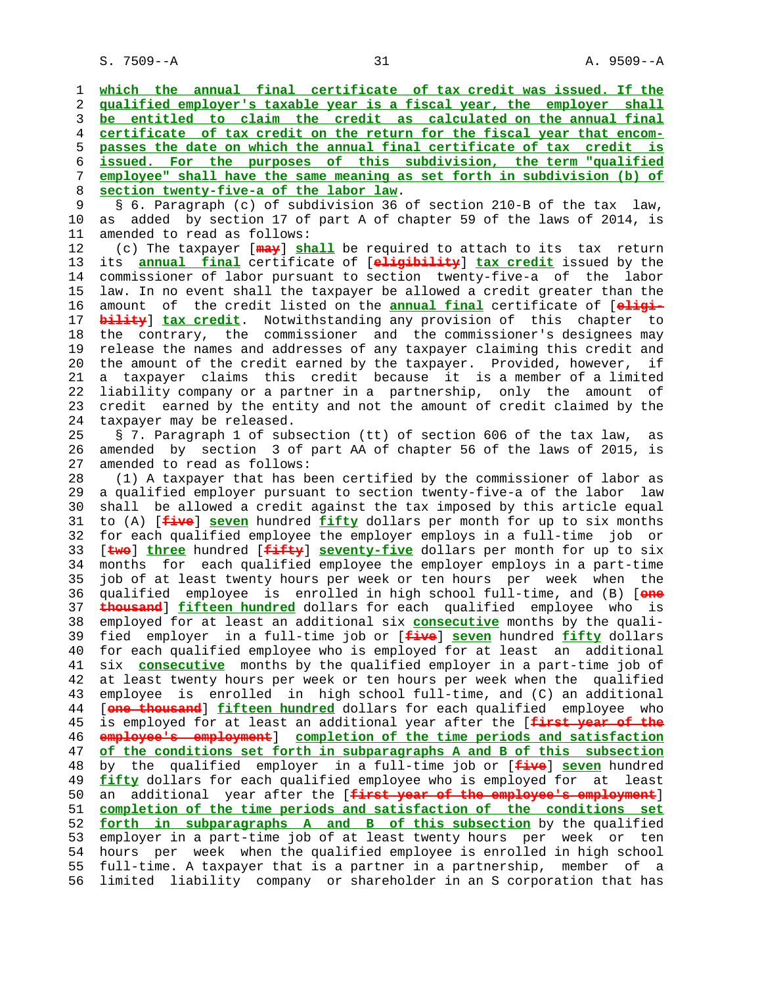S. 7509--A 31 A. 9509--A

 1 **which the annual final certificate of tax credit was issued. If the** 2 **qualified employer's taxable year is a fiscal year, the employer shall** 3 **be entitled to claim the credit as calculated on the annual final** 4 **certificate of tax credit on the return for the fiscal year that encom-** 5 **passes the date on which the annual final certificate of tax credit is** 6 **issued. For the purposes of this subdivision, the term "qualified** 7 **employee" shall have the same meaning as set forth in subdivision (b) of** 8 **section twenty-five-a of the labor law**. 9 § 6. Paragraph (c) of subdivision 36 of section 210-B of the tax law, 10 as added by section 17 of part A of chapter 59 of the laws of 2014, is 11 amended to read as follows: 12 (c) The taxpayer [**may**] **shall** be required to attach to its tax return 13 its **annual final** certificate of [**eligibility**] **tax credit** issued by the 14 commissioner of labor pursuant to section twenty-five-a of the labor 15 law. In no event shall the taxpayer be allowed a credit greater than the 16 amount of the credit listed on the **annual final** certificate of [**eligi-** 17 **bility**] **tax credit**. Notwithstanding any provision of this chapter to 18 the contrary, the commissioner and the commissioner's designees may 19 release the names and addresses of any taxpayer claiming this credit and 20 the amount of the credit earned by the taxpayer. Provided, however, if 21 a taxpayer claims this credit because it is a member of a limited 22 liability company or a partner in a partnership, only the amount of 23 credit earned by the entity and not the amount of credit claimed by the 24 taxpayer may be released. 25 § 7. Paragraph 1 of subsection (tt) of section 606 of the tax law, as 26 amended by section 3 of part AA of chapter 56 of the laws of 2015, is 27 amended to read as follows: 28 (1) A taxpayer that has been certified by the commissioner of labor as 29 a qualified employer pursuant to section twenty-five-a of the labor law 30 shall be allowed a credit against the tax imposed by this article equal 31 to (A) [**five**] **seven** hundred **fifty** dollars per month for up to six months 32 for each qualified employee the employer employs in a full-time job or 33 [**two**] **three** hundred [**fifty**] **seventy-five** dollars per month for up to six 34 months for each qualified employee the employer employs in a part-time 35 job of at least twenty hours per week or ten hours per week when the 36 qualified employee is enrolled in high school full-time, and (B) [**one** 37 **thousand**] **fifteen hundred** dollars for each qualified employee who is 38 employed for at least an additional six **consecutive** months by the quali- 39 fied employer in a full-time job or [**five**] **seven** hundred **fifty** dollars 40 for each qualified employee who is employed for at least an additional 41 six **consecutive** months by the qualified employer in a part-time job of 42 at least twenty hours per week or ten hours per week when the qualified 43 employee is enrolled in high school full-time, and (C) an additional 44 [**one thousand**] **fifteen hundred** dollars for each qualified employee who 45 is employed for at least an additional year after the [**first year of the** 46 **employee's employment**] **completion of the time periods and satisfaction** 47 **of the conditions set forth in subparagraphs A and B of this subsection** 48 by the qualified employer in a full-time job or [**five**] **seven** hundred 49 **fifty** dollars for each qualified employee who is employed for at least 50 an additional year after the [**first year of the employee's employment**] 51 **completion of the time periods and satisfaction of the conditions set** 52 **forth in subparagraphs A and B of this subsection** by the qualified 53 employer in a part-time job of at least twenty hours per week or ten 54 hours per week when the qualified employee is enrolled in high school 55 full-time. A taxpayer that is a partner in a partnership, member of a 56 limited liability company or shareholder in an S corporation that has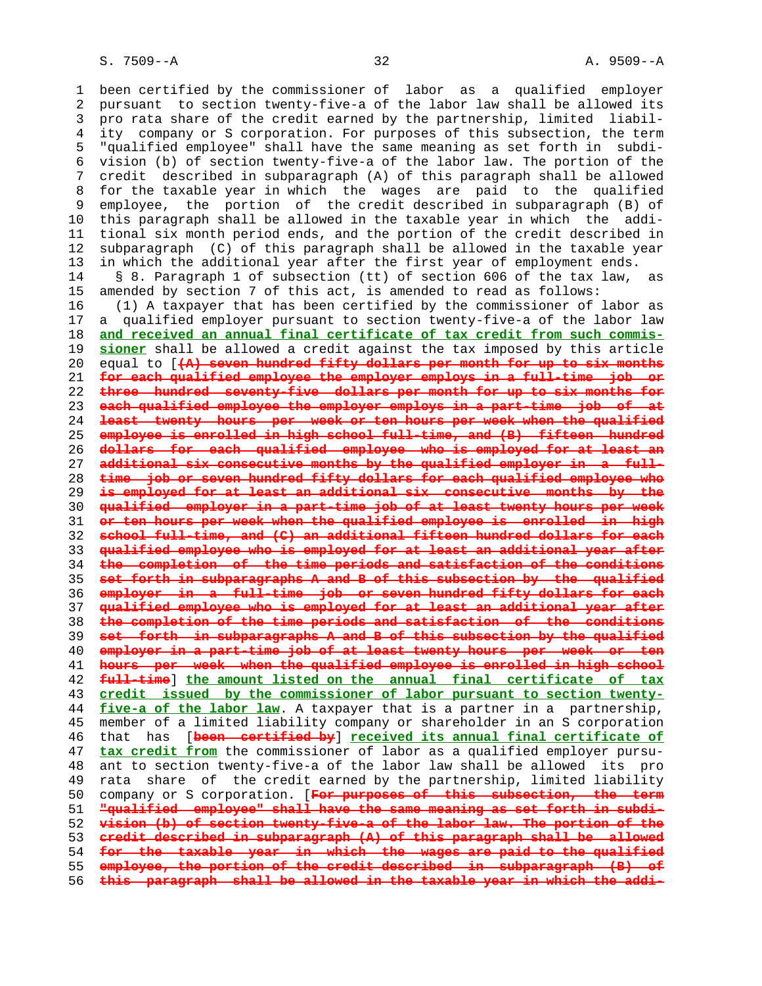1 been certified by the commissioner of labor as a qualified employer 2 pursuant to section twenty-five-a of the labor law shall be allowed its 3 pro rata share of the credit earned by the partnership, limited liabil- 4 ity company or S corporation. For purposes of this subsection, the term 5 "qualified employee" shall have the same meaning as set forth in subdi- 6 vision (b) of section twenty-five-a of the labor law. The portion of the 7 credit described in subparagraph (A) of this paragraph shall be allowed 8 for the taxable year in which the wages are paid to the qualified 9 employee, the portion of the credit described in subparagraph (B) of 10 this paragraph shall be allowed in the taxable year in which the addi- 11 tional six month period ends, and the portion of the credit described in 12 subparagraph (C) of this paragraph shall be allowed in the taxable year 13 in which the additional year after the first year of employment ends. 14 § 8. Paragraph 1 of subsection (tt) of section 606 of the tax law, as 15 amended by section 7 of this act, is amended to read as follows: 16 (1) A taxpayer that has been certified by the commissioner of labor as 17 a qualified employer pursuant to section twenty-five-a of the labor law 18 **and received an annual final certificate of tax credit from such commis-** 19 **sioner** shall be allowed a credit against the tax imposed by this article 20 equal to [**(A) seven hundred fifty dollars per month for up to six months** 21 **for each qualified employee the employer employs in a full-time job or** 22 **three hundred seventy-five dollars per month for up to six months for** 23 **each qualified employee the employer employs in a part-time job of at** 24 **least twenty hours per week or ten hours per week when the qualified** 25 **employee is enrolled in high school full-time, and (B) fifteen hundred** 26 **dollars for each qualified employee who is employed for at least an** 27 **additional six consecutive months by the qualified employer in a full-** 28 **time job or seven hundred fifty dollars for each qualified employee who** 29 **is employed for at least an additional six consecutive months by the** 30 **qualified employer in a part-time job of at least twenty hours per week** 31 **or ten hours per week when the qualified employee is enrolled in high** 32 **school full-time, and (C) an additional fifteen hundred dollars for each** 33 **qualified employee who is employed for at least an additional year after** 34 **the completion of the time periods and satisfaction of the conditions** 35 **set forth in subparagraphs A and B of this subsection by the qualified** 36 **employer in a full-time job or seven hundred fifty dollars for each** 37 **qualified employee who is employed for at least an additional year after** 38 **the completion of the time periods and satisfaction of the conditions** 39 **set forth in subparagraphs A and B of this subsection by the qualified** 40 **employer in a part-time job of at least twenty hours per week or ten** 41 **hours per week when the qualified employee is enrolled in high school** 42 **full-time**] **the amount listed on the annual final certificate of tax** 43 **credit issued by the commissioner of labor pursuant to section twenty-** 44 **five-a of the labor law**. A taxpayer that is a partner in a partnership, 45 member of a limited liability company or shareholder in an S corporation 46 that has [**been certified by**] **received its annual final certificate of** 47 **tax credit from** the commissioner of labor as a qualified employer pursu- 48 ant to section twenty-five-a of the labor law shall be allowed its pro 49 rata share of the credit earned by the partnership, limited liability 50 company or S corporation. [**For purposes of this subsection, the term** 51 **"qualified employee" shall have the same meaning as set forth in subdi-** 52 **vision (b) of section twenty-five-a of the labor law. The portion of the** 53 **credit described in subparagraph (A) of this paragraph shall be allowed** 54 **for the taxable year in which the wages are paid to the qualified** 55 **employee, the portion of the credit described in subparagraph (B) of** 56 **this paragraph shall be allowed in the taxable year in which the addi-**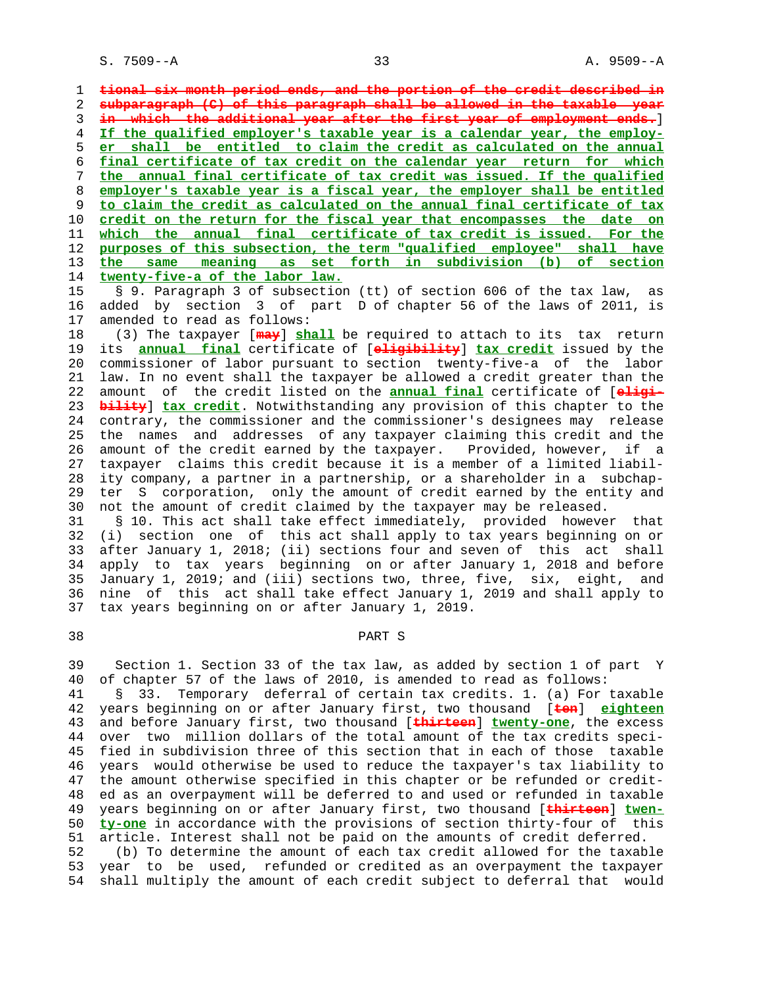S. 7509--A 33 A. 9509--A

**tional six month period ends, and the portion of the credit described in subparagraph (C) of this paragraph shall be allowed in the taxable year in which the additional year after the first year of employment ends.**] **If the qualified employer's taxable year is a calendar year, the employ- er shall be entitled to claim the credit as calculated on the annual final certificate of tax credit on the calendar year return for which the annual final certificate of tax credit was issued. If the qualified employer's taxable year is a fiscal year, the employer shall be entitled to claim the credit as calculated on the annual final certificate of tax credit on the return for the fiscal year that encompasses the date on which the annual final certificate of tax credit is issued. For the purposes of this subsection, the term "qualified employee" shall have the same meaning as set forth in subdivision (b) of section twenty-five-a of the labor law.**

 15 § 9. Paragraph 3 of subsection (tt) of section 606 of the tax law, as 16 added by section 3 of part D of chapter 56 of the laws of 2011, is 17 amended to read as follows:

 18 (3) The taxpayer [**may**] **shall** be required to attach to its tax return 19 its **annual final** certificate of [**eligibility**] **tax credit** issued by the 20 commissioner of labor pursuant to section twenty-five-a of the labor 21 law. In no event shall the taxpayer be allowed a credit greater than the 22 amount of the credit listed on the **annual final** certificate of [**eligi-** 23 **bility**] **tax credit**. Notwithstanding any provision of this chapter to the 24 contrary, the commissioner and the commissioner's designees may release 25 the names and addresses of any taxpayer claiming this credit and the 26 amount of the credit earned by the taxpayer. Provided, however, if a 27 taxpayer claims this credit because it is a member of a limited liabil- 28 ity company, a partner in a partnership, or a shareholder in a subchap- 29 ter S corporation, only the amount of credit earned by the entity and 30 not the amount of credit claimed by the taxpayer may be released.

 31 § 10. This act shall take effect immediately, provided however that 32 (i) section one of this act shall apply to tax years beginning on or 33 after January 1, 2018; (ii) sections four and seven of this act shall 34 apply to tax years beginning on or after January 1, 2018 and before 35 January 1, 2019; and (iii) sections two, three, five, six, eight, and 36 nine of this act shall take effect January 1, 2019 and shall apply to 37 tax years beginning on or after January 1, 2019.

#### 38 PART S

 39 Section 1. Section 33 of the tax law, as added by section 1 of part Y 40 of chapter 57 of the laws of 2010, is amended to read as follows:

 41 § 33. Temporary deferral of certain tax credits. 1. (a) For taxable 42 years beginning on or after January first, two thousand [**ten**] **eighteen** 43 and before January first, two thousand [**thirteen**] **twenty-one**, the excess 44 over two million dollars of the total amount of the tax credits speci- 45 fied in subdivision three of this section that in each of those taxable 46 years would otherwise be used to reduce the taxpayer's tax liability to 47 the amount otherwise specified in this chapter or be refunded or credit- 48 ed as an overpayment will be deferred to and used or refunded in taxable 49 years beginning on or after January first, two thousand [**thirteen**] **twen-** 50 **ty-one** in accordance with the provisions of section thirty-four of this 51 article. Interest shall not be paid on the amounts of credit deferred. 52 (b) To determine the amount of each tax credit allowed for the taxable 53 year to be used, refunded or credited as an overpayment the taxpayer 54 shall multiply the amount of each credit subject to deferral that would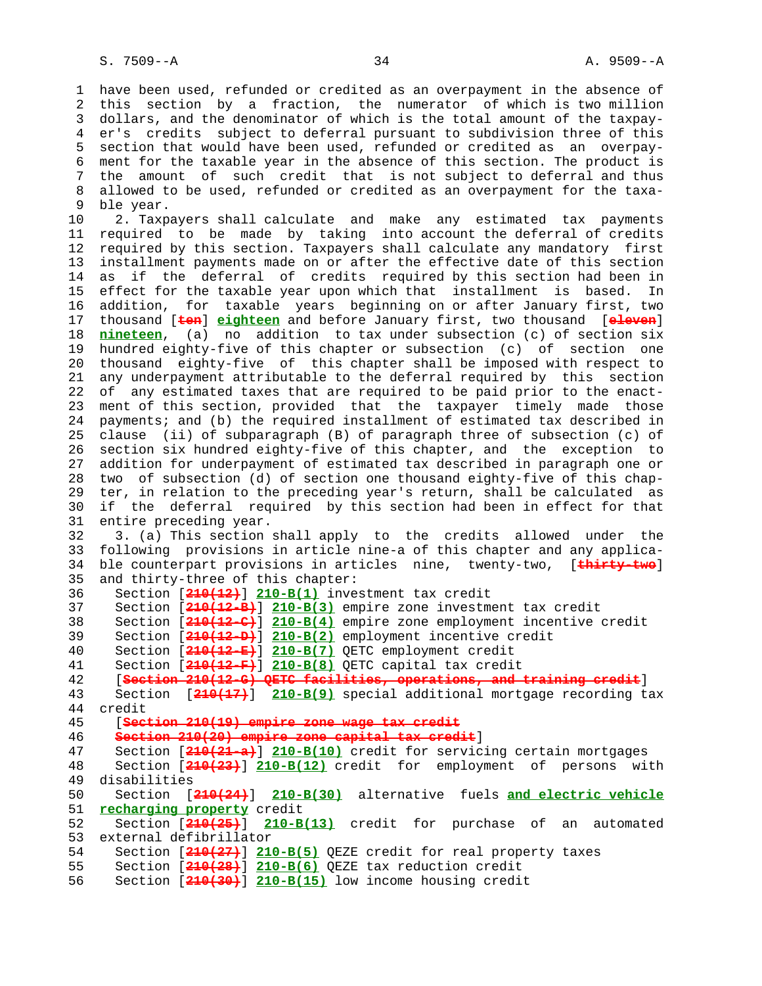1 have been used, refunded or credited as an overpayment in the absence of 2 this section by a fraction, the numerator of which is two million 3 dollars, and the denominator of which is the total amount of the taxpay- 4 er's credits subject to deferral pursuant to subdivision three of this 5 section that would have been used, refunded or credited as an overpay- 6 ment for the taxable year in the absence of this section. The product is 7 the amount of such credit that is not subject to deferral and thus 8 allowed to be used, refunded or credited as an overpayment for the taxa-<br>9 ble year. ble year.

 10 2. Taxpayers shall calculate and make any estimated tax payments 11 required to be made by taking into account the deferral of credits 12 required by this section. Taxpayers shall calculate any mandatory first 13 installment payments made on or after the effective date of this section 14 as if the deferral of credits required by this section had been in 15 effect for the taxable year upon which that installment is based. In 16 addition, for taxable years beginning on or after January first, two 17 thousand [**ten**] **eighteen** and before January first, two thousand [**eleven**] 18 **nineteen**, (a) no addition to tax under subsection (c) of section six 19 hundred eighty-five of this chapter or subsection (c) of section one 20 thousand eighty-five of this chapter shall be imposed with respect to 21 any underpayment attributable to the deferral required by this section 22 of any estimated taxes that are required to be paid prior to the enact- 23 ment of this section, provided that the taxpayer timely made those 24 payments; and (b) the required installment of estimated tax described in 25 clause (ii) of subparagraph (B) of paragraph three of subsection (c) of 26 section six hundred eighty-five of this chapter, and the exception to 27 addition for underpayment of estimated tax described in paragraph one or 28 two of subsection (d) of section one thousand eighty-five of this chap- 29 ter, in relation to the preceding year's return, shall be calculated as 30 if the deferral required by this section had been in effect for that 31 entire preceding year.

 32 3. (a) This section shall apply to the credits allowed under the 33 following provisions in article nine-a of this chapter and any applica- 34 ble counterpart provisions in articles nine, twenty-two, [**thirty-two**] 35 and thirty-three of this chapter:

```
 36 Section [210(12)] 210-B(1) investment tax credit
```
37 Section [**210(12-B)**] **210-B(3)** empire zone investment tax credit

```
 38 Section [210(12-C)] 210-B(4) empire zone employment incentive credit
```

```
 39 Section [210(12-D)] 210-B(2) employment incentive credit
```

```
 40 Section [210(12-E)] 210-B(7) QETC employment credit
```
41 Section [**210(12-F)**] **210-B(8)** QETC capital tax credit

```
 42 [Section 210(12-G) QETC facilities, operations, and training credit]
```
 43 Section [**210(17)**] **210-B(9)** special additional mortgage recording tax 44 credit

```
 45 [Section 210(19) empire zone wage tax credit
```

```
 46 Section 210(20) empire zone capital tax credit]
```

```
 47 Section [210(21-a)] 210-B(10) credit for servicing certain mortgages
```
 48 Section [**210(23)**] **210-B(12)** credit for employment of persons with disabilities

```
 50 Section [210(24)] 210-B(30) alternative fuels and electric vehicle
 51 recharging property credit
```
 52 Section [**210(25)**] **210-B(13)** credit for purchase of an automated 53 external defibrillator

```
 54 Section [210(27)] 210-B(5) QEZE credit for real property taxes
```

```
 55 Section [210(28)] 210-B(6) QEZE tax reduction credit
```

```
 56 Section [210(30)] 210-B(15) low income housing credit
```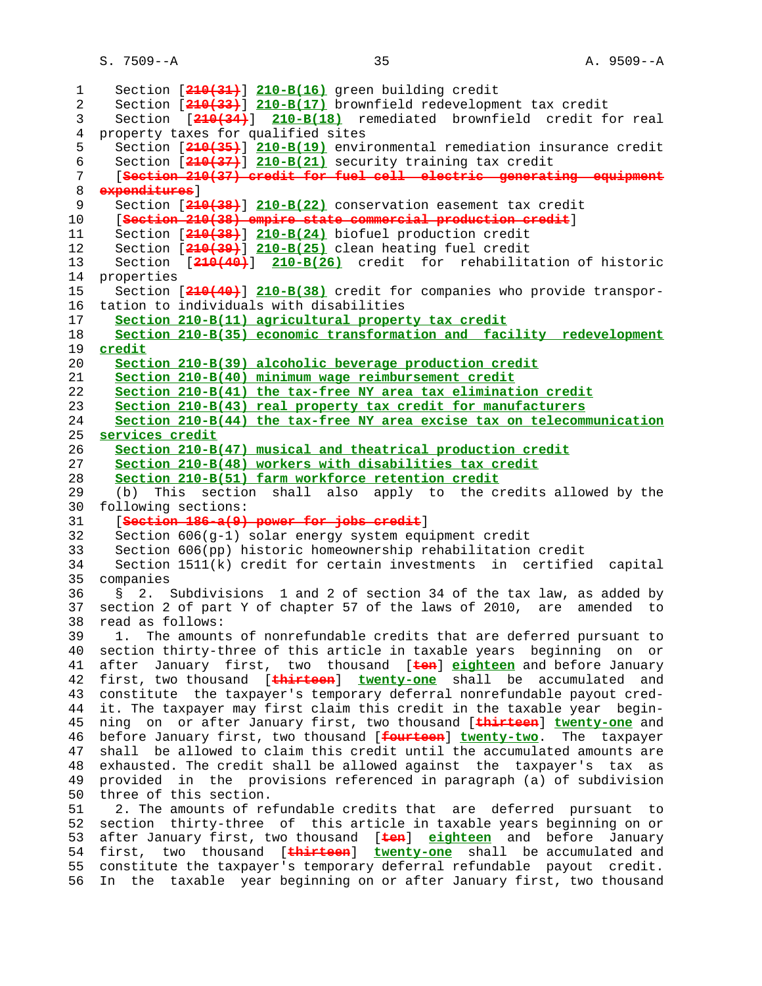```
 1 Section [210(31)] 210-B(16) green building credit
  2 Section [210(33)] 210-B(17) brownfield redevelopment tax credit
  3 Section [210(34)] 210-B(18) remediated brownfield credit for real
  4 property taxes for qualified sites
  5 Section [210(35)] 210-B(19) environmental remediation insurance credit
 6 Section [210(37)] 210-B(21) security training tax credit
       7 [Section 210(37) credit for fuel cell electric generating equipment
8 expenditures]<br>9 Section [21
      9 Section [210(38)] 210-B(22) conservation easement tax credit
 10 [Section 210(38) empire state commercial production credit]
 11 Section [210(38)] 210-B(24) biofuel production credit
 12 Section [210(39)] 210-B(25) clean heating fuel credit
 13 Section [210(40)] 210-B(26) credit for rehabilitation of historic
 14 properties
 15 Section [210(40)] 210-B(38) credit for companies who provide transpor-
 16 tation to individuals with disabilities
 17 Section 210-B(11) agricultural property tax credit
 18 Section 210-B(35) economic transformation and facility redevelopment
 19 credit
 20 Section 210-B(39) alcoholic beverage production credit
 21 Section 210-B(40) minimum wage reimbursement credit
 22 Section 210-B(41) the tax-free NY area tax elimination credit
 23 Section 210-B(43) real property tax credit for manufacturers
 24 Section 210-B(44) the tax-free NY area excise tax on telecommunication
 25 services credit
 26 Section 210-B(47) musical and theatrical production credit
 27 Section 210-B(48) workers with disabilities tax credit
 28 Section 210-B(51) farm workforce retention credit
 29 (b) This section shall also apply to the credits allowed by the
 30 following sections:
 31 [Section 186-a(9) power for jobs credit]
 32 Section 606(g-1) solar energy system equipment credit
 33 Section 606(pp) historic homeownership rehabilitation credit
 34 Section 1511(k) credit for certain investments in certified capital
 35 companies
 36 § 2. Subdivisions 1 and 2 of section 34 of the tax law, as added by
 37 section 2 of part Y of chapter 57 of the laws of 2010, are amended to
 38 read as follows:
 39 1. The amounts of nonrefundable credits that are deferred pursuant to
 40 section thirty-three of this article in taxable years beginning on or
 41 after January first, two thousand [ten] eighteen and before January
 42 first, two thousand [thirteen] twenty-one shall be accumulated and
 43 constitute the taxpayer's temporary deferral nonrefundable payout cred-
 44 it. The taxpayer may first claim this credit in the taxable year begin-
 45 ning on or after January first, two thousand [thirteen] twenty-one and
 46 before January first, two thousand [fourteen] twenty-two. The taxpayer
 47 shall be allowed to claim this credit until the accumulated amounts are
 48 exhausted. The credit shall be allowed against the taxpayer's tax as
 49 provided in the provisions referenced in paragraph (a) of subdivision
 50 three of this section.
 51 2. The amounts of refundable credits that are deferred pursuant to
 52 section thirty-three of this article in taxable years beginning on or
 53 after January first, two thousand [ten] eighteen and before January
 54 first, two thousand [thirteen] twenty-one shall be accumulated and
 55 constitute the taxpayer's temporary deferral refundable payout credit.
 56 In the taxable year beginning on or after January first, two thousand
```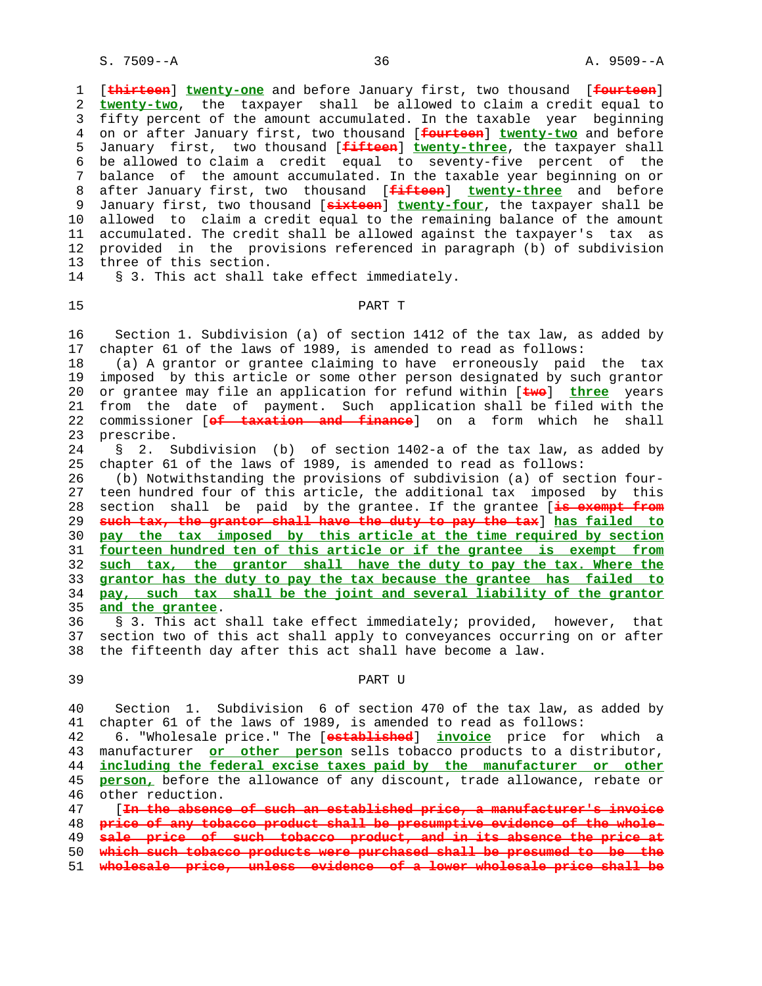1 [**thirteen**] **twenty-one** and before January first, two thousand [**fourteen**] 2 **twenty-two**, the taxpayer shall be allowed to claim a credit equal to 3 fifty percent of the amount accumulated. In the taxable year beginning 4 on or after January first, two thousand [**fourteen**] **twenty-two** and before 5 January first, two thousand [**fifteen**] **twenty-three**, the taxpayer shall 6 be allowed to claim a credit equal to seventy-five percent of the 7 balance of the amount accumulated. In the taxable year beginning on or 8 after January first, two thousand [**fifteen**] **twenty-three** and before 9 January first, two thousand [**sixteen**] **twenty-four**, the taxpayer shall be 10 allowed to claim a credit equal to the remaining balance of the amount 11 accumulated. The credit shall be allowed against the taxpayer's tax as 12 provided in the provisions referenced in paragraph (b) of subdivision 13 three of this section.

14 § 3. This act shall take effect immediately.

### 15 PART T

 16 Section 1. Subdivision (a) of section 1412 of the tax law, as added by 17 chapter 61 of the laws of 1989, is amended to read as follows:

 18 (a) A grantor or grantee claiming to have erroneously paid the tax 19 imposed by this article or some other person designated by such grantor 20 or grantee may file an application for refund within [**two**] **three** years 21 from the date of payment. Such application shall be filed with the 22 commissioner [**of taxation and finance**] on a form which he shall 23 prescribe.

 24 § 2. Subdivision (b) of section 1402-a of the tax law, as added by 25 chapter 61 of the laws of 1989, is amended to read as follows:

 26 (b) Notwithstanding the provisions of subdivision (a) of section four- 27 teen hundred four of this article, the additional tax imposed by this 28 section shall be paid by the grantee. If the grantee [**is exempt from such tax, the grantor shall have the duty to pay the tax**] **has failed to pay the tax imposed by this article at the time required by section fourteen hundred ten of this article or if the grantee is exempt from such tax, the grantor shall have the duty to pay the tax. Where the grantor has the duty to pay the tax because the grantee has failed to pay, such tax shall be the joint and several liability of the grantor and the grantee**.

 36 § 3. This act shall take effect immediately; provided, however, that 37 section two of this act shall apply to conveyances occurring on or after 38 the fifteenth day after this act shall have become a law.

### 39 PART U

 40 Section 1. Subdivision 6 of section 470 of the tax law, as added by 41 chapter 61 of the laws of 1989, is amended to read as follows:

 42 6. "Wholesale price." The [**established**] **invoice** price for which a 43 manufacturer **or other person** sells tobacco products to a distributor, 44 **including the federal excise taxes paid by the manufacturer or other** 45 **person,** before the allowance of any discount, trade allowance, rebate or 46 other reduction.

 47 [**In the absence of such an established price, a manufacturer's invoice price of any tobacco product shall be presumptive evidence of the whole- sale price of such tobacco product, and in its absence the price at which such tobacco products were purchased shall be presumed to be the wholesale price, unless evidence of a lower wholesale price shall be**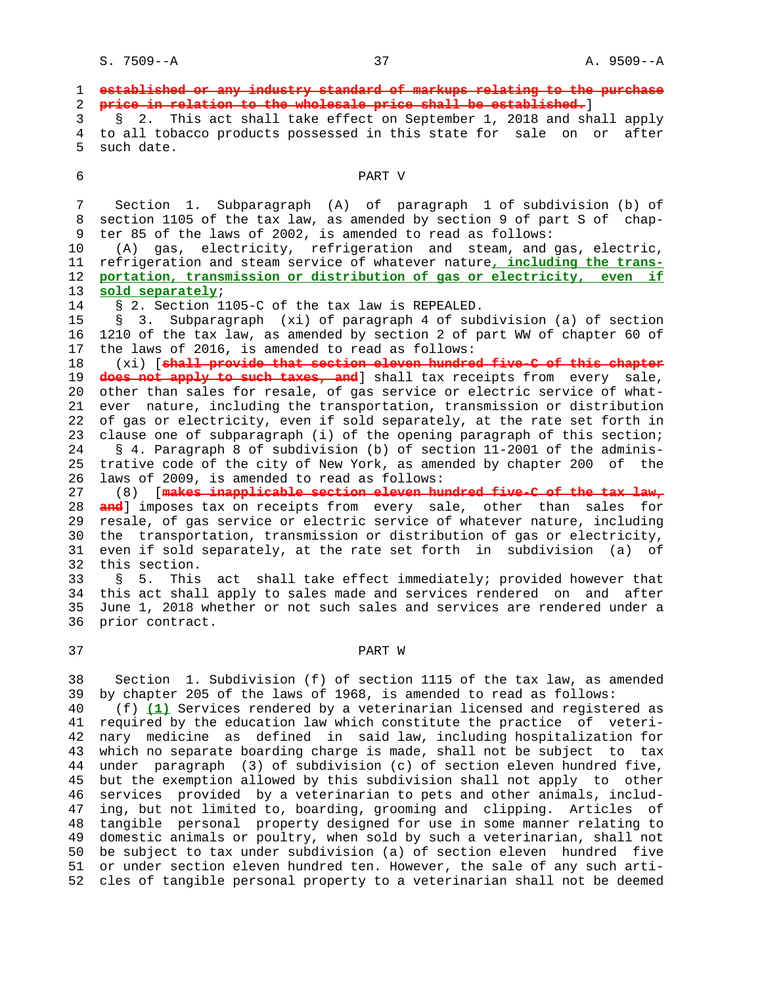| 1        | established or any industry standard of markups relating to the purchase                               |
|----------|--------------------------------------------------------------------------------------------------------|
| 2        | price in relation to the wholesale price shall be established. [                                       |
| 3        | This act shall take effect on September 1, 2018 and shall apply<br>$\begin{matrix}8 & 2. \end{matrix}$ |
| 4        | to all tobacco products possessed in this state for sale on or after                                   |
| 5        | such date.                                                                                             |
|          |                                                                                                        |
| 6        | PART V                                                                                                 |
| 7        | Section 1. Subparagraph (A) of paragraph 1 of subdivision (b) of                                       |
| 8        | section 1105 of the tax law, as amended by section 9 of part S of chap-                                |
| 9        | ter 85 of the laws of 2002, is amended to read as follows:                                             |
| 10       | (A) gas, electricity, refrigeration and steam, and gas, electric,                                      |
| 11       | refrigeration and steam service of whatever nature, including the trans-                               |
| 12       | portation, transmission or distribution of gas or electricity, even if                                 |
| 13       | sold separately;                                                                                       |
| 14       | § 2. Section 1105-C of the tax law is REPEALED.                                                        |
| 15       | Subparagraph (xi) of paragraph 4 of subdivision (a) of section<br>$\mathbb{S}$<br>3.                   |
| 16       | 1210 of the tax law, as amended by section 2 of part WW of chapter 60 of                               |
| 17       | the laws of 2016, is amended to read as follows:                                                       |
| 18       | (xi) [shall provide that section eleven hundred five-C of this chapter                                 |
| 19       | does not apply to such taxes, and shall tax receipts from every sale,                                  |
| 20       | other than sales for resale, of gas service or electric service of what-                               |
| 21       | ever nature, including the transportation, transmission or distribution                                |
| 22       | of gas or electricity, even if sold separately, at the rate set forth in                               |
| 23       | clause one of subparagraph (i) of the opening paragraph of this section;                               |
| 24       | § 4. Paragraph 8 of subdivision (b) of section 11-2001 of the adminis-                                 |
| 25       | trative code of the city of New York, as amended by chapter 200 of the                                 |
| 26       | laws of 2009, is amended to read as follows:                                                           |
| 27       | (8) [makes inapplicable section eleven hundred five-C of the tax law,                                  |
| 28       | and] imposes tax on receipts from every sale, other than sales for                                     |
| 29       | resale, of gas service or electric service of whatever nature, including                               |
| 30       | the transportation, transmission or distribution of gas or electricity,                                |
| 31       | even if sold separately, at the rate set forth in subdivision (a) of                                   |
| 32       | this section.                                                                                          |
| 33       | This act shall take effect immediately; provided however that<br>5.<br>Š                               |
| 34       | this act shall apply to sales made and services rendered on and after                                  |
| 35<br>36 | June 1, 2018 whether or not such sales and services are rendered under a<br>prior contract.            |
|          |                                                                                                        |

# 37 PART W

 38 Section 1. Subdivision (f) of section 1115 of the tax law, as amended 39 by chapter 205 of the laws of 1968, is amended to read as follows:

 40 (f) **(1)** Services rendered by a veterinarian licensed and registered as 41 required by the education law which constitute the practice of veteri- 42 nary medicine as defined in said law, including hospitalization for 43 which no separate boarding charge is made, shall not be subject to tax 44 under paragraph (3) of subdivision (c) of section eleven hundred five, 45 but the exemption allowed by this subdivision shall not apply to other 46 services provided by a veterinarian to pets and other animals, includ- 47 ing, but not limited to, boarding, grooming and clipping. Articles of 48 tangible personal property designed for use in some manner relating to 49 domestic animals or poultry, when sold by such a veterinarian, shall not 50 be subject to tax under subdivision (a) of section eleven hundred five 51 or under section eleven hundred ten. However, the sale of any such arti- 52 cles of tangible personal property to a veterinarian shall not be deemed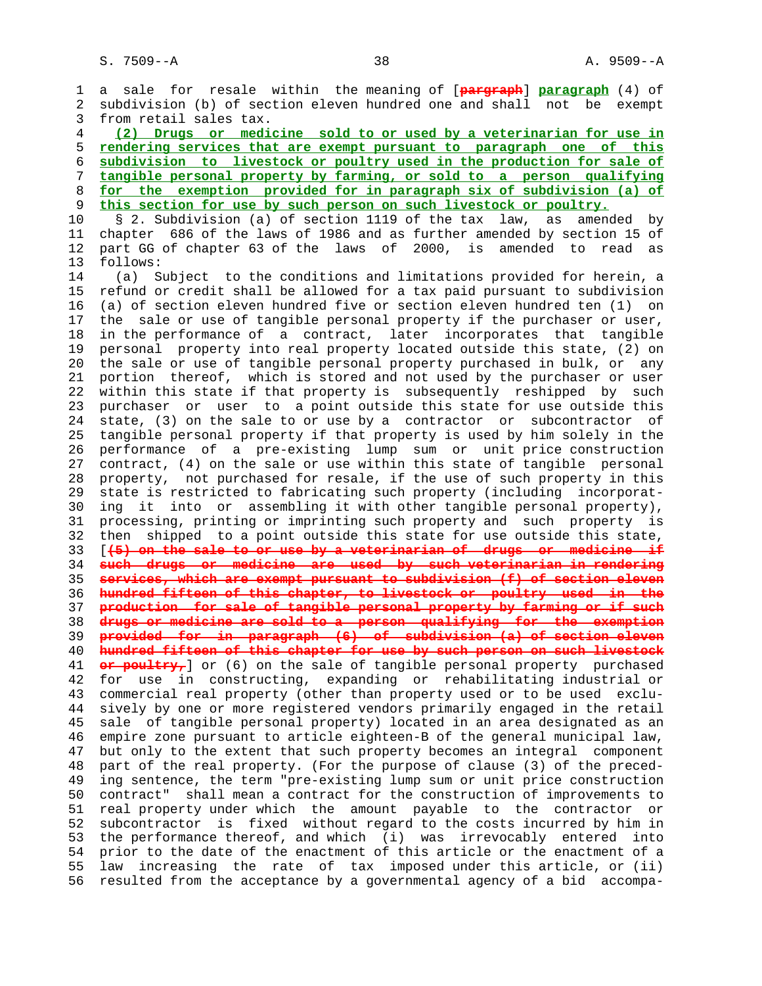1 a sale for resale within the meaning of [**pargraph**] **paragraph** (4) of 2 subdivision (b) of section eleven hundred one and shall not be exempt 3 from retail sales tax. 4 **(2) Drugs or medicine sold to or used by a veterinarian for use in** 5 **rendering services that are exempt pursuant to paragraph one of this** 6 **subdivision to livestock or poultry used in the production for sale of** 7 **tangible personal property by farming, or sold to a person qualifying** 8 **for the exemption provided for in paragraph six of subdivision (a) of** 9 **this section for use by such person on such livestock or poultry.** 10 § 2. Subdivision (a) of section 1119 of the tax law, as amended by 11 chapter 686 of the laws of 1986 and as further amended by section 15 of 12 part GG of chapter 63 of the laws of 2000, is amended to read as 13 follows: 14 (a) Subject to the conditions and limitations provided for herein, a 15 refund or credit shall be allowed for a tax paid pursuant to subdivision 16 (a) of section eleven hundred five or section eleven hundred ten (1) on 17 the sale or use of tangible personal property if the purchaser or user, 18 in the performance of a contract, later incorporates that tangible 19 personal property into real property located outside this state, (2) on 20 the sale or use of tangible personal property purchased in bulk, or any 21 portion thereof, which is stored and not used by the purchaser or user 22 within this state if that property is subsequently reshipped by such 23 purchaser or user to a point outside this state for use outside this 24 state, (3) on the sale to or use by a contractor or subcontractor of 25 tangible personal property if that property is used by him solely in the 26 performance of a pre-existing lump sum or unit price construction 27 contract, (4) on the sale or use within this state of tangible personal 28 property, not purchased for resale, if the use of such property in this 29 state is restricted to fabricating such property (including incorporat- 30 ing it into or assembling it with other tangible personal property), 31 processing, printing or imprinting such property and such property is 32 then shipped to a point outside this state for use outside this state, 33 [**(5) on the sale to or use by a veterinarian of drugs or medicine if** 34 **such drugs or medicine are used by such veterinarian in rendering** 35 **services, which are exempt pursuant to subdivision (f) of section eleven** 36 **hundred fifteen of this chapter, to livestock or poultry used in the** 37 **production for sale of tangible personal property by farming or if such** 38 **drugs or medicine are sold to a person qualifying for the exemption** 39 **provided for in paragraph (6) of subdivision (a) of section eleven** 40 **hundred fifteen of this chapter for use by such person on such livestock** 41 **or poultry,**] or (6) on the sale of tangible personal property purchased 42 for use in constructing, expanding or rehabilitating industrial or 43 commercial real property (other than property used or to be used exclu- 44 sively by one or more registered vendors primarily engaged in the retail 45 sale of tangible personal property) located in an area designated as an 46 empire zone pursuant to article eighteen-B of the general municipal law, 47 but only to the extent that such property becomes an integral component 48 part of the real property. (For the purpose of clause (3) of the preced- 49 ing sentence, the term "pre-existing lump sum or unit price construction 50 contract" shall mean a contract for the construction of improvements to 51 real property under which the amount payable to the contractor or 52 subcontractor is fixed without regard to the costs incurred by him in 53 the performance thereof, and which (i) was irrevocably entered into 54 prior to the date of the enactment of this article or the enactment of a 55 law increasing the rate of tax imposed under this article, or (ii) 56 resulted from the acceptance by a governmental agency of a bid accompa-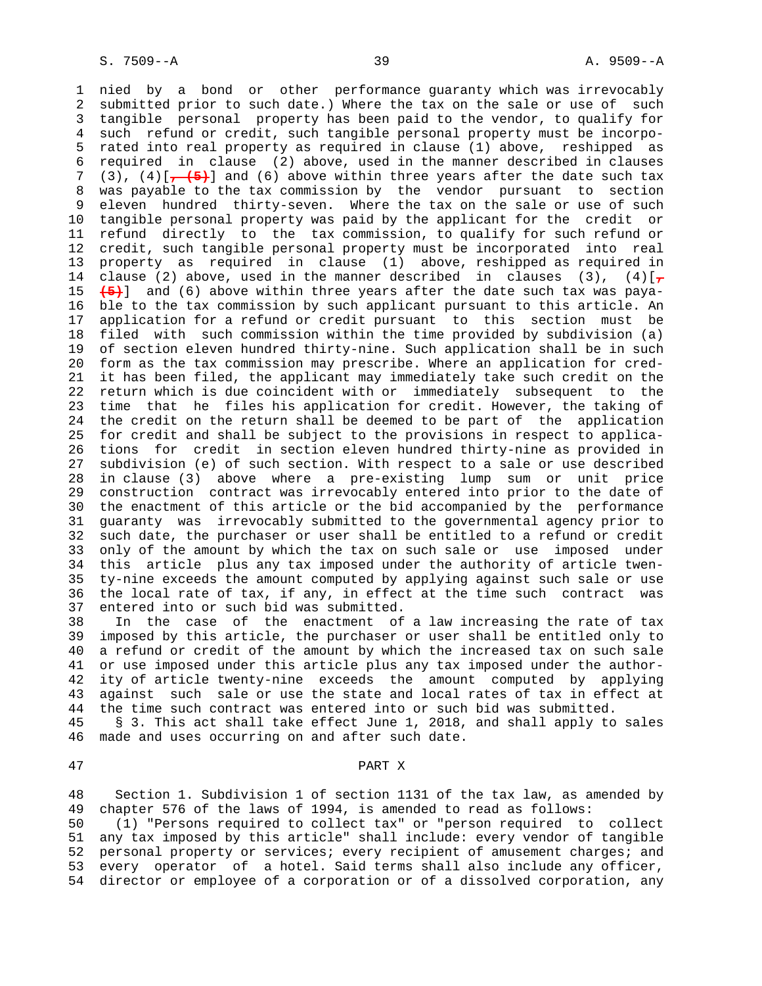1 nied by a bond or other performance guaranty which was irrevocably 2 submitted prior to such date.) Where the tax on the sale or use of such 3 tangible personal property has been paid to the vendor, to qualify for 4 such refund or credit, such tangible personal property must be incorpo- 5 rated into real property as required in clause (1) above, reshipped as 6 required in clause (2) above, used in the manner described in clauses 7 (3),  $(4)$ [ $\rightarrow$  (5)] and (6) above within three years after the date such tax 8 was payable to the tax commission by the vendor pursuant to section eleven hundred thirty-seven. Where the tax on the sale or use of such 10 tangible personal property was paid by the applicant for the credit or 11 refund directly to the tax commission, to qualify for such refund or 12 credit, such tangible personal property must be incorporated into real 13 property as required in clause (1) above, reshipped as required in 14 clause (2) above, used in the manner described in clauses (3),  $(4)[\mathbf{r}]$  15 **(5)**] and (6) above within three years after the date such tax was paya- 16 ble to the tax commission by such applicant pursuant to this article. An 17 application for a refund or credit pursuant to this section must be 18 filed with such commission within the time provided by subdivision (a) 19 of section eleven hundred thirty-nine. Such application shall be in such 20 form as the tax commission may prescribe. Where an application for cred- 21 it has been filed, the applicant may immediately take such credit on the 22 return which is due coincident with or immediately subsequent to the 23 time that he files his application for credit. However, the taking of 24 the credit on the return shall be deemed to be part of the application 25 for credit and shall be subject to the provisions in respect to applica- 26 tions for credit in section eleven hundred thirty-nine as provided in 27 subdivision (e) of such section. With respect to a sale or use described 28 in clause (3) above where a pre-existing lump sum or unit price 29 construction contract was irrevocably entered into prior to the date of 30 the enactment of this article or the bid accompanied by the performance 31 guaranty was irrevocably submitted to the governmental agency prior to 32 such date, the purchaser or user shall be entitled to a refund or credit 33 only of the amount by which the tax on such sale or use imposed under 34 this article plus any tax imposed under the authority of article twen- 35 ty-nine exceeds the amount computed by applying against such sale or use 36 the local rate of tax, if any, in effect at the time such contract was 37 entered into or such bid was submitted.

 38 In the case of the enactment of a law increasing the rate of tax 39 imposed by this article, the purchaser or user shall be entitled only to 40 a refund or credit of the amount by which the increased tax on such sale 41 or use imposed under this article plus any tax imposed under the author- 42 ity of article twenty-nine exceeds the amount computed by applying 43 against such sale or use the state and local rates of tax in effect at 44 the time such contract was entered into or such bid was submitted.

 45 § 3. This act shall take effect June 1, 2018, and shall apply to sales 46 made and uses occurring on and after such date.

# 47 PART X

 48 Section 1. Subdivision 1 of section 1131 of the tax law, as amended by 49 chapter 576 of the laws of 1994, is amended to read as follows:

 50 (1) "Persons required to collect tax" or "person required to collect 51 any tax imposed by this article" shall include: every vendor of tangible 52 personal property or services; every recipient of amusement charges; and 53 every operator of a hotel. Said terms shall also include any officer, 54 director or employee of a corporation or of a dissolved corporation, any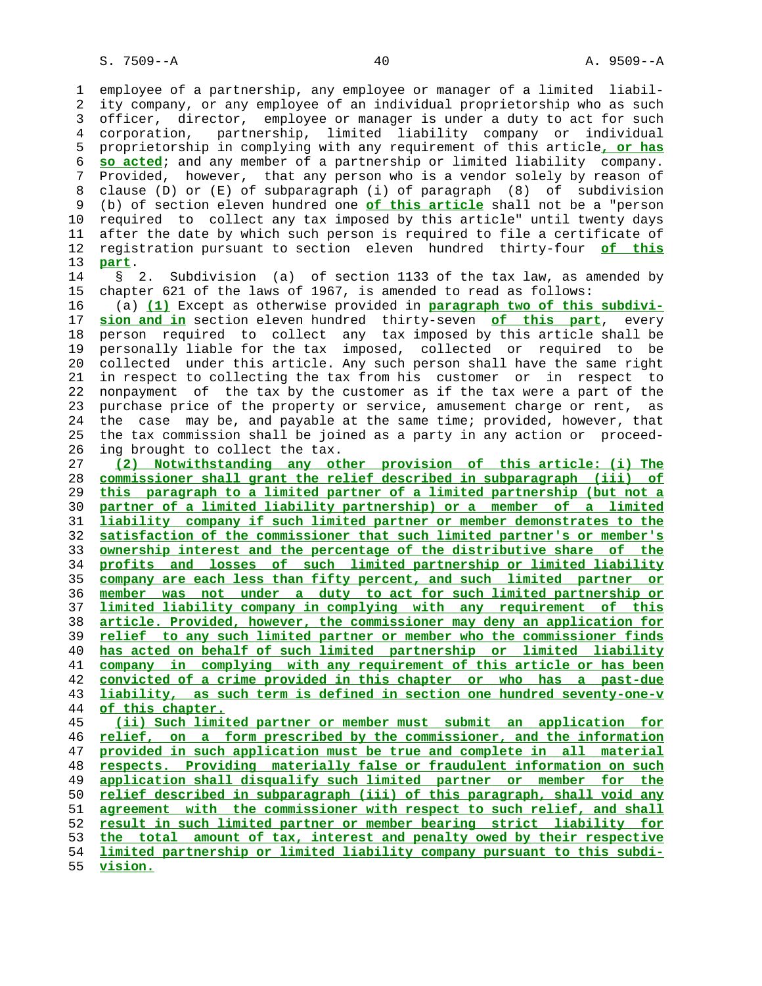1 employee of a partnership, any employee or manager of a limited liabil- 2 ity company, or any employee of an individual proprietorship who as such 3 officer, director, employee or manager is under a duty to act for such 4 corporation, partnership, limited liability company or individual 5 proprietorship in complying with any requirement of this article**, or has** 6 **so acted**; and any member of a partnership or limited liability company. 7 Provided, however, that any person who is a vendor solely by reason of 8 clause (D) or (E) of subparagraph (i) of paragraph (8) of subdivision 9 (b) of section eleven hundred one **of this article** shall not be a "person 10 required to collect any tax imposed by this article" until twenty days 11 after the date by which such person is required to file a certificate of 12 registration pursuant to section eleven hundred thirty-four **of this** 13 **part**. 14 § 2. Subdivision (a) of section 1133 of the tax law, as amended by 15 chapter 621 of the laws of 1967, is amended to read as follows: 16 (a) **(1)** Except as otherwise provided in **paragraph two of this subdivi-** 17 **sion and in** section eleven hundred thirty-seven **of this part**, every 18 person required to collect any tax imposed by this article shall be 19 personally liable for the tax imposed, collected or required to be 20 collected under this article. Any such person shall have the same right 21 in respect to collecting the tax from his customer or in respect to 22 nonpayment of the tax by the customer as if the tax were a part of the 23 purchase price of the property or service, amusement charge or rent, as 24 the case may be, and payable at the same time; provided, however, that 25 the tax commission shall be joined as a party in any action or proceed- 26 ing brought to collect the tax. 27 **(2) Notwithstanding any other provision of this article: (i) The** 28 **commissioner shall grant the relief described in subparagraph (iii) of** 29 **this paragraph to a limited partner of a limited partnership (but not a** 30 **partner of a limited liability partnership) or a member of a limited** 31 **liability company if such limited partner or member demonstrates to the** 32 **satisfaction of the commissioner that such limited partner's or member's** 33 **ownership interest and the percentage of the distributive share of the** 34 **profits and losses of such limited partnership or limited liability** 35 **company are each less than fifty percent, and such limited partner or** 36 **member was not under a duty to act for such limited partnership or** 37 **limited liability company in complying with any requirement of this** 38 **article. Provided, however, the commissioner may deny an application for** 39 **relief to any such limited partner or member who the commissioner finds** 40 **has acted on behalf of such limited partnership or limited liability** 41 **company in complying with any requirement of this article or has been** 42 **convicted of a crime provided in this chapter or who has a past-due** 43 **liability, as such term is defined in section one hundred seventy-one-v** 44 **of this chapter.** 45 **(ii) Such limited partner or member must submit an application for** 46 **relief, on a form prescribed by the commissioner, and the information** 47 **provided in such application must be true and complete in all material** 48 **respects. Providing materially false or fraudulent information on such** 49 **application shall disqualify such limited partner or member for the** 50 **relief described in subparagraph (iii) of this paragraph, shall void any** 51 **agreement with the commissioner with respect to such relief, and shall** 52 **result in such limited partner or member bearing strict liability for** 53 **the total amount of tax, interest and penalty owed by their respective**

54 **limited partnership or limited liability company pursuant to this subdi-**

55 **vision.**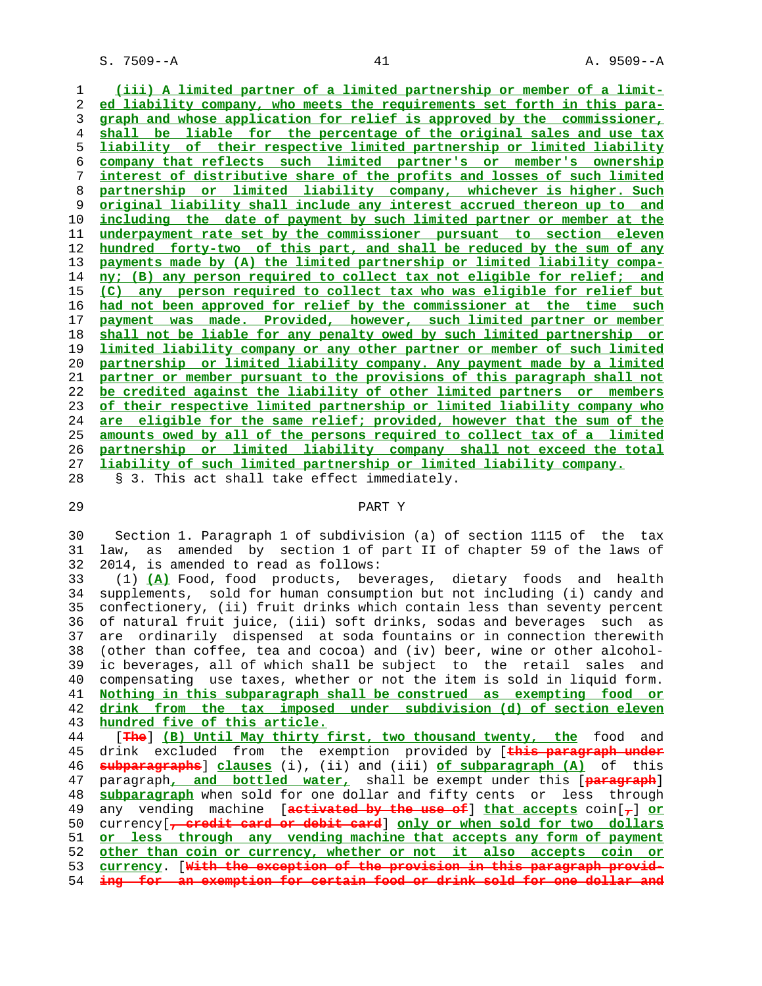**(iii) A limited partner of a limited partnership or member of a limit- ed liability company, who meets the requirements set forth in this para- graph and whose application for relief is approved by the commissioner, shall be liable for the percentage of the original sales and use tax liability of their respective limited partnership or limited liability company that reflects such limited partner's or member's ownership interest of distributive share of the profits and losses of such limited partnership or limited liability company, whichever is higher. Such original liability shall include any interest accrued thereon up to and including the date of payment by such limited partner or member at the underpayment rate set by the commissioner pursuant to section eleven hundred forty-two of this part, and shall be reduced by the sum of any payments made by (A) the limited partnership or limited liability compa- ny; (B) any person required to collect tax not eligible for relief; and (C) any person required to collect tax who was eligible for relief but had not been approved for relief by the commissioner at the time such payment was made. Provided, however, such limited partner or member shall not be liable for any penalty owed by such limited partnership or limited liability company or any other partner or member of such limited partnership or limited liability company. Any payment made by a limited partner or member pursuant to the provisions of this paragraph shall not be credited against the liability of other limited partners or members of their respective limited partnership or limited liability company who are eligible for the same relief; provided, however that the sum of the amounts owed by all of the persons required to collect tax of a limited partnership or limited liability company shall not exceed the total liability of such limited partnership or limited liability company.**

28 § 3. This act shall take effect immediately.

# 29 PART Y

 30 Section 1. Paragraph 1 of subdivision (a) of section 1115 of the tax 31 law, as amended by section 1 of part II of chapter 59 of the laws of 32 2014, is amended to read as follows:

 33 (1) **(A)** Food, food products, beverages, dietary foods and health 34 supplements, sold for human consumption but not including (i) candy and 35 confectionery, (ii) fruit drinks which contain less than seventy percent 36 of natural fruit juice, (iii) soft drinks, sodas and beverages such as 37 are ordinarily dispensed at soda fountains or in connection therewith 38 (other than coffee, tea and cocoa) and (iv) beer, wine or other alcohol- 39 ic beverages, all of which shall be subject to the retail sales and 40 compensating use taxes, whether or not the item is sold in liquid form. **Nothing in this subparagraph shall be construed as exempting food or drink from the tax imposed under subdivision (d) of section eleven hundred five of this article.** 44 [**The**] **(B) Until May thirty first, two thousand twenty, the** food and 45 drink excluded from the exemption provided by [**this paragraph under subparagraphs**] **clauses** (i), (ii) and (iii) **of subparagraph (A)** of this 47 paragraph**, and bottled water,** shall be exempt under this [**paragraph**] **subparagraph** when sold for one dollar and fifty cents or less through 49 any vending machine [**activated by the use of**] **that accepts** coin[**,**] **or** 50 currency[**, credit card or debit card**] **only or when sold for two dollars or less through any vending machine that accepts any form of payment other than coin or currency, whether or not it also accepts coin or currency**. [**With the exception of the provision in this paragraph provid-**

**ing for an exemption for certain food or drink sold for one dollar and**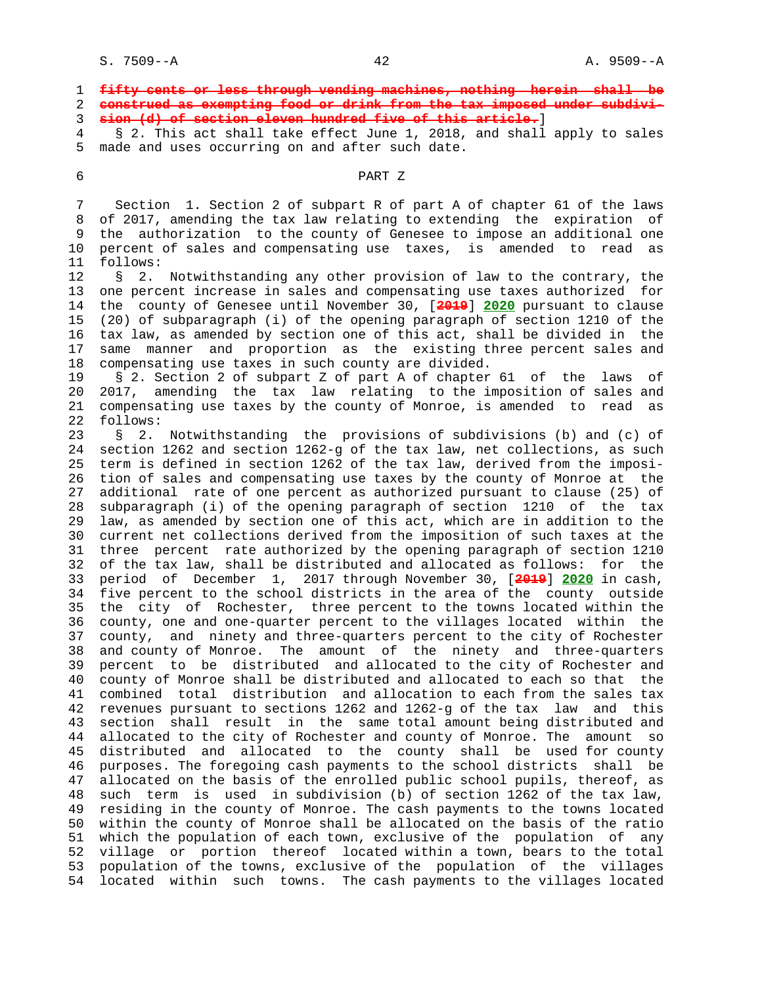| 2  | construed as exempting food or drink from the tax imposed under subdi-      |
|----|-----------------------------------------------------------------------------|
| 3  | sion (d) of section eleven hundred five of this article.                    |
| 4  | § 2. This act shall take effect June 1, 2018, and shall apply to sales      |
|    | made and uses occurring on and after such date.                             |
|    | PART Z                                                                      |
| 7  | Section 1. Section 2 of subpart R of part A of chapter 61 of the laws       |
|    | of 2017, amending the tax law relating to extending the expiration of       |
| 9  | the authorization to the county of Genesee to impose an additional one      |
| 10 | percent of sales and compensating use taxes, is amended to read<br>as       |
| 11 | follows:                                                                    |
| 12 | Notwithstanding any other provision of law to the contrary, the<br>2.<br>S. |
| 13 | one percent increase in sales and compensating use taxes authorized<br>for  |
| 14 | county of Genesee until November 30, [2019] 2020 pursuant to clause<br>the  |
| 15 | (20) of subparagraph (i) of the opening paragraph of section 1210 of the    |
| 16 | tax law, as amended by section one of this act, shall be divided in the     |
| 17 | and proportion as the existing three percent sales and<br>manner<br>same    |
| 18 | compensating use taxes in such county are divided.                          |
| 19 | § 2. Section 2 of subpart Z of part A of chapter 61 of the<br>laws          |
| 20 | amending the tax law relating to the imposition of sales and<br>2017,       |
| 21 | compensating use taxes by the county of Monroe, is amended to<br>read       |
| 22 | follows:                                                                    |
| 23 | 2.<br>Notwithstanding the provisions of subdivisions (b) and (c) of<br>Š.   |
| 24 | section 1262 and section 1262-g of the tax law, net collections, as such    |
| 25 | term is defined in section 1262 of the tax law, derived from the imposi-    |
| 26 | tion of sales and compensating use taxes by the county of Monroe at the     |
| 27 | additional rate of one percent as authorized pursuant to clause (25) of     |
| 28 | subparagraph (i) of the opening paragraph of section 1210 of the tax        |
| 29 | law, as amended by section one of this act, which are in addition to the    |
| 30 | current net collections derived from the imposition of such taxes at the    |
| 31 | three percent rate authorized by the opening paragraph of section 1210      |
| 32 | of the tax law, shall be distributed and allocated as follows: for the      |
| 33 | period of December 1, 2017 through November 30, [2019] 2020 in cash,        |
| 34 | five percent to the school districts in the area of the county outside      |
| 35 | the city of Rochester, three percent to the towns located within the        |
| 36 | county, one and one-quarter percent to the villages located within the      |
| 37 | county, and ninety and three-quarters percent to the city of Rochester      |
| 38 | and county of Monroe. The amount of the ninety and three-quarters           |
| 39 | percent to be distributed and allocated to the city of Rochester and        |
| 40 | county of Monroe shall be distributed and allocated to each so that<br>the  |
| 41 | combined total distribution and allocation to each from the sales tax       |
| 42 | revenues pursuant to sections 1262 and 1262-g of the tax law<br>and this    |
| 43 | section<br>shall result in the same total amount being distributed and      |
| 44 | allocated to the city of Rochester and county of Monroe. The<br>amount      |
| 45 | distributed and allocated to the county shall be used for county            |
| 46 | purposes. The foregoing cash payments to the school districts<br>shall be   |
| 47 | allocated on the basis of the enrolled public school pupils, thereof, as    |
| 48 | such term is used in subdivision (b) of section 1262 of the tax law,        |
| 49 | residing in the county of Monroe. The cash payments to the towns located    |
| 50 | within the county of Monroe shall be allocated on the basis of the ratio    |
| 51 | which the population of each town, exclusive of the population of any       |
| 52 | village or portion thereof located within a town, bears to the total        |

 53 population of the towns, exclusive of the population of the villages 54 located within such towns. The cash payments to the villages located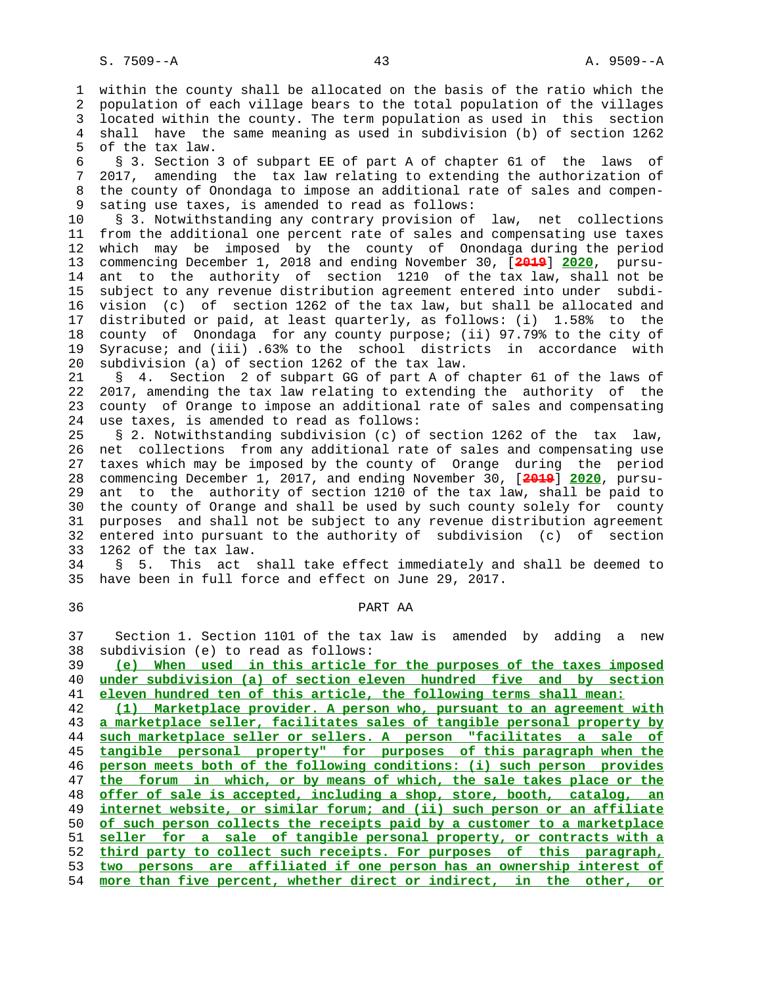1 within the county shall be allocated on the basis of the ratio which the 2 population of each village bears to the total population of the villages 3 located within the county. The term population as used in this section 4 shall have the same meaning as used in subdivision (b) of section 1262 5 of the tax law.

 6 § 3. Section 3 of subpart EE of part A of chapter 61 of the laws of 7 2017, amending the tax law relating to extending the authorization of 8 the county of Onondaga to impose an additional rate of sales and compen-<br>9 sating use taxes, is amended to read as follows: sating use taxes, is amended to read as follows:

 10 § 3. Notwithstanding any contrary provision of law, net collections 11 from the additional one percent rate of sales and compensating use taxes 12 which may be imposed by the county of Onondaga during the period 13 commencing December 1, 2018 and ending November 30, [**2019**] **2020**, pursu- 14 ant to the authority of section 1210 of the tax law, shall not be 15 subject to any revenue distribution agreement entered into under subdi- 16 vision (c) of section 1262 of the tax law, but shall be allocated and 17 distributed or paid, at least quarterly, as follows: (i) 1.58% to the 18 county of Onondaga for any county purpose; (ii) 97.79% to the city of 19 Syracuse; and (iii) .63% to the school districts in accordance with 20 subdivision (a) of section 1262 of the tax law.

 21 § 4. Section 2 of subpart GG of part A of chapter 61 of the laws of 22 2017, amending the tax law relating to extending the authority of the 23 county of Orange to impose an additional rate of sales and compensating 24 use taxes, is amended to read as follows:

 25 § 2. Notwithstanding subdivision (c) of section 1262 of the tax law, 26 net collections from any additional rate of sales and compensating use 27 taxes which may be imposed by the county of Orange during the period 28 commencing December 1, 2017, and ending November 30, [**2019**] **2020**, pursu- 29 ant to the authority of section 1210 of the tax law, shall be paid to 30 the county of Orange and shall be used by such county solely for county 31 purposes and shall not be subject to any revenue distribution agreement 32 entered into pursuant to the authority of subdivision (c) of section 33 1262 of the tax law.

 34 § 5. This act shall take effect immediately and shall be deemed to 35 have been in full force and effect on June 29, 2017.

## 36 PART AA

 37 Section 1. Section 1101 of the tax law is amended by adding a new 38 subdivision (e) to read as follows:

| 39 | in this article for the purposes of the taxes imposed<br>used<br>When<br>(e)                |
|----|---------------------------------------------------------------------------------------------|
| 40 | five<br>(a) of section eleven hundred<br>under subdivision<br>and<br>bv<br>section          |
| 41 | eleven hundred ten of this article, the following terms shall mean:                         |
| 42 | Marketplace provider. A person who, pursuant to an agreement with                           |
| 43 | a marketplace seller, facilitates sales of tangible personal property by                    |
| 44 | such marketplace seller or sellers. A person<br>"facilitates<br>sale of<br>$\mathbf{a}$     |
| 45 | of this paragraph when the<br>tangible<br>personal property" for<br>purposes                |
| 46 | person meets both of the following conditions: (i) such person<br>provides                  |
| 47 | which, or by means of which, the sale takes place or the<br>the<br>in<br>forum              |
| 48 | offer of sale is accepted, including a shop, store, booth, catalog, an                      |
| 49 | internet website, or similar forum; and (ii) such person or an affiliate                    |
| 50 | of such person collects the receipts paid by a customer to a marketplace                    |
| 51 | of tangible personal property, or contracts with a<br>seller<br>for<br>sale<br>$\mathbf{a}$ |
| 52 | third party to collect such receipts. For purposes<br>this<br>of<br>paragraph,              |
| 53 | are affiliated if one person has an ownership interest of<br>two<br>persons                 |
| 54 | more than five percent, whether direct or indirect,<br>in.<br>the<br>other,<br>or           |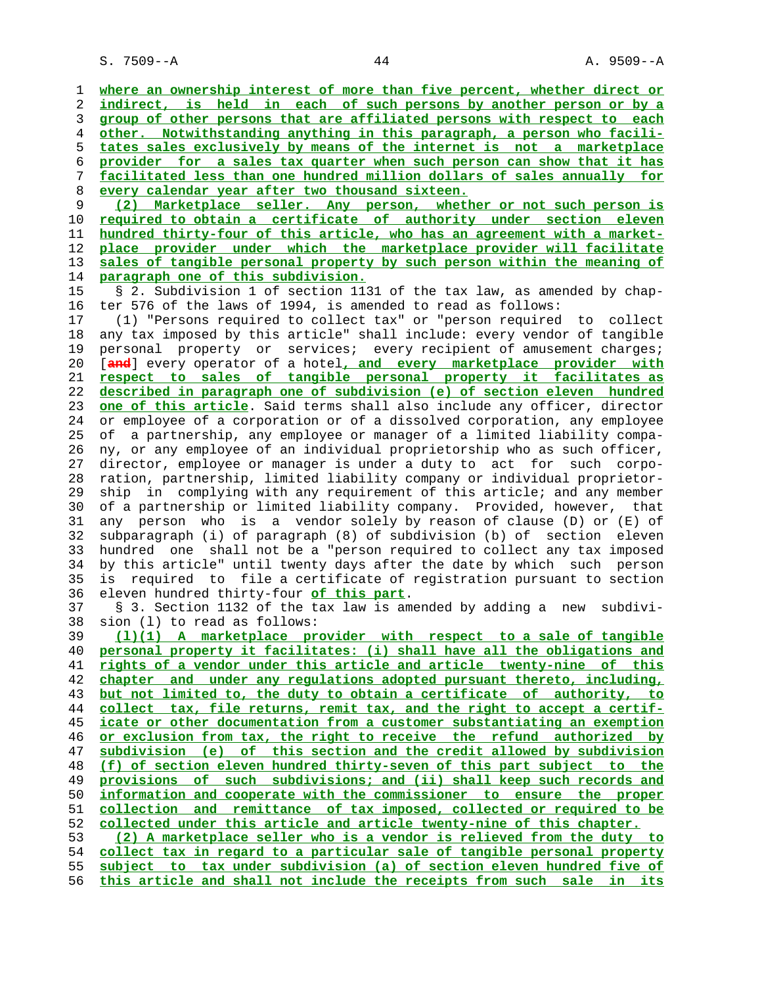S. 7509--A 44 A. 9509--A

**where an ownership interest of more than five percent, whether direct or indirect, is held in each of such persons by another person or by a group of other persons that are affiliated persons with respect to each other. Notwithstanding anything in this paragraph, a person who facili- tates sales exclusively by means of the internet is not a marketplace provider for a sales tax quarter when such person can show that it has facilitated less than one hundred million dollars of sales annually for every calendar year after two thousand sixteen. (2) Marketplace seller. Any person, whether or not such person is required to obtain a certificate of authority under section eleven hundred thirty-four of this article, who has an agreement with a market- place provider under which the marketplace provider will facilitate sales of tangible personal property by such person within the meaning of paragraph one of this subdivision.** 15 § 2. Subdivision 1 of section 1131 of the tax law, as amended by chap- 16 ter 576 of the laws of 1994, is amended to read as follows: 17 (1) "Persons required to collect tax" or "person required to collect 18 any tax imposed by this article" shall include: every vendor of tangible 19 personal property or services; every recipient of amusement charges; 20 [**and**] every operator of a hotel**, and every marketplace provider with respect to sales of tangible personal property it facilitates as described in paragraph one of subdivision (e) of section eleven hundred one of this article**. Said terms shall also include any officer, director 24 or employee of a corporation or of a dissolved corporation, any employee 25 of a partnership, any employee or manager of a limited liability compa- 26 ny, or any employee of an individual proprietorship who as such officer, 27 director, employee or manager is under a duty to act for such corpo- 28 ration, partnership, limited liability company or individual proprietor- 29 ship in complying with any requirement of this article; and any member 30 of a partnership or limited liability company. Provided, however, that 31 any person who is a vendor solely by reason of clause (D) or (E) of 32 subparagraph (i) of paragraph (8) of subdivision (b) of section eleven 33 hundred one shall not be a "person required to collect any tax imposed 34 by this article" until twenty days after the date by which such person 35 is required to file a certificate of registration pursuant to section 36 eleven hundred thirty-four **of this part**. 37 § 3. Section 1132 of the tax law is amended by adding a new subdivi- 38 sion (l) to read as follows: **(l)(1) A marketplace provider with respect to a sale of tangible personal property it facilitates: (i) shall have all the obligations and rights of a vendor under this article and article twenty-nine of this chapter and under any regulations adopted pursuant thereto, including, but not limited to, the duty to obtain a certificate of authority, to collect tax, file returns, remit tax, and the right to accept a certif- icate or other documentation from a customer substantiating an exemption or exclusion from tax, the right to receive the refund authorized by subdivision (e) of this section and the credit allowed by subdivision (f) of section eleven hundred thirty-seven of this part subject to the provisions of such subdivisions; and (ii) shall keep such records and information and cooperate with the commissioner to ensure the proper collection and remittance of tax imposed, collected or required to be collected under this article and article twenty-nine of this chapter. (2) A marketplace seller who is a vendor is relieved from the duty to collect tax in regard to a particular sale of tangible personal property subject to tax under subdivision (a) of section eleven hundred five of this article and shall not include the receipts from such sale in its**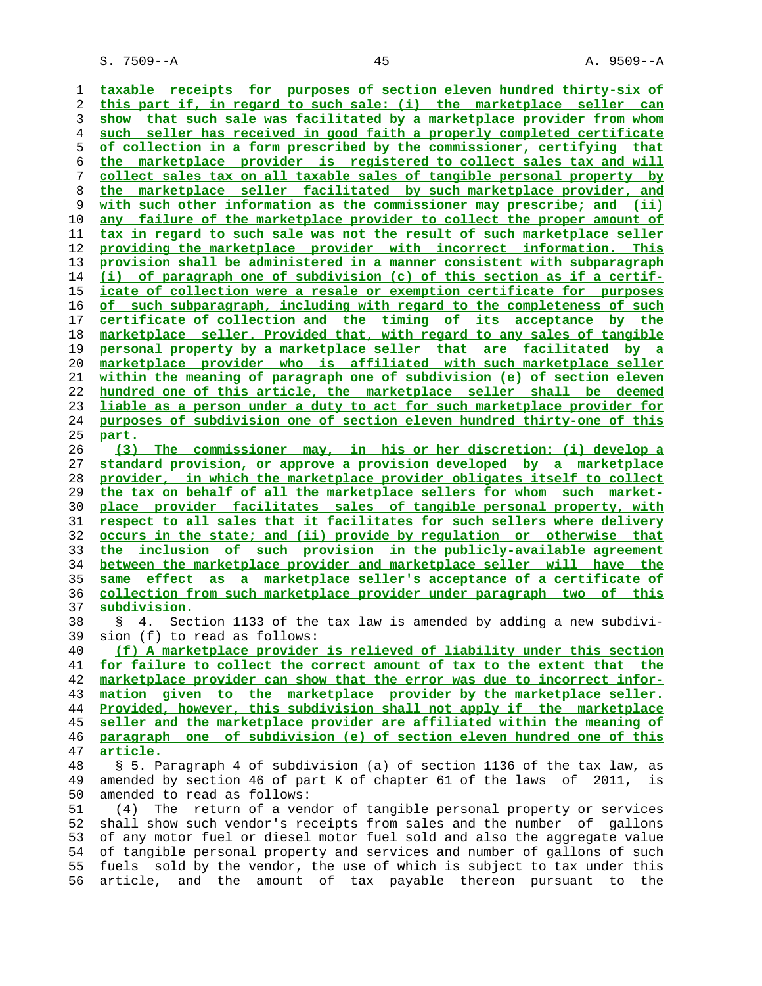S. 7509--A 45 A. 9509--A

**taxable receipts for purposes of section eleven hundred thirty-six of this part if, in regard to such sale: (i) the marketplace seller can show that such sale was facilitated by a marketplace provider from whom such seller has received in good faith a properly completed certificate of collection in a form prescribed by the commissioner, certifying that the marketplace provider is registered to collect sales tax and will collect sales tax on all taxable sales of tangible personal property by the marketplace seller facilitated by such marketplace provider, and** with such other information as the commissioner may prescribe; and (ii) **any failure of the marketplace provider to collect the proper amount of tax in regard to such sale was not the result of such marketplace seller providing the marketplace provider with incorrect information. This provision shall be administered in a manner consistent with subparagraph (i) of paragraph one of subdivision (c) of this section as if a certif- icate of collection were a resale or exemption certificate for purposes of such subparagraph, including with regard to the completeness of such certificate of collection and the timing of its acceptance by the marketplace seller. Provided that, with regard to any sales of tangible personal property by a marketplace seller that are facilitated by a marketplace provider who is affiliated with such marketplace seller within the meaning of paragraph one of subdivision (e) of section eleven hundred one of this article, the marketplace seller shall be deemed liable as a person under a duty to act for such marketplace provider for purposes of subdivision one of section eleven hundred thirty-one of this part. (3) The commissioner may, in his or her discretion: (i) develop a standard provision, or approve a provision developed by a marketplace provider, in which the marketplace provider obligates itself to collect the tax on behalf of all the marketplace sellers for whom such market- place provider facilitates sales of tangible personal property, with respect to all sales that it facilitates for such sellers where delivery occurs in the state; and (ii) provide by regulation or otherwise that the inclusion of such provision in the publicly-available agreement between the marketplace provider and marketplace seller will have the same effect as a marketplace seller's acceptance of a certificate of collection from such marketplace provider under paragraph two of this subdivision.** 38 § 4. Section 1133 of the tax law is amended by adding a new subdivi- 39 sion (f) to read as follows: **(f) A marketplace provider is relieved of liability under this section for failure to collect the correct amount of tax to the extent that the marketplace provider can show that the error was due to incorrect infor- mation given to the marketplace provider by the marketplace seller. Provided, however, this subdivision shall not apply if the marketplace seller and the marketplace provider are affiliated within the meaning of paragraph one of subdivision (e) of section eleven hundred one of this article.** 48 § 5. Paragraph 4 of subdivision (a) of section 1136 of the tax law, as amended by section 46 of part K of chapter 61 of the laws of 2011, is 50 amended to read as follows:

 51 (4) The return of a vendor of tangible personal property or services 52 shall show such vendor's receipts from sales and the number of gallons 53 of any motor fuel or diesel motor fuel sold and also the aggregate value 54 of tangible personal property and services and number of gallons of such 55 fuels sold by the vendor, the use of which is subject to tax under this 56 article, and the amount of tax payable thereon pursuant to the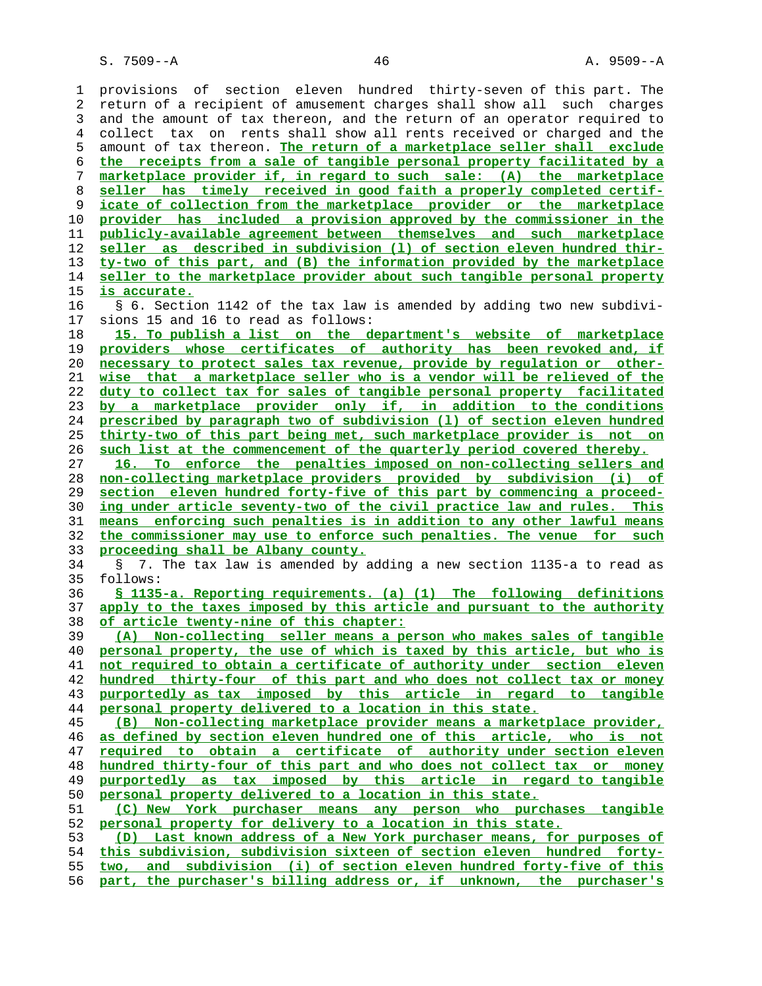1 provisions of section eleven hundred thirty-seven of this part. The 2 return of a recipient of amusement charges shall show all such charges 3 and the amount of tax thereon, and the return of an operator required to 4 collect tax on rents shall show all rents received or charged and the 5 amount of tax thereon. **The return of a marketplace seller shall exclude the receipts from a sale of tangible personal property facilitated by a marketplace provider if, in regard to such sale: (A) the marketplace seller has timely received in good faith a properly completed certif- icate of collection from the marketplace provider or the marketplace provider has included a provision approved by the commissioner in the publicly-available agreement between themselves and such marketplace seller as described in subdivision (l) of section eleven hundred thir- ty-two of this part, and (B) the information provided by the marketplace seller to the marketplace provider about such tangible personal property is accurate.** 16 § 6. Section 1142 of the tax law is amended by adding two new subdivi- 17 sions 15 and 16 to read as follows: **15. To publish a list on the department's website of marketplace providers whose certificates of authority has been revoked and, if necessary to protect sales tax revenue, provide by regulation or other- wise that a marketplace seller who is a vendor will be relieved of the duty to collect tax for sales of tangible personal property facilitated by a marketplace provider only if, in addition to the conditions prescribed by paragraph two of subdivision (l) of section eleven hundred thirty-two of this part being met, such marketplace provider is not on such list at the commencement of the quarterly period covered thereby. 16. To enforce the penalties imposed on non-collecting sellers and non-collecting marketplace providers provided by subdivision (i) of section eleven hundred forty-five of this part by commencing a proceed- ing under article seventy-two of the civil practice law and rules. This means enforcing such penalties is in addition to any other lawful means the commissioner may use to enforce such penalties. The venue for such proceeding shall be Albany county.** 34 § 7. The tax law is amended by adding a new section 1135-a to read as 35 follows: **§ 1135-a. Reporting requirements. (a) (1) The following definitions apply to the taxes imposed by this article and pursuant to the authority of article twenty-nine of this chapter: (A) Non-collecting seller means a person who makes sales of tangible personal property, the use of which is taxed by this article, but who is not required to obtain a certificate of authority under section eleven hundred thirty-four of this part and who does not collect tax or money purportedly as tax imposed by this article in regard to tangible personal property delivered to a location in this state. (B) Non-collecting marketplace provider means a marketplace provider, as defined by section eleven hundred one of this article, who is not required to obtain a certificate of authority under section eleven hundred thirty-four of this part and who does not collect tax or money purportedly as tax imposed by this article in regard to tangible personal property delivered to a location in this state. (C) New York purchaser means any person who purchases tangible personal property for delivery to a location in this state. (D) Last known address of a New York purchaser means, for purposes of this subdivision, subdivision sixteen of section eleven hundred forty- two, and subdivision (i) of section eleven hundred forty-five of this part, the purchaser's billing address or, if unknown, the purchaser's**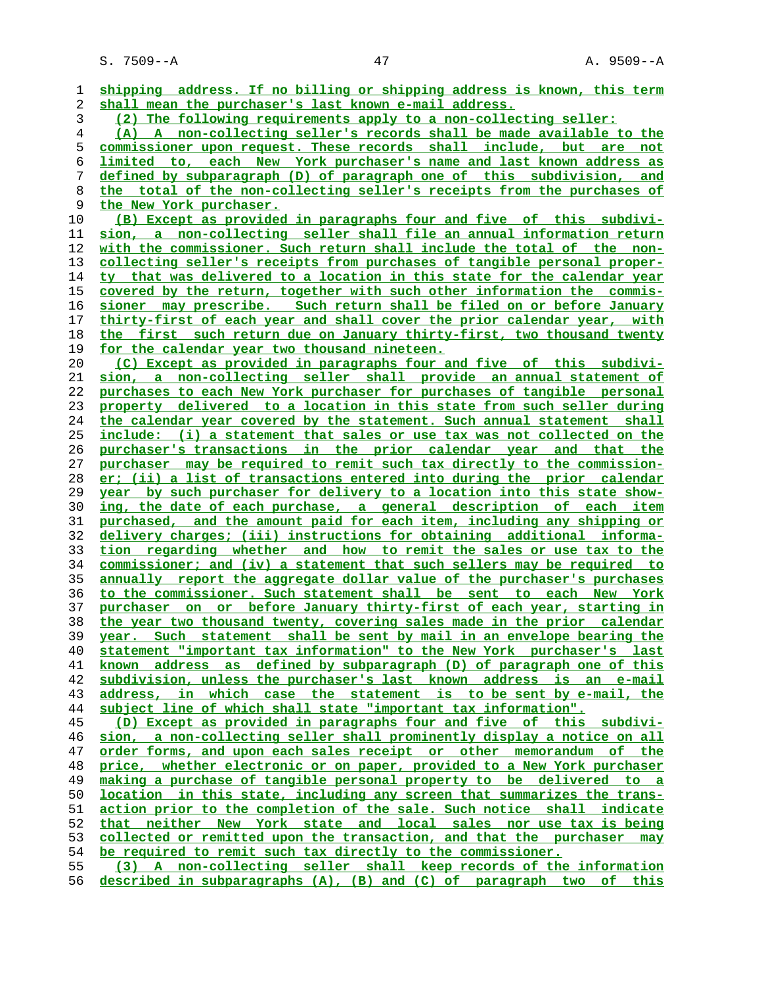S. 7509--A 27 2009-01 2009 12:00 17

**shipping address. If no billing or shipping address is known, this term shall mean the purchaser's last known e-mail address. (2) The following requirements apply to a non-collecting seller: (A) A non-collecting seller's records shall be made available to the commissioner upon request. These records shall include, but are not limited to, each New York purchaser's name and last known address as defined by subparagraph (D) of paragraph one of this subdivision, and the total of the non-collecting seller's receipts from the purchases of the New York purchaser. (B) Except as provided in paragraphs four and five of this subdivi- sion, a non-collecting seller shall file an annual information return with the commissioner. Such return shall include the total of the non- collecting seller's receipts from purchases of tangible personal proper- ty that was delivered to a location in this state for the calendar year covered by the return, together with such other information the commis- sioner may prescribe. Such return shall be filed on or before January thirty-first of each year and shall cover the prior calendar year, with the first such return due on January thirty-first, two thousand twenty for the calendar year two thousand nineteen. (C) Except as provided in paragraphs four and five of this subdivi- sion, a non-collecting seller shall provide an annual statement of purchases to each New York purchaser for purchases of tangible personal property delivered to a location in this state from such seller during the calendar year covered by the statement. Such annual statement shall include: (i) a statement that sales or use tax was not collected on the purchaser's transactions in the prior calendar year and that the purchaser may be required to remit such tax directly to the commission- er; (ii) a list of transactions entered into during the prior calendar year by such purchaser for delivery to a location into this state show- ing, the date of each purchase, a general description of each item purchased, and the amount paid for each item, including any shipping or delivery charges; (iii) instructions for obtaining additional informa- tion regarding whether and how to remit the sales or use tax to the commissioner; and (iv) a statement that such sellers may be required to annually report the aggregate dollar value of the purchaser's purchases to the commissioner. Such statement shall be sent to each New York purchaser on or before January thirty-first of each year, starting in the year two thousand twenty, covering sales made in the prior calendar year. Such statement shall be sent by mail in an envelope bearing the statement "important tax information" to the New York purchaser's last known address as defined by subparagraph (D) of paragraph one of this subdivision, unless the purchaser's last known address is an e-mail address, in which case the statement is to be sent by e-mail, the subject line of which shall state "important tax information". (D) Except as provided in paragraphs four and five of this subdivi- sion, a non-collecting seller shall prominently display a notice on all order forms, and upon each sales receipt or other memorandum of the price, whether electronic or on paper, provided to a New York purchaser making a purchase of tangible personal property to be delivered to a location in this state, including any screen that summarizes the trans- action prior to the completion of the sale. Such notice shall indicate that neither New York state and local sales nor use tax is being collected or remitted upon the transaction, and that the purchaser may be required to remit such tax directly to the commissioner. (3) A non-collecting seller shall keep records of the information described in subparagraphs (A), (B) and (C) of paragraph two of this**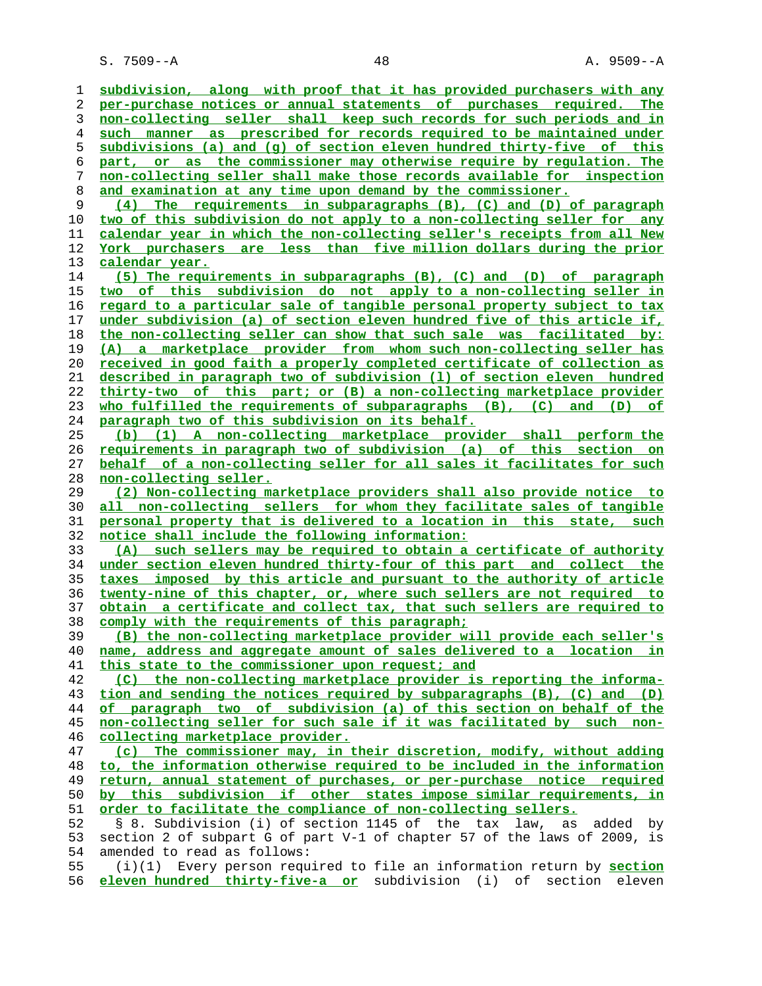S. 7509--A 48 A. 9509--A

**subdivision, along with proof that it has provided purchasers with any per-purchase notices or annual statements of purchases required. The non-collecting seller shall keep such records for such periods and in such manner as prescribed for records required to be maintained under subdivisions (a) and (g) of section eleven hundred thirty-five of this part, or as the commissioner may otherwise require by regulation. The non-collecting seller shall make those records available for inspection and examination at any time upon demand by the commissioner. (4) The requirements in subparagraphs (B), (C) and (D) of paragraph two of this subdivision do not apply to a non-collecting seller for any calendar year in which the non-collecting seller's receipts from all New York purchasers are less than five million dollars during the prior calendar year. (5) The requirements in subparagraphs (B), (C) and (D) of paragraph two of this subdivision do not apply to a non-collecting seller in regard to a particular sale of tangible personal property subject to tax under subdivision (a) of section eleven hundred five of this article if, the non-collecting seller can show that such sale was facilitated by: (A) a marketplace provider from whom such non-collecting seller has received in good faith a properly completed certificate of collection as described in paragraph two of subdivision (l) of section eleven hundred thirty-two of this part; or (B) a non-collecting marketplace provider who fulfilled the requirements of subparagraphs (B), (C) and (D) of paragraph two of this subdivision on its behalf. (b) (1) A non-collecting marketplace provider shall perform the requirements in paragraph two of subdivision (a) of this section on behalf of a non-collecting seller for all sales it facilitates for such non-collecting seller. (2) Non-collecting marketplace providers shall also provide notice to all non-collecting sellers for whom they facilitate sales of tangible personal property that is delivered to a location in this state, such notice shall include the following information: (A) such sellers may be required to obtain a certificate of authority under section eleven hundred thirty-four of this part and collect the taxes imposed by this article and pursuant to the authority of article twenty-nine of this chapter, or, where such sellers are not required to obtain a certificate and collect tax, that such sellers are required to comply with the requirements of this paragraph; (B) the non-collecting marketplace provider will provide each seller's name, address and aggregate amount of sales delivered to a location in this state to the commissioner upon request; and (C) the non-collecting marketplace provider is reporting the informa- tion and sending the notices required by subparagraphs (B), (C) and (D) of paragraph two of subdivision (a) of this section on behalf of the non-collecting seller for such sale if it was facilitated by such non- collecting marketplace provider. (c) The commissioner may, in their discretion, modify, without adding to, the information otherwise required to be included in the information return, annual statement of purchases, or per-purchase notice required by this subdivision if other states impose similar requirements, in order to facilitate the compliance of non-collecting sellers.** 52 § 8. Subdivision (i) of section 1145 of the tax law, as added by 53 section 2 of subpart G of part V-1 of chapter 57 of the laws of 2009, is 54 amended to read as follows: 55 (i)(1) Every person required to file an information return by **section eleven hundred thirty-five-a or** subdivision (i) of section eleven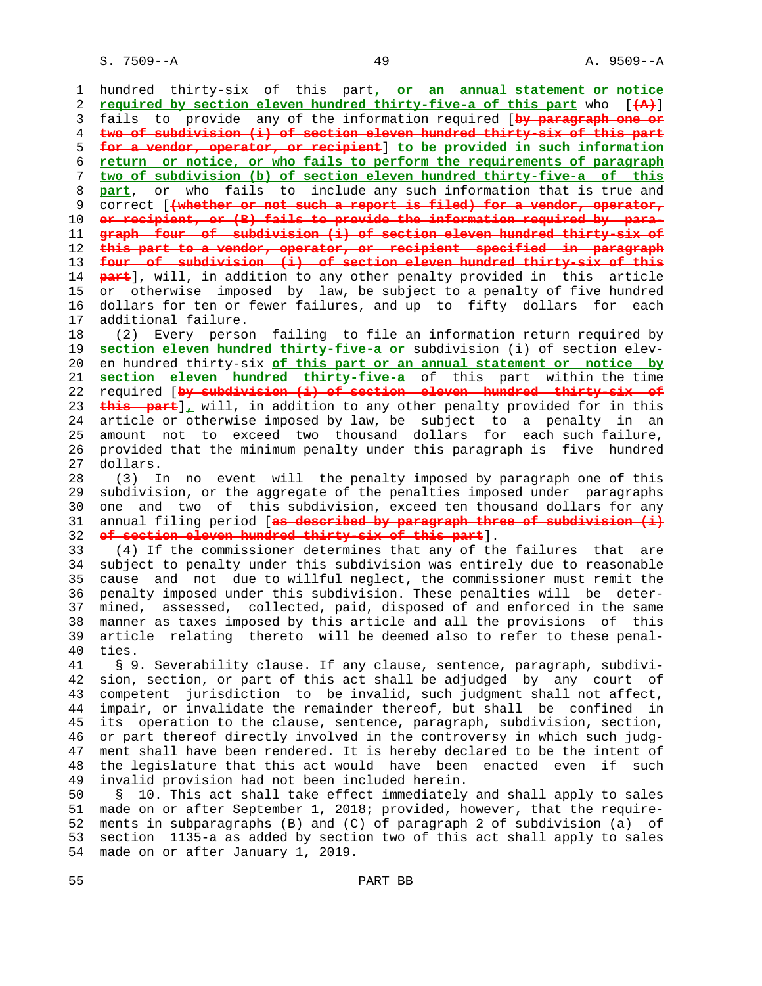S. 7509--A 49 A. 9509--A

 1 hundred thirty-six of this part**, or an annual statement or notice** 2 **required by section eleven hundred thirty-five-a of this part** who [**(A)**] 3 fails to provide any of the information required [**by paragraph one or** 4 **two of subdivision (i) of section eleven hundred thirty-six of this part** 5 **for a vendor, operator, or recipient**] **to be provided in such information** 6 **return or notice, or who fails to perform the requirements of paragraph** 7 **two of subdivision (b) of section eleven hundred thirty-five-a of this** 8 **part**, or who fails to include any such information that is true and<br>9 correct (twhether or not such a report is filed) for a vendor, operator, correct [ (whether or not such a report is filed) for a vendor, operator, 10 **or recipient, or (B) fails to provide the information required by para-** 11 **graph four of subdivision (i) of section eleven hundred thirty-six of** 12 **this part to a vendor, operator, or recipient specified in paragraph** 13 **four of subdivision (i) of section eleven hundred thirty-six of this** 14 **part**], will, in addition to any other penalty provided in this article 15 or otherwise imposed by law, be subject to a penalty of five hundred 16 dollars for ten or fewer failures, and up to fifty dollars for each 17 additional failure. 18 (2) Every person failing to file an information return required by 19 **section eleven hundred thirty-five-a or** subdivision (i) of section elev- 20 en hundred thirty-six **of this part or an annual statement or notice by** 21 **section eleven hundred thirty-five-a** of this part within the time 22 required [**by subdivision (i) of section eleven hundred thirty-six of** 23 **this part**]**,** will, in addition to any other penalty provided for in this 24 article or otherwise imposed by law, be subject to a penalty in an 25 amount not to exceed two thousand dollars for each such failure, 26 provided that the minimum penalty under this paragraph is five hundred 27 dollars. 28 (3) In no event will the penalty imposed by paragraph one of this 29 subdivision, or the aggregate of the penalties imposed under paragraphs 30 one and two of this subdivision, exceed ten thousand dollars for any 31 annual filing period [**as described by paragraph three of subdivision (i)** 32 **of section eleven hundred thirty-six of this part**]. 33 (4) If the commissioner determines that any of the failures that are 34 subject to penalty under this subdivision was entirely due to reasonable 35 cause and not due to willful neglect, the commissioner must remit the 36 penalty imposed under this subdivision. These penalties will be deter- 37 mined, assessed, collected, paid, disposed of and enforced in the same 38 manner as taxes imposed by this article and all the provisions of this 39 article relating thereto will be deemed also to refer to these penal- 40 ties. 41 § 9. Severability clause. If any clause, sentence, paragraph, subdivi- 42 sion, section, or part of this act shall be adjudged by any court of 43 competent jurisdiction to be invalid, such judgment shall not affect, 44 impair, or invalidate the remainder thereof, but shall be confined in 45 its operation to the clause, sentence, paragraph, subdivision, section, 46 or part thereof directly involved in the controversy in which such judg- 47 ment shall have been rendered. It is hereby declared to be the intent of 48 the legislature that this act would have been enacted even if such 49 invalid provision had not been included herein. 50 § 10. This act shall take effect immediately and shall apply to sales 51 made on or after September 1, 2018; provided, however, that the require- 52 ments in subparagraphs (B) and (C) of paragraph 2 of subdivision (a) of 53 section 1135-a as added by section two of this act shall apply to sales 54 made on or after January 1, 2019.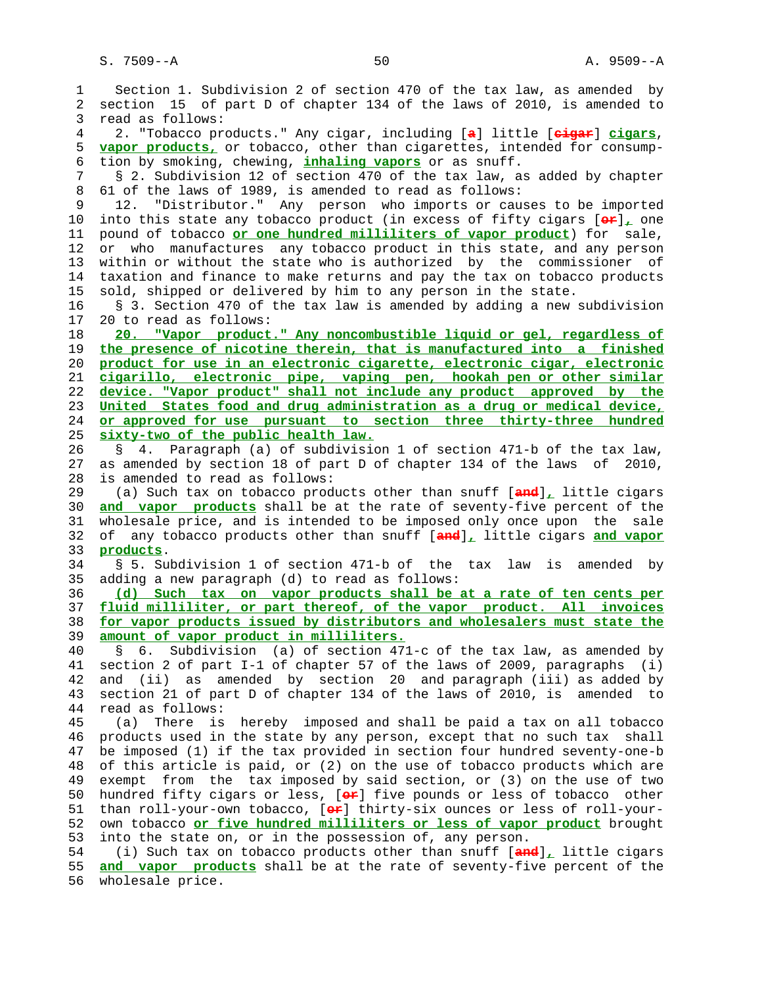1 Section 1. Subdivision 2 of section 470 of the tax law, as amended by 2 section 15 of part D of chapter 134 of the laws of 2010, is amended to 3 read as follows: 4 2. "Tobacco products." Any cigar, including [**a**] little [**cigar**] **cigars**, 5 **vapor products,** or tobacco, other than cigarettes, intended for consump- 6 tion by smoking, chewing, **inhaling vapors** or as snuff. 7 § 2. Subdivision 12 of section 470 of the tax law, as added by chapter 8 61 of the laws of 1989, is amended to read as follows: 12. "Distributor." Any person who imports or causes to be imported 10 into this state any tobacco product (in excess of fifty cigars [**or**]**,** one 11 pound of tobacco **or one hundred milliliters of vapor product**) for sale, 12 or who manufactures any tobacco product in this state, and any person 13 within or without the state who is authorized by the commissioner of 14 taxation and finance to make returns and pay the tax on tobacco products 15 sold, shipped or delivered by him to any person in the state. 16 § 3. Section 470 of the tax law is amended by adding a new subdivision 17 20 to read as follows: 18 **20. "Vapor product." Any noncombustible liquid or gel, regardless of** 19 **the presence of nicotine therein, that is manufactured into a finished** 20 **product for use in an electronic cigarette, electronic cigar, electronic** 21 **cigarillo, electronic pipe, vaping pen, hookah pen or other similar** 22 **device. "Vapor product" shall not include any product approved by the** 23 **United States food and drug administration as a drug or medical device,** 24 **or approved for use pursuant to section three thirty-three hundred** 25 **sixty-two of the public health law.** 26 § 4. Paragraph (a) of subdivision 1 of section 471-b of the tax law, 27 as amended by section 18 of part D of chapter 134 of the laws of 2010, 28 is amended to read as follows: 29 (a) Such tax on tobacco products other than snuff [**and**]**,** little cigars 30 **and vapor products** shall be at the rate of seventy-five percent of the 31 wholesale price, and is intended to be imposed only once upon the sale 32 of any tobacco products other than snuff [**and**]**,** little cigars **and vapor** 33 **products**. 34 § 5. Subdivision 1 of section 471-b of the tax law is amended by 35 adding a new paragraph (d) to read as follows: 36 **(d) Such tax on vapor products shall be at a rate of ten cents per** 37 **fluid milliliter, or part thereof, of the vapor product. All invoices** 38 **for vapor products issued by distributors and wholesalers must state the** 39 **amount of vapor product in milliliters.** 40 § 6. Subdivision (a) of section 471-c of the tax law, as amended by 41 section 2 of part I-1 of chapter 57 of the laws of 2009, paragraphs (i) 42 and (ii) as amended by section 20 and paragraph (iii) as added by 43 section 21 of part D of chapter 134 of the laws of 2010, is amended to 44 read as follows: 45 (a) There is hereby imposed and shall be paid a tax on all tobacco 46 products used in the state by any person, except that no such tax shall 47 be imposed (1) if the tax provided in section four hundred seventy-one-b 48 of this article is paid, or (2) on the use of tobacco products which are 49 exempt from the tax imposed by said section, or (3) on the use of two 50 hundred fifty cigars or less, [**or**] five pounds or less of tobacco other 51 than roll-your-own tobacco, [**or**] thirty-six ounces or less of roll-your- 52 own tobacco **or five hundred milliliters or less of vapor product** brought 53 into the state on, or in the possession of, any person. 54 (i) Such tax on tobacco products other than snuff [**and**]**,** little cigars 55 **and vapor products** shall be at the rate of seventy-five percent of the 56 wholesale price.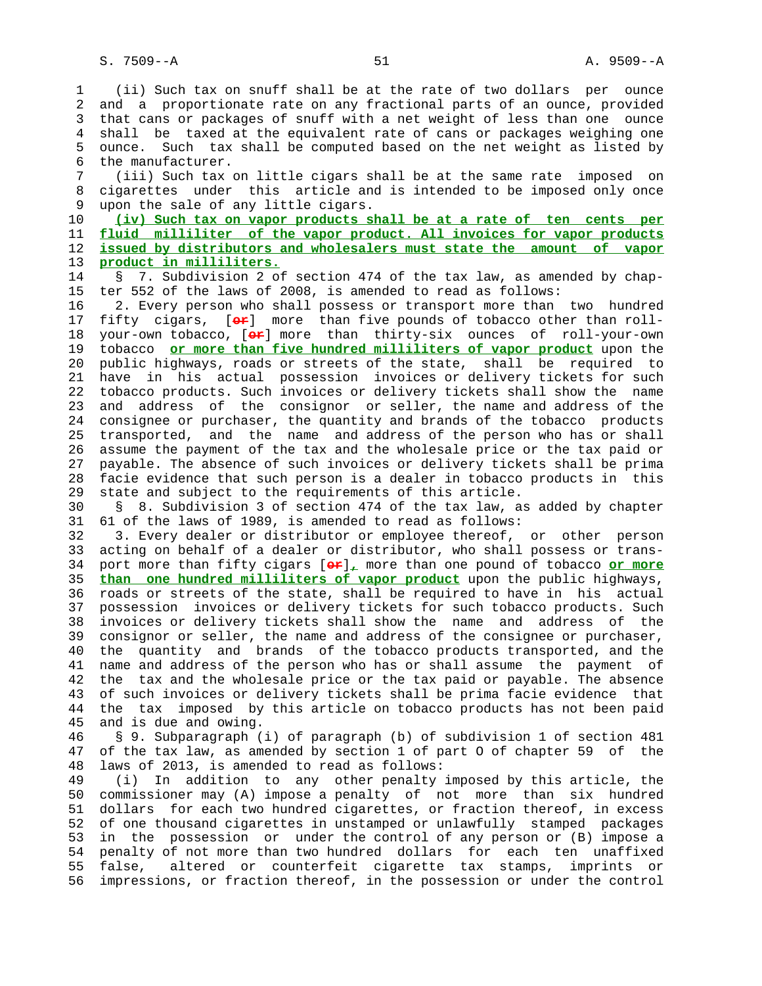1 (ii) Such tax on snuff shall be at the rate of two dollars per ounce 2 and a proportionate rate on any fractional parts of an ounce, provided 3 that cans or packages of snuff with a net weight of less than one ounce 4 shall be taxed at the equivalent rate of cans or packages weighing one 5 ounce. Such tax shall be computed based on the net weight as listed by 6 the manufacturer. 7 (iii) Such tax on little cigars shall be at the same rate imposed on 8 cigarettes under this article and is intended to be imposed only once<br>9 upon the sale of any little cigars. upon the sale of any little cigars. 10 **(iv) Such tax on vapor products shall be at a rate of ten cents per** 11 **fluid milliliter of the vapor product. All invoices for vapor products** 12 **issued by distributors and wholesalers must state the amount of vapor** 13 **product in milliliters.** 14 § 7. Subdivision 2 of section 474 of the tax law, as amended by chap- 15 ter 552 of the laws of 2008, is amended to read as follows: 16 2. Every person who shall possess or transport more than two hundred 17 fifty cigars, [**or**] more than five pounds of tobacco other than roll- 18 your-own tobacco, [**or**] more than thirty-six ounces of roll-your-own 19 tobacco **or more than five hundred milliliters of vapor product** upon the 20 public highways, roads or streets of the state, shall be required to 21 have in his actual possession invoices or delivery tickets for such 22 tobacco products. Such invoices or delivery tickets shall show the name 23 and address of the consignor or seller, the name and address of the 24 consignee or purchaser, the quantity and brands of the tobacco products 25 transported, and the name and address of the person who has or shall 26 assume the payment of the tax and the wholesale price or the tax paid or 27 payable. The absence of such invoices or delivery tickets shall be prima 28 facie evidence that such person is a dealer in tobacco products in this 29 state and subject to the requirements of this article. 30 § 8. Subdivision 3 of section 474 of the tax law, as added by chapter 31 61 of the laws of 1989, is amended to read as follows: 32 3. Every dealer or distributor or employee thereof, or other person 33 acting on behalf of a dealer or distributor, who shall possess or trans- 34 port more than fifty cigars [**or**]**,** more than one pound of tobacco **or more** 35 **than one hundred milliliters of vapor product** upon the public highways, 36 roads or streets of the state, shall be required to have in his actual 37 possession invoices or delivery tickets for such tobacco products. Such 38 invoices or delivery tickets shall show the name and address of the 39 consignor or seller, the name and address of the consignee or purchaser, 40 the quantity and brands of the tobacco products transported, and the 41 name and address of the person who has or shall assume the payment of 42 the tax and the wholesale price or the tax paid or payable. The absence 43 of such invoices or delivery tickets shall be prima facie evidence that 44 the tax imposed by this article on tobacco products has not been paid 45 and is due and owing. 46 § 9. Subparagraph (i) of paragraph (b) of subdivision 1 of section 481 47 of the tax law, as amended by section 1 of part O of chapter 59 of the 48 laws of 2013, is amended to read as follows: 49 (i) In addition to any other penalty imposed by this article, the 50 commissioner may (A) impose a penalty of not more than six hundred 51 dollars for each two hundred cigarettes, or fraction thereof, in excess 52 of one thousand cigarettes in unstamped or unlawfully stamped packages 53 in the possession or under the control of any person or (B) impose a 54 penalty of not more than two hundred dollars for each ten unaffixed 55 false, altered or counterfeit cigarette tax stamps, imprints or 56 impressions, or fraction thereof, in the possession or under the control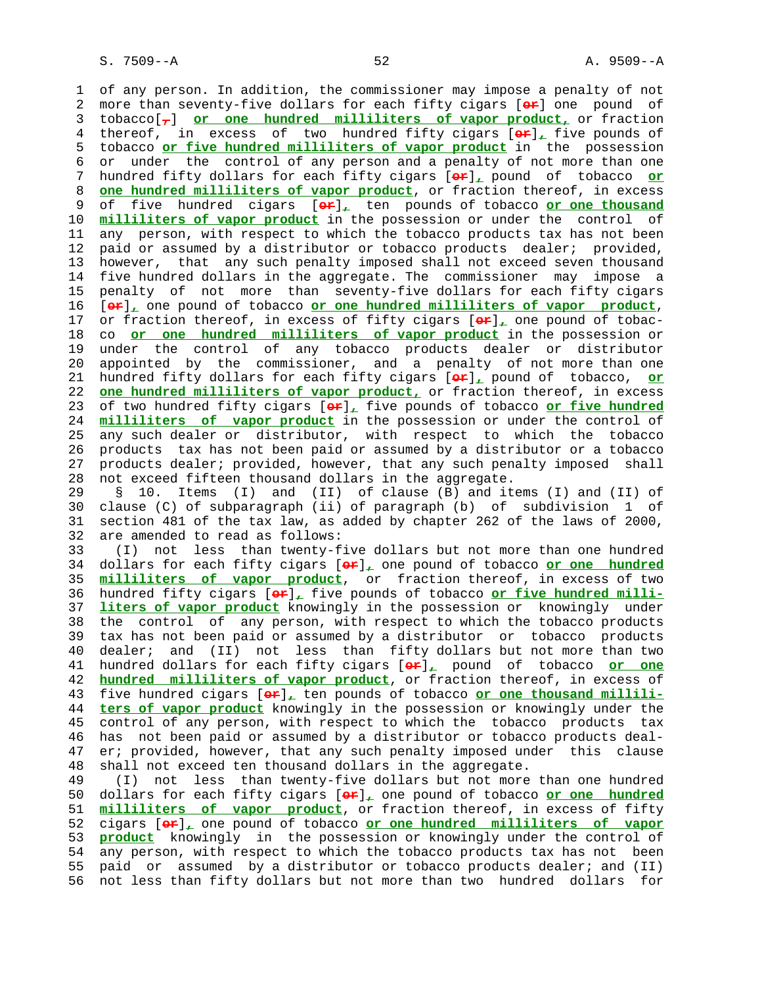1 of any person. In addition, the commissioner may impose a penalty of not 2 more than seventy-five dollars for each fifty cigars [**or**] one pound of 3 tobacco[**,**] **or one hundred milliliters of vapor product,** or fraction 4 thereof, in excess of two hundred fifty cigars [**or**]**,** five pounds of 5 tobacco **or five hundred milliliters of vapor product** in the possession 6 or under the control of any person and a penalty of not more than one 7 hundred fifty dollars for each fifty cigars [**or**]**,** pound of tobacco **or** 8 **one hundred milliliters of vapor product**, or fraction thereof, in excess 9 of five hundred cigars [**or**]**,** ten pounds of tobacco **or one thousand** 10 **milliliters of vapor product** in the possession or under the control of 11 any person, with respect to which the tobacco products tax has not been 12 paid or assumed by a distributor or tobacco products dealer; provided, 13 however, that any such penalty imposed shall not exceed seven thousand 14 five hundred dollars in the aggregate. The commissioner may impose a 15 penalty of not more than seventy-five dollars for each fifty cigars 16 [**or**]**,** one pound of tobacco **or one hundred milliliters of vapor product**, 17 or fraction thereof, in excess of fifty cigars [**or**]**,** one pound of tobac- 18 co **or one hundred milliliters of vapor product** in the possession or 19 under the control of any tobacco products dealer or distributor 20 appointed by the commissioner, and a penalty of not more than one 21 hundred fifty dollars for each fifty cigars [**or**]**,** pound of tobacco, **or** 22 **one hundred milliliters of vapor product,** or fraction thereof, in excess 23 of two hundred fifty cigars [**or**]**,** five pounds of tobacco **or five hundred** 24 **milliliters of vapor product** in the possession or under the control of 25 any such dealer or distributor, with respect to which the tobacco 26 products tax has not been paid or assumed by a distributor or a tobacco 27 products dealer; provided, however, that any such penalty imposed shall 28 not exceed fifteen thousand dollars in the aggregate. 29 § 10. Items (I) and (II) of clause (B) and items (I) and (II) of 30 clause (C) of subparagraph (ii) of paragraph (b) of subdivision 1 of 31 section 481 of the tax law, as added by chapter 262 of the laws of 2000, 32 are amended to read as follows: 33 (I) not less than twenty-five dollars but not more than one hundred 34 dollars for each fifty cigars [**or**]**,** one pound of tobacco **or one hundred** 35 **milliliters of vapor product**, or fraction thereof, in excess of two 36 hundred fifty cigars [**or**]**,** five pounds of tobacco **or five hundred milli-** 37 **liters of vapor product** knowingly in the possession or knowingly under 38 the control of any person, with respect to which the tobacco products 39 tax has not been paid or assumed by a distributor or tobacco products 40 dealer; and (II) not less than fifty dollars but not more than two 41 hundred dollars for each fifty cigars [**or**]**,** pound of tobacco **or one** 42 **hundred milliliters of vapor product**, or fraction thereof, in excess of 43 five hundred cigars [**or**]**,** ten pounds of tobacco **or one thousand millili-** 44 **ters of vapor product** knowingly in the possession or knowingly under the 45 control of any person, with respect to which the tobacco products tax 46 has not been paid or assumed by a distributor or tobacco products deal- 47 er; provided, however, that any such penalty imposed under this clause 48 shall not exceed ten thousand dollars in the aggregate. 49 (I) not less than twenty-five dollars but not more than one hundred 50 dollars for each fifty cigars [**or**]**,** one pound of tobacco **or one hundred** 51 **milliliters of vapor product**, or fraction thereof, in excess of fifty 52 cigars [**or**]**,** one pound of tobacco **or one hundred milliliters of vapor** 53 **product** knowingly in the possession or knowingly under the control of 54 any person, with respect to which the tobacco products tax has not been 55 paid or assumed by a distributor or tobacco products dealer; and (II) 56 not less than fifty dollars but not more than two hundred dollars for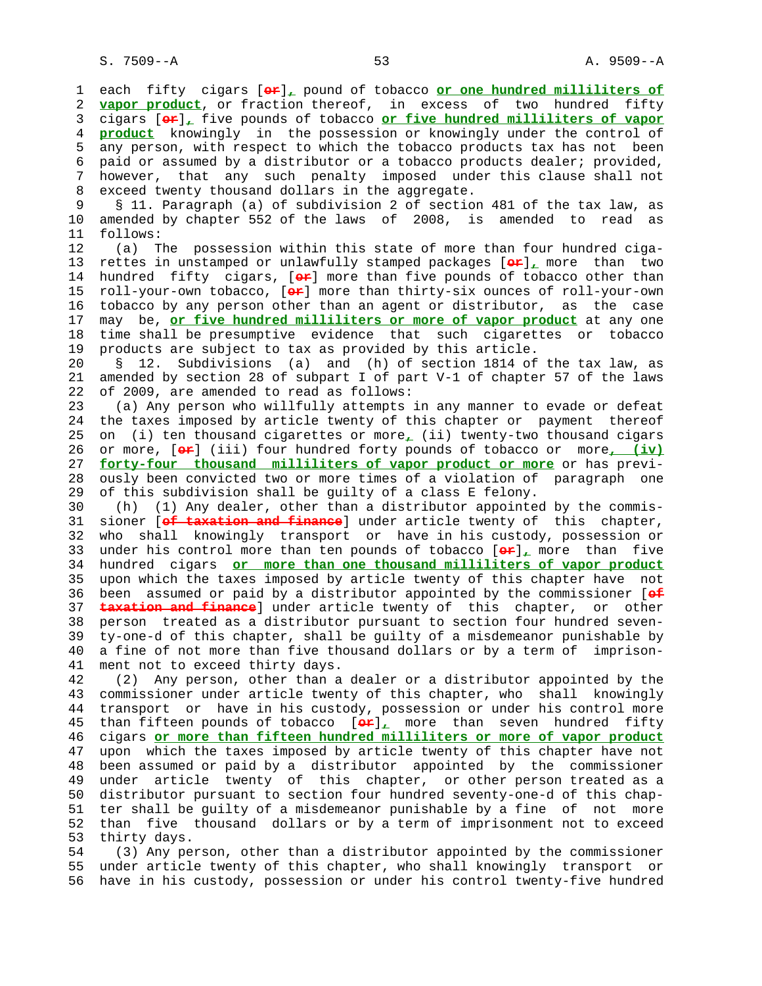1 each fifty cigars [**or**]**,** pound of tobacco **or one hundred milliliters of** 2 **vapor product**, or fraction thereof, in excess of two hundred fifty 3 cigars [**or**]**,** five pounds of tobacco **or five hundred milliliters of vapor** 4 **product** knowingly in the possession or knowingly under the control of 5 any person, with respect to which the tobacco products tax has not been 6 paid or assumed by a distributor or a tobacco products dealer; provided, 7 however, that any such penalty imposed under this clause shall not 8 exceed twenty thousand dollars in the aggregate.<br>9 \$ 11. Paragraph (a) of subdivision 2 of sectio § 11. Paragraph (a) of subdivision 2 of section 481 of the tax law, as 10 amended by chapter 552 of the laws of 2008, is amended to read as 11 follows: 12 (a) The possession within this state of more than four hundred ciga- 13 rettes in unstamped or unlawfully stamped packages [**or**]**,** more than two 14 hundred fifty cigars, [**or**] more than five pounds of tobacco other than 15 roll-your-own tobacco, [**or**] more than thirty-six ounces of roll-your-own 16 tobacco by any person other than an agent or distributor, as the case 17 may be, **or five hundred milliliters or more of vapor product** at any one 18 time shall be presumptive evidence that such cigarettes or tobacco 19 products are subject to tax as provided by this article. 20 § 12. Subdivisions (a) and (h) of section 1814 of the tax law, as 21 amended by section 28 of subpart I of part V-1 of chapter 57 of the laws 22 of 2009, are amended to read as follows: 23 (a) Any person who willfully attempts in any manner to evade or defeat 24 the taxes imposed by article twenty of this chapter or payment thereof 25 on (i) ten thousand cigarettes or more**,** (ii) twenty-two thousand cigars 26 or more, [**or**] (iii) four hundred forty pounds of tobacco or more**, (iv)** 27 **forty-four thousand milliliters of vapor product or more** or has previ- 28 ously been convicted two or more times of a violation of paragraph one 29 of this subdivision shall be guilty of a class E felony. 30 (h) (1) Any dealer, other than a distributor appointed by the commis- 31 sioner [**of taxation and finance**] under article twenty of this chapter, 32 who shall knowingly transport or have in his custody, possession or 33 under his control more than ten pounds of tobacco [**or**]**,** more than five 34 hundred cigars **or more than one thousand milliliters of vapor product** 35 upon which the taxes imposed by article twenty of this chapter have not 36 been assumed or paid by a distributor appointed by the commissioner [**of** 37 **taxation and finance**] under article twenty of this chapter, or other 38 person treated as a distributor pursuant to section four hundred seven- 39 ty-one-d of this chapter, shall be guilty of a misdemeanor punishable by 40 a fine of not more than five thousand dollars or by a term of imprison- 41 ment not to exceed thirty days. 42 (2) Any person, other than a dealer or a distributor appointed by the 43 commissioner under article twenty of this chapter, who shall knowingly 44 transport or have in his custody, possession or under his control more 45 than fifteen pounds of tobacco [**or**]**,** more than seven hundred fifty 46 cigars **or more than fifteen hundred milliliters or more of vapor product** 47 upon which the taxes imposed by article twenty of this chapter have not 48 been assumed or paid by a distributor appointed by the commissioner 49 under article twenty of this chapter, or other person treated as a 50 distributor pursuant to section four hundred seventy-one-d of this chap- 51 ter shall be guilty of a misdemeanor punishable by a fine of not more 52 than five thousand dollars or by a term of imprisonment not to exceed 53 thirty days. 54 (3) Any person, other than a distributor appointed by the commissioner

 55 under article twenty of this chapter, who shall knowingly transport or 56 have in his custody, possession or under his control twenty-five hundred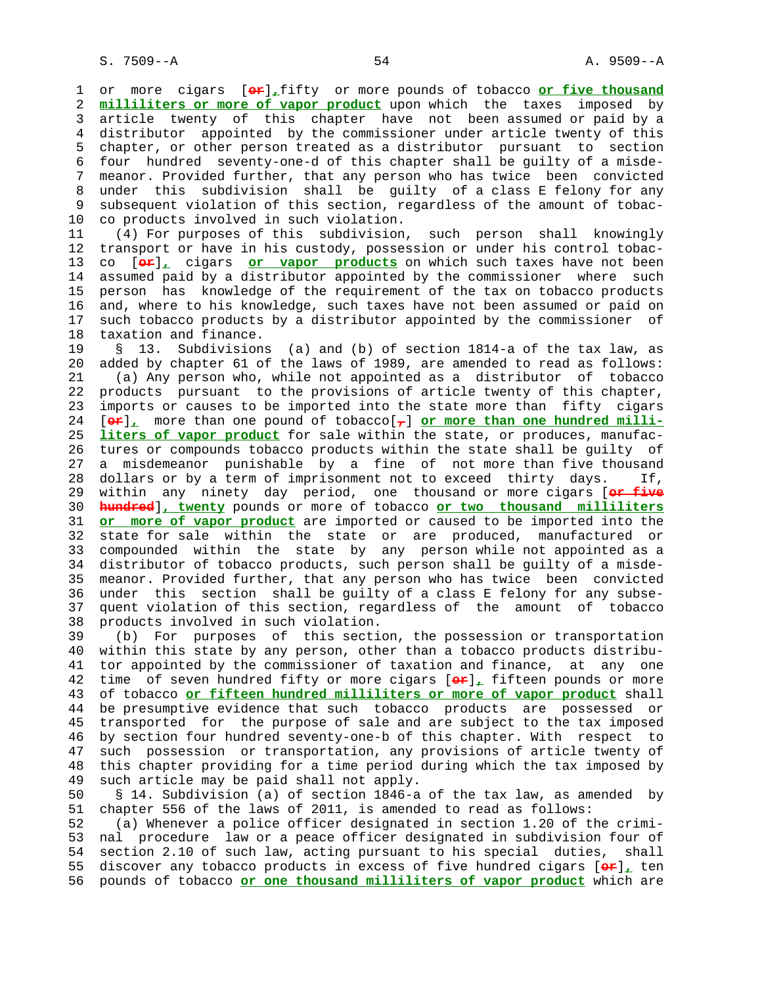1 or more cigars [**or**]**,**fifty or more pounds of tobacco **or five thousand** 2 **milliliters or more of vapor product** upon which the taxes imposed by 3 article twenty of this chapter have not been assumed or paid by a 4 distributor appointed by the commissioner under article twenty of this 5 chapter, or other person treated as a distributor pursuant to section 6 four hundred seventy-one-d of this chapter shall be guilty of a misde- 7 meanor. Provided further, that any person who has twice been convicted 8 under this subdivision shall be guilty of a class E felony for any<br>9 subsequent violation of this section, regardless of the amount of tobacsubsequent violation of this section, regardless of the amount of tobac-10 co products involved in such violation.

 11 (4) For purposes of this subdivision, such person shall knowingly 12 transport or have in his custody, possession or under his control tobac- 13 co  $[\Theta \biguplus]_L$  cigars or vapor products on which such taxes have not been 14 assumed paid by a distributor appointed by the commissioner where such 15 person has knowledge of the requirement of the tax on tobacco products 16 and, where to his knowledge, such taxes have not been assumed or paid on 17 such tobacco products by a distributor appointed by the commissioner of 18 taxation and finance.

 19 § 13. Subdivisions (a) and (b) of section 1814-a of the tax law, as 20 added by chapter 61 of the laws of 1989, are amended to read as follows: 21 (a) Any person who, while not appointed as a distributor of tobacco 22 products pursuant to the provisions of article twenty of this chapter, 23 imports or causes to be imported into the state more than fifty cigars 24 [**or**]**,** more than one pound of tobacco[**,**] **or more than one hundred milli-** 25 **liters of vapor product** for sale within the state, or produces, manufac- 26 tures or compounds tobacco products within the state shall be guilty of 27 a misdemeanor punishable by a fine of not more than five thousand 28 dollars or by a term of imprisonment not to exceed thirty days. If, 29 within any ninety day period, one thousand or more cigars [**or five** 30 **hundred**]**, twenty** pounds or more of tobacco **or two thousand milliliters** 31 **or more of vapor product** are imported or caused to be imported into the 32 state for sale within the state or are produced, manufactured or 33 compounded within the state by any person while not appointed as a 34 distributor of tobacco products, such person shall be guilty of a misde- 35 meanor. Provided further, that any person who has twice been convicted 36 under this section shall be guilty of a class E felony for any subse- 37 quent violation of this section, regardless of the amount of tobacco 38 products involved in such violation.

 39 (b) For purposes of this section, the possession or transportation 40 within this state by any person, other than a tobacco products distribu- 41 tor appointed by the commissioner of taxation and finance, at any one 42 time of seven hundred fifty or more cigars [**or**]**,** fifteen pounds or more 43 of tobacco **or fifteen hundred milliliters or more of vapor product** shall 44 be presumptive evidence that such tobacco products are possessed or 45 transported for the purpose of sale and are subject to the tax imposed 46 by section four hundred seventy-one-b of this chapter. With respect to 47 such possession or transportation, any provisions of article twenty of 48 this chapter providing for a time period during which the tax imposed by 49 such article may be paid shall not apply.

 50 § 14. Subdivision (a) of section 1846-a of the tax law, as amended by 51 chapter 556 of the laws of 2011, is amended to read as follows:

 52 (a) Whenever a police officer designated in section 1.20 of the crimi- 53 nal procedure law or a peace officer designated in subdivision four of<br>54 section 2.10 of such law, acting pursuant to his special duties, shall section 2.10 of such law, acting pursuant to his special duties, shall 55 discover any tobacco products in excess of five hundred cigars [**or**]**,** ten 56 pounds of tobacco **or one thousand milliliters of vapor product** which are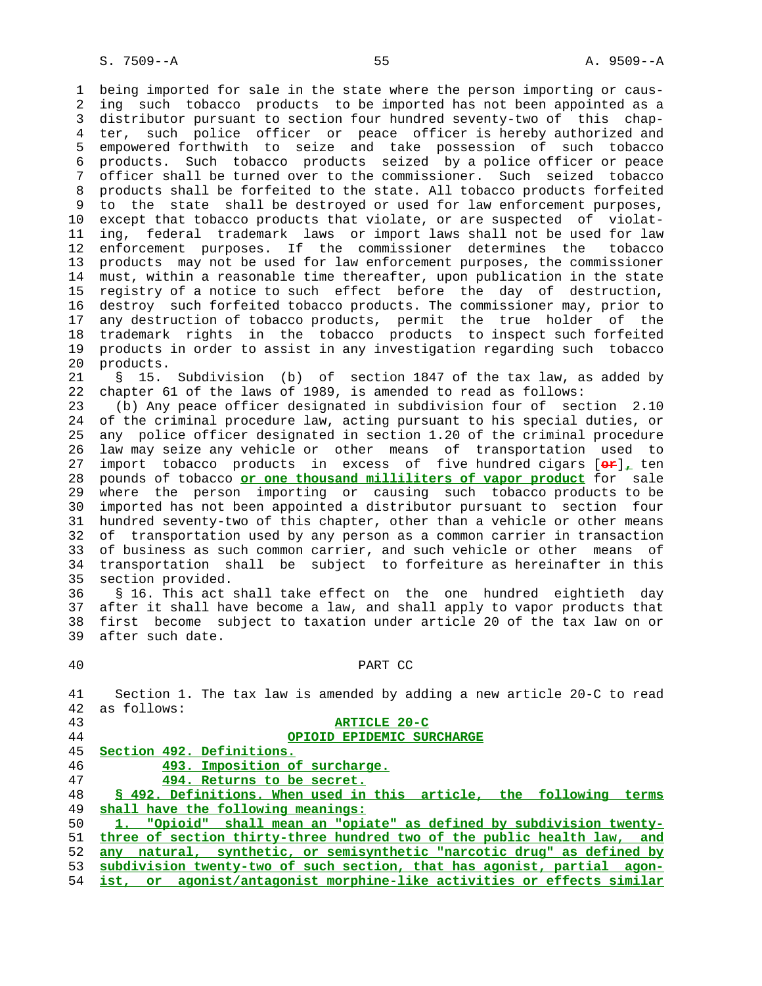1 being imported for sale in the state where the person importing or caus- 2 ing such tobacco products to be imported has not been appointed as a 3 distributor pursuant to section four hundred seventy-two of this chap- 4 ter, such police officer or peace officer is hereby authorized and 5 empowered forthwith to seize and take possession of such tobacco 6 products. Such tobacco products seized by a police officer or peace 7 officer shall be turned over to the commissioner. Such seized tobacco 8 products shall be forfeited to the state. All tobacco products forfeited 9 to the state shall be destroyed or used for law enforcement purposes, 10 except that tobacco products that violate, or are suspected of violat- 11 ing, federal trademark laws or import laws shall not be used for law 12 enforcement purposes. If the commissioner determines the tobacco 13 products may not be used for law enforcement purposes, the commissioner 14 must, within a reasonable time thereafter, upon publication in the state 15 registry of a notice to such effect before the day of destruction, 16 destroy such forfeited tobacco products. The commissioner may, prior to 17 any destruction of tobacco products, permit the true holder of the 18 trademark rights in the tobacco products to inspect such forfeited 19 products in order to assist in any investigation regarding such tobacco 20 products.

 21 § 15. Subdivision (b) of section 1847 of the tax law, as added by 22 chapter 61 of the laws of 1989, is amended to read as follows:

 23 (b) Any peace officer designated in subdivision four of section 2.10 24 of the criminal procedure law, acting pursuant to his special duties, or 25 any police officer designated in section 1.20 of the criminal procedure 26 law may seize any vehicle or other means of transportation used to 27 import tobacco products in excess of five hundred cigars [**or**]**,** ten 28 pounds of tobacco **or one thousand milliliters of vapor product** for sale 29 where the person importing or causing such tobacco products to be 30 imported has not been appointed a distributor pursuant to section four 31 hundred seventy-two of this chapter, other than a vehicle or other means 32 of transportation used by any person as a common carrier in transaction 33 of business as such common carrier, and such vehicle or other means of 34 transportation shall be subject to forfeiture as hereinafter in this 35 section provided.

 36 § 16. This act shall take effect on the one hundred eightieth day 37 after it shall have become a law, and shall apply to vapor products that 38 first become subject to taxation under article 20 of the tax law on or 39 after such date.

# 40 PART CC

 41 Section 1. The tax law is amended by adding a new article 20-C to read 42 as follows:

| 43 | <b>ARTICLE 20-C</b>                                                          |
|----|------------------------------------------------------------------------------|
| 44 | OPIOID EPIDEMIC SURCHARGE                                                    |
| 45 | Section 492. Definitions.                                                    |
| 46 | 493. Imposition of surcharge.                                                |
| 47 | 494. Returns to be secret.                                                   |
| 48 | § 492. Definitions. When used in this article, the following terms           |
| 49 | shall have the following meanings:                                           |
| 50 | 1. "Opioid" shall mean an "opiate" as defined by subdivision twenty-         |
| 51 | three of section thirty-three hundred two of the public health law, and      |
| 52 | natural, synthetic, or semisynthetic "narcotic drug" as defined by<br>any    |
| 53 | subdivision twenty-two of such section, that has agonist, partial agon-      |
| 54 | agonist/antagonist morphine-like activities or effects similar<br>or<br>ist. |
|    |                                                                              |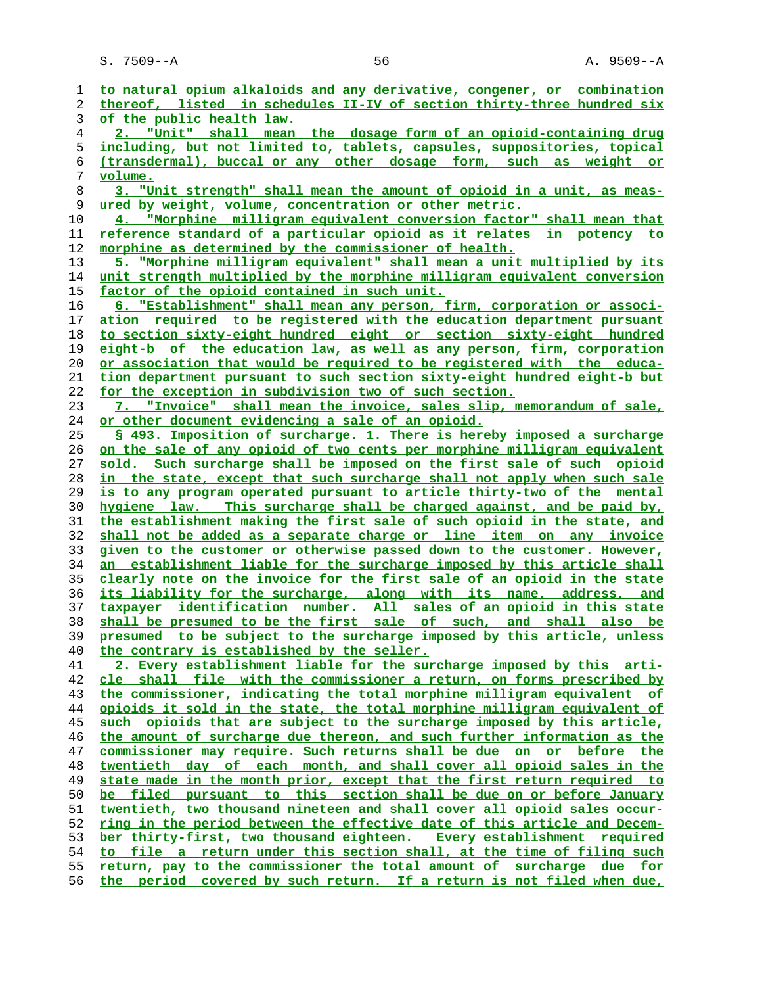S. 7509--A 56 A. 9509--A

**to natural opium alkaloids and any derivative, congener, or combination thereof, listed in schedules II-IV of section thirty-three hundred six of the public health law. 2. "Unit" shall mean the dosage form of an opioid-containing drug including, but not limited to, tablets, capsules, suppositories, topical (transdermal), buccal or any other dosage form, such as weight or volume. 3. "Unit strength" shall mean the amount of opioid in a unit, as meas- ured by weight, volume, concentration or other metric. 4. "Morphine milligram equivalent conversion factor" shall mean that reference standard of a particular opioid as it relates in potency to morphine as determined by the commissioner of health. 5. "Morphine milligram equivalent" shall mean a unit multiplied by its unit strength multiplied by the morphine milligram equivalent conversion factor of the opioid contained in such unit. 6. "Establishment" shall mean any person, firm, corporation or associ- ation required to be registered with the education department pursuant to section sixty-eight hundred eight or section sixty-eight hundred eight-b of the education law, as well as any person, firm, corporation or association that would be required to be registered with the educa- tion department pursuant to such section sixty-eight hundred eight-b but for the exception in subdivision two of such section. 7. "Invoice" shall mean the invoice, sales slip, memorandum of sale, or other document evidencing a sale of an opioid. § 493. Imposition of surcharge. 1. There is hereby imposed a surcharge on the sale of any opioid of two cents per morphine milligram equivalent sold. Such surcharge shall be imposed on the first sale of such opioid in the state, except that such surcharge shall not apply when such sale is to any program operated pursuant to article thirty-two of the mental hygiene law. This surcharge shall be charged against, and be paid by, the establishment making the first sale of such opioid in the state, and shall not be added as a separate charge or line item on any invoice given to the customer or otherwise passed down to the customer. However, an establishment liable for the surcharge imposed by this article shall clearly note on the invoice for the first sale of an opioid in the state its liability for the surcharge, along with its name, address, and taxpayer identification number. All sales of an opioid in this state shall be presumed to be the first sale of such, and shall also be presumed to be subject to the surcharge imposed by this article, unless the contrary is established by the seller. 2. Every establishment liable for the surcharge imposed by this arti- cle shall file with the commissioner a return, on forms prescribed by the commissioner, indicating the total morphine milligram equivalent of opioids it sold in the state, the total morphine milligram equivalent of such opioids that are subject to the surcharge imposed by this article, the amount of surcharge due thereon, and such further information as the commissioner may require. Such returns shall be due on or before the twentieth day of each month, and shall cover all opioid sales in the state made in the month prior, except that the first return required to be filed pursuant to this section shall be due on or before January twentieth, two thousand nineteen and shall cover all opioid sales occur- ring in the period between the effective date of this article and Decem- ber thirty-first, two thousand eighteen. Every establishment required to file a return under this section shall, at the time of filing such return, pay to the commissioner the total amount of surcharge due for the period covered by such return. If a return is not filed when due,**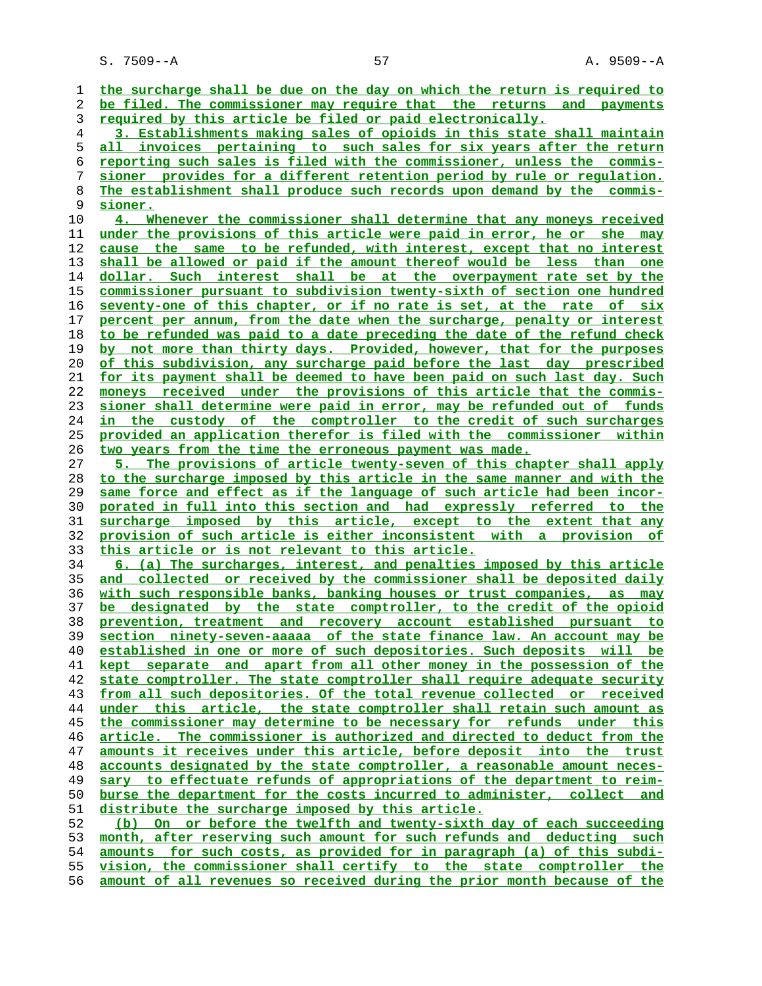S. 7509--A 57 A. 9509--A

**the surcharge shall be due on the day on which the return is required to be filed. The commissioner may require that the returns and payments required by this article be filed or paid electronically. 3. Establishments making sales of opioids in this state shall maintain all invoices pertaining to such sales for six years after the return reporting such sales is filed with the commissioner, unless the commis- sioner provides for a different retention period by rule or regulation. The establishment shall produce such records upon demand by the commis- sioner. 4. Whenever the commissioner shall determine that any moneys received under the provisions of this article were paid in error, he or she may cause the same to be refunded, with interest, except that no interest shall be allowed or paid if the amount thereof would be less than one dollar. Such interest shall be at the overpayment rate set by the commissioner pursuant to subdivision twenty-sixth of section one hundred seventy-one of this chapter, or if no rate is set, at the rate of six percent per annum, from the date when the surcharge, penalty or interest to be refunded was paid to a date preceding the date of the refund check by not more than thirty days. Provided, however, that for the purposes of this subdivision, any surcharge paid before the last day prescribed for its payment shall be deemed to have been paid on such last day. Such moneys received under the provisions of this article that the commis- sioner shall determine were paid in error, may be refunded out of funds in the custody of the comptroller to the credit of such surcharges provided an application therefor is filed with the commissioner within two years from the time the erroneous payment was made. 5. The provisions of article twenty-seven of this chapter shall apply to the surcharge imposed by this article in the same manner and with the same force and effect as if the language of such article had been incor- porated in full into this section and had expressly referred to the surcharge imposed by this article, except to the extent that any provision of such article is either inconsistent with a provision of this article or is not relevant to this article. 6. (a) The surcharges, interest, and penalties imposed by this article and collected or received by the commissioner shall be deposited daily with such responsible banks, banking houses or trust companies, as may be designated by the state comptroller, to the credit of the opioid prevention, treatment and recovery account established pursuant to section ninety-seven-aaaaa of the state finance law. An account may be established in one or more of such depositories. Such deposits will be kept separate and apart from all other money in the possession of the state comptroller. The state comptroller shall require adequate security from all such depositories. Of the total revenue collected or received under this article, the state comptroller shall retain such amount as the commissioner may determine to be necessary for refunds under this article. The commissioner is authorized and directed to deduct from the amounts it receives under this article, before deposit into the trust accounts designated by the state comptroller, a reasonable amount neces- sary to effectuate refunds of appropriations of the department to reim- burse the department for the costs incurred to administer, collect and distribute the surcharge imposed by this article. (b) On or before the twelfth and twenty-sixth day of each succeeding month, after reserving such amount for such refunds and deducting such amounts for such costs, as provided for in paragraph (a) of this subdi- vision, the commissioner shall certify to the state comptroller the amount of all revenues so received during the prior month because of the**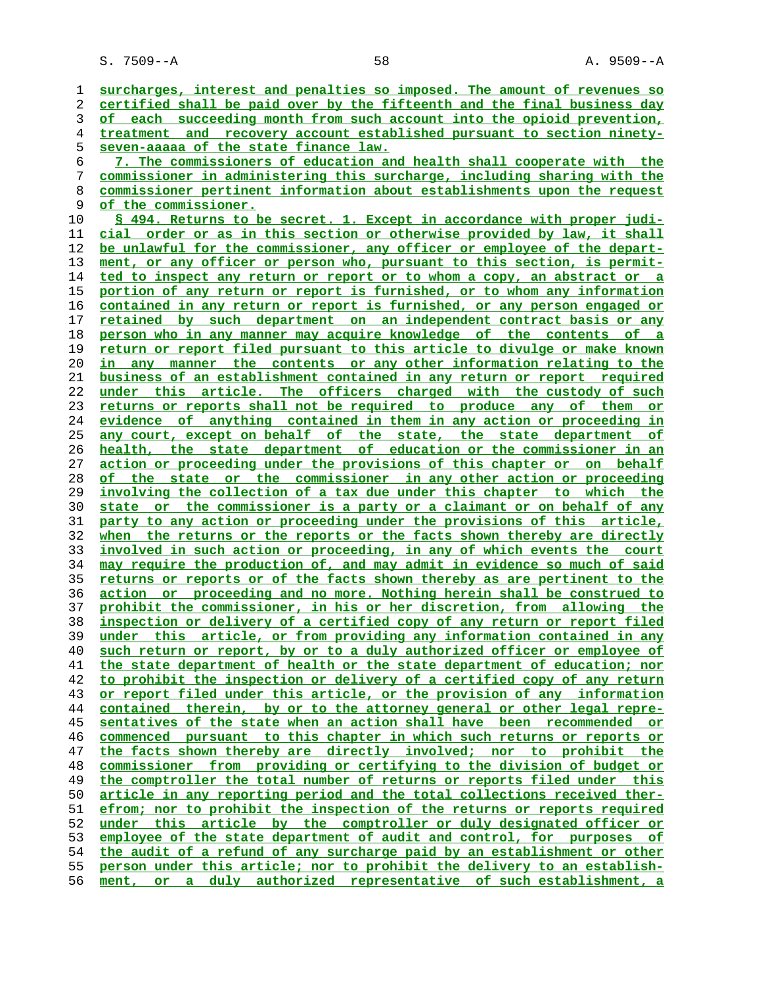S. 7509--A 58 A. 9509--A

**surcharges, interest and penalties so imposed. The amount of revenues so certified shall be paid over by the fifteenth and the final business day of each succeeding month from such account into the opioid prevention, treatment and recovery account established pursuant to section ninety- seven-aaaaa of the state finance law. 7. The commissioners of education and health shall cooperate with the commissioner in administering this surcharge, including sharing with the commissioner pertinent information about establishments upon the request of the commissioner. § 494. Returns to be secret. 1. Except in accordance with proper judi- cial order or as in this section or otherwise provided by law, it shall be unlawful for the commissioner, any officer or employee of the depart- ment, or any officer or person who, pursuant to this section, is permit- ted to inspect any return or report or to whom a copy, an abstract or a portion of any return or report is furnished, or to whom any information contained in any return or report is furnished, or any person engaged or retained by such department on an independent contract basis or any person who in any manner may acquire knowledge of the contents of a return or report filed pursuant to this article to divulge or make known in any manner the contents or any other information relating to the business of an establishment contained in any return or report required under this article. The officers charged with the custody of such returns or reports shall not be required to produce any of them or evidence of anything contained in them in any action or proceeding in any court, except on behalf of the state, the state department of health, the state department of education or the commissioner in an action or proceeding under the provisions of this chapter or on behalf of the state or the commissioner in any other action or proceeding involving the collection of a tax due under this chapter to which the state or the commissioner is a party or a claimant or on behalf of any party to any action or proceeding under the provisions of this article, when the returns or the reports or the facts shown thereby are directly involved in such action or proceeding, in any of which events the court may require the production of, and may admit in evidence so much of said returns or reports or of the facts shown thereby as are pertinent to the action or proceeding and no more. Nothing herein shall be construed to prohibit the commissioner, in his or her discretion, from allowing the inspection or delivery of a certified copy of any return or report filed under this article, or from providing any information contained in any such return or report, by or to a duly authorized officer or employee of the state department of health or the state department of education; nor to prohibit the inspection or delivery of a certified copy of any return or report filed under this article, or the provision of any information contained therein, by or to the attorney general or other legal repre- sentatives of the state when an action shall have been recommended or commenced pursuant to this chapter in which such returns or reports or the facts shown thereby are directly involved; nor to prohibit the commissioner from providing or certifying to the division of budget or the comptroller the total number of returns or reports filed under this article in any reporting period and the total collections received ther- efrom; nor to prohibit the inspection of the returns or reports required under this article by the comptroller or duly designated officer or employee of the state department of audit and control, for purposes of the audit of a refund of any surcharge paid by an establishment or other person under this article; nor to prohibit the delivery to an establish- ment, or a duly authorized representative of such establishment, a**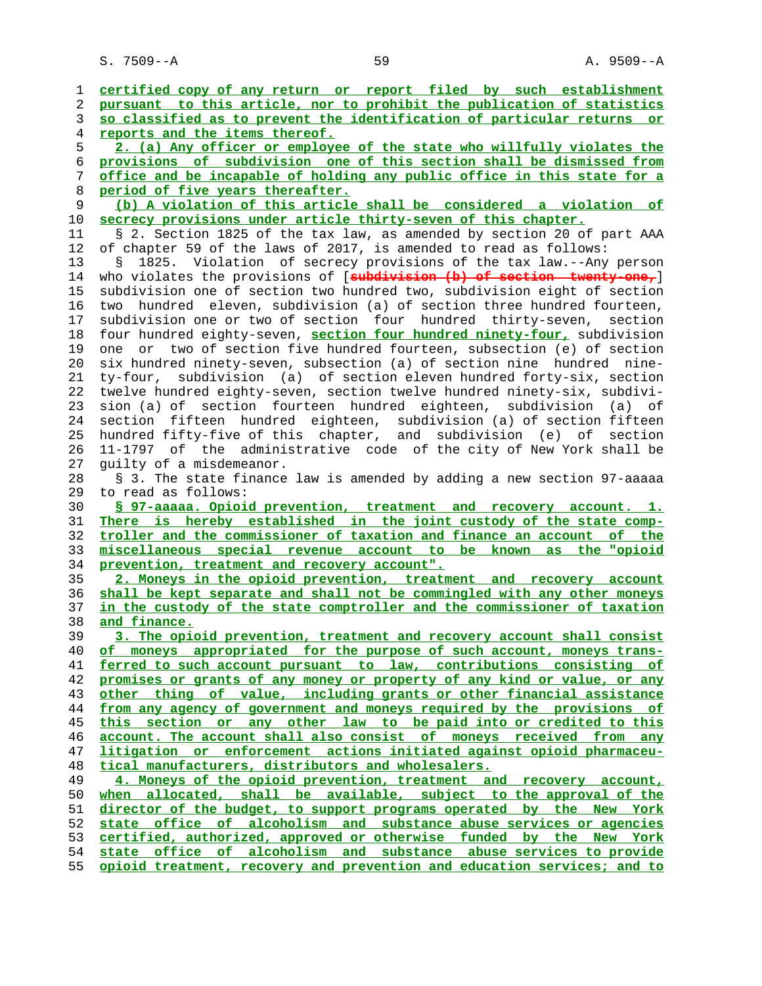S. 7509--A 59 A. 9509--A

**certified copy of any return or report filed by such establishment pursuant to this article, nor to prohibit the publication of statistics so classified as to prevent the identification of particular returns or reports and the items thereof. 2. (a) Any officer or employee of the state who willfully violates the provisions of subdivision one of this section shall be dismissed from office and be incapable of holding any public office in this state for a period of five years thereafter. (b) A violation of this article shall be considered a violation of secrecy provisions under article thirty-seven of this chapter.** 11 § 2. Section 1825 of the tax law, as amended by section 20 of part AAA 12 of chapter 59 of the laws of 2017, is amended to read as follows: 13 § 1825. Violation of secrecy provisions of the tax law.--Any person 14 who violates the provisions of [**subdivision (b) of section twenty-one,**] 15 subdivision one of section two hundred two, subdivision eight of section 16 two hundred eleven, subdivision (a) of section three hundred fourteen, 17 subdivision one or two of section four hundred thirty-seven, section 18 four hundred eighty-seven, **section four hundred ninety-four,** subdivision 19 one or two of section five hundred fourteen, subsection (e) of section 20 six hundred ninety-seven, subsection (a) of section nine hundred nine- 21 ty-four, subdivision (a) of section eleven hundred forty-six, section 22 twelve hundred eighty-seven, section twelve hundred ninety-six, subdivi- 23 sion (a) of section fourteen hundred eighteen, subdivision (a) of 24 section fifteen hundred eighteen, subdivision (a) of section fifteen 25 hundred fifty-five of this chapter, and subdivision (e) of section 26 11-1797 of the administrative code of the city of New York shall be 27 guilty of a misdemeanor. 28 § 3. The state finance law is amended by adding a new section 97-aaaaa 29 to read as follows: **§ 97-aaaaa. Opioid prevention, treatment and recovery account. 1. There is hereby established in the joint custody of the state comp- troller and the commissioner of taxation and finance an account of the miscellaneous special revenue account to be known as the "opioid prevention, treatment and recovery account". 2. Moneys in the opioid prevention, treatment and recovery account shall be kept separate and shall not be commingled with any other moneys in the custody of the state comptroller and the commissioner of taxation and finance. 3. The opioid prevention, treatment and recovery account shall consist of moneys appropriated for the purpose of such account, moneys trans- ferred to such account pursuant to law, contributions consisting of promises or grants of any money or property of any kind or value, or any other thing of value, including grants or other financial assistance from any agency of government and moneys required by the provisions of this section or any other law to be paid into or credited to this account. The account shall also consist of moneys received from any litigation or enforcement actions initiated against opioid pharmaceu- tical manufacturers, distributors and wholesalers. 4. Moneys of the opioid prevention, treatment and recovery account, when allocated, shall be available, subject to the approval of the director of the budget, to support programs operated by the New York state office of alcoholism and substance abuse services or agencies certified, authorized, approved or otherwise funded by the New York state office of alcoholism and substance abuse services to provide opioid treatment, recovery and prevention and education services; and to**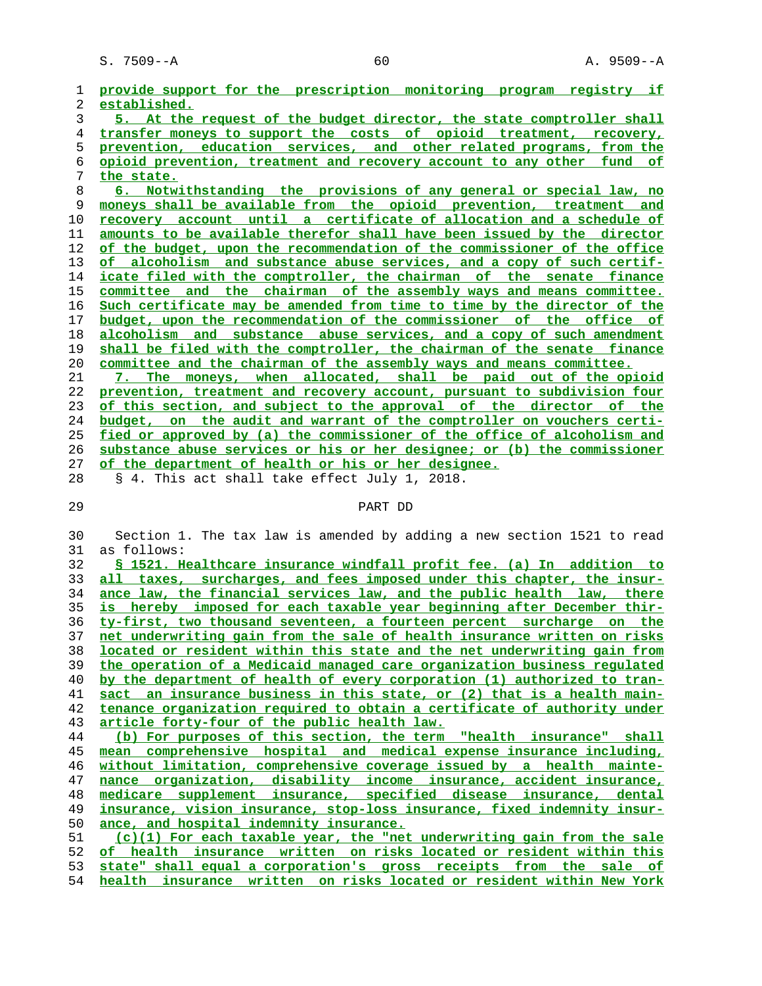| 1  | provide support for the prescription monitoring program registry if                                                                         |
|----|---------------------------------------------------------------------------------------------------------------------------------------------|
| 2  | established.                                                                                                                                |
| 3  | At the request of the budget director, the state comptroller shall<br>5.                                                                    |
| 4  | transfer moneys to support the costs of opioid treatment, recovery,                                                                         |
|    |                                                                                                                                             |
| 5  | prevention, education services, and other related programs, from the                                                                        |
| 6  | opioid prevention, treatment and recovery account to any other fund of                                                                      |
| 7  | the state.                                                                                                                                  |
| 8  | 6. Notwithstanding the provisions of any general or special law, no                                                                         |
| 9  | moneys shall be available from the opioid prevention, treatment and                                                                         |
| 10 | recovery account until a certificate of allocation and a schedule of                                                                        |
|    |                                                                                                                                             |
| 11 | amounts to be available therefor shall have been issued by the director                                                                     |
| 12 | of the budget, upon the recommendation of the commissioner of the office                                                                    |
| 13 | of alcoholism and substance abuse services, and a copy of such certif-                                                                      |
| 14 | <u>icate filed with the comptroller, the chairman of the senate finance</u>                                                                 |
| 15 | committee and the chairman of the assembly ways and means committee.                                                                        |
| 16 | Such certificate may be amended from time to time by the director of the                                                                    |
|    |                                                                                                                                             |
| 17 | budget, upon the recommendation of the commissioner of the office of                                                                        |
| 18 | alcoholism and substance abuse services, and a copy of such amendment                                                                       |
| 19 | shall be filed with the comptroller, the chairman of the senate finance                                                                     |
| 20 | committee and the chairman of the assembly ways and means committee.                                                                        |
| 21 | The moneys, when allocated, shall be paid out of the opioid<br>7.                                                                           |
| 22 | prevention, treatment and recovery account, pursuant to subdivision four                                                                    |
|    |                                                                                                                                             |
| 23 | of this section, and subject to the approval of the director of the                                                                         |
| 24 | budget, on the audit and warrant of the comptroller on vouchers certi-                                                                      |
| 25 | fied or approved by (a) the commissioner of the office of alcoholism and                                                                    |
| 26 | substance abuse services or his or her designee; or (b) the commissioner                                                                    |
| 27 | <u>of the department of health or his or her designee.</u>                                                                                  |
| 28 | § 4. This act shall take effect July 1, 2018.                                                                                               |
|    |                                                                                                                                             |
|    |                                                                                                                                             |
|    |                                                                                                                                             |
| 29 | PART DD                                                                                                                                     |
|    |                                                                                                                                             |
| 30 | Section 1. The tax law is amended by adding a new section 1521 to read                                                                      |
| 31 | as follows:                                                                                                                                 |
| 32 | § 1521. Healthcare insurance windfall profit fee. (a) In addition to                                                                        |
|    |                                                                                                                                             |
| 33 | all taxes, surcharges, and fees imposed under this chapter, the insur-                                                                      |
| 34 | ance law, the financial services law, and the public health law, there                                                                      |
| 35 | is hereby imposed for each taxable year beginning after December thir-                                                                      |
| 36 | ty-first, two thousand seventeen, a fourteen percent surcharge on the                                                                       |
| 37 | net underwriting gain from the sale of health insurance written on risks                                                                    |
| 38 | located or resident within this state and the net underwriting gain from                                                                    |
| 39 | the operation of a Medicaid managed care organization business regulated                                                                    |
|    |                                                                                                                                             |
| 40 | by the department of health of every corporation (1) authorized to tran-                                                                    |
| 41 | sact an insurance business in this state, or (2) that is a health main-                                                                     |
| 42 | tenance organization required to obtain a certificate of authority under                                                                    |
| 43 | article forty-four of the public health law.                                                                                                |
| 44 | (b) For purposes of this section, the term "health insurance" shall                                                                         |
| 45 | mean comprehensive hospital and medical expense insurance including,                                                                        |
| 46 | without limitation, comprehensive coverage issued by a health mainte-                                                                       |
|    |                                                                                                                                             |
| 47 | nance organization, disability income insurance, accident insurance,                                                                        |
| 48 | medicare supplement insurance, specified disease insurance, dental                                                                          |
| 49 | insurance, vision insurance, stop-loss insurance, fixed indemnity insur-                                                                    |
| 50 | ance, and hospital indemnity insurance.                                                                                                     |
| 51 | $(c)(1)$ For each taxable year, the "net underwriting gain from the sale                                                                    |
| 52 | of health insurance written on risks located or resident within this                                                                        |
| 53 |                                                                                                                                             |
| 54 | state" shall equal a corporation's gross receipts from the sale of<br>health insurance written on risks located or resident within New York |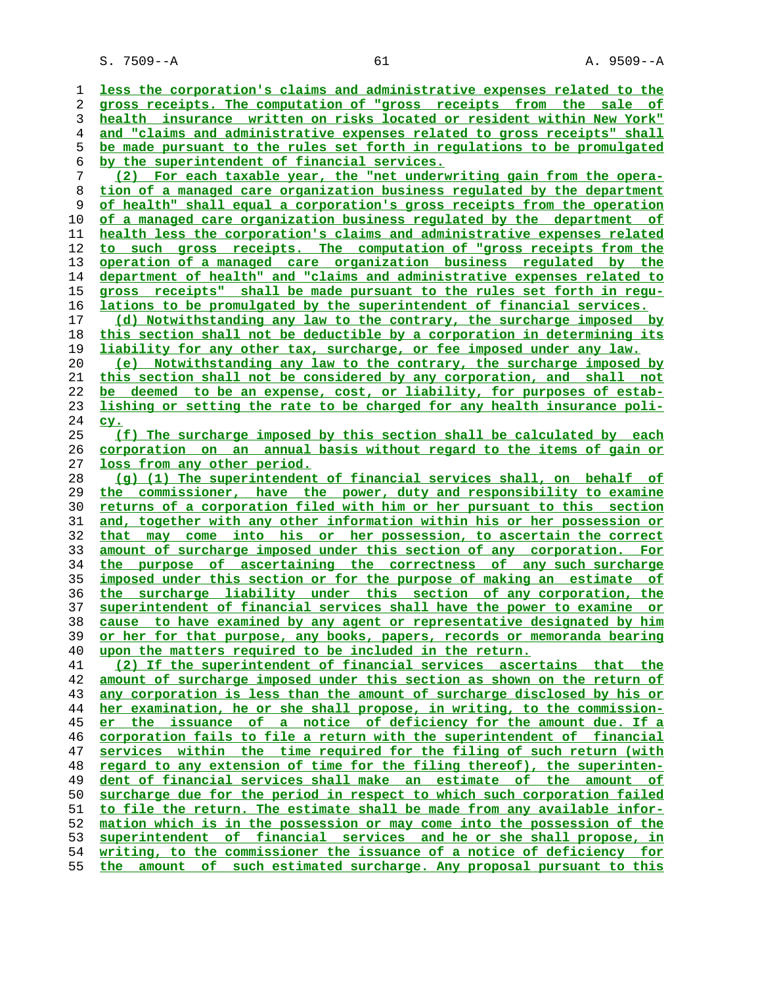S. 7509--A 61 A. 9509--A

**less the corporation's claims and administrative expenses related to the gross receipts. The computation of "gross receipts from the sale of health insurance written on risks located or resident within New York" and "claims and administrative expenses related to gross receipts" shall be made pursuant to the rules set forth in regulations to be promulgated by the superintendent of financial services. (2) For each taxable year, the "net underwriting gain from the opera- tion of a managed care organization business regulated by the department of health" shall equal a corporation's gross receipts from the operation of a managed care organization business regulated by the department of health less the corporation's claims and administrative expenses related to such gross receipts. The computation of "gross receipts from the operation of a managed care organization business regulated by the department of health" and "claims and administrative expenses related to gross receipts" shall be made pursuant to the rules set forth in regu- lations to be promulgated by the superintendent of financial services. (d) Notwithstanding any law to the contrary, the surcharge imposed by this section shall not be deductible by a corporation in determining its liability for any other tax, surcharge, or fee imposed under any law. (e) Notwithstanding any law to the contrary, the surcharge imposed by this section shall not be considered by any corporation, and shall not be deemed to be an expense, cost, or liability, for purposes of estab- lishing or setting the rate to be charged for any health insurance poli- cy. (f) The surcharge imposed by this section shall be calculated by each corporation on an annual basis without regard to the items of gain or loss from any other period. (g) (1) The superintendent of financial services shall, on behalf of the commissioner, have the power, duty and responsibility to examine returns of a corporation filed with him or her pursuant to this section and, together with any other information within his or her possession or that may come into his or her possession, to ascertain the correct amount of surcharge imposed under this section of any corporation. For the purpose of ascertaining the correctness of any such surcharge imposed under this section or for the purpose of making an estimate of the surcharge liability under this section of any corporation, the superintendent of financial services shall have the power to examine or cause to have examined by any agent or representative designated by him or her for that purpose, any books, papers, records or memoranda bearing upon the matters required to be included in the return. (2) If the superintendent of financial services ascertains that the amount of surcharge imposed under this section as shown on the return of any corporation is less than the amount of surcharge disclosed by his or her examination, he or she shall propose, in writing, to the commission- er the issuance of a notice of deficiency for the amount due. If a corporation fails to file a return with the superintendent of financial services within the time required for the filing of such return (with regard to any extension of time for the filing thereof), the superinten- dent of financial services shall make an estimate of the amount of surcharge due for the period in respect to which such corporation failed to file the return. The estimate shall be made from any available infor- mation which is in the possession or may come into the possession of the superintendent of financial services and he or she shall propose, in writing, to the commissioner the issuance of a notice of deficiency for**

**the amount of such estimated surcharge. Any proposal pursuant to this**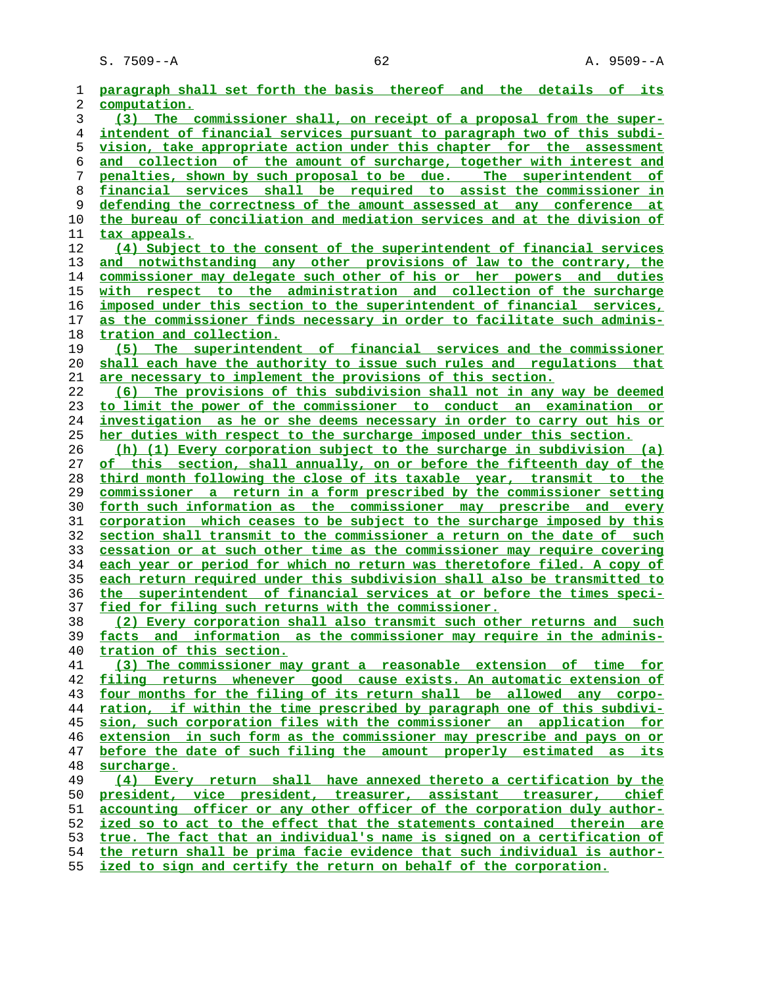**paragraph shall set forth the basis thereof and the details of its computation. (3) The commissioner shall, on receipt of a proposal from the super- intendent of financial services pursuant to paragraph two of this subdi- vision, take appropriate action under this chapter for the assessment and collection of the amount of surcharge, together with interest and penalties, shown by such proposal to be due. The superintendent of financial services shall be required to assist the commissioner in defending the correctness of the amount assessed at any conference at the bureau of conciliation and mediation services and at the division of tax appeals. (4) Subject to the consent of the superintendent of financial services and notwithstanding any other provisions of law to the contrary, the commissioner may delegate such other of his or her powers and duties with respect to the administration and collection of the surcharge imposed under this section to the superintendent of financial services, as the commissioner finds necessary in order to facilitate such adminis- tration and collection. (5) The superintendent of financial services and the commissioner shall each have the authority to issue such rules and regulations that are necessary to implement the provisions of this section. (6) The provisions of this subdivision shall not in any way be deemed to limit the power of the commissioner to conduct an examination or investigation as he or she deems necessary in order to carry out his or her duties with respect to the surcharge imposed under this section. (h) (1) Every corporation subject to the surcharge in subdivision (a) of this section, shall annually, on or before the fifteenth day of the third month following the close of its taxable year, transmit to the commissioner a return in a form prescribed by the commissioner setting forth such information as the commissioner may prescribe and every corporation which ceases to be subject to the surcharge imposed by this section shall transmit to the commissioner a return on the date of such cessation or at such other time as the commissioner may require covering each year or period for which no return was theretofore filed. A copy of each return required under this subdivision shall also be transmitted to the superintendent of financial services at or before the times speci- fied for filing such returns with the commissioner. (2) Every corporation shall also transmit such other returns and such facts and information as the commissioner may require in the adminis- tration of this section. (3) The commissioner may grant a reasonable extension of time for filing returns whenever good cause exists. An automatic extension of four months for the filing of its return shall be allowed any corpo- ration, if within the time prescribed by paragraph one of this subdivi- sion, such corporation files with the commissioner an application for extension in such form as the commissioner may prescribe and pays on or before the date of such filing the amount properly estimated as its surcharge. (4) Every return shall have annexed thereto a certification by the president, vice president, treasurer, assistant treasurer, chief accounting officer or any other officer of the corporation duly author- ized so to act to the effect that the statements contained therein are true. The fact that an individual's name is signed on a certification of the return shall be prima facie evidence that such individual is author-**

**ized to sign and certify the return on behalf of the corporation.**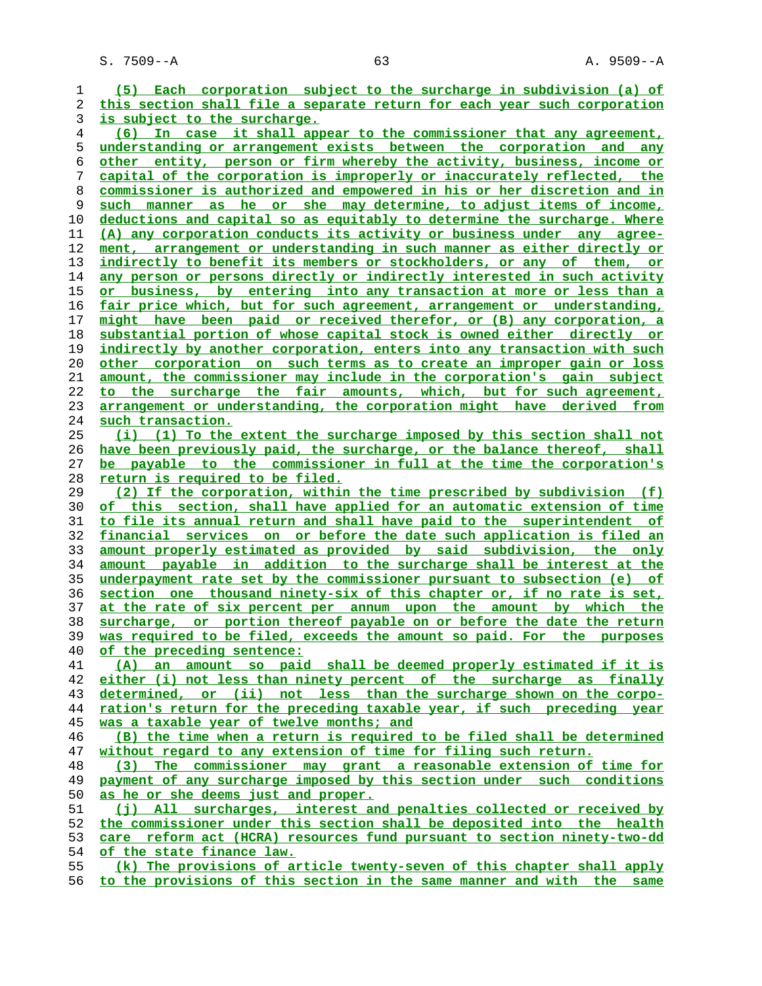**(5) Each corporation subject to the surcharge in subdivision (a) of this section shall file a separate return for each year such corporation is subject to the surcharge. (6) In case it shall appear to the commissioner that any agreement, understanding or arrangement exists between the corporation and any other entity, person or firm whereby the activity, business, income or capital of the corporation is improperly or inaccurately reflected, the commissioner is authorized and empowered in his or her discretion and in such manner as he or she may determine, to adjust items of income, deductions and capital so as equitably to determine the surcharge. Where (A) any corporation conducts its activity or business under any agree- ment, arrangement or understanding in such manner as either directly or indirectly to benefit its members or stockholders, or any of them, or any person or persons directly or indirectly interested in such activity or business, by entering into any transaction at more or less than a fair price which, but for such agreement, arrangement or understanding, might have been paid or received therefor, or (B) any corporation, a substantial portion of whose capital stock is owned either directly or indirectly by another corporation, enters into any transaction with such other corporation on such terms as to create an improper gain or loss amount, the commissioner may include in the corporation's gain subject to the surcharge the fair amounts, which, but for such agreement, arrangement or understanding, the corporation might have derived from such transaction. (i) (1) To the extent the surcharge imposed by this section shall not have been previously paid, the surcharge, or the balance thereof, shall be payable to the commissioner in full at the time the corporation's return is required to be filed. (2) If the corporation, within the time prescribed by subdivision (f) of this section, shall have applied for an automatic extension of time to file its annual return and shall have paid to the superintendent of financial services on or before the date such application is filed an amount properly estimated as provided by said subdivision, the only amount payable in addition to the surcharge shall be interest at the underpayment rate set by the commissioner pursuant to subsection (e) of section one thousand ninety-six of this chapter or, if no rate is set, at the rate of six percent per annum upon the amount by which the surcharge, or portion thereof payable on or before the date the return was required to be filed, exceeds the amount so paid. For the purposes of the preceding sentence: (A) an amount so paid shall be deemed properly estimated if it is either (i) not less than ninety percent of the surcharge as finally determined, or (ii) not less than the surcharge shown on the corpo- ration's return for the preceding taxable year, if such preceding year was a taxable year of twelve months; and (B) the time when a return is required to be filed shall be determined without regard to any extension of time for filing such return. (3) The commissioner may grant a reasonable extension of time for payment of any surcharge imposed by this section under such conditions as he or she deems just and proper. (j) All surcharges, interest and penalties collected or received by the commissioner under this section shall be deposited into the health care reform act (HCRA) resources fund pursuant to section ninety-two-dd of the state finance law. (k) The provisions of article twenty-seven of this chapter shall apply to the provisions of this section in the same manner and with the same**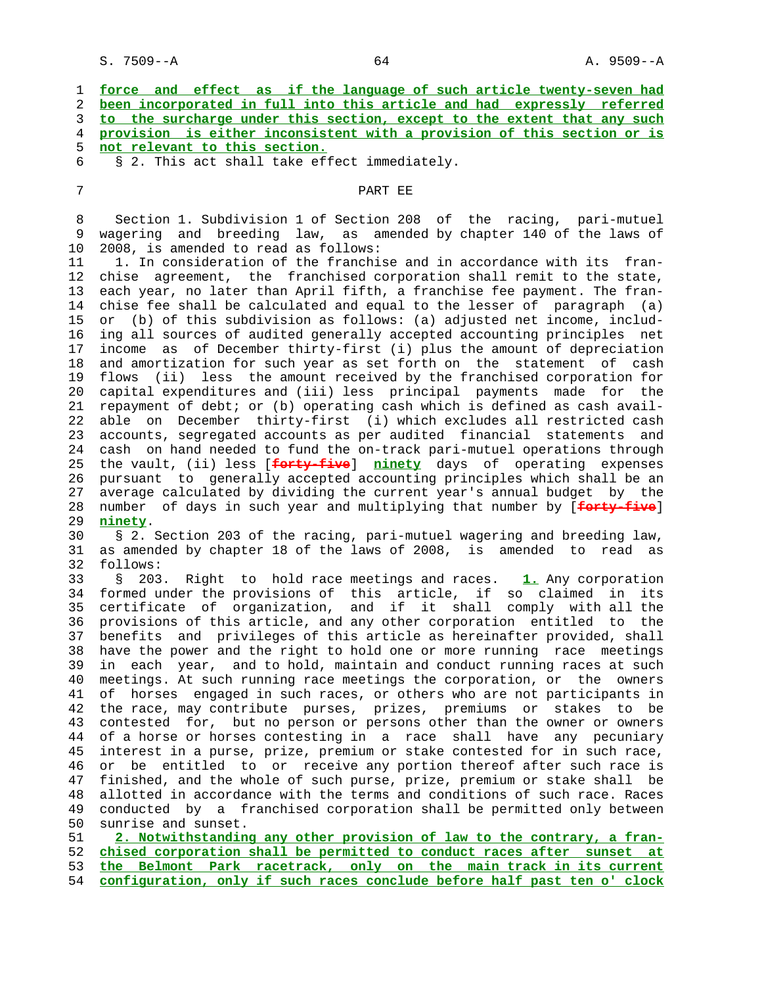| 3              | to the surcharge under this section, except to the extent that any such                                                                          |
|----------------|--------------------------------------------------------------------------------------------------------------------------------------------------|
| $\overline{4}$ | provision is either inconsistent with a provision of this section or is                                                                          |
|                | not relevant to this section.                                                                                                                    |
|                | § 2. This act shall take effect immediately.                                                                                                     |
|                | PART EE                                                                                                                                          |
|                |                                                                                                                                                  |
|                | Section 1. Subdivision 1 of Section 208 of the racing, pari-mutuel                                                                               |
|                | wagering and breeding law, as amended by chapter 140 of the laws of                                                                              |
|                | 2008, is amended to read as follows:                                                                                                             |
|                | 1. In consideration of the franchise and in accordance with its fran-                                                                            |
|                | agreement, the franchised corporation shall remit to the state,<br>chise                                                                         |
|                | each year, no later than April fifth, a franchise fee payment. The fran-                                                                         |
|                | chise fee shall be calculated and equal to the lesser of paragraph (a)                                                                           |
|                | or (b) of this subdivision as follows: (a) adjusted net income, includ-                                                                          |
|                | ing all sources of audited generally accepted accounting principles net                                                                          |
|                | as of December thirty-first (i) plus the amount of depreciation<br>income                                                                        |
|                | and amortization for such year as set forth on the statement of cash                                                                             |
|                | flows (ii) less the amount received by the franchised corporation for                                                                            |
|                | capital expenditures and (iii) less principal payments made for the                                                                              |
|                | repayment of debt; or (b) operating cash which is defined as cash avail-                                                                         |
|                | on December thirty-first (i) which excludes all restricted cash<br>able                                                                          |
|                | accounts, segregated accounts as per audited financial statements and<br>cash on hand needed to fund the on-track pari-mutuel operations through |
|                | the vault, (ii) less [forty-five] ninety days of operating expenses                                                                              |
|                | pursuant to generally accepted accounting principles which shall be an                                                                           |
|                | average calculated by dividing the current year's annual budget by the                                                                           |
|                | number of days in such year and multiplying that number by [forty-five]                                                                          |
|                | ninety.                                                                                                                                          |
|                | § 2. Section 203 of the racing, pari-mutuel wagering and breeding law,                                                                           |
|                | as amended by chapter 18 of the laws of 2008, is amended to read as                                                                              |
|                | follows:                                                                                                                                         |
|                | 203. Right to hold race meetings and races. $1.$ Any corporation<br>Ş.                                                                           |
|                | formed under the provisions of this article,<br>if<br>so claimed<br>in<br>its                                                                    |
|                | certificate of organization, and if it shall comply with all the                                                                                 |
|                | provisions of this article, and any other corporation entitled to<br>the                                                                         |
|                | benefits and privileges of this article as hereinafter provided, shall                                                                           |
|                | have the power and the right to hold one or more running race meetings                                                                           |
|                | each year, and to hold, maintain and conduct running races at such<br>in                                                                         |
|                | meetings. At such running race meetings the corporation, or the owners                                                                           |
|                | engaged in such races, or others who are not participants in<br>оf<br>horses<br>the race, may contribute purses, prizes, premiums or             |
|                | stakes to be<br>contested for, but no person or persons other than the owner or owners                                                           |
|                | of a horse or horses contesting in a race shall have any pecuniary                                                                               |
|                | interest in a purse, prize, premium or stake contested for in such race,                                                                         |
|                | be entitled to or receive any portion thereof after such race is<br>or                                                                           |
|                | finished, and the whole of such purse, prize, premium or stake shall be                                                                          |
|                | allotted in accordance with the terms and conditions of such race. Races                                                                         |
|                | conducted by a franchised corporation shall be permitted only between                                                                            |
|                | sunrise and sunset.                                                                                                                              |
|                | 2. Notwithstanding any other provision of law to the contrary, a fran-                                                                           |
|                | chised corporation shall be permitted to conduct races after sunset at                                                                           |
|                | the Belmont Park racetrack, only on the main track in its current                                                                                |

54 **configuration, only if such races conclude before half past ten o' clock**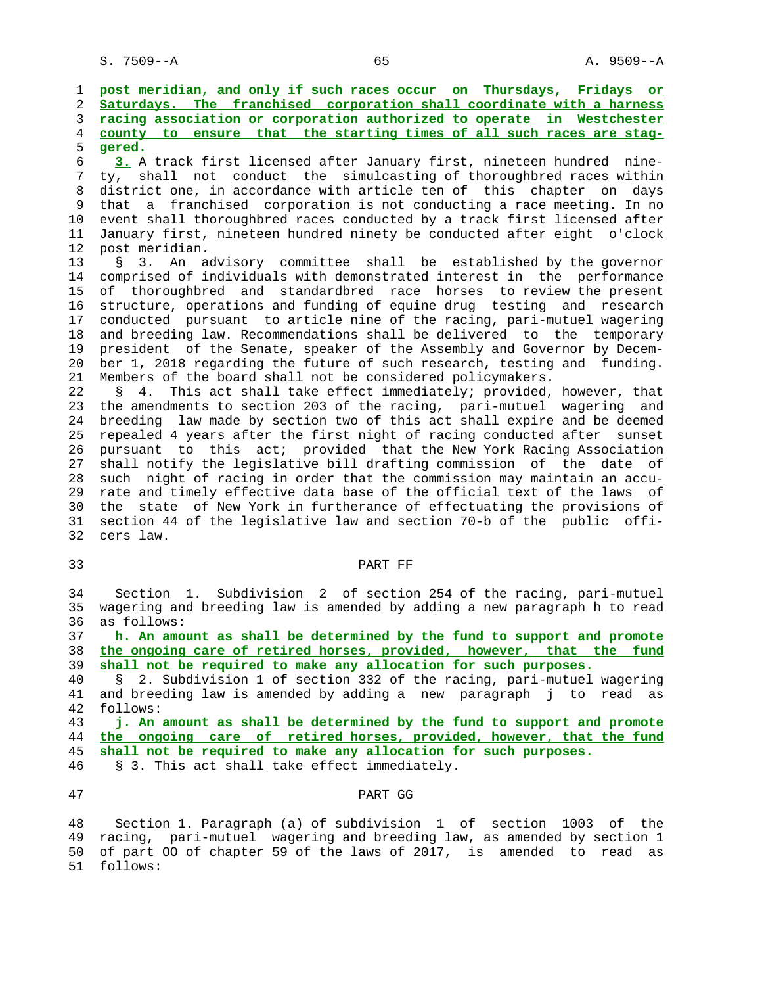1 **post meridian, and only if such races occur on Thursdays, Fridays or** 2 **Saturdays. The franchised corporation shall coordinate with a harness** 3 **racing association or corporation authorized to operate in Westchester** 4 **county to ensure that the starting times of all such races are stag-** 5 **gered.** 6 **3.** A track first licensed after January first, nineteen hundred nine- 7 ty, shall not conduct the simulcasting of thoroughbred races within 8 district one, in accordance with article ten of this chapter on days 9 that a franchised corporation is not conducting a race meeting. In no 10 event shall thoroughbred races conducted by a track first licensed after 11 January first, nineteen hundred ninety be conducted after eight o'clock 12 post meridian. 13 § 3. An advisory committee shall be established by the governor 14 comprised of individuals with demonstrated interest in the performance 15 of thoroughbred and standardbred race horses to review the present 16 structure, operations and funding of equine drug testing and research 17 conducted pursuant to article nine of the racing, pari-mutuel wagering 18 and breeding law. Recommendations shall be delivered to the temporary 19 president of the Senate, speaker of the Assembly and Governor by Decem- 20 ber 1, 2018 regarding the future of such research, testing and funding. 21 Members of the board shall not be considered policymakers. 22 § 4. This act shall take effect immediately; provided, however, that 23 the amendments to section 203 of the racing, pari-mutuel wagering and 24 breeding law made by section two of this act shall expire and be deemed 25 repealed 4 years after the first night of racing conducted after sunset 26 pursuant to this act; provided that the New York Racing Association 27 shall notify the legislative bill drafting commission of the date of 28 such night of racing in order that the commission may maintain an accu- 29 rate and timely effective data base of the official text of the laws of

 30 the state of New York in furtherance of effectuating the provisions of 31 section 44 of the legislative law and section 70-b of the public offi- 32 cers law.

# 33 PART FF

 34 Section 1. Subdivision 2 of section 254 of the racing, pari-mutuel 35 wagering and breeding law is amended by adding a new paragraph h to read 36 as follows:

 37 **h. An amount as shall be determined by the fund to support and promote** 38 **the ongoing care of retired horses, provided, however, that the fund** 39 **shall not be required to make any allocation for such purposes.**

 40 § 2. Subdivision 1 of section 332 of the racing, pari-mutuel wagering 41 and breeding law is amended by adding a new paragraph j to read as 42 follows:

 43 **j. An amount as shall be determined by the fund to support and promote** 44 **the ongoing care of retired horses, provided, however, that the fund** 45 **shall not be required to make any allocation for such purposes.**

46 § 3. This act shall take effect immediately.

## 47 PART GG

 48 Section 1. Paragraph (a) of subdivision 1 of section 1003 of the 49 racing, pari-mutuel wagering and breeding law, as amended by section 1 50 of part OO of chapter 59 of the laws of 2017, is amended to read as 51 follows: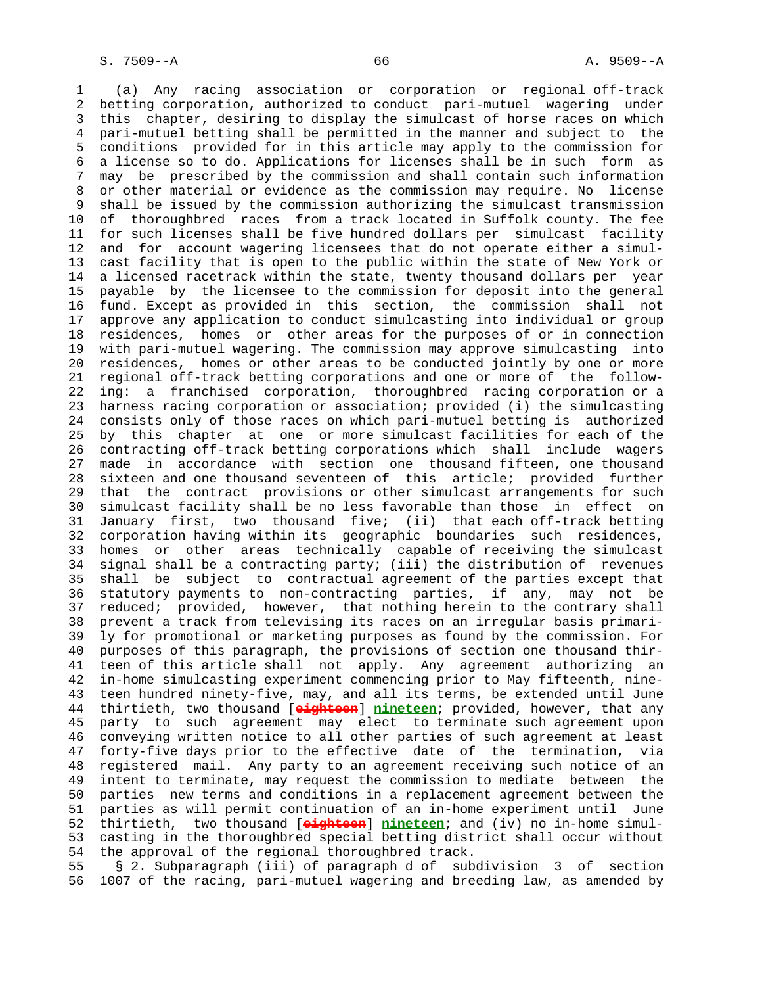1 (a) Any racing association or corporation or regional off-track 2 betting corporation, authorized to conduct pari-mutuel wagering under 3 this chapter, desiring to display the simulcast of horse races on which 4 pari-mutuel betting shall be permitted in the manner and subject to the 5 conditions provided for in this article may apply to the commission for 6 a license so to do. Applications for licenses shall be in such form as 7 may be prescribed by the commission and shall contain such information 8 or other material or evidence as the commission may require. No license<br>9 shall be issued by the commission authorizing the simulcast transmission shall be issued by the commission authorizing the simulcast transmission 10 of thoroughbred races from a track located in Suffolk county. The fee 11 for such licenses shall be five hundred dollars per simulcast facility 12 and for account wagering licensees that do not operate either a simul- 13 cast facility that is open to the public within the state of New York or 14 a licensed racetrack within the state, twenty thousand dollars per year 15 payable by the licensee to the commission for deposit into the general 16 fund. Except as provided in this section, the commission shall not 17 approve any application to conduct simulcasting into individual or group 18 residences, homes or other areas for the purposes of or in connection 19 with pari-mutuel wagering. The commission may approve simulcasting into 20 residences, homes or other areas to be conducted jointly by one or more 21 regional off-track betting corporations and one or more of the follow- 22 ing: a franchised corporation, thoroughbred racing corporation or a 23 harness racing corporation or association; provided (i) the simulcasting 24 consists only of those races on which pari-mutuel betting is authorized 25 by this chapter at one or more simulcast facilities for each of the 26 contracting off-track betting corporations which shall include wagers 27 made in accordance with section one thousand fifteen, one thousand 28 sixteen and one thousand seventeen of this article; provided further 29 that the contract provisions or other simulcast arrangements for such 30 simulcast facility shall be no less favorable than those in effect on 31 January first, two thousand five; (ii) that each off-track betting 32 corporation having within its geographic boundaries such residences, 33 homes or other areas technically capable of receiving the simulcast 34 signal shall be a contracting party; (iii) the distribution of revenues 35 shall be subject to contractual agreement of the parties except that 36 statutory payments to non-contracting parties, if any, may not be 37 reduced; provided, however, that nothing herein to the contrary shall 38 prevent a track from televising its races on an irregular basis primari- 39 ly for promotional or marketing purposes as found by the commission. For 40 purposes of this paragraph, the provisions of section one thousand thir- 41 teen of this article shall not apply. Any agreement authorizing an 42 in-home simulcasting experiment commencing prior to May fifteenth, nine- 43 teen hundred ninety-five, may, and all its terms, be extended until June 44 thirtieth, two thousand [**eighteen**] **nineteen**; provided, however, that any 45 party to such agreement may elect to terminate such agreement upon 46 conveying written notice to all other parties of such agreement at least 47 forty-five days prior to the effective date of the termination, via 48 registered mail. Any party to an agreement receiving such notice of an 49 intent to terminate, may request the commission to mediate between the 50 parties new terms and conditions in a replacement agreement between the 51 parties as will permit continuation of an in-home experiment until June 52 thirtieth, two thousand [**eighteen**] **nineteen**; and (iv) no in-home simul- 53 casting in the thoroughbred special betting district shall occur without 54 the approval of the regional thoroughbred track.

 55 § 2. Subparagraph (iii) of paragraph d of subdivision 3 of section 56 1007 of the racing, pari-mutuel wagering and breeding law, as amended by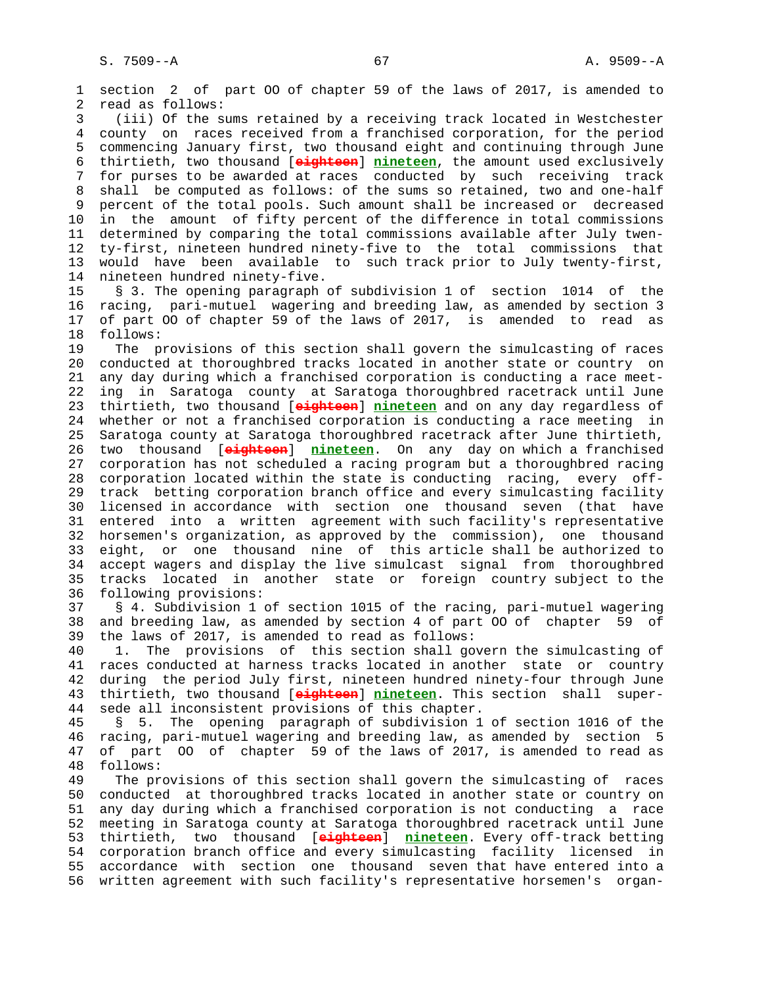1 section 2 of part OO of chapter 59 of the laws of 2017, is amended to 2 read as follows: 3 (iii) Of the sums retained by a receiving track located in Westchester 4 county on races received from a franchised corporation, for the period 5 commencing January first, two thousand eight and continuing through June 6 thirtieth, two thousand [**eighteen**] **nineteen**, the amount used exclusively 7 for purses to be awarded at races conducted by such receiving track 8 shall be computed as follows: of the sums so retained, two and one-half 9 percent of the total pools. Such amount shall be increased or decreased 10 in the amount of fifty percent of the difference in total commissions 11 determined by comparing the total commissions available after July twen- 12 ty-first, nineteen hundred ninety-five to the total commissions that 13 would have been available to such track prior to July twenty-first, 14 nineteen hundred ninety-five. 15 § 3. The opening paragraph of subdivision 1 of section 1014 of the 16 racing, pari-mutuel wagering and breeding law, as amended by section 3 17 of part OO of chapter 59 of the laws of 2017, is amended to read as 18 follows: 19 The provisions of this section shall govern the simulcasting of races 20 conducted at thoroughbred tracks located in another state or country on 21 any day during which a franchised corporation is conducting a race meet- 22 ing in Saratoga county at Saratoga thoroughbred racetrack until June 23 thirtieth, two thousand [**eighteen**] **nineteen** and on any day regardless of 24 whether or not a franchised corporation is conducting a race meeting in 25 Saratoga county at Saratoga thoroughbred racetrack after June thirtieth, 26 two thousand [**eighteen**] **nineteen**. On any day on which a franchised 27 corporation has not scheduled a racing program but a thoroughbred racing 28 corporation located within the state is conducting racing, every off- 29 track betting corporation branch office and every simulcasting facility 30 licensed in accordance with section one thousand seven (that have 31 entered into a written agreement with such facility's representative 32 horsemen's organization, as approved by the commission), one thousand 33 eight, or one thousand nine of this article shall be authorized to 34 accept wagers and display the live simulcast signal from thoroughbred tracks located in another state or foreign country subject to the 36 following provisions: 37 § 4. Subdivision 1 of section 1015 of the racing, pari-mutuel wagering 38 and breeding law, as amended by section 4 of part OO of chapter 59 of

 39 the laws of 2017, is amended to read as follows: 40 1. The provisions of this section shall govern the simulcasting of 41 races conducted at harness tracks located in another state or country 42 during the period July first, nineteen hundred ninety-four through June 43 thirtieth, two thousand [**eighteen**] **nineteen**. This section shall super- 44 sede all inconsistent provisions of this chapter.

 45 § 5. The opening paragraph of subdivision 1 of section 1016 of the 46 racing, pari-mutuel wagering and breeding law, as amended by section 5 47 of part OO of chapter 59 of the laws of 2017, is amended to read as 48 follows:

 49 The provisions of this section shall govern the simulcasting of races 50 conducted at thoroughbred tracks located in another state or country on 51 any day during which a franchised corporation is not conducting a race 52 meeting in Saratoga county at Saratoga thoroughbred racetrack until June 53 thirtieth, two thousand [**eighteen**] **nineteen**. Every off-track betting 54 corporation branch office and every simulcasting facility licensed in 55 accordance with section one thousand seven that have entered into a 56 written agreement with such facility's representative horsemen's organ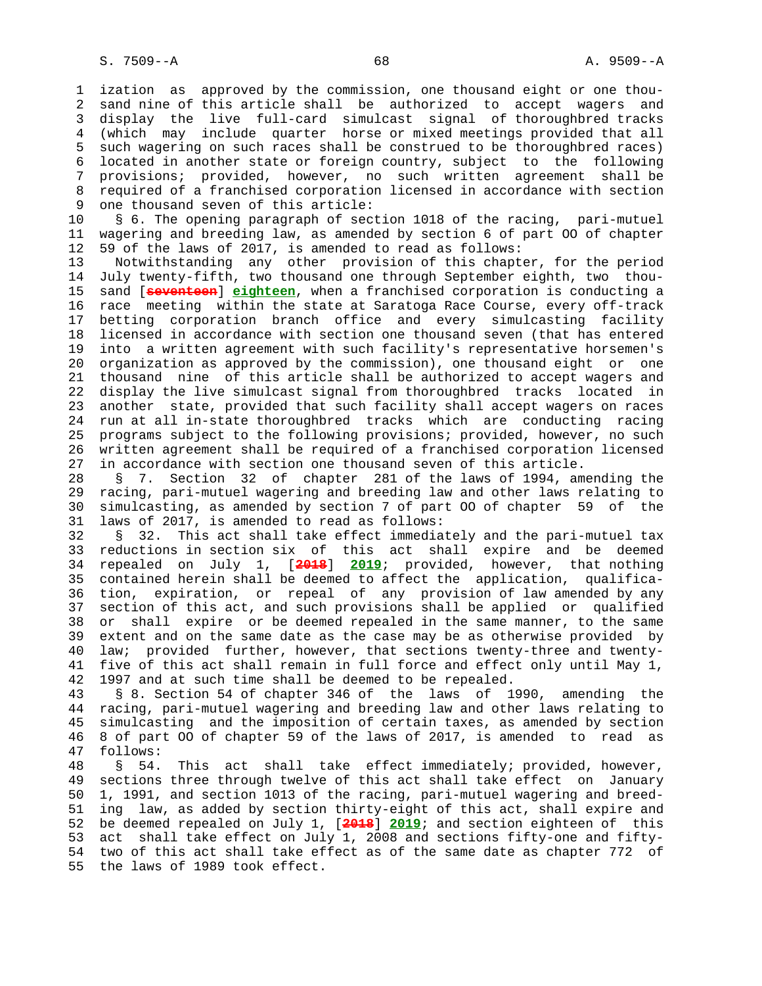1 ization as approved by the commission, one thousand eight or one thou- 2 sand nine of this article shall be authorized to accept wagers and 3 display the live full-card simulcast signal of thoroughbred tracks 4 (which may include quarter horse or mixed meetings provided that all 5 such wagering on such races shall be construed to be thoroughbred races) 6 located in another state or foreign country, subject to the following 7 provisions; provided, however, no such written agreement shall be 8 required of a franchised corporation licensed in accordance with section<br>9 one thousand seven of this article: one thousand seven of this article:

 10 § 6. The opening paragraph of section 1018 of the racing, pari-mutuel 11 wagering and breeding law, as amended by section 6 of part OO of chapter 12 59 of the laws of 2017, is amended to read as follows:

 13 Notwithstanding any other provision of this chapter, for the period 14 July twenty-fifth, two thousand one through September eighth, two thou- 15 sand [**seventeen**] **eighteen**, when a franchised corporation is conducting a 16 race meeting within the state at Saratoga Race Course, every off-track 17 betting corporation branch office and every simulcasting facility 18 licensed in accordance with section one thousand seven (that has entered 19 into a written agreement with such facility's representative horsemen's 20 organization as approved by the commission), one thousand eight or one 21 thousand nine of this article shall be authorized to accept wagers and 22 display the live simulcast signal from thoroughbred tracks located in 23 another state, provided that such facility shall accept wagers on races 24 run at all in-state thoroughbred tracks which are conducting racing 25 programs subject to the following provisions; provided, however, no such 26 written agreement shall be required of a franchised corporation licensed 27 in accordance with section one thousand seven of this article.

 28 § 7. Section 32 of chapter 281 of the laws of 1994, amending the 29 racing, pari-mutuel wagering and breeding law and other laws relating to 30 simulcasting, as amended by section 7 of part OO of chapter 59 of the 31 laws of 2017, is amended to read as follows:

 32 § 32. This act shall take effect immediately and the pari-mutuel tax 33 reductions in section six of this act shall expire and be deemed 34 repealed on July 1, [**2018**] **2019**; provided, however, that nothing 35 contained herein shall be deemed to affect the application, qualifica- 36 tion, expiration, or repeal of any provision of law amended by any 37 section of this act, and such provisions shall be applied or qualified 38 or shall expire or be deemed repealed in the same manner, to the same 39 extent and on the same date as the case may be as otherwise provided by 40 law; provided further, however, that sections twenty-three and twenty- 41 five of this act shall remain in full force and effect only until May 1, 42 1997 and at such time shall be deemed to be repealed.

 43 § 8. Section 54 of chapter 346 of the laws of 1990, amending the 44 racing, pari-mutuel wagering and breeding law and other laws relating to 45 simulcasting and the imposition of certain taxes, as amended by section 46 8 of part OO of chapter 59 of the laws of 2017, is amended to read as 47 follows:

 48 § 54. This act shall take effect immediately; provided, however, 49 sections three through twelve of this act shall take effect on January 50 1, 1991, and section 1013 of the racing, pari-mutuel wagering and breed- 51 ing law, as added by section thirty-eight of this act, shall expire and 52 be deemed repealed on July 1, [**2018**] **2019**; and section eighteen of this 53 act shall take effect on July 1, 2008 and sections fifty-one and fifty- 54 two of this act shall take effect as of the same date as chapter 772 of 55 the laws of 1989 took effect.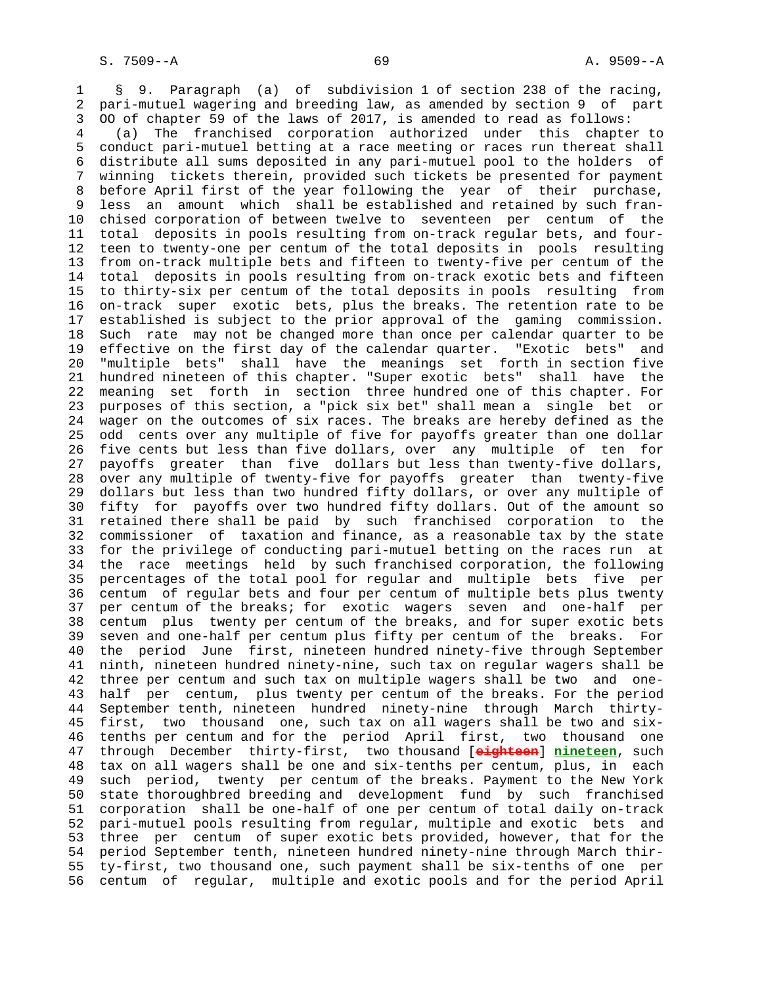1 § 9. Paragraph (a) of subdivision 1 of section 238 of the racing, 2 pari-mutuel wagering and breeding law, as amended by section 9 of part 3 OO of chapter 59 of the laws of 2017, is amended to read as follows: 4 (a) The franchised corporation authorized under this chapter to 5 conduct pari-mutuel betting at a race meeting or races run thereat shall 6 distribute all sums deposited in any pari-mutuel pool to the holders of 7 winning tickets therein, provided such tickets be presented for payment 8 before April first of the year following the year of their purchase,<br>9 less an amount which shall be established and retained by such franless an amount which shall be established and retained by such fran- 10 chised corporation of between twelve to seventeen per centum of the 11 total deposits in pools resulting from on-track regular bets, and four- 12 teen to twenty-one per centum of the total deposits in pools resulting 13 from on-track multiple bets and fifteen to twenty-five per centum of the 14 total deposits in pools resulting from on-track exotic bets and fifteen 15 to thirty-six per centum of the total deposits in pools resulting from 16 on-track super exotic bets, plus the breaks. The retention rate to be 17 established is subject to the prior approval of the gaming commission. 18 Such rate may not be changed more than once per calendar quarter to be 19 effective on the first day of the calendar quarter. "Exotic bets" and 20 "multiple bets" shall have the meanings set forth in section five 21 hundred nineteen of this chapter. "Super exotic bets" shall have the 22 meaning set forth in section three hundred one of this chapter. For 23 purposes of this section, a "pick six bet" shall mean a single bet or 24 wager on the outcomes of six races. The breaks are hereby defined as the 25 odd cents over any multiple of five for payoffs greater than one dollar 26 five cents but less than five dollars, over any multiple of ten for 27 payoffs greater than five dollars but less than twenty-five dollars, 28 over any multiple of twenty-five for payoffs greater than twenty-five 29 dollars but less than two hundred fifty dollars, or over any multiple of 30 fifty for payoffs over two hundred fifty dollars. Out of the amount so 31 retained there shall be paid by such franchised corporation to the 32 commissioner of taxation and finance, as a reasonable tax by the state 33 for the privilege of conducting pari-mutuel betting on the races run at 34 the race meetings held by such franchised corporation, the following 35 percentages of the total pool for regular and multiple bets five per 36 centum of regular bets and four per centum of multiple bets plus twenty 37 per centum of the breaks; for exotic wagers seven and one-half per 38 centum plus twenty per centum of the breaks, and for super exotic bets 39 seven and one-half per centum plus fifty per centum of the breaks. For 40 the period June first, nineteen hundred ninety-five through September 41 ninth, nineteen hundred ninety-nine, such tax on regular wagers shall be 42 three per centum and such tax on multiple wagers shall be two and one- 43 half per centum, plus twenty per centum of the breaks. For the period 44 September tenth, nineteen hundred ninety-nine through March thirty- 45 first, two thousand one, such tax on all wagers shall be two and six- 46 tenths per centum and for the period April first, two thousand one 47 through December thirty-first, two thousand [**eighteen**] **nineteen**, such 48 tax on all wagers shall be one and six-tenths per centum, plus, in each 49 such period, twenty per centum of the breaks. Payment to the New York 50 state thoroughbred breeding and development fund by such franchised 51 corporation shall be one-half of one per centum of total daily on-track 52 pari-mutuel pools resulting from regular, multiple and exotic bets and 53 three per centum of super exotic bets provided, however, that for the 54 period September tenth, nineteen hundred ninety-nine through March thir- 55 ty-first, two thousand one, such payment shall be six-tenths of one per 56 centum of regular, multiple and exotic pools and for the period April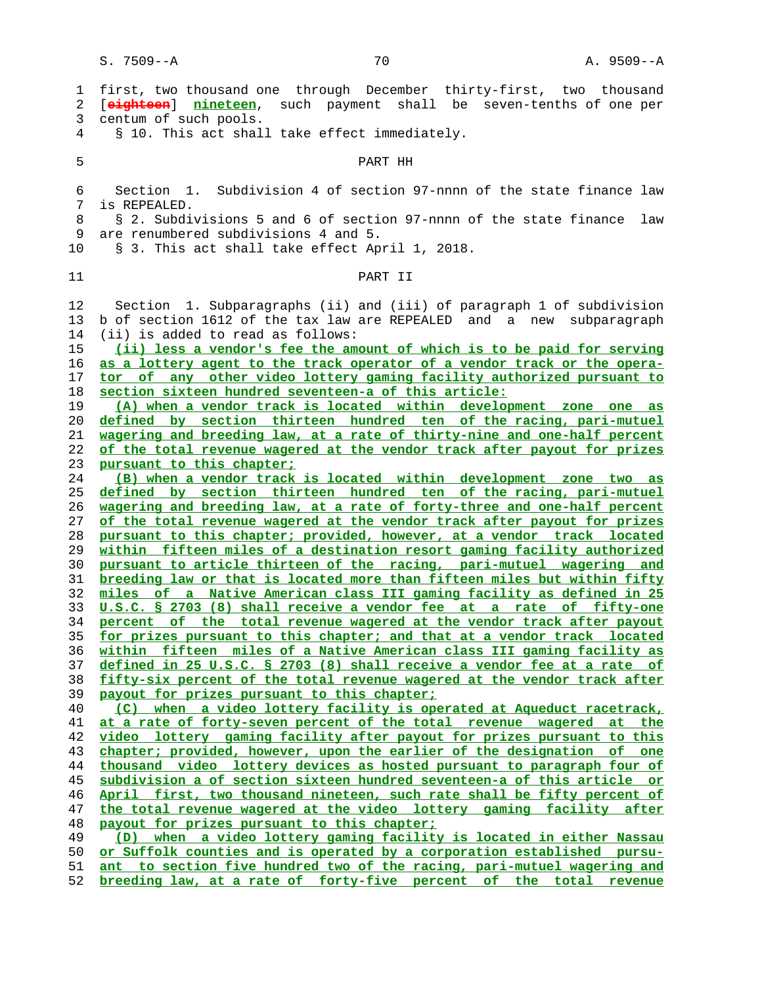S. 7509--A 70 A. 9509--A

 1 first, two thousand one through December thirty-first, two thousand 2 [**eighteen**] **nineteen**, such payment shall be seven-tenths of one per 3 centum of such pools. 4 § 10. This act shall take effect immediately. 5 PART HH 6 Section 1. Subdivision 4 of section 97-nnnn of the state finance law<br>7 is REPEALED. is REPEALED. 8 § 2. Subdivisions 5 and 6 of section 97-nnnn of the state finance law 9 are renumbered subdivisions 4 and 5. 10 § 3. This act shall take effect April 1, 2018. 11 PART II 12 Section 1. Subparagraphs (ii) and (iii) of paragraph 1 of subdivision 13 b of section 1612 of the tax law are REPEALED and a new subparagraph 14 (ii) is added to read as follows: **(ii) less a vendor's fee the amount of which is to be paid for serving as a lottery agent to the track operator of a vendor track or the opera- tor of any other video lottery gaming facility authorized pursuant to section sixteen hundred seventeen-a of this article: (A) when a vendor track is located within development zone one as defined by section thirteen hundred ten of the racing, pari-mutuel wagering and breeding law, at a rate of thirty-nine and one-half percent of the total revenue wagered at the vendor track after payout for prizes pursuant to this chapter; (B) when a vendor track is located within development zone two as defined by section thirteen hundred ten of the racing, pari-mutuel wagering and breeding law, at a rate of forty-three and one-half percent of the total revenue wagered at the vendor track after payout for prizes pursuant to this chapter; provided, however, at a vendor track located within fifteen miles of a destination resort gaming facility authorized pursuant to article thirteen of the racing, pari-mutuel wagering and breeding law or that is located more than fifteen miles but within fifty miles of a Native American class III gaming facility as defined in 25 U.S.C. § 2703 (8) shall receive a vendor fee at a rate of fifty-one percent of the total revenue wagered at the vendor track after payout for prizes pursuant to this chapter; and that at a vendor track located within fifteen miles of a Native American class III gaming facility as defined in 25 U.S.C. § 2703 (8) shall receive a vendor fee at a rate of fifty-six percent of the total revenue wagered at the vendor track after payout for prizes pursuant to this chapter; (C) when a video lottery facility is operated at Aqueduct racetrack, at a rate of forty-seven percent of the total revenue wagered at the video lottery gaming facility after payout for prizes pursuant to this chapter; provided, however, upon the earlier of the designation of one thousand video lottery devices as hosted pursuant to paragraph four of subdivision a of section sixteen hundred seventeen-a of this article or April first, two thousand nineteen, such rate shall be fifty percent of the total revenue wagered at the video lottery gaming facility after payout for prizes pursuant to this chapter; (D) when a video lottery gaming facility is located in either Nassau or Suffolk counties and is operated by a corporation established pursu- ant to section five hundred two of the racing, pari-mutuel wagering and breeding law, at a rate of forty-five percent of the total revenue**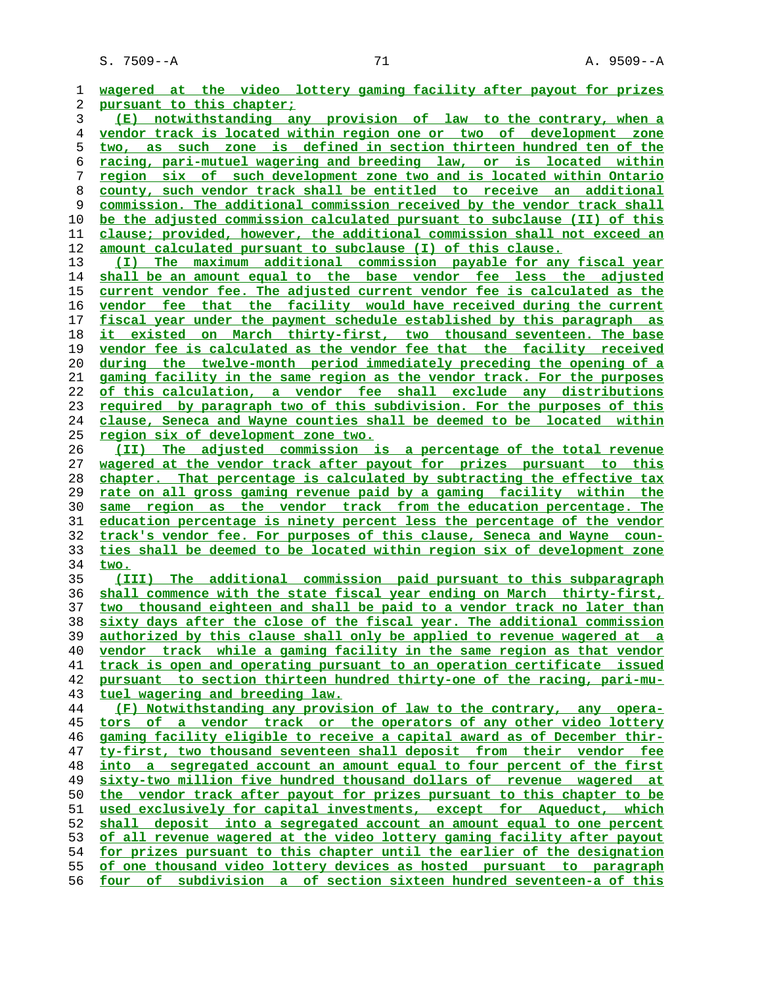**wagered at the video lottery gaming facility after payout for prizes pursuant to this chapter; (E) notwithstanding any provision of law to the contrary, when a vendor track is located within region one or two of development zone two, as such zone is defined in section thirteen hundred ten of the racing, pari-mutuel wagering and breeding law, or is located within region six of such development zone two and is located within Ontario county, such vendor track shall be entitled to receive an additional commission. The additional commission received by the vendor track shall be the adjusted commission calculated pursuant to subclause (II) of this clause; provided, however, the additional commission shall not exceed an amount calculated pursuant to subclause (I) of this clause. (I) The maximum additional commission payable for any fiscal year shall be an amount equal to the base vendor fee less the adjusted current vendor fee. The adjusted current vendor fee is calculated as the vendor fee that the facility would have received during the current fiscal year under the payment schedule established by this paragraph as it existed on March thirty-first, two thousand seventeen. The base vendor fee is calculated as the vendor fee that the facility received during the twelve-month period immediately preceding the opening of a gaming facility in the same region as the vendor track. For the purposes of this calculation, a vendor fee shall exclude any distributions required by paragraph two of this subdivision. For the purposes of this clause, Seneca and Wayne counties shall be deemed to be located within region six of development zone two. (II) The adjusted commission is a percentage of the total revenue wagered at the vendor track after payout for prizes pursuant to this chapter. That percentage is calculated by subtracting the effective tax rate on all gross gaming revenue paid by a gaming facility within the same region as the vendor track from the education percentage. The education percentage is ninety percent less the percentage of the vendor track's vendor fee. For purposes of this clause, Seneca and Wayne coun- ties shall be deemed to be located within region six of development zone two. (III) The additional commission paid pursuant to this subparagraph shall commence with the state fiscal year ending on March thirty-first, two thousand eighteen and shall be paid to a vendor track no later than sixty days after the close of the fiscal year. The additional commission authorized by this clause shall only be applied to revenue wagered at a vendor track while a gaming facility in the same region as that vendor track is open and operating pursuant to an operation certificate issued pursuant to section thirteen hundred thirty-one of the racing, pari-mu- tuel wagering and breeding law. (F) Notwithstanding any provision of law to the contrary, any opera- tors of a vendor track or the operators of any other video lottery gaming facility eligible to receive a capital award as of December thir- ty-first, two thousand seventeen shall deposit from their vendor fee into a segregated account an amount equal to four percent of the first sixty-two million five hundred thousand dollars of revenue wagered at the vendor track after payout for prizes pursuant to this chapter to be used exclusively for capital investments, except for Aqueduct, which shall deposit into a segregated account an amount equal to one percent of all revenue wagered at the video lottery gaming facility after payout for prizes pursuant to this chapter until the earlier of the designation of one thousand video lottery devices as hosted pursuant to paragraph four of subdivision a of section sixteen hundred seventeen-a of this**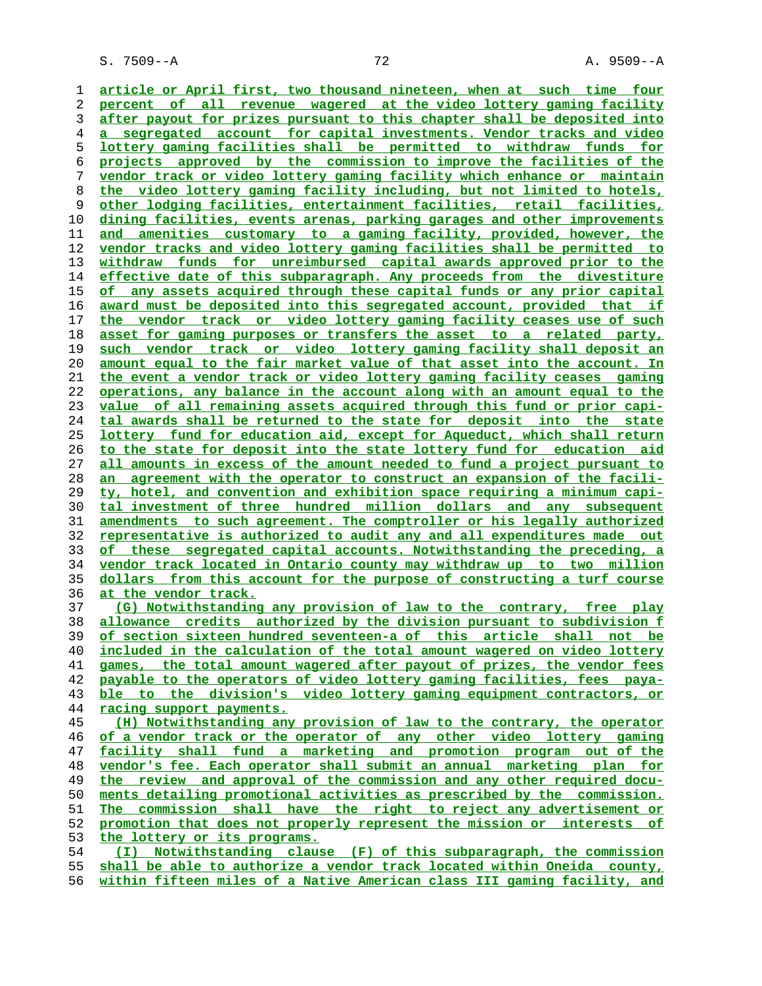S. 7509--A 72 A. 9509--A

**article or April first, two thousand nineteen, when at such time four percent of all revenue wagered at the video lottery gaming facility after payout for prizes pursuant to this chapter shall be deposited into a segregated account for capital investments. Vendor tracks and video lottery gaming facilities shall be permitted to withdraw funds for projects approved by the commission to improve the facilities of the vendor track or video lottery gaming facility which enhance or maintain the video lottery gaming facility including, but not limited to hotels, other lodging facilities, entertainment facilities, retail facilities, dining facilities, events arenas, parking garages and other improvements and amenities customary to a gaming facility, provided, however, the vendor tracks and video lottery gaming facilities shall be permitted to withdraw funds for unreimbursed capital awards approved prior to the effective date of this subparagraph. Any proceeds from the divestiture of any assets acquired through these capital funds or any prior capital award must be deposited into this segregated account, provided that if the vendor track or video lottery gaming facility ceases use of such asset for gaming purposes or transfers the asset to a related party, such vendor track or video lottery gaming facility shall deposit an amount equal to the fair market value of that asset into the account. In the event a vendor track or video lottery gaming facility ceases gaming operations, any balance in the account along with an amount equal to the value of all remaining assets acquired through this fund or prior capi- tal awards shall be returned to the state for deposit into the state lottery fund for education aid, except for Aqueduct, which shall return to the state for deposit into the state lottery fund for education aid all amounts in excess of the amount needed to fund a project pursuant to an agreement with the operator to construct an expansion of the facili- ty, hotel, and convention and exhibition space requiring a minimum capi- tal investment of three hundred million dollars and any subsequent amendments to such agreement. The comptroller or his legally authorized representative is authorized to audit any and all expenditures made out of these segregated capital accounts. Notwithstanding the preceding, a vendor track located in Ontario county may withdraw up to two million dollars from this account for the purpose of constructing a turf course at the vendor track. (G) Notwithstanding any provision of law to the contrary, free play allowance credits authorized by the division pursuant to subdivision f of section sixteen hundred seventeen-a of this article shall not be included in the calculation of the total amount wagered on video lottery games, the total amount wagered after payout of prizes, the vendor fees payable to the operators of video lottery gaming facilities, fees paya- ble to the division's video lottery gaming equipment contractors, or racing support payments. (H) Notwithstanding any provision of law to the contrary, the operator of a vendor track or the operator of any other video lottery gaming facility shall fund a marketing and promotion program out of the vendor's fee. Each operator shall submit an annual marketing plan for the review and approval of the commission and any other required docu- ments detailing promotional activities as prescribed by the commission. The commission shall have the right to reject any advertisement or promotion that does not properly represent the mission or interests of the lottery or its programs. (I) Notwithstanding clause (F) of this subparagraph, the commission shall be able to authorize a vendor track located within Oneida county, within fifteen miles of a Native American class III gaming facility, and**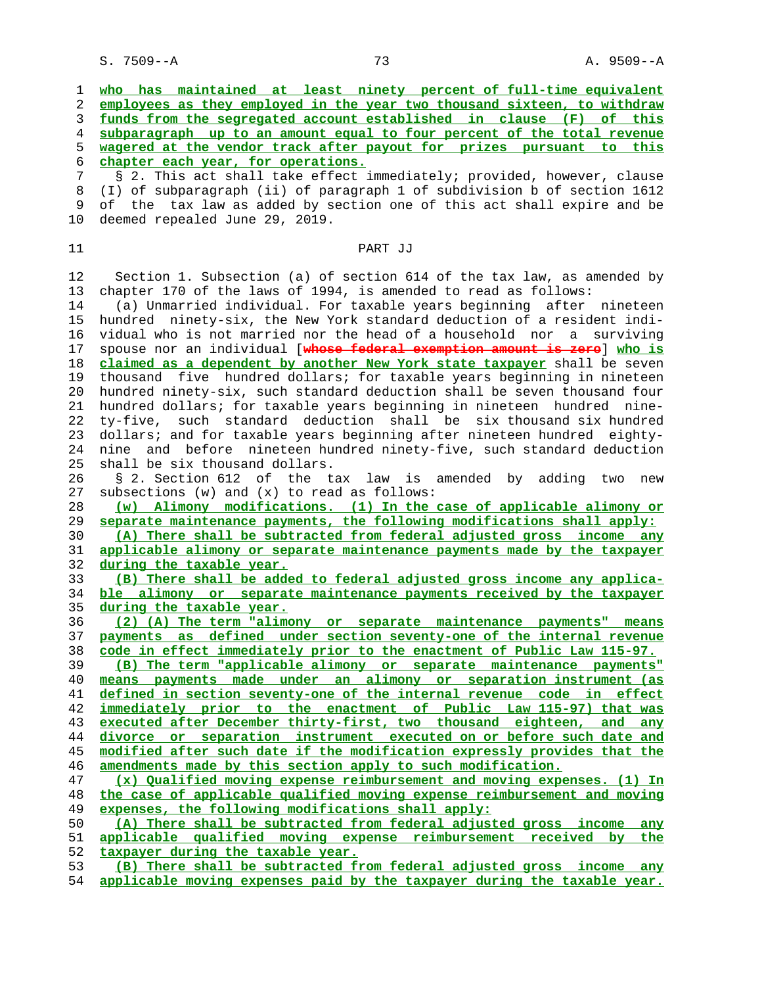S. 7509--A 73 73 A. 9509--A

| ı       | who has maintained at least ninety percent of full-time equivalent                                                                             |
|---------|------------------------------------------------------------------------------------------------------------------------------------------------|
| 2       | employees as they employed in the year two thousand sixteen, to withdraw                                                                       |
| 3<br>4  | funds from the segregated account established in clause (F) of this<br>subparagraph up to an amount equal to four percent of the total revenue |
|         |                                                                                                                                                |
| 5       | wagered at the vendor track after payout for prizes pursuant to this                                                                           |
| б       | chapter each year, for operations.                                                                                                             |
| 7       | § 2. This act shall take effect immediately; provided, however, clause                                                                         |
| 8       | (I) of subparagraph (ii) of paragraph 1 of subdivision b of section 1612                                                                       |
| 9       | of the tax law as added by section one of this act shall expire and be                                                                         |
| 10      | deemed repealed June 29, 2019.                                                                                                                 |
| 11      | PART JJ                                                                                                                                        |
|         |                                                                                                                                                |
| 12      | Section 1. Subsection (a) of section 614 of the tax law, as amended by                                                                         |
| 13      | chapter 170 of the laws of 1994, is amended to read as follows:                                                                                |
| 14      | (a) Unmarried individual. For taxable years beginning after nineteen                                                                           |
| 15      | hundred ninety-six, the New York standard deduction of a resident indi-                                                                        |
| 16      | vidual who is not married nor the head of a household nor a surviving                                                                          |
| 17      | spouse nor an individual [whose federal exemption amount is zero] who is                                                                       |
| 18      | claimed as a dependent by another New York state taxpayer shall be seven                                                                       |
| 19      | thousand five hundred dollars; for taxable years beginning in nineteen                                                                         |
| $20 \,$ | hundred ninety-six, such standard deduction shall be seven thousand four                                                                       |
| 21      | hundred dollars; for taxable years beginning in nineteen hundred nine-                                                                         |
| 22      | ty-five, such standard deduction shall be six thousand six hundred                                                                             |
| 23      | dollars; and for taxable years beginning after nineteen hundred eighty-                                                                        |
| 24      | nine and before nineteen hundred ninety-five, such standard deduction                                                                          |
| 25      | shall be six thousand dollars.                                                                                                                 |
| 26      | § 2. Section 612 of the tax law is amended by adding two<br>new                                                                                |
| 27      | subsections (w) and (x) to read as follows:                                                                                                    |
| 28      | (w) Alimony modifications. (1) In the case of applicable alimony or                                                                            |
| 29      | separate maintenance payments, the following modifications shall apply:                                                                        |
| 30      | (A) There shall be subtracted from federal adjusted gross income any                                                                           |
| 31      | applicable alimony or separate maintenance payments made by the taxpayer                                                                       |
| 32      | during the taxable year.                                                                                                                       |
| 33      | (B) There shall be added to federal adjusted gross income any applica-                                                                         |
| 34      | ble alimony or separate maintenance payments received by the taxpayer                                                                          |
| 35      | during the taxable year.                                                                                                                       |
| 36      | (2) (A) The term "alimony or separate maintenance payments"<br>means                                                                           |
| 37      | payments as defined under section seventy-one of the internal revenue                                                                          |
| 38      | code in effect immediately prior to the enactment of Public Law 115-97.                                                                        |
| 39      | (B) The term "applicable alimony or separate maintenance payments"                                                                             |
| 40      | means payments made under an alimony or separation instrument (as                                                                              |
| 41      | defined in section seventy-one of the internal revenue code in effect                                                                          |
| 42      | immediately prior to the enactment of Public Law 115-97) that was                                                                              |
| 43      | executed after December thirty-first, two thousand eighteen, and any                                                                           |
| 44      | divorce or separation instrument executed on or before such date and                                                                           |
| 45      | modified after such date if the modification expressly provides that the                                                                       |
| 46      | amendments made by this section apply to such modification.                                                                                    |
| 47      | (x) Qualified moving expense reimbursement and moving expenses. (1) In                                                                         |
| 48      | the case of applicable qualified moving expense reimbursement and moving                                                                       |
| 49      | expenses, the following modifications shall apply:                                                                                             |
| 50      | (A) There shall be subtracted from federal adjusted gross income<br>any                                                                        |
| 51      | applicable qualified moving expense reimbursement received by<br>the                                                                           |
| 52      | taxpayer during the taxable year.                                                                                                              |
| 53      | (B) There shall be subtracted from federal adjusted gross income<br>any                                                                        |
|         |                                                                                                                                                |

 <sup>54</sup> **applicable moving expenses paid by the taxpayer during the taxable year.**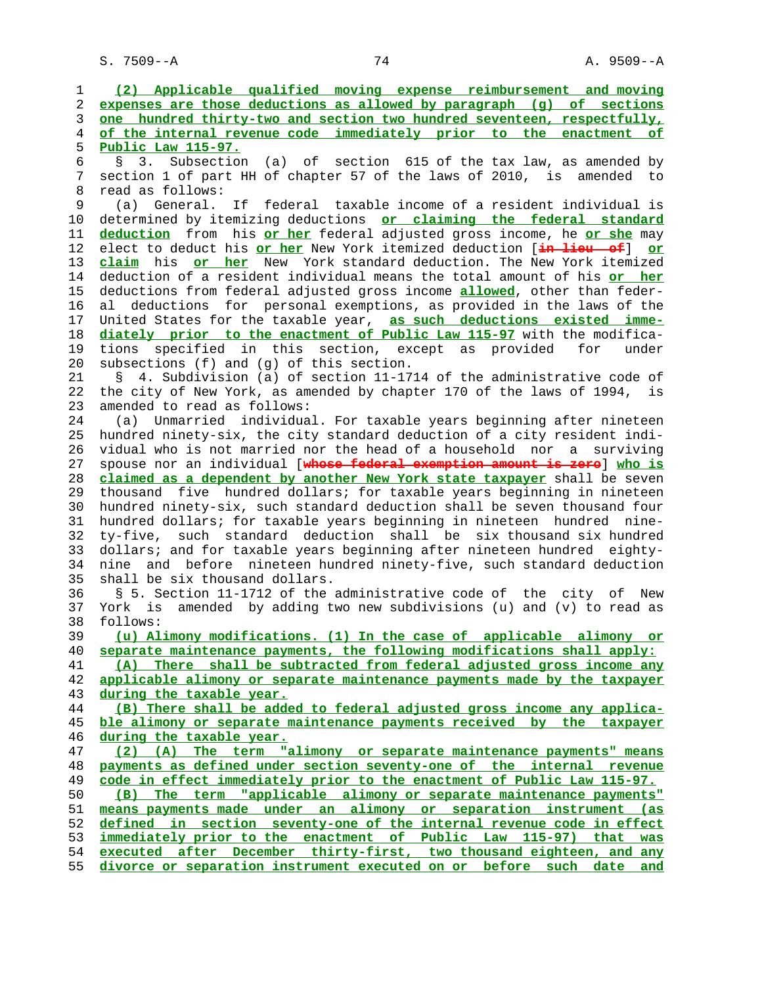1 **(2) Applicable qualified moving expense reimbursement and moving** 2 **expenses are those deductions as allowed by paragraph (g) of sections** 3 **one hundred thirty-two and section two hundred seventeen, respectfully,** 4 **of the internal revenue code immediately prior to the enactment of** 5 **Public Law 115-97.** 6 § 3. Subsection (a) of section 615 of the tax law, as amended by 7 section 1 of part HH of chapter 57 of the laws of 2010, is amended to 8 read as follows:<br>9 (a) General. 9 (a) General. If federal taxable income of a resident individual is 10 determined by itemizing deductions **or claiming the federal standard** 11 **deduction** from his **or her** federal adjusted gross income, he **or she** may 12 elect to deduct his **or her** New York itemized deduction [**in lieu of**] **or** 13 **claim** his **or her** New York standard deduction. The New York itemized 14 deduction of a resident individual means the total amount of his **or her** 15 deductions from federal adjusted gross income **allowed**, other than feder- 16 al deductions for personal exemptions, as provided in the laws of the 17 United States for the taxable year, **as such deductions existed imme-** 18 **diately prior to the enactment of Public Law 115-97** with the modifica- 19 tions specified in this section, except as provided for under 20 subsections (f) and (g) of this section. 21 § 4. Subdivision (a) of section 11-1714 of the administrative code of 22 the city of New York, as amended by chapter 170 of the laws of 1994, is 23 amended to read as follows: 24 (a) Unmarried individual. For taxable years beginning after nineteen 25 hundred ninety-six, the city standard deduction of a city resident indi- 26 vidual who is not married nor the head of a household nor a surviving 27 spouse nor an individual [**whose federal exemption amount is zero**] **who is** 28 **claimed as a dependent by another New York state taxpayer** shall be seven 29 thousand five hundred dollars; for taxable years beginning in nineteen 30 hundred ninety-six, such standard deduction shall be seven thousand four 31 hundred dollars; for taxable years beginning in nineteen hundred nine- 32 ty-five, such standard deduction shall be six thousand six hundred 33 dollars; and for taxable years beginning after nineteen hundred eighty- 34 nine and before nineteen hundred ninety-five, such standard deduction 35 shall be six thousand dollars. 36 § 5. Section 11-1712 of the administrative code of the city of New 37 York is amended by adding two new subdivisions (u) and (v) to read as 38 follows: 39 **(u) Alimony modifications. (1) In the case of applicable alimony or** 40 **separate maintenance payments, the following modifications shall apply:** 41 **(A) There shall be subtracted from federal adjusted gross income any** 42 **applicable alimony or separate maintenance payments made by the taxpayer** 43 **during the taxable year.** 44 **(B) There shall be added to federal adjusted gross income any applica-** 45 **ble alimony or separate maintenance payments received by the taxpayer** 46 **during the taxable year.** 47 **(2) (A) The term "alimony or separate maintenance payments" means** 48 **payments as defined under section seventy-one of the internal revenue** 49 **code in effect immediately prior to the enactment of Public Law 115-97.** 50 **(B) The term "applicable alimony or separate maintenance payments"** 51 **means payments made under an alimony or separation instrument (as** 52 **defined in section seventy-one of the internal revenue code in effect** 53 **immediately prior to the enactment of Public Law 115-97) that was** 54 **executed after December thirty-first, two thousand eighteen, and any** 55 **divorce or separation instrument executed on or before such date and**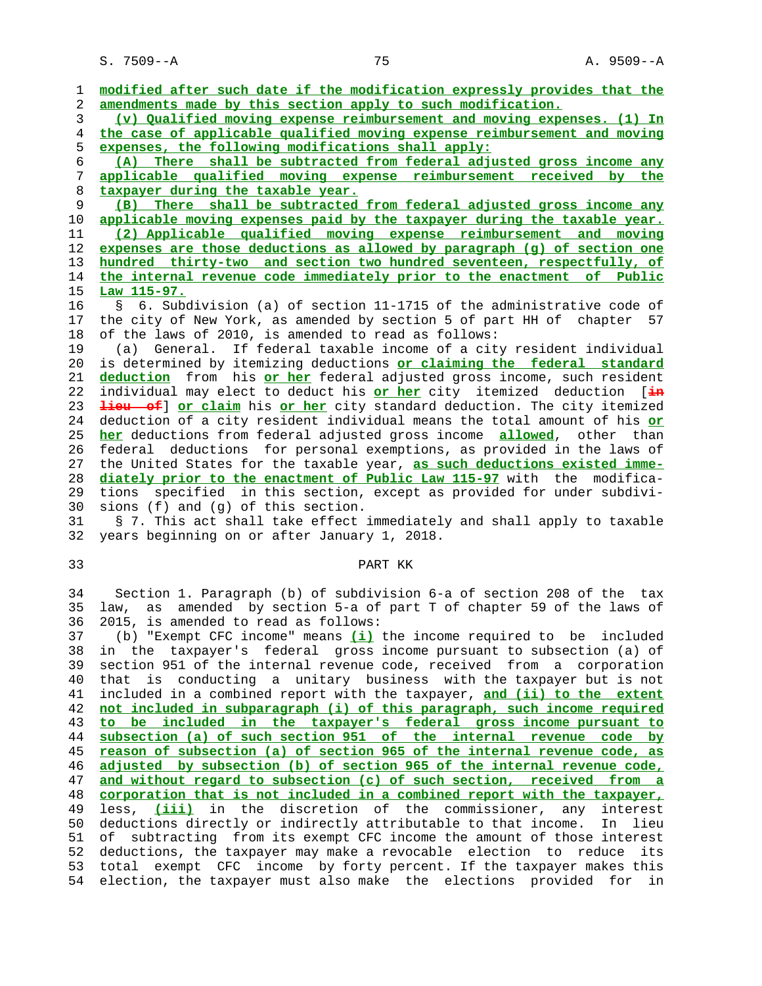S. 7509--A 75 75 A. 9509--A

**modified after such date if the modification expressly provides that the amendments made by this section apply to such modification. (v) Qualified moving expense reimbursement and moving expenses. (1) In the case of applicable qualified moving expense reimbursement and moving expenses, the following modifications shall apply: (A) There shall be subtracted from federal adjusted gross income any applicable qualified moving expense reimbursement received by the taxpayer during the taxable year. (B) There shall be subtracted from federal adjusted gross income any applicable moving expenses paid by the taxpayer during the taxable year. (2) Applicable qualified moving expense reimbursement and moving expenses are those deductions as allowed by paragraph (g) of section one hundred thirty-two and section two hundred seventeen, respectfully, of the internal revenue code immediately prior to the enactment of Public Law 115-97.** 16 § 6. Subdivision (a) of section 11-1715 of the administrative code of 17 the city of New York, as amended by section 5 of part HH of chapter 57 18 of the laws of 2010, is amended to read as follows: 19 (a) General. If federal taxable income of a city resident individual 20 is determined by itemizing deductions **or claiming the federal standard deduction** from his **or her** federal adjusted gross income, such resident 22 individual may elect to deduct his **or her** city itemized deduction [**in lieu of**] **or claim** his **or her** city standard deduction. The city itemized 24 deduction of a city resident individual means the total amount of his **or her** deductions from federal adjusted gross income **allowed**, other than 26 federal deductions for personal exemptions, as provided in the laws of 27 the United States for the taxable year, **as such deductions existed imme- diately prior to the enactment of Public Law 115-97** with the modifica- 29 tions specified in this section, except as provided for under subdivi- 30 sions (f) and (g) of this section.

 31 § 7. This act shall take effect immediately and shall apply to taxable 32 years beginning on or after January 1, 2018.

## 33 PART KK

 34 Section 1. Paragraph (b) of subdivision 6-a of section 208 of the tax 35 law, as amended by section 5-a of part T of chapter 59 of the laws of 36 2015, is amended to read as follows:

 37 (b) "Exempt CFC income" means **(i)** the income required to be included 38 in the taxpayer's federal gross income pursuant to subsection (a) of 39 section 951 of the internal revenue code, received from a corporation 40 that is conducting a unitary business with the taxpayer but is not 41 included in a combined report with the taxpayer, **and (ii) to the extent** 42 **not included in subparagraph (i) of this paragraph, such income required** 43 **to be included in the taxpayer's federal gross income pursuant to** 44 **subsection (a) of such section 951 of the internal revenue code by** 45 **reason of subsection (a) of section 965 of the internal revenue code, as** 46 **adjusted by subsection (b) of section 965 of the internal revenue code,** 47 **and without regard to subsection (c) of such section, received from a** 48 **corporation that is not included in a combined report with the taxpayer,** 49 less, **(iii)** in the discretion of the commissioner, any interest 50 deductions directly or indirectly attributable to that income. In lieu 51 of subtracting from its exempt CFC income the amount of those interest 52 deductions, the taxpayer may make a revocable election to reduce its 53 total exempt CFC income by forty percent. If the taxpayer makes this 54 election, the taxpayer must also make the elections provided for in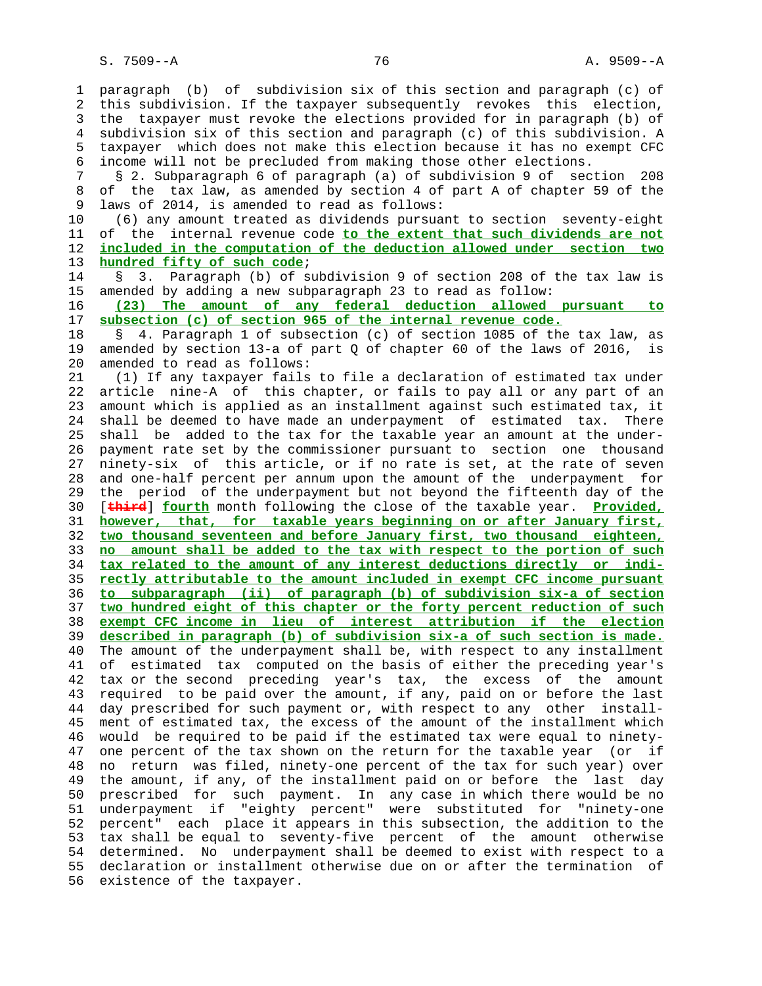1 paragraph (b) of subdivision six of this section and paragraph (c) of 2 this subdivision. If the taxpayer subsequently revokes this election, 3 the taxpayer must revoke the elections provided for in paragraph (b) of 4 subdivision six of this section and paragraph (c) of this subdivision. A 5 taxpayer which does not make this election because it has no exempt CFC 6 income will not be precluded from making those other elections. 7 § 2. Subparagraph 6 of paragraph (a) of subdivision 9 of section 208 8 of the tax law, as amended by section 4 of part A of chapter 59 of the<br>9 laws of 2014, is amended to read as follows: laws of 2014, is amended to read as follows: 10 (6) any amount treated as dividends pursuant to section seventy-eight 11 of the internal revenue code **to the extent that such dividends are not** 12 **included in the computation of the deduction allowed under section two** 13 **hundred fifty of such code**; 14 § 3. Paragraph (b) of subdivision 9 of section 208 of the tax law is 15 amended by adding a new subparagraph 23 to read as follow: 16 **(23) The amount of any federal deduction allowed pursuant to** 17 **subsection (c) of section 965 of the internal revenue code.** 18 § 4. Paragraph 1 of subsection (c) of section 1085 of the tax law, as 19 amended by section 13-a of part Q of chapter 60 of the laws of 2016, is 20 amended to read as follows: 21 (1) If any taxpayer fails to file a declaration of estimated tax under 22 article nine-A of this chapter, or fails to pay all or any part of an 23 amount which is applied as an installment against such estimated tax, it 24 shall be deemed to have made an underpayment of estimated tax. There 25 shall be added to the tax for the taxable year an amount at the under- 26 payment rate set by the commissioner pursuant to section one thousand 27 ninety-six of this article, or if no rate is set, at the rate of seven 28 and one-half percent per annum upon the amount of the underpayment for 29 the period of the underpayment but not beyond the fifteenth day of the 30 [**third**] **fourth** month following the close of the taxable year. **Provided,** 31 **however, that, for taxable years beginning on or after January first,** 32 **two thousand seventeen and before January first, two thousand eighteen,** 33 **no amount shall be added to the tax with respect to the portion of such** 34 **tax related to the amount of any interest deductions directly or indi-** 35 **rectly attributable to the amount included in exempt CFC income pursuant** 36 **to subparagraph (ii) of paragraph (b) of subdivision six-a of section** 37 **two hundred eight of this chapter or the forty percent reduction of such** 38 **exempt CFC income in lieu of interest attribution if the election** 39 **described in paragraph (b) of subdivision six-a of such section is made.** 40 The amount of the underpayment shall be, with respect to any installment 41 of estimated tax computed on the basis of either the preceding year's 42 tax or the second preceding year's tax, the excess of the amount 43 required to be paid over the amount, if any, paid on or before the last 44 day prescribed for such payment or, with respect to any other install- 45 ment of estimated tax, the excess of the amount of the installment which 46 would be required to be paid if the estimated tax were equal to ninety- 47 one percent of the tax shown on the return for the taxable year (or if 48 no return was filed, ninety-one percent of the tax for such year) over 49 the amount, if any, of the installment paid on or before the last day 50 prescribed for such payment. In any case in which there would be no 51 underpayment if "eighty percent" were substituted for "ninety-one 52 percent" each place it appears in this subsection, the addition to the 53 tax shall be equal to seventy-five percent of the amount otherwise 54 determined. No underpayment shall be deemed to exist with respect to a 55 declaration or installment otherwise due on or after the termination of 56 existence of the taxpayer.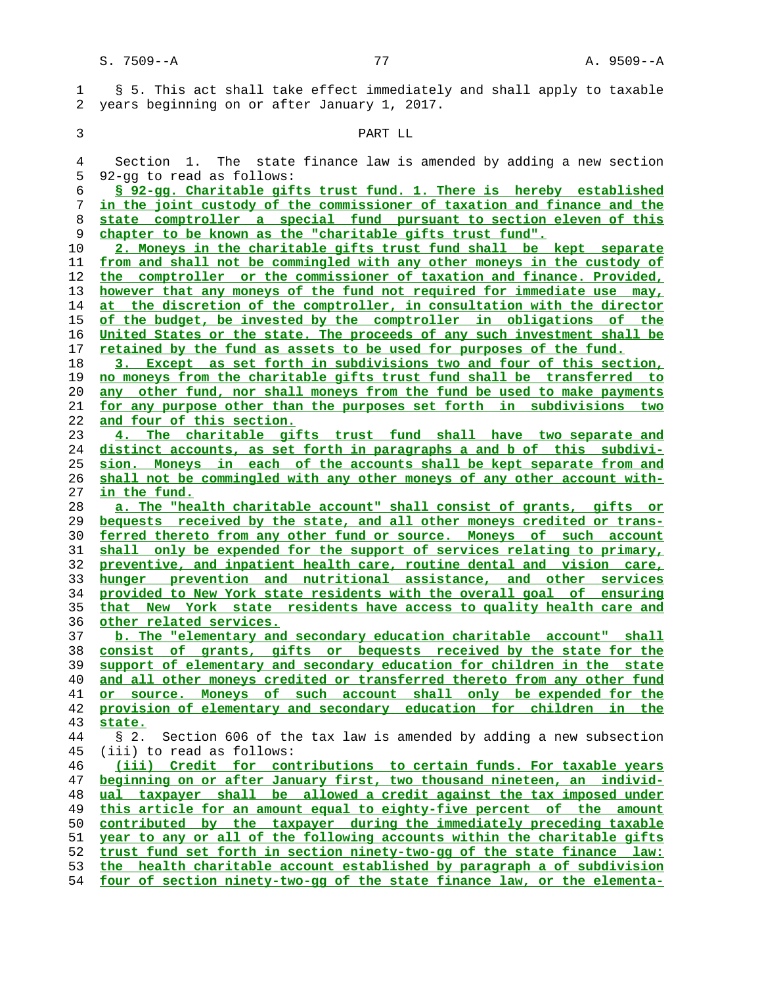1 § 5. This act shall take effect immediately and shall apply to taxable 2 years beginning on or after January 1, 2017.

## 3 PART LL

 4 Section 1. The state finance law is amended by adding a new section 5 92-gg to read as follows:

**§ 92-gg. Charitable gifts trust fund. 1. There is hereby established in the joint custody of the commissioner of taxation and finance and the state comptroller a special fund pursuant to section eleven of this chapter to be known as the "charitable gifts trust fund".**

**2. Moneys in the charitable gifts trust fund shall be kept separate from and shall not be commingled with any other moneys in the custody of the comptroller or the commissioner of taxation and finance. Provided, however that any moneys of the fund not required for immediate use may, at the discretion of the comptroller, in consultation with the director of the budget, be invested by the comptroller in obligations of the United States or the state. The proceeds of any such investment shall be retained by the fund as assets to be used for purposes of the fund.**

**3. Except as set forth in subdivisions two and four of this section, no moneys from the charitable gifts trust fund shall be transferred to any other fund, nor shall moneys from the fund be used to make payments for any purpose other than the purposes set forth in subdivisions two and four of this section.**

**4. The charitable gifts trust fund shall have two separate and distinct accounts, as set forth in paragraphs a and b of this subdivi- sion. Moneys in each of the accounts shall be kept separate from and shall not be commingled with any other moneys of any other account with- in the fund.**

**a. The "health charitable account" shall consist of grants, gifts or bequests received by the state, and all other moneys credited or trans- ferred thereto from any other fund or source. Moneys of such account shall only be expended for the support of services relating to primary, preventive, and inpatient health care, routine dental and vision care, hunger prevention and nutritional assistance, and other services provided to New York state residents with the overall goal of ensuring that New York state residents have access to quality health care and other related services.**

**b. The "elementary and secondary education charitable account" shall consist of grants, gifts or bequests received by the state for the support of elementary and secondary education for children in the state and all other moneys credited or transferred thereto from any other fund or source. Moneys of such account shall only be expended for the provision of elementary and secondary education for children in the state.**

 44 § 2. Section 606 of the tax law is amended by adding a new subsection 45 (iii) to read as follows:

**(iii) Credit for contributions to certain funds. For taxable years beginning on or after January first, two thousand nineteen, an individ- ual taxpayer shall be allowed a credit against the tax imposed under this article for an amount equal to eighty-five percent of the amount contributed by the taxpayer during the immediately preceding taxable year to any or all of the following accounts within the charitable gifts trust fund set forth in section ninety-two-gg of the state finance law: the health charitable account established by paragraph a of subdivision four of section ninety-two-gg of the state finance law, or the elementa-**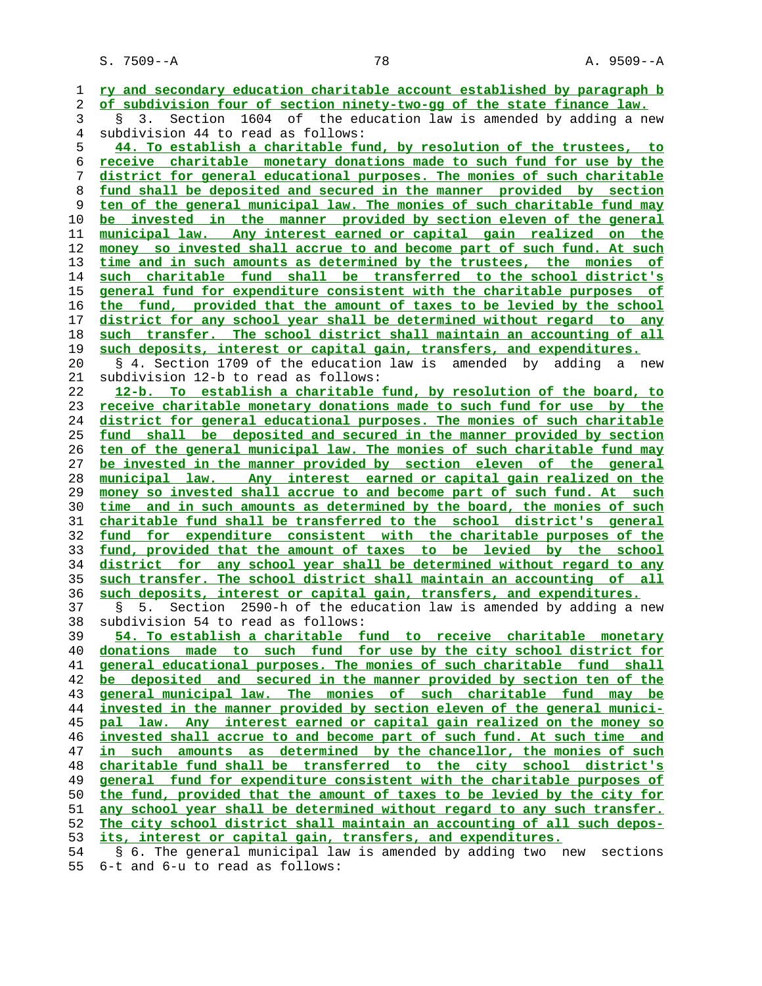**ry and secondary education charitable account established by paragraph b of subdivision four of section ninety-two-gg of the state finance law.** 3 § 3. Section 1604 of the education law is amended by adding a new 4 subdivision 44 to read as follows: **44. To establish a charitable fund, by resolution of the trustees, to receive charitable monetary donations made to such fund for use by the district for general educational purposes. The monies of such charitable fund shall be deposited and secured in the manner provided by section ten of the general municipal law. The monies of such charitable fund may be invested in the manner provided by section eleven of the general municipal law. Any interest earned or capital gain realized on the money so invested shall accrue to and become part of such fund. At such time and in such amounts as determined by the trustees, the monies of such charitable fund shall be transferred to the school district's general fund for expenditure consistent with the charitable purposes of the fund, provided that the amount of taxes to be levied by the school district for any school year shall be determined without regard to any such transfer. The school district shall maintain an accounting of all such deposits, interest or capital gain, transfers, and expenditures.** 20 § 4. Section 1709 of the education law is amended by adding a new 21 subdivision 12-b to read as follows: **12-b. To establish a charitable fund, by resolution of the board, to receive charitable monetary donations made to such fund for use by the district for general educational purposes. The monies of such charitable fund shall be deposited and secured in the manner provided by section ten of the general municipal law. The monies of such charitable fund may be invested in the manner provided by section eleven of the general municipal law. Any interest earned or capital gain realized on the money so invested shall accrue to and become part of such fund. At such time and in such amounts as determined by the board, the monies of such charitable fund shall be transferred to the school district's general fund for expenditure consistent with the charitable purposes of the fund, provided that the amount of taxes to be levied by the school district for any school year shall be determined without regard to any such transfer. The school district shall maintain an accounting of all such deposits, interest or capital gain, transfers, and expenditures.** 37 § 5. Section 2590-h of the education law is amended by adding a new 38 subdivision 54 to read as follows: **54. To establish a charitable fund to receive charitable monetary donations made to such fund for use by the city school district for general educational purposes. The monies of such charitable fund shall be deposited and secured in the manner provided by section ten of the general municipal law. The monies of such charitable fund may be invested in the manner provided by section eleven of the general munici- pal law. Any interest earned or capital gain realized on the money so invested shall accrue to and become part of such fund. At such time and in such amounts as determined by the chancellor, the monies of such charitable fund shall be transferred to the city school district's general fund for expenditure consistent with the charitable purposes of the fund, provided that the amount of taxes to be levied by the city for any school year shall be determined without regard to any such transfer. The city school district shall maintain an accounting of all such depos- its, interest or capital gain, transfers, and expenditures.** 54 § 6. The general municipal law is amended by adding two new sections

55 6-t and 6-u to read as follows: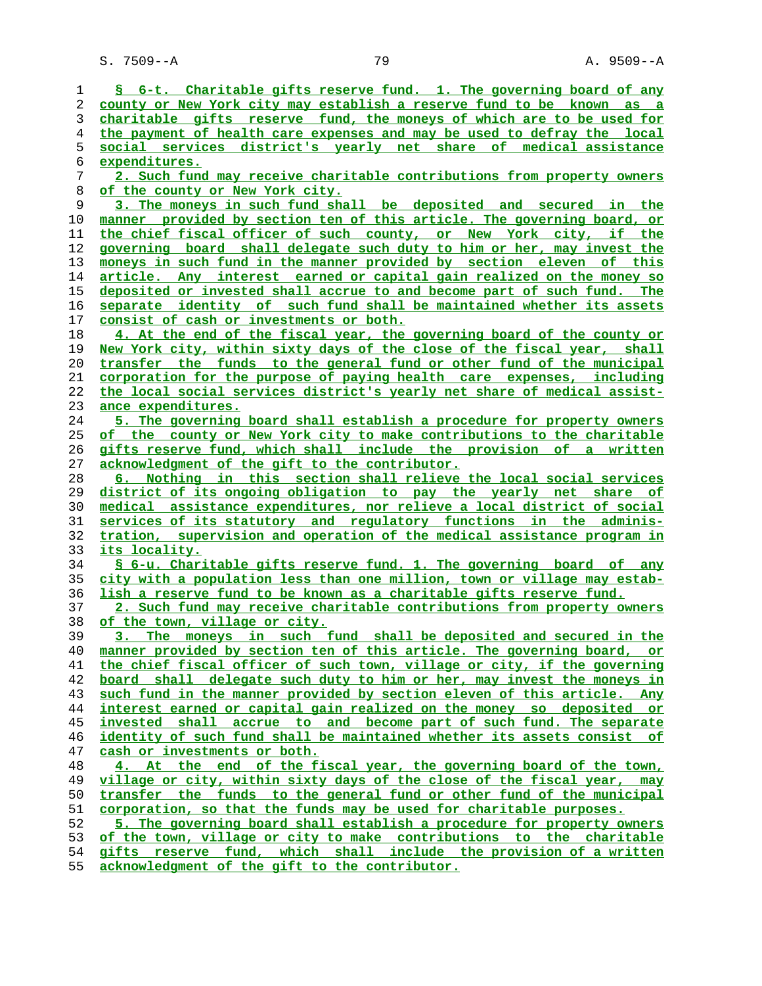S. 7509--A 79 A. 9509--A

**§ 6-t. Charitable gifts reserve fund. 1. The governing board of any county or New York city may establish a reserve fund to be known as a charitable gifts reserve fund, the moneys of which are to be used for the payment of health care expenses and may be used to defray the local social services district's yearly net share of medical assistance expenditures. 2. Such fund may receive charitable contributions from property owners of the county or New York city. 3. The moneys in such fund shall be deposited and secured in the manner provided by section ten of this article. The governing board, or the chief fiscal officer of such county, or New York city, if the governing board shall delegate such duty to him or her, may invest the moneys in such fund in the manner provided by section eleven of this article. Any interest earned or capital gain realized on the money so deposited or invested shall accrue to and become part of such fund. The separate identity of such fund shall be maintained whether its assets consist of cash or investments or both. 4. At the end of the fiscal year, the governing board of the county or New York city, within sixty days of the close of the fiscal year, shall transfer the funds to the general fund or other fund of the municipal corporation for the purpose of paying health care expenses, including the local social services district's yearly net share of medical assist- ance expenditures. 5. The governing board shall establish a procedure for property owners of the county or New York city to make contributions to the charitable gifts reserve fund, which shall include the provision of a written acknowledgment of the gift to the contributor. 6. Nothing in this section shall relieve the local social services district of its ongoing obligation to pay the yearly net share of medical assistance expenditures, nor relieve a local district of social services of its statutory and regulatory functions in the adminis- tration, supervision and operation of the medical assistance program in its locality. § 6-u. Charitable gifts reserve fund. 1. The governing board of any city with a population less than one million, town or village may estab- lish a reserve fund to be known as a charitable gifts reserve fund. 2. Such fund may receive charitable contributions from property owners of the town, village or city. 3. The moneys in such fund shall be deposited and secured in the manner provided by section ten of this article. The governing board, or the chief fiscal officer of such town, village or city, if the governing board shall delegate such duty to him or her, may invest the moneys in such fund in the manner provided by section eleven of this article. Any interest earned or capital gain realized on the money so deposited or invested shall accrue to and become part of such fund. The separate identity of such fund shall be maintained whether its assets consist of cash or investments or both. 4. At the end of the fiscal year, the governing board of the town, village or city, within sixty days of the close of the fiscal year, may transfer the funds to the general fund or other fund of the municipal corporation, so that the funds may be used for charitable purposes. 5. The governing board shall establish a procedure for property owners of the town, village or city to make contributions to the charitable gifts reserve fund, which shall include the provision of a written**

**acknowledgment of the gift to the contributor.**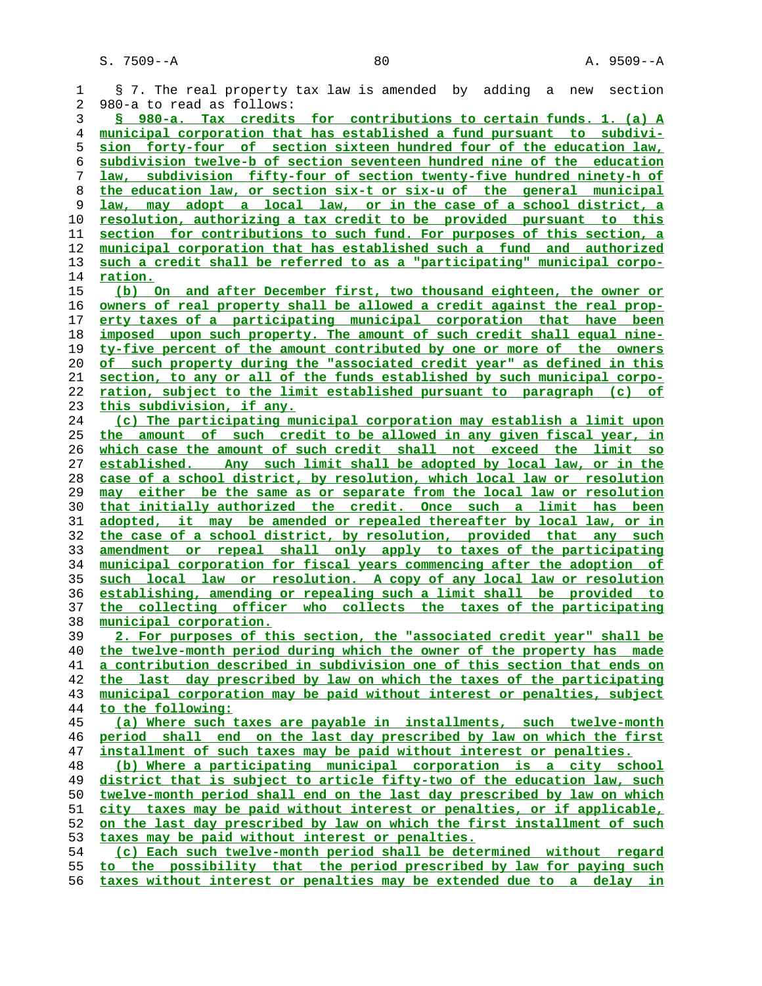1 § 7. The real property tax law is amended by adding a new section 2 980-a to read as follows: **§ 980-a. Tax credits for contributions to certain funds. 1. (a) A municipal corporation that has established a fund pursuant to subdivi- sion forty-four of section sixteen hundred four of the education law, subdivision twelve-b of section seventeen hundred nine of the education law, subdivision fifty-four of section twenty-five hundred ninety-h of the education law, or section six-t or six-u of the general municipal law, may adopt a local law, or in the case of a school district, a resolution, authorizing a tax credit to be provided pursuant to this section for contributions to such fund. For purposes of this section, a municipal corporation that has established such a fund and authorized such a credit shall be referred to as a "participating" municipal corpo- ration. (b) On and after December first, two thousand eighteen, the owner or owners of real property shall be allowed a credit against the real prop- erty taxes of a participating municipal corporation that have been imposed upon such property. The amount of such credit shall equal nine- ty-five percent of the amount contributed by one or more of the owners of such property during the "associated credit year" as defined in this section, to any or all of the funds established by such municipal corpo- ration, subject to the limit established pursuant to paragraph (c) of this subdivision, if any. (c) The participating municipal corporation may establish a limit upon the amount of such credit to be allowed in any given fiscal year, in which case the amount of such credit shall not exceed the limit so established. Any such limit shall be adopted by local law, or in the case of a school district, by resolution, which local law or resolution may either be the same as or separate from the local law or resolution that initially authorized the credit. Once such a limit has been adopted, it may be amended or repealed thereafter by local law, or in the case of a school district, by resolution, provided that any such amendment or repeal shall only apply to taxes of the participating municipal corporation for fiscal years commencing after the adoption of such local law or resolution. A copy of any local law or resolution establishing, amending or repealing such a limit shall be provided to the collecting officer who collects the taxes of the participating municipal corporation. 2. For purposes of this section, the "associated credit year" shall be the twelve-month period during which the owner of the property has made a contribution described in subdivision one of this section that ends on the last day prescribed by law on which the taxes of the participating municipal corporation may be paid without interest or penalties, subject to the following: (a) Where such taxes are payable in installments, such twelve-month period shall end on the last day prescribed by law on which the first installment of such taxes may be paid without interest or penalties. (b) Where a participating municipal corporation is a city school district that is subject to article fifty-two of the education law, such twelve-month period shall end on the last day prescribed by law on which city taxes may be paid without interest or penalties, or if applicable, on the last day prescribed by law on which the first installment of such taxes may be paid without interest or penalties. (c) Each such twelve-month period shall be determined without regard to the possibility that the period prescribed by law for paying such taxes without interest or penalties may be extended due to a delay in**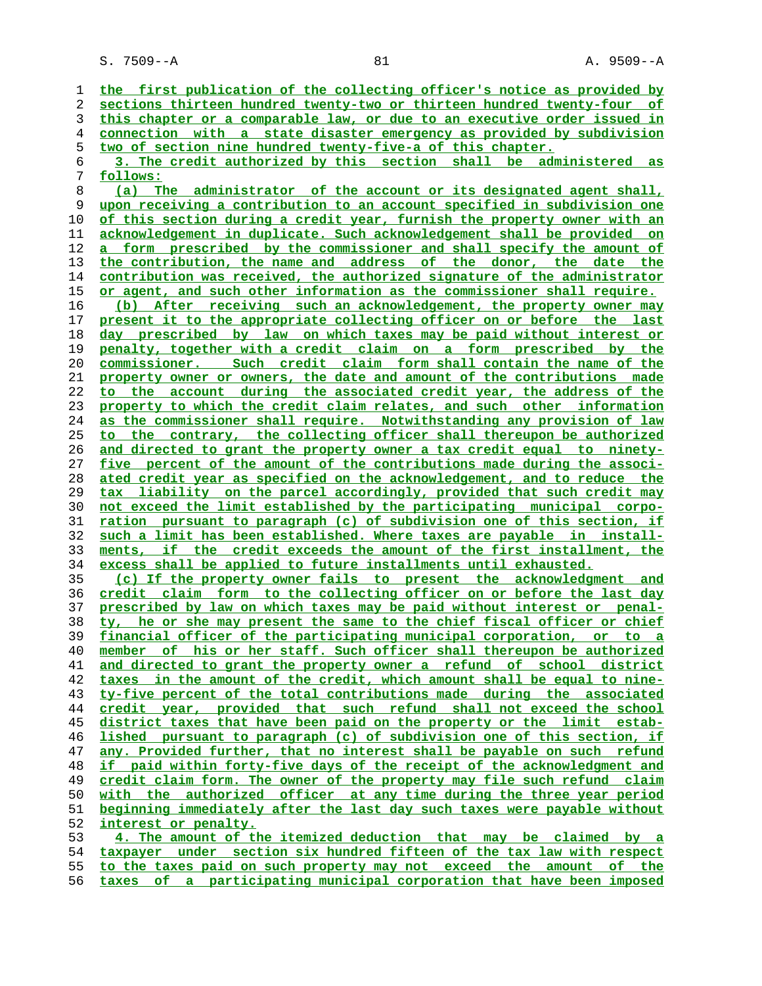S. 7509--A 81 A. 9509--A

**the first publication of the collecting officer's notice as provided by sections thirteen hundred twenty-two or thirteen hundred twenty-four of this chapter or a comparable law, or due to an executive order issued in connection with a state disaster emergency as provided by subdivision two of section nine hundred twenty-five-a of this chapter. 3. The credit authorized by this section shall be administered as follows: (a) The administrator of the account or its designated agent shall, upon receiving a contribution to an account specified in subdivision one of this section during a credit year, furnish the property owner with an acknowledgement in duplicate. Such acknowledgement shall be provided on a form prescribed by the commissioner and shall specify the amount of the contribution, the name and address of the donor, the date the contribution was received, the authorized signature of the administrator or agent, and such other information as the commissioner shall require. (b) After receiving such an acknowledgement, the property owner may present it to the appropriate collecting officer on or before the last day prescribed by law on which taxes may be paid without interest or penalty, together with a credit claim on a form prescribed by the commissioner. Such credit claim form shall contain the name of the property owner or owners, the date and amount of the contributions made to the account during the associated credit year, the address of the property to which the credit claim relates, and such other information as the commissioner shall require. Notwithstanding any provision of law to the contrary, the collecting officer shall thereupon be authorized and directed to grant the property owner a tax credit equal to ninety- five percent of the amount of the contributions made during the associ- ated credit year as specified on the acknowledgement, and to reduce the tax liability on the parcel accordingly, provided that such credit may not exceed the limit established by the participating municipal corpo- ration pursuant to paragraph (c) of subdivision one of this section, if such a limit has been established. Where taxes are payable in install- ments, if the credit exceeds the amount of the first installment, the excess shall be applied to future installments until exhausted. (c) If the property owner fails to present the acknowledgment and credit claim form to the collecting officer on or before the last day prescribed by law on which taxes may be paid without interest or penal- ty, he or she may present the same to the chief fiscal officer or chief financial officer of the participating municipal corporation, or to a member of his or her staff. Such officer shall thereupon be authorized and directed to grant the property owner a refund of school district taxes in the amount of the credit, which amount shall be equal to nine- ty-five percent of the total contributions made during the associated credit year, provided that such refund shall not exceed the school district taxes that have been paid on the property or the limit estab- lished pursuant to paragraph (c) of subdivision one of this section, if any. Provided further, that no interest shall be payable on such refund if paid within forty-five days of the receipt of the acknowledgment and credit claim form. The owner of the property may file such refund claim with the authorized officer at any time during the three year period beginning immediately after the last day such taxes were payable without interest or penalty. 4. The amount of the itemized deduction that may be claimed by a taxpayer under section six hundred fifteen of the tax law with respect to the taxes paid on such property may not exceed the amount of the**

**taxes of a participating municipal corporation that have been imposed**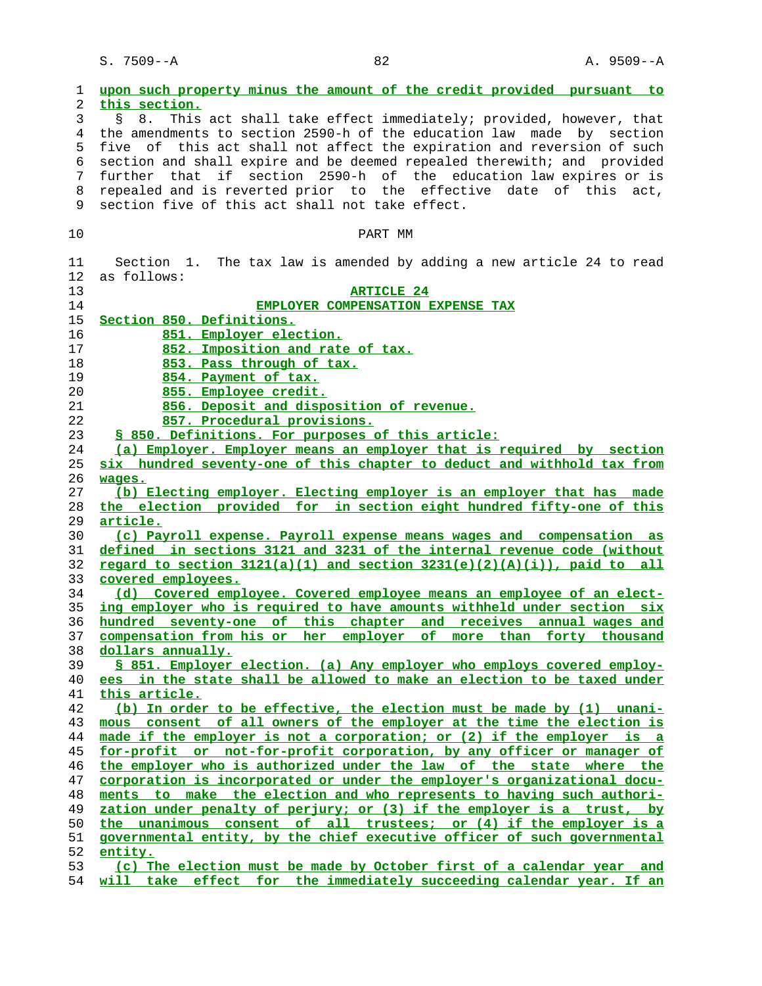| 1        | upon such property minus the amount of the credit provided pursuant to                      |
|----------|---------------------------------------------------------------------------------------------|
| 2        | this section.                                                                               |
| 3        | This act shall take effect immediately; provided, however, that<br>8.<br>Ş.                 |
| 4        | the amendments to section 2590-h of the education law made by section                       |
| 5        | five of this act shall not affect the expiration and reversion of such                      |
| 6        | section and shall expire and be deemed repealed therewith; and provided                     |
| 7        | that if section 2590-h of the education law expires or is<br>further                        |
| 8        | repealed and is reverted prior to the effective date of this<br>act,                        |
| 9        | section five of this act shall not take effect.                                             |
|          |                                                                                             |
| 10       | PART MM                                                                                     |
|          |                                                                                             |
| 11       | Section 1. The tax law is amended by adding a new article 24 to read                        |
| 12       | as follows:                                                                                 |
| 13       | <b>ARTICLE 24</b>                                                                           |
| 14       | EMPLOYER COMPENSATION EXPENSE TAX                                                           |
| 15       | Section 850. Definitions.                                                                   |
| 16       | 851. Employer election.                                                                     |
| 17       | 852. Imposition and rate of tax.                                                            |
| 18       | 853. Pass through of tax.                                                                   |
| 19       | 854. Payment of tax.                                                                        |
| 20       | 855. Employee credit.                                                                       |
| 21       | 856. Deposit and disposition of revenue.                                                    |
| 22       | 857. Procedural provisions.                                                                 |
| 23       | § 850. Definitions. For purposes of this article:                                           |
| 24       | (a) Employer. Employer means an employer that is required by section                        |
| 25       | six hundred seventy-one of this chapter to deduct and withhold tax from                     |
| 26       | wages.                                                                                      |
| 27       | (b) Electing employer. Electing employer is an employer that has made                       |
| 28       | the election provided for in section eight hundred fifty-one of this                        |
| 29       | article.                                                                                    |
| 30       | (c) Payroll expense. Payroll expense means wages and compensation as                        |
| 31       | defined in sections 3121 and 3231 of the internal revenue code (without                     |
| 32       | regard to section $3121(a)(1)$ and section $3231(e)(2)(A)(i)$ , paid to all                 |
| 33       | covered employees.                                                                          |
| 34       | (d) Covered employee. Covered employee means an employee of an elect-                       |
| 35       | ing employer who is required to have amounts withheld under section six                     |
| 36       | hundred seventy-one of this chapter and receives annual wages and                           |
| 37       | compensation from his or her employer of more than forty thousand                           |
|          |                                                                                             |
| 38<br>39 | dollars annually.<br>§ 851. Employer election. (a) Any employer who employs covered employ- |
| 40       | ees in the state shall be allowed to make an election to be taxed under                     |
| 41       | this article.                                                                               |
| 42       | (b) In order to be effective, the election must be made by (1) unani-                       |
| 43       | mous consent of all owners of the employer at the time the election is                      |
| 44       | made if the employer is not a corporation; or (2) if the employer is a                      |
| 45       | for-profit or not-for-profit corporation, by any officer or manager of                      |
|          |                                                                                             |
| 46       | the employer who is authorized under the law of the state where the                         |
| 47       | corporation is incorporated or under the employer's organizational docu-                    |
| 48       | ments to make the election and who represents to having such authori-                       |
| 49       | zation under penalty of perjury; or (3) if the employer is a trust, by                      |
| 50       | the unanimous consent of all trustees; or (4) if the employer is a                          |
| 51       | governmental entity, by the chief executive officer of such governmental                    |
| 52       | entity.                                                                                     |
| 53       | (c) The election must be made by October first of a calendar year and                       |
| 54       | will take effect for the immediately succeeding calendar year. If an                        |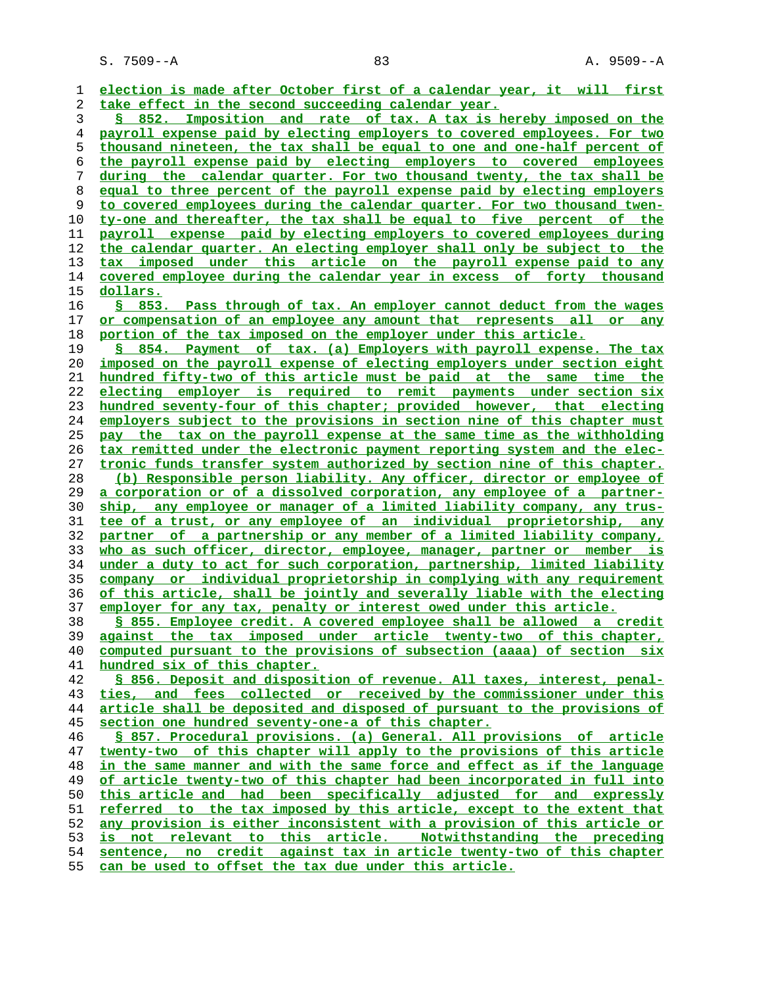S. 7509--A 83 A. 9509--A

**election is made after October first of a calendar year, it will first take effect in the second succeeding calendar year. § 852. Imposition and rate of tax. A tax is hereby imposed on the payroll expense paid by electing employers to covered employees. For two thousand nineteen, the tax shall be equal to one and one-half percent of the payroll expense paid by electing employers to covered employees during the calendar quarter. For two thousand twenty, the tax shall be equal to three percent of the payroll expense paid by electing employers to covered employees during the calendar quarter. For two thousand twen- ty-one and thereafter, the tax shall be equal to five percent of the payroll expense paid by electing employers to covered employees during the calendar quarter. An electing employer shall only be subject to the tax imposed under this article on the payroll expense paid to any covered employee during the calendar year in excess of forty thousand dollars. § 853. Pass through of tax. An employer cannot deduct from the wages or compensation of an employee any amount that represents all or any portion of the tax imposed on the employer under this article. § 854. Payment of tax. (a) Employers with payroll expense. The tax imposed on the payroll expense of electing employers under section eight hundred fifty-two of this article must be paid at the same time the electing employer is required to remit payments under section six hundred seventy-four of this chapter; provided however, that electing employers subject to the provisions in section nine of this chapter must pay the tax on the payroll expense at the same time as the withholding tax remitted under the electronic payment reporting system and the elec- tronic funds transfer system authorized by section nine of this chapter. (b) Responsible person liability. Any officer, director or employee of a corporation or of a dissolved corporation, any employee of a partner- ship, any employee or manager of a limited liability company, any trus- tee of a trust, or any employee of an individual proprietorship, any partner of a partnership or any member of a limited liability company, who as such officer, director, employee, manager, partner or member is under a duty to act for such corporation, partnership, limited liability company or individual proprietorship in complying with any requirement of this article, shall be jointly and severally liable with the electing employer for any tax, penalty or interest owed under this article. § 855. Employee credit. A covered employee shall be allowed a credit against the tax imposed under article twenty-two of this chapter, computed pursuant to the provisions of subsection (aaaa) of section six hundred six of this chapter. § 856. Deposit and disposition of revenue. All taxes, interest, penal- ties, and fees collected or received by the commissioner under this article shall be deposited and disposed of pursuant to the provisions of section one hundred seventy-one-a of this chapter. § 857. Procedural provisions. (a) General. All provisions of article twenty-two of this chapter will apply to the provisions of this article in the same manner and with the same force and effect as if the language of article twenty-two of this chapter had been incorporated in full into this article and had been specifically adjusted for and expressly referred to the tax imposed by this article, except to the extent that any provision is either inconsistent with a provision of this article or is not relevant to this article. Notwithstanding the preceding sentence, no credit against tax in article twenty-two of this chapter**

**can be used to offset the tax due under this article.**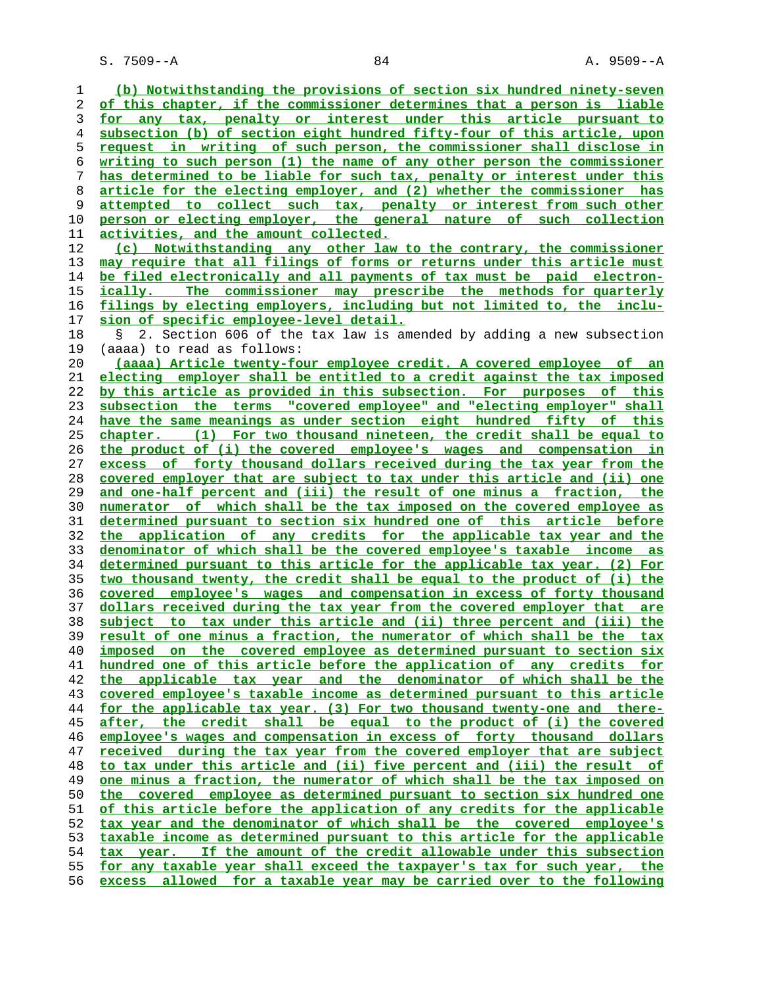**(b) Notwithstanding the provisions of section six hundred ninety-seven of this chapter, if the commissioner determines that a person is liable for any tax, penalty or interest under this article pursuant to subsection (b) of section eight hundred fifty-four of this article, upon request in writing of such person, the commissioner shall disclose in writing to such person (1) the name of any other person the commissioner has determined to be liable for such tax, penalty or interest under this article for the electing employer, and (2) whether the commissioner has attempted to collect such tax, penalty or interest from such other person or electing employer, the general nature of such collection activities, and the amount collected. (c) Notwithstanding any other law to the contrary, the commissioner may require that all filings of forms or returns under this article must be filed electronically and all payments of tax must be paid electron- ically. The commissioner may prescribe the methods for quarterly filings by electing employers, including but not limited to, the inclu- sion of specific employee-level detail.** 18 § 2. Section 606 of the tax law is amended by adding a new subsection 19 (aaaa) to read as follows: **(aaaa) Article twenty-four employee credit. A covered employee of an electing employer shall be entitled to a credit against the tax imposed by this article as provided in this subsection. For purposes of this subsection the terms "covered employee" and "electing employer" shall have the same meanings as under section eight hundred fifty of this chapter. (1) For two thousand nineteen, the credit shall be equal to the product of (i) the covered employee's wages and compensation in excess of forty thousand dollars received during the tax year from the covered employer that are subject to tax under this article and (ii) one and one-half percent and (iii) the result of one minus a fraction, the numerator of which shall be the tax imposed on the covered employee as determined pursuant to section six hundred one of this article before the application of any credits for the applicable tax year and the denominator of which shall be the covered employee's taxable income as determined pursuant to this article for the applicable tax year. (2) For two thousand twenty, the credit shall be equal to the product of (i) the covered employee's wages and compensation in excess of forty thousand dollars received during the tax year from the covered employer that are subject to tax under this article and (ii) three percent and (iii) the result of one minus a fraction, the numerator of which shall be the tax imposed on the covered employee as determined pursuant to section six hundred one of this article before the application of any credits for the applicable tax year and the denominator of which shall be the covered employee's taxable income as determined pursuant to this article for the applicable tax year. (3) For two thousand twenty-one and there- after, the credit shall be equal to the product of (i) the covered employee's wages and compensation in excess of forty thousand dollars received during the tax year from the covered employer that are subject to tax under this article and (ii) five percent and (iii) the result of one minus a fraction, the numerator of which shall be the tax imposed on the covered employee as determined pursuant to section six hundred one of this article before the application of any credits for the applicable tax year and the denominator of which shall be the covered employee's taxable income as determined pursuant to this article for the applicable tax year. If the amount of the credit allowable under this subsection for any taxable year shall exceed the taxpayer's tax for such year, the excess allowed for a taxable year may be carried over to the following**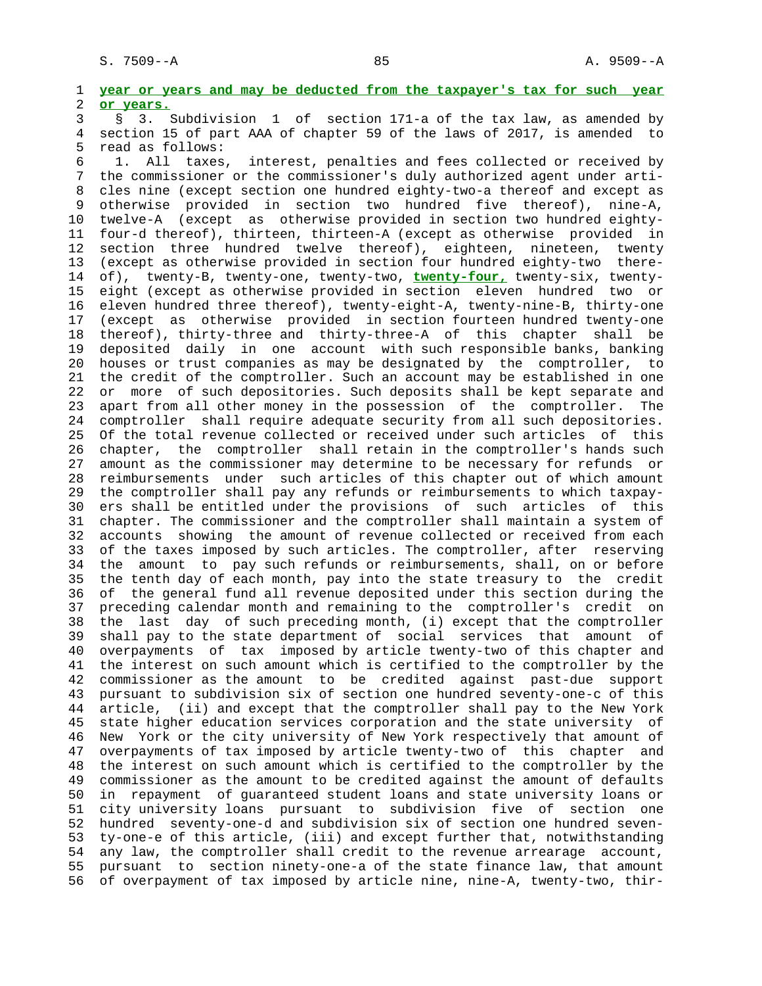1 **year or years and may be deducted from the taxpayer's tax for such year** 2 **or years.**

 3 § 3. Subdivision 1 of section 171-a of the tax law, as amended by 4 section 15 of part AAA of chapter 59 of the laws of 2017, is amended to 5 read as follows:

 6 1. All taxes, interest, penalties and fees collected or received by 7 the commissioner or the commissioner's duly authorized agent under arti- 8 cles nine (except section one hundred eighty-two-a thereof and except as<br>9 otherwise provided in section two hundred five thereof), nine-A, otherwise provided in section two hundred five thereof), nine-A, 10 twelve-A (except as otherwise provided in section two hundred eighty- 11 four-d thereof), thirteen, thirteen-A (except as otherwise provided in 12 section three hundred twelve thereof), eighteen, nineteen, twenty 13 (except as otherwise provided in section four hundred eighty-two there- 14 of), twenty-B, twenty-one, twenty-two, **twenty-four,** twenty-six, twenty- 15 eight (except as otherwise provided in section eleven hundred two or 16 eleven hundred three thereof), twenty-eight-A, twenty-nine-B, thirty-one 17 (except as otherwise provided in section fourteen hundred twenty-one 18 thereof), thirty-three and thirty-three-A of this chapter shall be 19 deposited daily in one account with such responsible banks, banking 20 houses or trust companies as may be designated by the comptroller, to 21 the credit of the comptroller. Such an account may be established in one 22 or more of such depositories. Such deposits shall be kept separate and 23 apart from all other money in the possession of the comptroller. The 24 comptroller shall require adequate security from all such depositories. 25 Of the total revenue collected or received under such articles of this 26 chapter, the comptroller shall retain in the comptroller's hands such 27 amount as the commissioner may determine to be necessary for refunds or 28 reimbursements under such articles of this chapter out of which amount 29 the comptroller shall pay any refunds or reimbursements to which taxpay- 30 ers shall be entitled under the provisions of such articles of this 31 chapter. The commissioner and the comptroller shall maintain a system of 32 accounts showing the amount of revenue collected or received from each 33 of the taxes imposed by such articles. The comptroller, after reserving 34 the amount to pay such refunds or reimbursements, shall, on or before 35 the tenth day of each month, pay into the state treasury to the credit 36 of the general fund all revenue deposited under this section during the 37 preceding calendar month and remaining to the comptroller's credit on 38 the last day of such preceding month, (i) except that the comptroller 39 shall pay to the state department of social services that amount of 40 overpayments of tax imposed by article twenty-two of this chapter and 41 the interest on such amount which is certified to the comptroller by the 42 commissioner as the amount to be credited against past-due support 43 pursuant to subdivision six of section one hundred seventy-one-c of this 44 article, (ii) and except that the comptroller shall pay to the New York 45 state higher education services corporation and the state university of 46 New York or the city university of New York respectively that amount of 47 overpayments of tax imposed by article twenty-two of this chapter and 48 the interest on such amount which is certified to the comptroller by the 49 commissioner as the amount to be credited against the amount of defaults 50 in repayment of guaranteed student loans and state university loans or 51 city university loans pursuant to subdivision five of section one 52 hundred seventy-one-d and subdivision six of section one hundred seven- 53 ty-one-e of this article, (iii) and except further that, notwithstanding 54 any law, the comptroller shall credit to the revenue arrearage account, 55 pursuant to section ninety-one-a of the state finance law, that amount 56 of overpayment of tax imposed by article nine, nine-A, twenty-two, thir-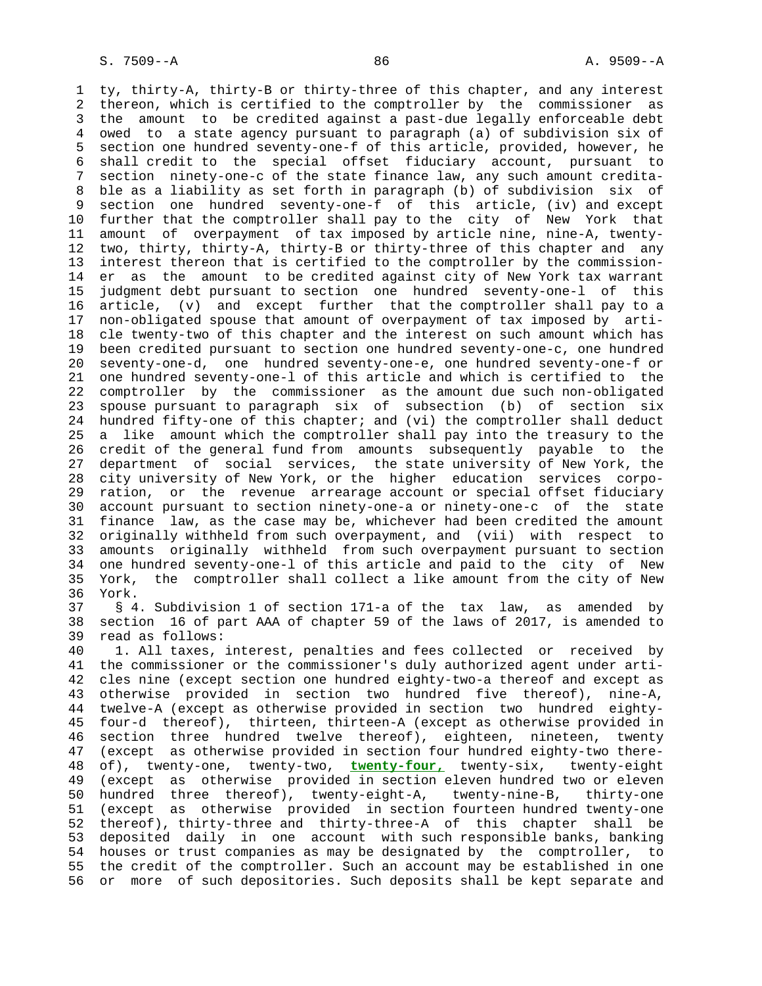1 ty, thirty-A, thirty-B or thirty-three of this chapter, and any interest 2 thereon, which is certified to the comptroller by the commissioner as 3 the amount to be credited against a past-due legally enforceable debt 4 owed to a state agency pursuant to paragraph (a) of subdivision six of 5 section one hundred seventy-one-f of this article, provided, however, he 6 shall credit to the special offset fiduciary account, pursuant to 7 section ninety-one-c of the state finance law, any such amount credita- 8 ble as a liability as set forth in paragraph (b) of subdivision six of 9 section one hundred seventy-one-f of this article, (iv) and except 10 further that the comptroller shall pay to the city of New York that 11 amount of overpayment of tax imposed by article nine, nine-A, twenty- 12 two, thirty, thirty-A, thirty-B or thirty-three of this chapter and any 13 interest thereon that is certified to the comptroller by the commission- 14 er as the amount to be credited against city of New York tax warrant 15 judgment debt pursuant to section one hundred seventy-one-l of this 16 article, (v) and except further that the comptroller shall pay to a 17 non-obligated spouse that amount of overpayment of tax imposed by arti- 18 cle twenty-two of this chapter and the interest on such amount which has 19 been credited pursuant to section one hundred seventy-one-c, one hundred 20 seventy-one-d, one hundred seventy-one-e, one hundred seventy-one-f or 21 one hundred seventy-one-l of this article and which is certified to the 22 comptroller by the commissioner as the amount due such non-obligated 23 spouse pursuant to paragraph six of subsection (b) of section six 24 hundred fifty-one of this chapter; and (vi) the comptroller shall deduct 25 a like amount which the comptroller shall pay into the treasury to the 26 credit of the general fund from amounts subsequently payable to the 27 department of social services, the state university of New York, the 28 city university of New York, or the higher education services corpo- 29 ration, or the revenue arrearage account or special offset fiduciary 30 account pursuant to section ninety-one-a or ninety-one-c of the state 31 finance law, as the case may be, whichever had been credited the amount 32 originally withheld from such overpayment, and (vii) with respect to 33 amounts originally withheld from such overpayment pursuant to section 34 one hundred seventy-one-l of this article and paid to the city of New 35 York, the comptroller shall collect a like amount from the city of New 36 York.

 37 § 4. Subdivision 1 of section 171-a of the tax law, as amended by 38 section 16 of part AAA of chapter 59 of the laws of 2017, is amended to 39 read as follows:

 40 1. All taxes, interest, penalties and fees collected or received by 41 the commissioner or the commissioner's duly authorized agent under arti- 42 cles nine (except section one hundred eighty-two-a thereof and except as 43 otherwise provided in section two hundred five thereof), nine-A, 44 twelve-A (except as otherwise provided in section two hundred eighty- 45 four-d thereof), thirteen, thirteen-A (except as otherwise provided in 46 section three hundred twelve thereof), eighteen, nineteen, twenty 47 (except as otherwise provided in section four hundred eighty-two there- 48 of), twenty-one, twenty-two, **twenty-four,** twenty-six, twenty-eight 49 (except as otherwise provided in section eleven hundred two or eleven 50 hundred three thereof), twenty-eight-A, twenty-nine-B, thirty-one 51 (except as otherwise provided in section fourteen hundred twenty-one 52 thereof), thirty-three and thirty-three-A of this chapter shall be 53 deposited daily in one account with such responsible banks, banking 54 houses or trust companies as may be designated by the comptroller, to 55 the credit of the comptroller. Such an account may be established in one 56 or more of such depositories. Such deposits shall be kept separate and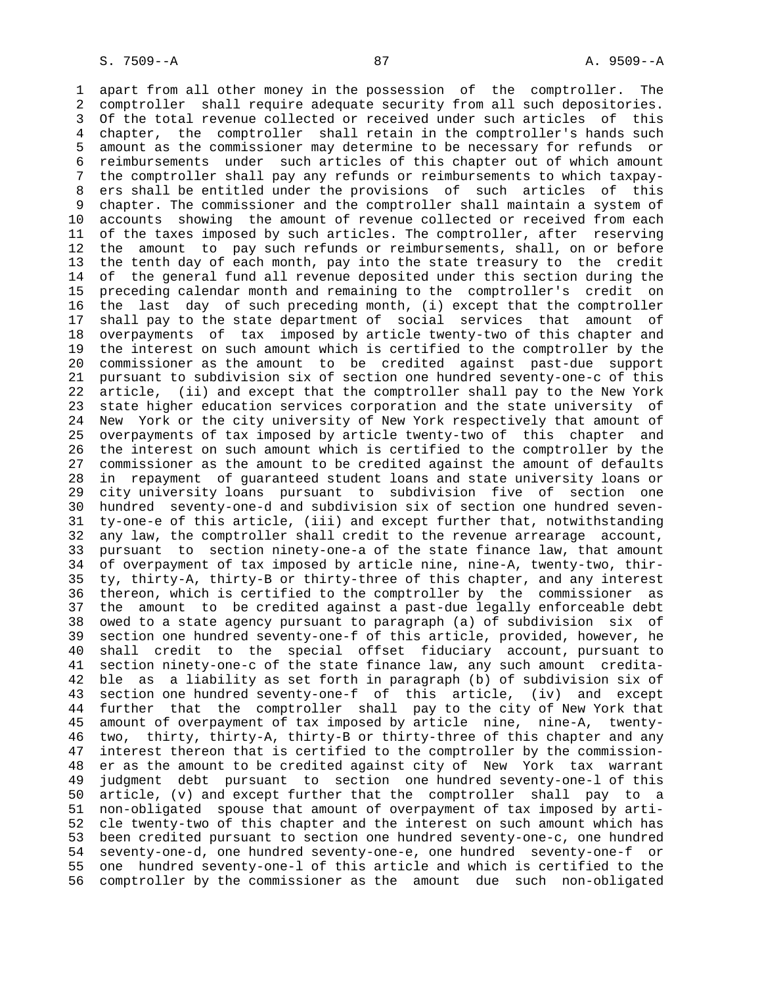1 apart from all other money in the possession of the comptroller. The 2 comptroller shall require adequate security from all such depositories. 3 Of the total revenue collected or received under such articles of this 4 chapter, the comptroller shall retain in the comptroller's hands such 5 amount as the commissioner may determine to be necessary for refunds or 6 reimbursements under such articles of this chapter out of which amount 7 the comptroller shall pay any refunds or reimbursements to which taxpay- 8 ers shall be entitled under the provisions of such articles of this<br>9 chapter. The commissioner and the comptroller shall maintain a system of chapter. The commissioner and the comptroller shall maintain a system of 10 accounts showing the amount of revenue collected or received from each 11 of the taxes imposed by such articles. The comptroller, after reserving 12 the amount to pay such refunds or reimbursements, shall, on or before 13 the tenth day of each month, pay into the state treasury to the credit 14 of the general fund all revenue deposited under this section during the 15 preceding calendar month and remaining to the comptroller's credit on 16 the last day of such preceding month, (i) except that the comptroller 17 shall pay to the state department of social services that amount of 18 overpayments of tax imposed by article twenty-two of this chapter and 19 the interest on such amount which is certified to the comptroller by the 20 commissioner as the amount to be credited against past-due support 21 pursuant to subdivision six of section one hundred seventy-one-c of this 22 article, (ii) and except that the comptroller shall pay to the New York 23 state higher education services corporation and the state university of 24 New York or the city university of New York respectively that amount of 25 overpayments of tax imposed by article twenty-two of this chapter and 26 the interest on such amount which is certified to the comptroller by the 27 commissioner as the amount to be credited against the amount of defaults 28 in repayment of guaranteed student loans and state university loans or 29 city university loans pursuant to subdivision five of section one 30 hundred seventy-one-d and subdivision six of section one hundred seven- 31 ty-one-e of this article, (iii) and except further that, notwithstanding 32 any law, the comptroller shall credit to the revenue arrearage account, 33 pursuant to section ninety-one-a of the state finance law, that amount 34 of overpayment of tax imposed by article nine, nine-A, twenty-two, thir- 35 ty, thirty-A, thirty-B or thirty-three of this chapter, and any interest 36 thereon, which is certified to the comptroller by the commissioner as 37 the amount to be credited against a past-due legally enforceable debt 38 owed to a state agency pursuant to paragraph (a) of subdivision six of 39 section one hundred seventy-one-f of this article, provided, however, he 40 shall credit to the special offset fiduciary account, pursuant to 41 section ninety-one-c of the state finance law, any such amount credita- 42 ble as a liability as set forth in paragraph (b) of subdivision six of 43 section one hundred seventy-one-f of this article, (iv) and except 44 further that the comptroller shall pay to the city of New York that 45 amount of overpayment of tax imposed by article nine, nine-A, twenty- 46 two, thirty, thirty-A, thirty-B or thirty-three of this chapter and any 47 interest thereon that is certified to the comptroller by the commission- 48 er as the amount to be credited against city of New York tax warrant 49 judgment debt pursuant to section one hundred seventy-one-l of this 50 article, (v) and except further that the comptroller shall pay to a 51 non-obligated spouse that amount of overpayment of tax imposed by arti- 52 cle twenty-two of this chapter and the interest on such amount which has 53 been credited pursuant to section one hundred seventy-one-c, one hundred 54 seventy-one-d, one hundred seventy-one-e, one hundred seventy-one-f or 55 one hundred seventy-one-l of this article and which is certified to the 56 comptroller by the commissioner as the amount due such non-obligated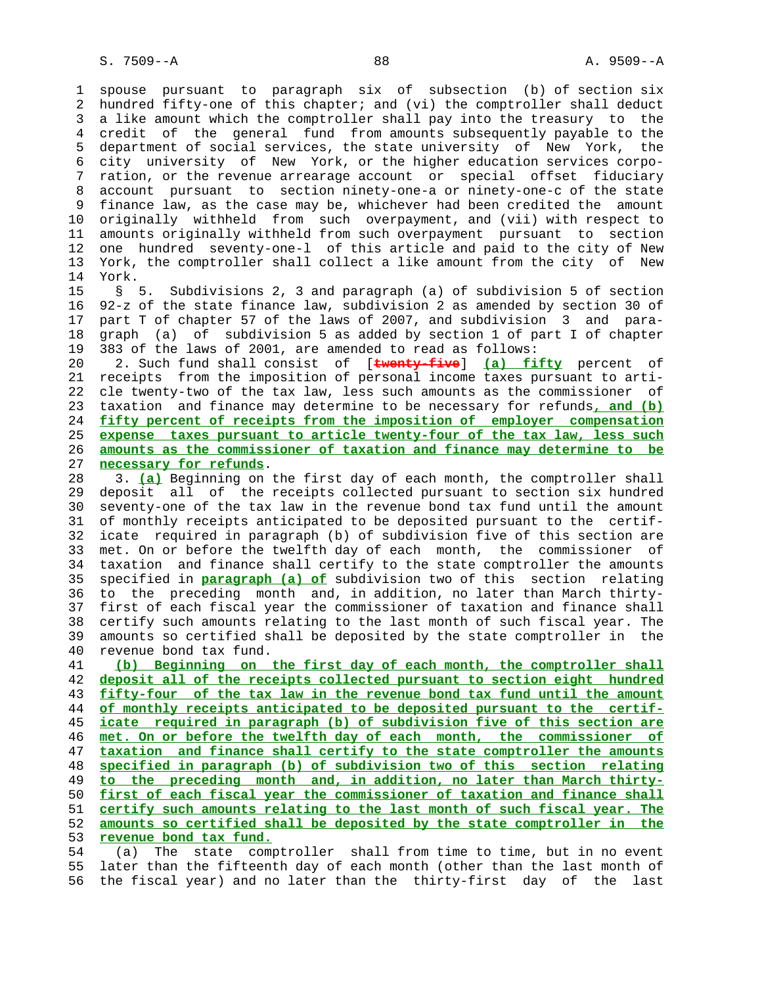1 spouse pursuant to paragraph six of subsection (b) of section six 2 hundred fifty-one of this chapter; and (vi) the comptroller shall deduct 3 a like amount which the comptroller shall pay into the treasury to the 4 credit of the general fund from amounts subsequently payable to the 5 department of social services, the state university of New York, the 6 city university of New York, or the higher education services corpo- 7 ration, or the revenue arrearage account or special offset fiduciary 8 account pursuant to section ninety-one-a or ninety-one-c of the state 9 finance law, as the case may be, whichever had been credited the amount 10 originally withheld from such overpayment, and (vii) with respect to 11 amounts originally withheld from such overpayment pursuant to section 12 one hundred seventy-one-l of this article and paid to the city of New 13 York, the comptroller shall collect a like amount from the city of New 14 York.

 15 § 5. Subdivisions 2, 3 and paragraph (a) of subdivision 5 of section 16 92-z of the state finance law, subdivision 2 as amended by section 30 of 17 part T of chapter 57 of the laws of 2007, and subdivision 3 and para- 18 graph (a) of subdivision 5 as added by section 1 of part I of chapter 19 383 of the laws of 2001, are amended to read as follows:

 20 2. Such fund shall consist of [**twenty-five**] **(a) fifty** percent of 21 receipts from the imposition of personal income taxes pursuant to arti- 22 cle twenty-two of the tax law, less such amounts as the commissioner of 23 taxation and finance may determine to be necessary for refunds**, and (b)** 24 **fifty percent of receipts from the imposition of employer compensation** 25 **expense taxes pursuant to article twenty-four of the tax law, less such** 26 **amounts as the commissioner of taxation and finance may determine to be** 27 **necessary for refunds**.

 28 3. **(a)** Beginning on the first day of each month, the comptroller shall 29 deposit all of the receipts collected pursuant to section six hundred 30 seventy-one of the tax law in the revenue bond tax fund until the amount 31 of monthly receipts anticipated to be deposited pursuant to the certif- 32 icate required in paragraph (b) of subdivision five of this section are 33 met. On or before the twelfth day of each month, the commissioner of 34 taxation and finance shall certify to the state comptroller the amounts 35 specified in **paragraph (a) of** subdivision two of this section relating 36 to the preceding month and, in addition, no later than March thirty- 37 first of each fiscal year the commissioner of taxation and finance shall 38 certify such amounts relating to the last month of such fiscal year. The 39 amounts so certified shall be deposited by the state comptroller in the 40 revenue bond tax fund.

**(b) Beginning on the first day of each month, the comptroller shall deposit all of the receipts collected pursuant to section eight hundred fifty-four of the tax law in the revenue bond tax fund until the amount of monthly receipts anticipated to be deposited pursuant to the certif- icate required in paragraph (b) of subdivision five of this section are met. On or before the twelfth day of each month, the commissioner of taxation and finance shall certify to the state comptroller the amounts specified in paragraph (b) of subdivision two of this section relating to the preceding month and, in addition, no later than March thirty- first of each fiscal year the commissioner of taxation and finance shall certify such amounts relating to the last month of such fiscal year. The amounts so certified shall be deposited by the state comptroller in the revenue bond tax fund.**

 54 (a) The state comptroller shall from time to time, but in no event 55 later than the fifteenth day of each month (other than the last month of 56 the fiscal year) and no later than the thirty-first day of the last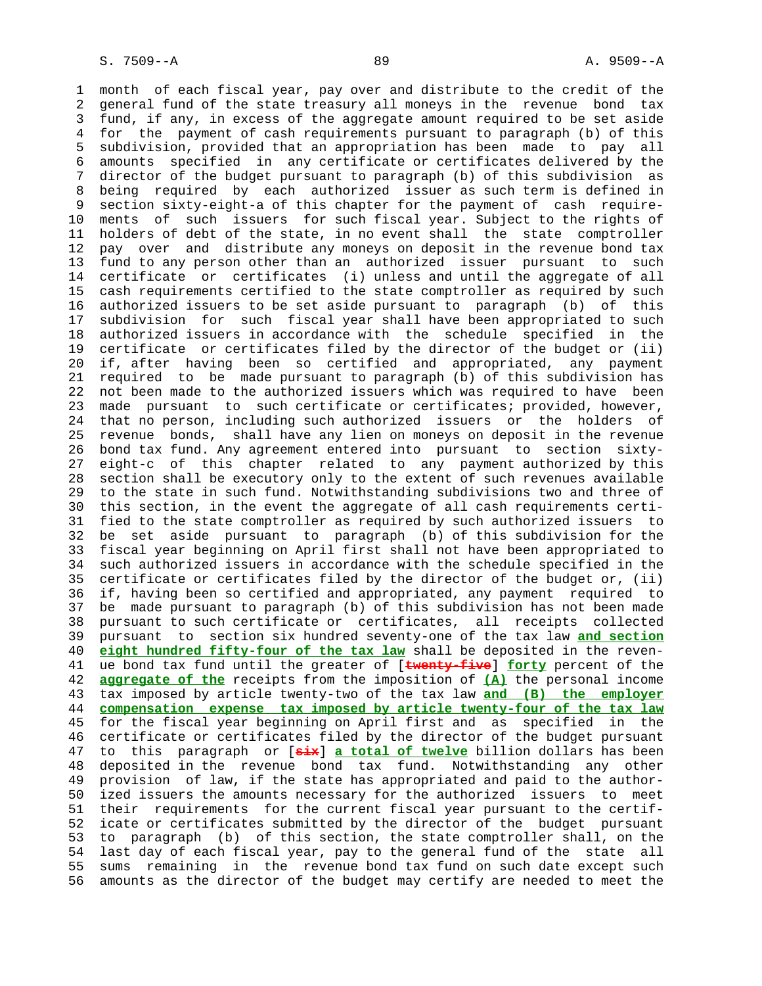1 month of each fiscal year, pay over and distribute to the credit of the 2 general fund of the state treasury all moneys in the revenue bond tax 3 fund, if any, in excess of the aggregate amount required to be set aside 4 for the payment of cash requirements pursuant to paragraph (b) of this 5 subdivision, provided that an appropriation has been made to pay all 6 amounts specified in any certificate or certificates delivered by the 7 director of the budget pursuant to paragraph (b) of this subdivision as 8 being required by each authorized issuer as such term is defined in<br>9 section sixtv-eight-a of this chapter for the payment of cash requiresection sixty-eight-a of this chapter for the payment of cash require- 10 ments of such issuers for such fiscal year. Subject to the rights of 11 holders of debt of the state, in no event shall the state comptroller 12 pay over and distribute any moneys on deposit in the revenue bond tax 13 fund to any person other than an authorized issuer pursuant to such 14 certificate or certificates (i) unless and until the aggregate of all 15 cash requirements certified to the state comptroller as required by such 16 authorized issuers to be set aside pursuant to paragraph (b) of this 17 subdivision for such fiscal year shall have been appropriated to such 18 authorized issuers in accordance with the schedule specified in the 19 certificate or certificates filed by the director of the budget or (ii) 20 if, after having been so certified and appropriated, any payment 21 required to be made pursuant to paragraph (b) of this subdivision has 22 not been made to the authorized issuers which was required to have been 23 made pursuant to such certificate or certificates; provided, however, 24 that no person, including such authorized issuers or the holders of 25 revenue bonds, shall have any lien on moneys on deposit in the revenue 26 bond tax fund. Any agreement entered into pursuant to section sixty- 27 eight-c of this chapter related to any payment authorized by this 28 section shall be executory only to the extent of such revenues available 29 to the state in such fund. Notwithstanding subdivisions two and three of 30 this section, in the event the aggregate of all cash requirements certi- 31 fied to the state comptroller as required by such authorized issuers to 32 be set aside pursuant to paragraph (b) of this subdivision for the 33 fiscal year beginning on April first shall not have been appropriated to 34 such authorized issuers in accordance with the schedule specified in the 35 certificate or certificates filed by the director of the budget or, (ii) 36 if, having been so certified and appropriated, any payment required to 37 be made pursuant to paragraph (b) of this subdivision has not been made 38 pursuant to such certificate or certificates, all receipts collected 39 pursuant to section six hundred seventy-one of the tax law **and section** 40 **eight hundred fifty-four of the tax law** shall be deposited in the reven- 41 ue bond tax fund until the greater of [**twenty-five**] **forty** percent of the 42 **aggregate of the** receipts from the imposition of **(A)** the personal income 43 tax imposed by article twenty-two of the tax law **and (B) the employer** 44 **compensation expense tax imposed by article twenty-four of the tax law** 45 for the fiscal year beginning on April first and as specified in the 46 certificate or certificates filed by the director of the budget pursuant 47 to this paragraph or [**six**] **a total of twelve** billion dollars has been 48 deposited in the revenue bond tax fund. Notwithstanding any other 49 provision of law, if the state has appropriated and paid to the author- 50 ized issuers the amounts necessary for the authorized issuers to meet 51 their requirements for the current fiscal year pursuant to the certif- 52 icate or certificates submitted by the director of the budget pursuant 53 to paragraph (b) of this section, the state comptroller shall, on the 54 last day of each fiscal year, pay to the general fund of the state all 55 sums remaining in the revenue bond tax fund on such date except such 56 amounts as the director of the budget may certify are needed to meet the